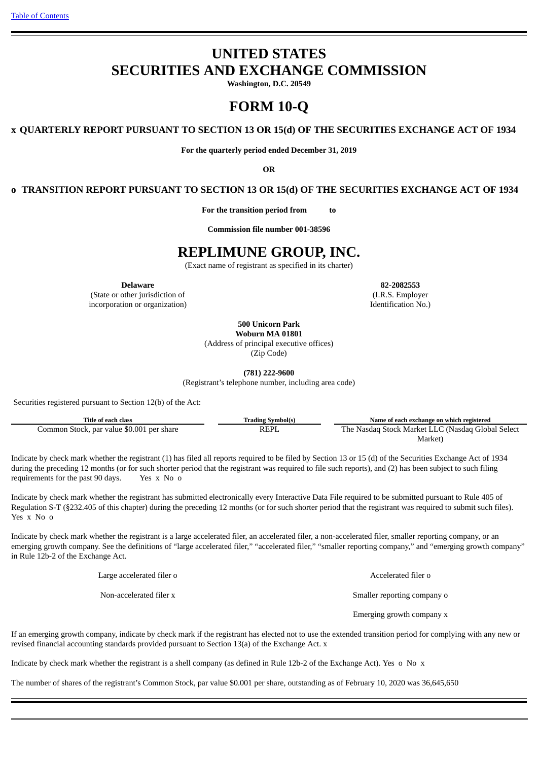# **UNITED STATES SECURITIES AND EXCHANGE COMMISSION**

**Washington, D.C. 20549**

# **FORM 10-Q**

**x QUARTERLY REPORT PURSUANT TO SECTION 13 OR 15(d) OF THE SECURITIES EXCHANGE ACT OF 1934**

**For the quarterly period ended December 31, 2019**

**OR**

#### **o TRANSITION REPORT PURSUANT TO SECTION 13 OR 15(d) OF THE SECURITIES EXCHANGE ACT OF 1934**

**For the transition period from to**

**Commission file number 001-38596**

## **REPLIMUNE GROUP, INC.**

(Exact name of registrant as specified in its charter)

(State or other jurisdiction of (I.R.S. Employer incorporation or organization) and the set of the set of the set of the Identification No.

**Delaware 82-2082553**

**500 Unicorn Park**

**Woburn MA 01801**

(Address of principal executive offices) (Zip Code)

**(781) 222-9600**

(Registrant's telephone number, including area code)

Securities registered pursuant to Section 12(b) of the Act:

| Title of each class                       | Trading Symbol(s) | Name of each exchange on which registered         |
|-------------------------------------------|-------------------|---------------------------------------------------|
| Common Stock, par value \$0.001 per share | REPL              | The Nasdag Stock Market LLC (Nasdag Global Select |
|                                           |                   | Market.                                           |

Indicate by check mark whether the registrant (1) has filed all reports required to be filed by Section 13 or 15 (d) of the Securities Exchange Act of 1934 during the preceding 12 months (or for such shorter period that the registrant was required to file such reports), and (2) has been subject to such filing requirements for the past 90 days. Yes x No o

Indicate by check mark whether the registrant has submitted electronically every Interactive Data File required to be submitted pursuant to Rule 405 of Regulation S-T (§232.405 of this chapter) during the preceding 12 months (or for such shorter period that the registrant was required to submit such files). Yes x No o

Indicate by check mark whether the registrant is a large accelerated filer, an accelerated filer, a non-accelerated filer, smaller reporting company, or an emerging growth company. See the definitions of "large accelerated filer," "accelerated filer," "smaller reporting company," and "emerging growth company" in Rule 12b-2 of the Exchange Act.

Large accelerated filer o Accelerated filer o Accelerated filer o

Non-accelerated filer x Smaller reporting company on Smaller reporting company on Smaller reporting company o

Emerging growth company x

If an emerging growth company, indicate by check mark if the registrant has elected not to use the extended transition period for complying with any new or revised financial accounting standards provided pursuant to Section 13(a) of the Exchange Act. x

Indicate by check mark whether the registrant is a shell company (as defined in Rule 12b-2 of the Exchange Act). Yes o No x

The number of shares of the registrant's Common Stock, par value \$0.001 per share, outstanding as of February 10, 2020 was 36,645,650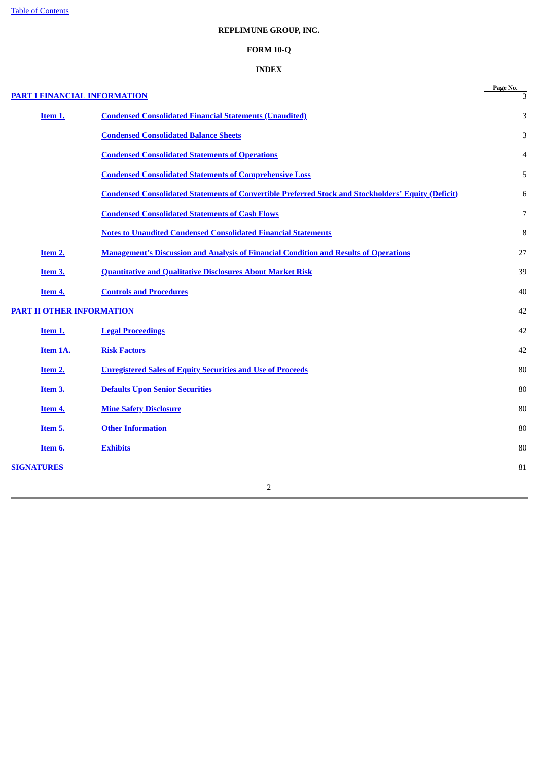## <span id="page-1-0"></span>**REPLIMUNE GROUP, INC.**

## **FORM 10-Q**

## **INDEX**

| <b>PART I FINANCIAL INFORMATION</b> |                                                                                                            | Page No.<br>3   |
|-------------------------------------|------------------------------------------------------------------------------------------------------------|-----------------|
| Item 1.                             | <b>Condensed Consolidated Financial Statements (Unaudited)</b>                                             | 3               |
|                                     | <b>Condensed Consolidated Balance Sheets</b>                                                               | 3               |
|                                     | <b>Condensed Consolidated Statements of Operations</b>                                                     | $\overline{4}$  |
|                                     | <b>Condensed Consolidated Statements of Comprehensive Loss</b>                                             | 5               |
|                                     | <b>Condensed Consolidated Statements of Convertible Preferred Stock and Stockholders' Equity (Deficit)</b> | 6               |
|                                     | <b>Condensed Consolidated Statements of Cash Flows</b>                                                     | $7\overline{ }$ |
|                                     | <b>Notes to Unaudited Condensed Consolidated Financial Statements</b>                                      | 8               |
| Item 2.                             | <b>Management's Discussion and Analysis of Financial Condition and Results of Operations</b>               | 27              |
| Item 3.                             | <b>Quantitative and Qualitative Disclosures About Market Risk</b>                                          | 39              |
| Item 4.                             | <b>Controls and Procedures</b>                                                                             | 40              |
| <b>PART II OTHER INFORMATION</b>    |                                                                                                            | 42              |
| Item 1.                             | <b>Legal Proceedings</b>                                                                                   | 42              |
| Item 1A.                            | <b>Risk Factors</b>                                                                                        | 42              |
| Item 2.                             | <b>Unregistered Sales of Equity Securities and Use of Proceeds</b>                                         | 80              |
| Item 3.                             | <b>Defaults Upon Senior Securities</b>                                                                     | 80              |
| Item 4.                             | <b>Mine Safety Disclosure</b>                                                                              | 80              |
| Item 5.                             | <b>Other Information</b>                                                                                   | 80              |
| Item 6.                             | <b>Exhibits</b>                                                                                            | 80              |
| <b>SIGNATURES</b>                   |                                                                                                            | 81              |
|                                     |                                                                                                            |                 |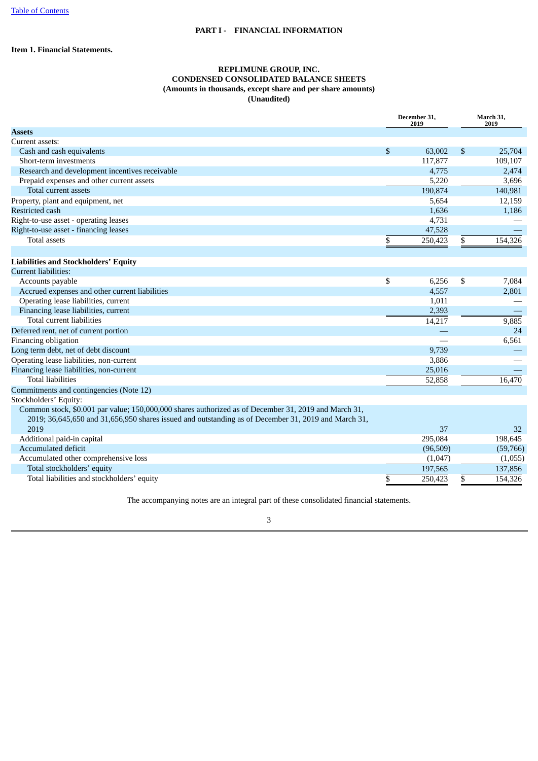## <span id="page-2-2"></span><span id="page-2-0"></span>**PART I - FINANCIAL INFORMATION**

## **Item 1. Financial Statements.**

## <span id="page-2-1"></span>**REPLIMUNE GROUP, INC. CONDENSED CONSOLIDATED BALANCE SHEETS (Amounts in thousands, except share and per share amounts) (Unaudited)**

|                                                                                                      |                | December 31,<br>2019 | March 31,<br>2019 |
|------------------------------------------------------------------------------------------------------|----------------|----------------------|-------------------|
| <b>Assets</b>                                                                                        |                |                      |                   |
| Current assets:                                                                                      |                |                      |                   |
| Cash and cash equivalents                                                                            | $\mathfrak{s}$ | 63,002               | \$<br>25,704      |
| Short-term investments                                                                               |                | 117,877              | 109,107           |
| Research and development incentives receivable                                                       |                | 4,775                | 2,474             |
| Prepaid expenses and other current assets                                                            |                | 5,220                | 3,696             |
| Total current assets                                                                                 |                | 190,874              | 140,981           |
| Property, plant and equipment, net                                                                   |                | 5,654                | 12,159            |
| <b>Restricted cash</b>                                                                               |                | 1,636                | 1,186             |
| Right-to-use asset - operating leases                                                                |                | 4,731                |                   |
| Right-to-use asset - financing leases                                                                |                | 47,528               |                   |
| <b>Total assets</b>                                                                                  | \$             | 250,423              | \$<br>154,326     |
|                                                                                                      |                |                      |                   |
| <b>Liabilities and Stockholders' Equity</b>                                                          |                |                      |                   |
| <b>Current liabilities:</b>                                                                          |                |                      |                   |
| Accounts payable                                                                                     | \$             | 6,256                | \$<br>7,084       |
| Accrued expenses and other current liabilities                                                       |                | 4,557                | 2,801             |
| Operating lease liabilities, current                                                                 |                | 1,011                |                   |
| Financing lease liabilities, current                                                                 |                | 2,393                |                   |
| Total current liabilities                                                                            |                | 14,217               | 9,885             |
| Deferred rent, net of current portion                                                                |                |                      | 24                |
| Financing obligation                                                                                 |                |                      | 6,561             |
| Long term debt, net of debt discount                                                                 |                | 9,739                |                   |
| Operating lease liabilities, non-current                                                             |                | 3,886                |                   |
| Financing lease liabilities, non-current                                                             |                | 25.016               |                   |
| <b>Total liabilities</b>                                                                             |                | 52,858               | 16,470            |
| Commitments and contingencies (Note 12)                                                              |                |                      |                   |
| Stockholders' Equity:                                                                                |                |                      |                   |
| Common stock, \$0.001 par value; 150,000,000 shares authorized as of December 31, 2019 and March 31, |                |                      |                   |
| 2019; 36,645,650 and 31,656,950 shares issued and outstanding as of December 31, 2019 and March 31,  |                |                      |                   |
| 2019                                                                                                 |                | 37                   | 32                |
| Additional paid-in capital                                                                           |                | 295,084              | 198,645           |
| Accumulated deficit                                                                                  |                | (96,509)             | (59,766)          |
| Accumulated other comprehensive loss                                                                 |                | (1,047)              | (1,055)           |
| Total stockholders' equity                                                                           |                | 197,565              | 137,856           |
| Total liabilities and stockholders' equity                                                           | \$             | 250,423              | \$<br>154,326     |

The accompanying notes are an integral part of these consolidated financial statements.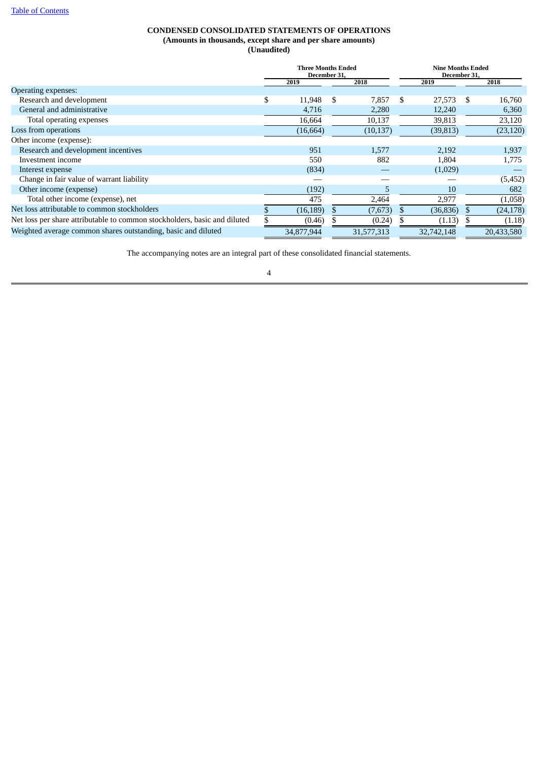## <span id="page-3-0"></span>**CONDENSED CONSOLIDATED STATEMENTS OF OPERATIONS (Amounts in thousands, except share and per share amounts) (Unaudited)**

|                                                                           | <b>Three Months Ended</b><br>December 31, |            |   |            |     | <b>Nine Months Ended</b><br>December 31, |     |            |  |
|---------------------------------------------------------------------------|-------------------------------------------|------------|---|------------|-----|------------------------------------------|-----|------------|--|
|                                                                           |                                           | 2019       |   | 2018       |     | 2019                                     |     | 2018       |  |
| <b>Operating expenses:</b>                                                |                                           |            |   |            |     |                                          |     |            |  |
| Research and development                                                  | \$                                        | 11,948     | S | 7,857      | \$. | 27,573                                   | \$. | 16,760     |  |
| General and administrative                                                |                                           | 4,716      |   | 2,280      |     | 12,240                                   |     | 6,360      |  |
| Total operating expenses                                                  |                                           | 16,664     |   | 10,137     |     | 39,813                                   |     | 23,120     |  |
| Loss from operations                                                      |                                           | (16, 664)  |   | (10, 137)  |     | (39, 813)                                |     | (23, 120)  |  |
| Other income (expense):                                                   |                                           |            |   |            |     |                                          |     |            |  |
| Research and development incentives                                       |                                           | 951        |   | 1,577      |     | 2,192                                    |     | 1,937      |  |
| Investment income                                                         |                                           | 550        |   | 882        |     | 1,804                                    |     | 1,775      |  |
| Interest expense                                                          |                                           | (834)      |   |            |     | (1,029)                                  |     |            |  |
| Change in fair value of warrant liability                                 |                                           |            |   |            |     |                                          |     | (5, 452)   |  |
| Other income (expense)                                                    |                                           | (192)      |   | 5          |     | 10                                       |     | 682        |  |
| Total other income (expense), net                                         |                                           | 475        |   | 2,464      |     | 2,977                                    |     | (1,058)    |  |
| Net loss attributable to common stockholders                              |                                           | (16, 189)  |   | (7,673)    |     | (36, 836)                                |     | (24, 178)  |  |
| Net loss per share attributable to common stockholders, basic and diluted |                                           | (0.46)     |   | (0.24)     |     | (1.13)                                   |     | (1.18)     |  |
| Weighted average common shares outstanding, basic and diluted             |                                           | 34,877,944 |   | 31,577,313 |     | 32,742,148                               |     | 20,433,580 |  |

The accompanying notes are an integral part of these consolidated financial statements.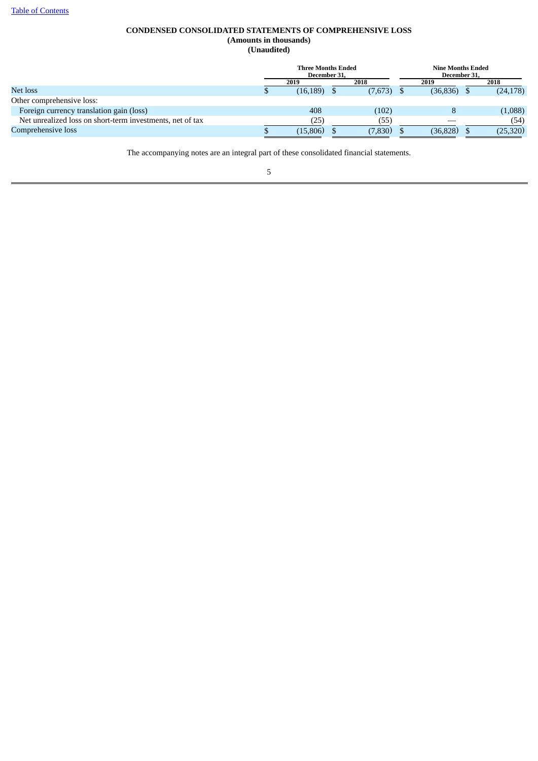## <span id="page-4-0"></span>**CONDENSED CONSOLIDATED STATEMENTS OF COMPREHENSIVE LOSS (Amounts in thousands) (Unaudited)**

|                                                           | <b>Three Months Ended</b><br>December 31, |                |  |         |  | <b>Nine Months Ended</b><br>December 31. |  |           |
|-----------------------------------------------------------|-------------------------------------------|----------------|--|---------|--|------------------------------------------|--|-----------|
|                                                           |                                           | 2019           |  | 2018    |  | 2019                                     |  | 2018      |
| Net loss                                                  |                                           | $(16, 189)$ \$ |  | (7,673) |  | (36, 836)                                |  | (24, 178) |
| Other comprehensive loss:                                 |                                           |                |  |         |  |                                          |  |           |
| Foreign currency translation gain (loss)                  |                                           | 408            |  | (102)   |  |                                          |  | (1,088)   |
| Net unrealized loss on short-term investments, net of tax |                                           | (25)           |  | (55)    |  |                                          |  | (54)      |
| Comprehensive loss                                        |                                           | (15,806)       |  | (7,830) |  | (36, 828)                                |  | (25, 320) |

The accompanying notes are an integral part of these consolidated financial statements.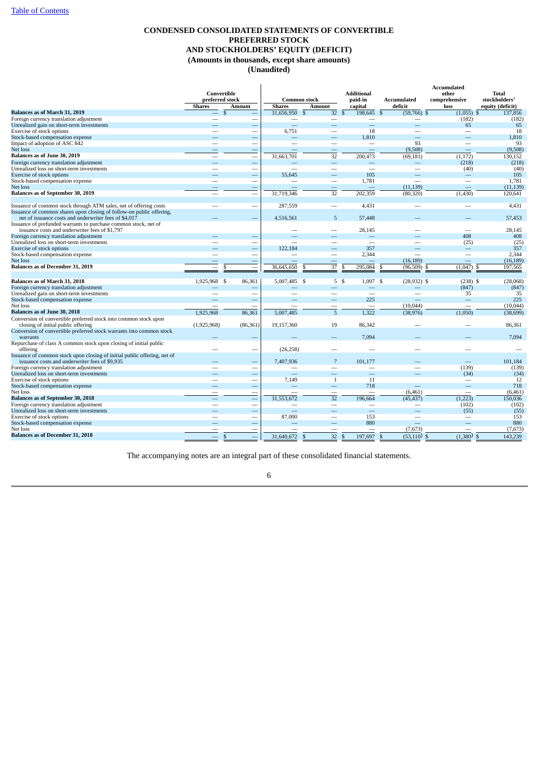## <span id="page-5-0"></span>**CONDENSED CONSOLIDATED STATEMENTS OF CONVERTIBLE PREFERRED STOCK AND STOCKHOLDERS' EQUITY (DEFICIT) (Amounts in thousands, except share amounts) (Unaudited)**

|                                                                                                        |                          | Convertible<br>preferred stock |                          | <b>Common stock</b>             | <b>Additional</b><br>paid-in | Accumulated                 | <b>Accumulated</b><br>other<br>comprehensive | <b>Total</b><br>stockholders' |
|--------------------------------------------------------------------------------------------------------|--------------------------|--------------------------------|--------------------------|---------------------------------|------------------------------|-----------------------------|----------------------------------------------|-------------------------------|
|                                                                                                        | <b>Shares</b>            | Amount                         | <b>Shares</b>            | Amount                          | capital                      | deficit                     | loss                                         | equity (deficit)              |
| <b>Balances as of March 31, 2019</b>                                                                   |                          | $\overline{s}$                 | 31,656,950               | $\overline{32}$<br>$\mathbf{s}$ | 198,645                      | $\mathfrak{F}$<br>(59,766)  | $\mathfrak{F}$<br>$(1,055)$ \$               | 137,856                       |
| Foreign currency translation adjustment                                                                |                          |                                |                          | $\overline{\phantom{0}}$        |                              |                             | (182)                                        | (182)                         |
| Unrealized gain on short-term investments                                                              |                          |                                |                          |                                 | $\overline{\phantom{m}}$     |                             | 65                                           | 65                            |
| Exercise of stock options                                                                              |                          |                                | 6.751                    |                                 | 18                           | $\overline{\phantom{a}}$    |                                              | 18                            |
| Stock-based compensation expense                                                                       |                          |                                |                          |                                 | 1,810                        |                             |                                              | 1,810                         |
| Impact of adoption of ASC 842                                                                          |                          | -                              | $\overline{\phantom{a}}$ | $\overline{\phantom{0}}$        | $\overline{\phantom{m}}$     | 93                          | $\overline{\phantom{a}}$                     | 93                            |
| Net loss                                                                                               |                          |                                |                          |                                 |                              | (9,508)                     |                                              | (9,508)                       |
| Balances as of June 30, 2019                                                                           |                          | $\overline{\phantom{0}}$       | 31,663,701               | 32                              | 200,473                      | (69, 181)                   | (1, 172)                                     | 130,152                       |
| Foreign currency translation adjustment                                                                |                          |                                |                          |                                 |                              |                             | (218)                                        | (218)                         |
| Unrealized loss on short-term investments                                                              |                          |                                |                          |                                 |                              |                             | (40)                                         | (40)                          |
| Exercise of stock options                                                                              |                          |                                | 55,645                   |                                 | 105                          | $\equiv$                    |                                              | 105                           |
| Stock-based compensation expense                                                                       |                          |                                |                          | $\overline{\phantom{m}}$        | 1,781                        |                             | $\overline{\phantom{0}}$                     | 1,781                         |
| Net loss                                                                                               |                          |                                |                          |                                 |                              | (11, 139)                   | $\overline{\phantom{0}}$                     | (11, 139)                     |
| <b>Balances as of September 30, 2019</b>                                                               |                          |                                | 31,719,346               | 32                              | 202,359                      | (80, 320)                   | (1,430)                                      | 120,641                       |
| Issuance of common stock through ATM sales, net of offering costs                                      |                          |                                | 287,559                  | $\overline{\phantom{0}}$        | 4,431                        |                             |                                              | 4.431                         |
| Issuance of common shares upon closing of follow-on public offering,                                   |                          |                                |                          |                                 |                              |                             |                                              |                               |
| net of issuance costs and underwriter fees of \$4,017                                                  |                          |                                | 4,516,561                | 5                               | 57,448                       |                             |                                              | 57,453                        |
| Issuance of prefunded warrants to purchase common stock, net of                                        |                          |                                |                          |                                 |                              |                             |                                              |                               |
| issuance costs and underwriter fees of \$1,797                                                         |                          |                                |                          |                                 | 28,145                       |                             | $\overline{\phantom{a}}$                     | 28,145                        |
| Foreign currency translation adjustment                                                                |                          |                                |                          |                                 | $\overline{\phantom{m}}$     |                             | 408                                          | 408                           |
| Unrealized loss on short-term investments                                                              |                          |                                |                          | -                               |                              |                             | (25)                                         | (25)                          |
| Exercise of stock options                                                                              |                          |                                | 122,184                  |                                 | 357                          |                             | $\overline{\phantom{a}}$                     | 357                           |
| Stock-based compensation expense                                                                       |                          | -                              |                          | $\overline{\phantom{0}}$        | 2,344                        |                             | $\overline{\phantom{a}}$                     | 2.344                         |
| Net loss                                                                                               |                          |                                |                          |                                 |                              | (16, 189)                   |                                              | (16, 189)                     |
| Balances as of December 31, 2019                                                                       | $\overline{\phantom{0}}$ | \$.                            | 36,645,650               | $\overline{37}$<br>\$           | 295,084                      | (96, 509)<br>\$.            | (1,047)<br>S.                                | 197,565<br>\$                 |
|                                                                                                        |                          |                                |                          |                                 |                              |                             |                                              |                               |
| Balances as of March 31, 2018                                                                          | 1,925,968 \$             | 86,361                         | 5,007,485 \$             | 5 <sup>5</sup>                  | $1,097$ \$                   | $(28,932)$ \$               | $(238)$ \$                                   | (28,068)                      |
| Foreign currency translation adjustment                                                                |                          |                                |                          |                                 |                              |                             | (847)                                        | (847)                         |
| Unrealized gain on short-term investments                                                              |                          |                                |                          |                                 |                              |                             | 35                                           | 35                            |
| Stock-based compensation expense                                                                       |                          |                                |                          |                                 | 225                          |                             |                                              | 225                           |
| Net loss                                                                                               |                          |                                |                          |                                 |                              | (10,044)                    |                                              | (10,044)                      |
| Balances as of June 30, 2018                                                                           | 1.925.968                | 86,361                         | 5.007.485                | $\overline{5}$                  | 1.322                        | (38, 976)                   | (1,050)                                      | (38, 699)                     |
| Conversion of convertible preferred stock into common stock upon<br>closing of initial public offering | (1,925,968)              | (86, 361)                      | 19,157,360               | 19                              | 86,342                       |                             |                                              | 86,361                        |
| Conversion of convertible preferred stock warrants into common stock                                   |                          |                                |                          |                                 |                              |                             |                                              |                               |
| warrants                                                                                               |                          |                                |                          |                                 | 7,094                        |                             |                                              | 7,094                         |
| Repurchase of class A common stock upon closing of initial public                                      |                          |                                |                          |                                 |                              |                             |                                              |                               |
| offering                                                                                               |                          |                                | (26, 258)                |                                 |                              |                             |                                              |                               |
| Issuance of common stock upon closing of initial public offering, net of                               |                          |                                |                          |                                 |                              |                             |                                              |                               |
| issuance costs and underwriter fees of \$9,935                                                         |                          |                                | 7,407,936                | $7\overline{ }$                 | 101.177                      |                             |                                              | 101,184                       |
| Foreign currency translation adjustment                                                                |                          | -                              |                          |                                 | $\overline{\phantom{a}}$     |                             | (139)                                        | (139)                         |
| Unrealized loss on short-term investments                                                              |                          |                                |                          |                                 | ۳                            |                             | (34)                                         | (34)                          |
| Exercise of stock options                                                                              |                          |                                | 7,149                    | 1                               | 11                           |                             |                                              | 12                            |
| Stock-based compensation expense                                                                       |                          |                                |                          | $\qquad \qquad -$               | 718                          |                             |                                              | 718                           |
| Net loss                                                                                               |                          |                                |                          | -                               |                              | (6, 461)                    | $\overline{\phantom{a}}$                     | (6, 461)                      |
| <b>Balances as of September 30, 2018</b>                                                               |                          |                                | 31,553,672               | 32                              | 196,664                      | (45, 437)                   | (1,223)                                      | 150,036                       |
| Foreign currency translation adjustment                                                                |                          |                                |                          | $\overline{\phantom{0}}$        | -                            |                             | (102)                                        | (102)                         |
| Unrealized loss on short-term investments                                                              |                          |                                |                          |                                 |                              |                             | (55)                                         | (55)                          |
| Exercise of stock options                                                                              |                          | -                              | 87,000                   | $\qquad \qquad$                 | 153                          | -                           | $\overbrace{\phantom{12332}}$                | 153                           |
| Stock-based compensation expense                                                                       |                          | -                              |                          | $\qquad \qquad -$               | 880                          | $\overline{\phantom{0}}$    | $\qquad \qquad -$                            | 880                           |
| Net loss                                                                                               |                          |                                |                          |                                 |                              | (7,673)                     |                                              | (7,673)                       |
| <b>Balances as of December 31, 2018</b>                                                                | $\qquad \qquad -$        | $\mathbf{s}$                   | 31,640,672               | $\mathbb{S}$<br>$\overline{32}$ | 197,697<br>$\mathbf{s}$      | $\mathfrak{s}$<br>(53, 110) | $\mathfrak{s}$<br>$(1,380)$ \$               | 143.239                       |

The accompanying notes are an integral part of these consolidated financial statements.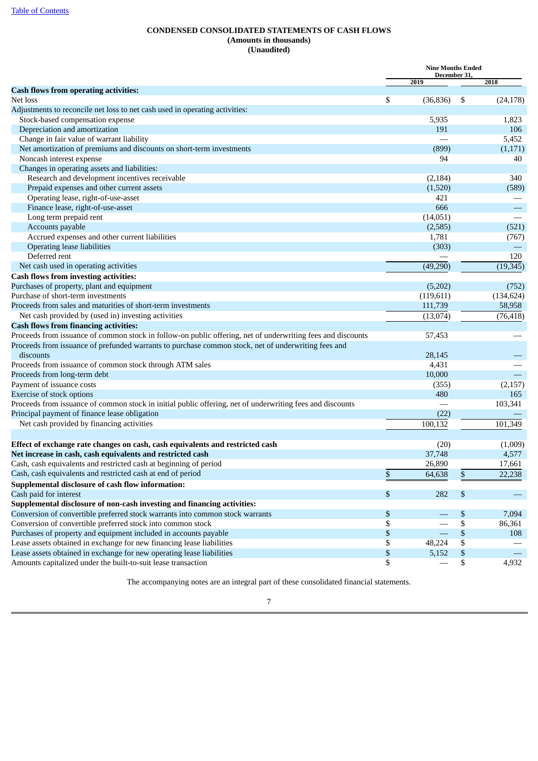## <span id="page-6-0"></span>**CONDENSED CONSOLIDATED STATEMENTS OF CASH FLOWS (Amounts in thousands) (Unaudited)**

|                                                                                                             | <b>Nine Months Ended</b><br>December 31, |                                                                       |                  |
|-------------------------------------------------------------------------------------------------------------|------------------------------------------|-----------------------------------------------------------------------|------------------|
|                                                                                                             | 2019                                     |                                                                       | 2018             |
| <b>Cash flows from operating activities:</b>                                                                |                                          |                                                                       |                  |
| Net loss                                                                                                    | \$<br>(36, 836)                          | \$                                                                    | (24, 178)        |
| Adjustments to reconcile net loss to net cash used in operating activities:                                 |                                          |                                                                       |                  |
| Stock-based compensation expense                                                                            | 5,935                                    |                                                                       | 1,823            |
| Depreciation and amortization                                                                               | 191                                      |                                                                       | 106              |
| Change in fair value of warrant liability                                                                   |                                          |                                                                       | 5,452            |
| Net amortization of premiums and discounts on short-term investments                                        | (899)                                    |                                                                       | (1,171)          |
| Noncash interest expense                                                                                    | 94                                       |                                                                       | 40               |
| Changes in operating assets and liabilities:                                                                |                                          |                                                                       |                  |
| Research and development incentives receivable                                                              | (2, 184)                                 |                                                                       | 340              |
| Prepaid expenses and other current assets                                                                   | (1,520)                                  |                                                                       | (589)            |
| Operating lease, right-of-use-asset                                                                         | 421                                      |                                                                       |                  |
| Finance lease, right-of-use-asset                                                                           | 666                                      |                                                                       |                  |
| Long term prepaid rent                                                                                      | (14,051)                                 |                                                                       |                  |
| Accounts payable                                                                                            | (2,585)                                  |                                                                       | (521)            |
| Accrued expenses and other current liabilities                                                              | 1,781                                    |                                                                       | (767)            |
| <b>Operating lease liabilities</b>                                                                          | (303)                                    |                                                                       |                  |
| Deferred rent                                                                                               |                                          |                                                                       | 120              |
| Net cash used in operating activities                                                                       | (49, 290)                                |                                                                       | (19, 345)        |
| <b>Cash flows from investing activities:</b>                                                                |                                          |                                                                       |                  |
| Purchases of property, plant and equipment                                                                  | (5,202)                                  |                                                                       | (752)            |
| Purchase of short-term investments                                                                          | (119, 611)                               |                                                                       | (134, 624)       |
| Proceeds from sales and maturities of short-term investments                                                | 111,739                                  |                                                                       | 58,958           |
| Net cash provided by (used in) investing activities                                                         | (13,074)                                 |                                                                       | (76, 418)        |
| <b>Cash flows from financing activities:</b>                                                                |                                          |                                                                       |                  |
| Proceeds from issuance of common stock in follow-on public offering, net of underwriting fees and discounts | 57,453                                   |                                                                       |                  |
| Proceeds from issuance of prefunded warrants to purchase common stock, net of underwriting fees and         |                                          |                                                                       |                  |
| discounts                                                                                                   | 28,145                                   |                                                                       |                  |
| Proceeds from issuance of common stock through ATM sales                                                    | 4,431                                    |                                                                       |                  |
| Proceeds from long-term debt                                                                                | 10,000                                   |                                                                       |                  |
| Payment of issuance costs                                                                                   | (355)                                    |                                                                       | (2, 157)         |
| Exercise of stock options                                                                                   | 480                                      |                                                                       | 165              |
| Proceeds from issuance of common stock in initial public offering, net of underwriting fees and discounts   |                                          |                                                                       | 103,341          |
| Principal payment of finance lease obligation                                                               | (22)                                     |                                                                       |                  |
| Net cash provided by financing activities                                                                   | 100,132                                  |                                                                       | 101,349          |
|                                                                                                             |                                          |                                                                       |                  |
| Effect of exchange rate changes on cash, cash equivalents and restricted cash                               |                                          |                                                                       |                  |
| Net increase in cash, cash equivalents and restricted cash                                                  | (20)<br>37,748                           |                                                                       | (1,009)<br>4,577 |
|                                                                                                             |                                          |                                                                       |                  |
| Cash, cash equivalents and restricted cash at beginning of period                                           | 26,890                                   |                                                                       | 17,661           |
| Cash, cash equivalents and restricted cash at end of period                                                 | \$<br>64,638                             | $\$$                                                                  | 22,238           |
| Supplemental disclosure of cash flow information:                                                           |                                          |                                                                       |                  |
| Cash paid for interest                                                                                      | \$<br>282                                | \$                                                                    |                  |
| Supplemental disclosure of non-cash investing and financing activities:                                     |                                          |                                                                       |                  |
| Conversion of convertible preferred stock warrants into common stock warrants                               | \$                                       | \$                                                                    | 7,094            |
| Conversion of convertible preferred stock into common stock                                                 | \$                                       | \$                                                                    | 86,361           |
| Purchases of property and equipment included in accounts payable                                            | \$                                       | $\mathbb{S}% _{t}\left( t\right) \equiv\mathbb{S}_{t}\left( t\right)$ | 108              |
| Lease assets obtained in exchange for new financing lease liabilities                                       | \$<br>48,224                             | \$                                                                    |                  |
| Lease assets obtained in exchange for new operating lease liabilities                                       | \$<br>5,152                              | \$                                                                    |                  |
| Amounts capitalized under the built-to-suit lease transaction                                               | \$                                       | \$                                                                    | 4,932            |

The accompanying notes are an integral part of these consolidated financial statements.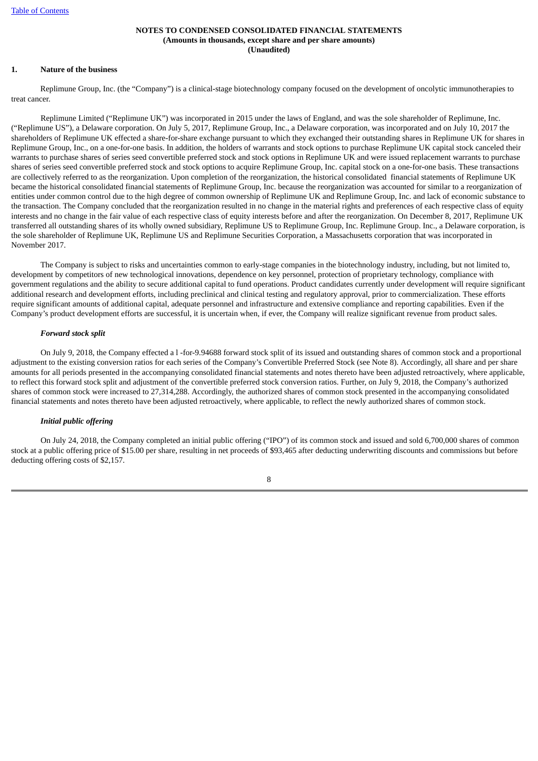## <span id="page-7-0"></span>**NOTES TO CONDENSED CONSOLIDATED FINANCIAL STATEMENTS (Amounts in thousands, except share and per share amounts) (Unaudited)**

#### **1. Nature of the business**

Replimune Group, Inc. (the "Company") is a clinical-stage biotechnology company focused on the development of oncolytic immunotherapies to treat cancer.

Replimune Limited ("Replimune UK") was incorporated in 2015 under the laws of England, and was the sole shareholder of Replimune, Inc. ("Replimune US"), a Delaware corporation. On July 5, 2017, Replimune Group, Inc., a Delaware corporation, was incorporated and on July 10, 2017 the shareholders of Replimune UK effected a share-for-share exchange pursuant to which they exchanged their outstanding shares in Replimune UK for shares in Replimune Group, Inc., on a one-for-one basis. In addition, the holders of warrants and stock options to purchase Replimune UK capital stock canceled their warrants to purchase shares of series seed convertible preferred stock and stock options in Replimune UK and were issued replacement warrants to purchase shares of series seed convertible preferred stock and stock options to acquire Replimune Group, Inc. capital stock on a one-for-one basis. These transactions are collectively referred to as the reorganization. Upon completion of the reorganization, the historical consolidated financial statements of Replimune UK became the historical consolidated financial statements of Replimune Group, Inc. because the reorganization was accounted for similar to a reorganization of entities under common control due to the high degree of common ownership of Replimune UK and Replimune Group, Inc. and lack of economic substance to the transaction. The Company concluded that the reorganization resulted in no change in the material rights and preferences of each respective class of equity interests and no change in the fair value of each respective class of equity interests before and after the reorganization. On December 8, 2017, Replimune UK transferred all outstanding shares of its wholly owned subsidiary, Replimune US to Replimune Group, Inc. Replimune Group. Inc., a Delaware corporation, is the sole shareholder of Replimune UK, Replimune US and Replimune Securities Corporation, a Massachusetts corporation that was incorporated in November 2017.

The Company is subject to risks and uncertainties common to early-stage companies in the biotechnology industry, including, but not limited to, development by competitors of new technological innovations, dependence on key personnel, protection of proprietary technology, compliance with government regulations and the ability to secure additional capital to fund operations. Product candidates currently under development will require significant additional research and development efforts, including preclinical and clinical testing and regulatory approval, prior to commercialization. These efforts require significant amounts of additional capital, adequate personnel and infrastructure and extensive compliance and reporting capabilities. Even if the Company's product development efforts are successful, it is uncertain when, if ever, the Company will realize significant revenue from product sales.

#### *Forward stock split*

On July 9, 2018, the Company effected a l -for-9.94688 forward stock split of its issued and outstanding shares of common stock and a proportional adjustment to the existing conversion ratios for each series of the Company's Convertible Preferred Stock (see Note 8). Accordingly, all share and per share amounts for all periods presented in the accompanying consolidated financial statements and notes thereto have been adjusted retroactively, where applicable, to reflect this forward stock split and adjustment of the convertible preferred stock conversion ratios. Further, on July 9, 2018, the Company's authorized shares of common stock were increased to 27,314,288. Accordingly, the authorized shares of common stock presented in the accompanying consolidated financial statements and notes thereto have been adjusted retroactively, where applicable, to reflect the newly authorized shares of common stock.

## *Initial public offering*

On July 24, 2018, the Company completed an initial public offering ("IPO") of its common stock and issued and sold 6,700,000 shares of common stock at a public offering price of \$15.00 per share, resulting in net proceeds of \$93,465 after deducting underwriting discounts and commissions but before deducting offering costs of \$2,157.

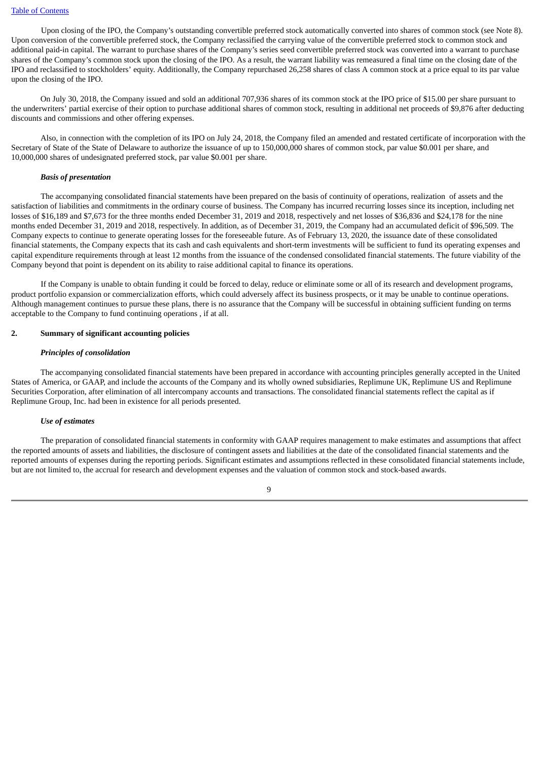Upon closing of the IPO, the Company's outstanding convertible preferred stock automatically converted into shares of common stock (see Note 8). Upon conversion of the convertible preferred stock, the Company reclassified the carrying value of the convertible preferred stock to common stock and additional paid-in capital. The warrant to purchase shares of the Company's series seed convertible preferred stock was converted into a warrant to purchase shares of the Company's common stock upon the closing of the IPO. As a result, the warrant liability was remeasured a final time on the closing date of the IPO and reclassified to stockholders' equity. Additionally, the Company repurchased 26,258 shares of class A common stock at a price equal to its par value upon the closing of the IPO.

On July 30, 2018, the Company issued and sold an additional 707,936 shares of its common stock at the IPO price of \$15.00 per share pursuant to the underwriters' partial exercise of their option to purchase additional shares of common stock, resulting in additional net proceeds of \$9,876 after deducting discounts and commissions and other offering expenses.

Also, in connection with the completion of its IPO on July 24, 2018, the Company filed an amended and restated certificate of incorporation with the Secretary of State of the State of Delaware to authorize the issuance of up to 150,000,000 shares of common stock, par value \$0.001 per share, and 10,000,000 shares of undesignated preferred stock, par value \$0.001 per share.

#### *Basis of presentation*

The accompanying consolidated financial statements have been prepared on the basis of continuity of operations, realization of assets and the satisfaction of liabilities and commitments in the ordinary course of business. The Company has incurred recurring losses since its inception, including net losses of \$16,189 and \$7,673 for the three months ended December 31, 2019 and 2018, respectively and net losses of \$36,836 and \$24,178 for the nine months ended December 31, 2019 and 2018, respectively. In addition, as of December 31, 2019, the Company had an accumulated deficit of \$96,509. The Company expects to continue to generate operating losses for the foreseeable future. As of February 13, 2020, the issuance date of these consolidated financial statements, the Company expects that its cash and cash equivalents and short-term investments will be sufficient to fund its operating expenses and capital expenditure requirements through at least 12 months from the issuance of the condensed consolidated financial statements. The future viability of the Company beyond that point is dependent on its ability to raise additional capital to finance its operations.

If the Company is unable to obtain funding it could be forced to delay, reduce or eliminate some or all of its research and development programs, product portfolio expansion or commercialization efforts, which could adversely affect its business prospects, or it may be unable to continue operations. Although management continues to pursue these plans, there is no assurance that the Company will be successful in obtaining sufficient funding on terms acceptable to the Company to fund continuing operations , if at all.

## **2. Summary of significant accounting policies**

#### *Principles of consolidation*

The accompanying consolidated financial statements have been prepared in accordance with accounting principles generally accepted in the United States of America, or GAAP, and include the accounts of the Company and its wholly owned subsidiaries, Replimune UK, Replimune US and Replimune Securities Corporation, after elimination of all intercompany accounts and transactions. The consolidated financial statements reflect the capital as if Replimune Group, Inc. had been in existence for all periods presented.

#### *Use of estimates*

The preparation of consolidated financial statements in conformity with GAAP requires management to make estimates and assumptions that affect the reported amounts of assets and liabilities, the disclosure of contingent assets and liabilities at the date of the consolidated financial statements and the reported amounts of expenses during the reporting periods. Significant estimates and assumptions reflected in these consolidated financial statements include, but are not limited to, the accrual for research and development expenses and the valuation of common stock and stock-based awards.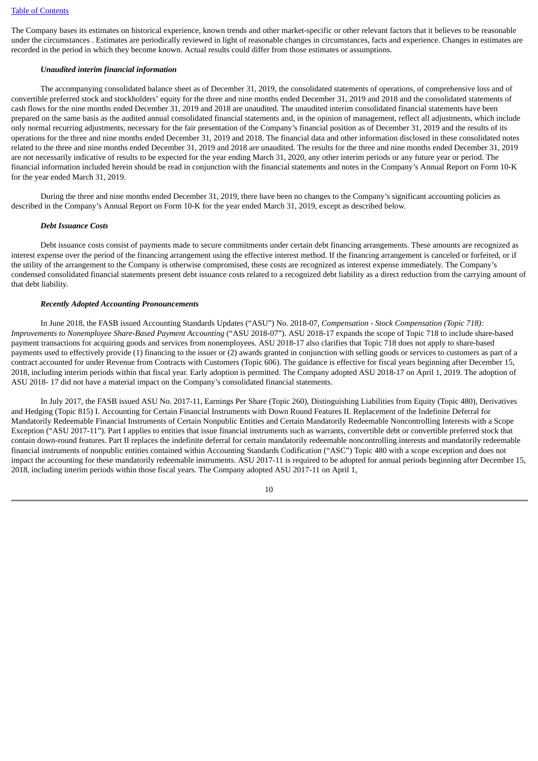The Company bases its estimates on historical experience, known trends and other market-specific or other relevant factors that it believes to be reasonable under the circumstances . Estimates are periodically reviewed in light of reasonable changes in circumstances, facts and experience. Changes in estimates are recorded in the period in which they become known. Actual results could differ from those estimates or assumptions.

#### *Unaudited interim financial information*

The accompanying consolidated balance sheet as of December 31, 2019, the consolidated statements of operations, of comprehensive loss and of convertible preferred stock and stockholders' equity for the three and nine months ended December 31, 2019 and 2018 and the consolidated statements of cash flows for the nine months ended December 31, 2019 and 2018 are unaudited. The unaudited interim consolidated financial statements have been prepared on the same basis as the audited annual consolidated financial statements and, in the opinion of management, reflect all adjustments, which include only normal recurring adjustments, necessary for the fair presentation of the Company's financial position as of December 31, 2019 and the results of its operations for the three and nine months ended December 31, 2019 and 2018. The financial data and other information disclosed in these consolidated notes related to the three and nine months ended December 31, 2019 and 2018 are unaudited. The results for the three and nine months ended December 31, 2019 are not necessarily indicative of results to be expected for the year ending March 31, 2020, any other interim periods or any future year or period. The financial information included herein should be read in conjunction with the financial statements and notes in the Company's Annual Report on Form 10-K for the year ended March 31, 2019.

During the three and nine months ended December 31, 2019, there have been no changes to the Company's significant accounting policies as described in the Company's Annual Report on Form 10-K for the year ended March 31, 2019, except as described below.

#### *Debt Issuance Costs*

Debt issuance costs consist of payments made to secure commitments under certain debt financing arrangements. These amounts are recognized as interest expense over the period of the financing arrangement using the effective interest method. If the financing arrangement is canceled or forfeited, or if the utility of the arrangement to the Company is otherwise compromised, these costs are recognized as interest expense immediately. The Company's condensed consolidated financial statements present debt issuance costs related to a recognized debt liability as a direct reduction from the carrying amount of that debt liability.

#### *Recently Adopted Accounting Pronouncements*

In June 2018, the FASB issued Accounting Standards Updates ("ASU") No. 2018-07, *Compensation* - *Stock Compensation (Topic 718): Improvements to Nonemployee Share-Based Payment Accounting* ("ASU 2018-07"). ASU 2018-17 expands the scope of Topic 718 to include share-based payment transactions for acquiring goods and services from nonemployees. ASU 2018-17 also clarifies that Topic 718 does not apply to share-based payments used to effectively provide (1) financing to the issuer or (2) awards granted in conjunction with selling goods or services to customers as part of a contract accounted for under Revenue from Contracts with Customers (Topic 606). The guidance is effective for fiscal years beginning after December 15, 2018, including interim periods within that fiscal year. Early adoption is permitted. The Company adopted ASU 2018-17 on April 1, 2019. The adoption of ASU 2018- 17 did not have a material impact on the Company's consolidated financial statements.

In July 2017, the FASB issued ASU No. 2017-11, Earnings Per Share (Topic 260), Distinguishing Liabilities from Equity (Topic 480), Derivatives and Hedging (Topic 815) I. Accounting for Certain Financial Instruments with Down Round Features II. Replacement of the Indefinite Deferral for Mandatorily Redeemable Financial Instruments of Certain Nonpublic Entities and Certain Mandatorily Redeemable Noncontrolling Interests with a Scope Exception ("ASU 2017-11"). Part I applies to entities that issue financial instruments such as warrants, convertible debt or convertible preferred stock that contain down-round features. Part II replaces the indefinite deferral for certain mandatorily redeemable noncontrolling interests and mandatorily redeemable financial instruments of nonpublic entities contained within Accounting Standards Codification ("ASC") Topic 480 with a scope exception and does not impact the accounting for these mandatorily redeemable instruments. ASU 2017-11 is required to be adopted for annual periods beginning after December 15, 2018, including interim periods within those fiscal years. The Company adopted ASU 2017-11 on April 1,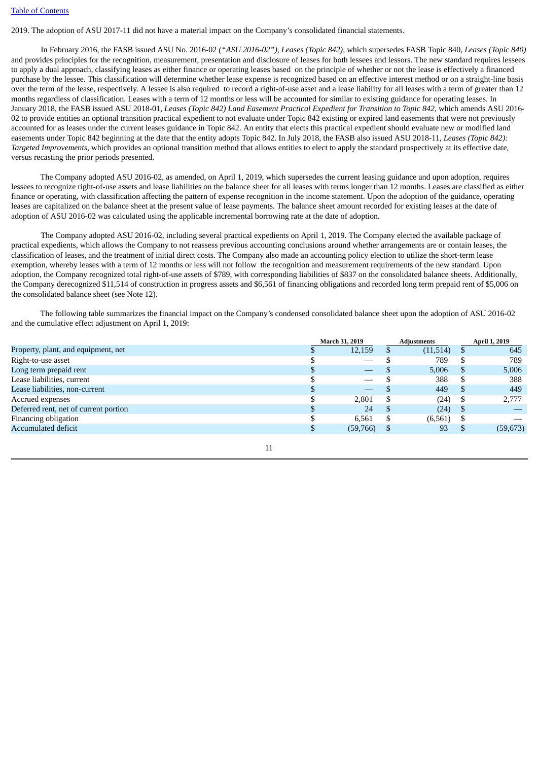2019. The adoption of ASU 2017-11 did not have a material impact on the Company's consolidated financial statements.

In February 2016, the FASB issued ASU No. 2016-02 *("ASU 2016-02"), Leases (Topic 842),* which supersedes FASB Topic 840, *Leases (Topic 840)* and provides principles for the recognition, measurement, presentation and disclosure of leases for both lessees and lessors. The new standard requires lessees to apply a dual approach, classifying leases as either finance or operating leases based on the principle of whether or not the lease is effectively a financed purchase by the lessee. This classification will determine whether lease expense is recognized based on an effective interest method or on a straight-line basis over the term of the lease, respectively. A lessee is also required to record a right-of-use asset and a lease liability for all leases with a term of greater than 12 months regardless of classification. Leases with a term of 12 months or less will be accounted for similar to existing guidance for operating leases. In January 2018, the FASB issued ASU 2018-01, Leases (Topic 842) Land Easement Practical Expedient for Transition to Topic 842, which amends ASU 2016-02 to provide entities an optional transition practical expedient to not evaluate under Topic 842 existing or expired land easements that were not previously accounted for as leases under the current leases guidance in Topic 842. An entity that elects this practical expedient should evaluate new or modified land easements under Topic 842 beginning at the date that the entity adopts Topic 842. In July 2018, the FASB also issued ASU 2018-11, *Leases (Topic 842): Targeted Improvements,* which provides an optional transition method that allows entities to elect to apply the standard prospectively at its effective date, versus recasting the prior periods presented.

The Company adopted ASU 2016-02, as amended, on April 1, 2019, which supersedes the current leasing guidance and upon adoption, requires lessees to recognize right-of-use assets and lease liabilities on the balance sheet for all leases with terms longer than 12 months. Leases are classified as either finance or operating, with classification affecting the pattern of expense recognition in the income statement. Upon the adoption of the guidance, operating leases are capitalized on the balance sheet at the present value of lease payments. The balance sheet amount recorded for existing leases at the date of adoption of ASU 2016-02 was calculated using the applicable incremental borrowing rate at the date of adoption.

The Company adopted ASU 2016-02, including several practical expedients on April 1, 2019. The Company elected the available package of practical expedients, which allows the Company to not reassess previous accounting conclusions around whether arrangements are or contain leases, the classification of leases, and the treatment of initial direct costs. The Company also made an accounting policy election to utilize the short-term lease exemption, whereby leases with a term of 12 months or less will not follow the recognition and measurement requirements of the new standard. Upon adoption, the Company recognized total right-of-use assets of \$789, with corresponding liabilities of \$837 on the consolidated balance sheets. Additionally, the Company derecognized \$11,514 of construction in progress assets and \$6,561 of financing obligations and recorded long term prepaid rent of \$5,006 on the consolidated balance sheet (see Note 12).

The following table summarizes the financial impact on the Company's condensed consolidated balance sheet upon the adoption of ASU 2016-02 and the cumulative effect adjustment on April 1, 2019:

|                                       | March 31, 2019 |  | <b>Adjustments</b> |      | April 1, 2019 |
|---------------------------------------|----------------|--|--------------------|------|---------------|
| Property, plant, and equipment, net   | 12,159         |  | (11,514)           |      | 645           |
| Right-to-use asset                    |                |  | 789                |      | 789           |
| Long term prepaid rent                |                |  | 5.006              | - \$ | 5,006         |
| Lease liabilities, current            |                |  | 388                |      | 388           |
| Lease liabilities, non-current        |                |  | 449                |      | 449           |
| Accrued expenses                      | 2.801          |  | (24)               |      | 2,777         |
| Deferred rent, net of current portion | 24             |  | (24)               |      |               |
| Financing obligation                  | 6.561          |  | (6, 561)           |      |               |
| Accumulated deficit                   | (59,766)       |  | 93                 | -S   | (59, 673)     |
|                                       |                |  |                    |      |               |

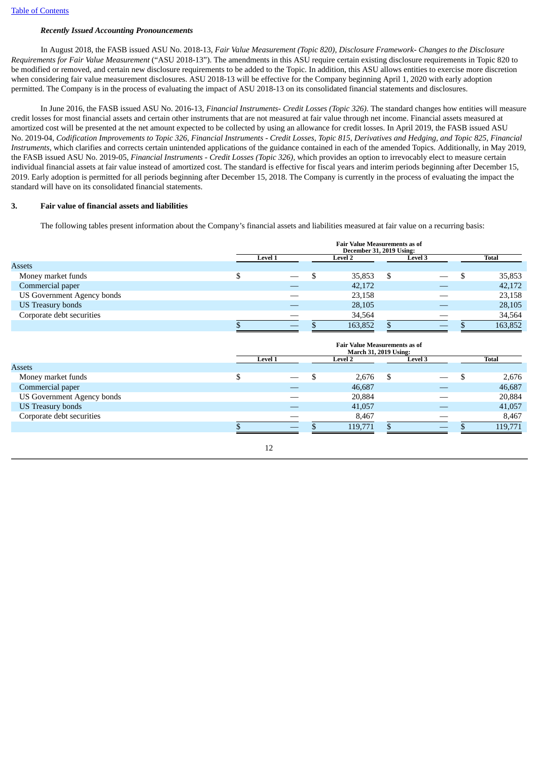#### *Recently Issued Accounting Pronouncements*

In August 2018, the FASB issued ASU No. 2018-13, *Fair Value Measurement (Topic 820), Disclosure Framework- Changes to the Disclosure Requirements for Fair Value Measurement* ("ASU 2018-13"). The amendments in this ASU require certain existing disclosure requirements in Topic 820 to be modified or removed, and certain new disclosure requirements to be added to the Topic. In addition, this ASU allows entities to exercise more discretion when considering fair value measurement disclosures. ASU 2018-13 will be effective for the Company beginning April 1, 2020 with early adoption permitted. The Company is in the process of evaluating the impact of ASU 2018-13 on its consolidated financial statements and disclosures.

In June 2016, the FASB issued ASU No. 2016-13, *Financial Instruments- Credit Losses (Topic 326).* The standard changes how entities will measure credit losses for most financial assets and certain other instruments that are not measured at fair value through net income. Financial assets measured at amortized cost will be presented at the net amount expected to be collected by using an allowance for credit losses. In April 2019, the FASB issued ASU No. 2019-04, Codification Improvements to Topic 326, Financial Instruments - Credit Losses, Topic 815, Derivatives and Hedging, and Topic 825, Financial *Instruments,* which clarifies and corrects certain unintended applications of the guidance contained in each of the amended Topics. Additionally, in May 2019, the FASB issued ASU No. 2019-05, *Financial Instruments* - *Credit Losses (Topic 326),* which provides an option to irrevocably elect to measure certain individual financial assets at fair value instead of amortized cost. The standard is effective for fiscal years and interim periods beginning after December 15, 2019. Early adoption is permitted for all periods beginning after December 15, 2018. The Company is currently in the process of evaluating the impact the standard will have on its consolidated financial statements.

#### **3. Fair value of financial assets and liabilities**

The following tables present information about the Company's financial assets and liabilities measured at fair value on a recurring basis:

|                                   | <b>Fair Value Measurements as of</b><br>December 31, 2019 Using: |         |  |                |  |         |  |              |  |
|-----------------------------------|------------------------------------------------------------------|---------|--|----------------|--|---------|--|--------------|--|
|                                   |                                                                  | Level 1 |  | <b>Level 2</b> |  | Level 3 |  | <b>Total</b> |  |
| <b>Assets</b>                     |                                                                  |         |  |                |  |         |  |              |  |
| Money market funds                |                                                                  |         |  | 35,853         |  |         |  | 35,853       |  |
| Commercial paper                  |                                                                  |         |  | 42,172         |  |         |  | 42,172       |  |
| <b>US Government Agency bonds</b> |                                                                  |         |  | 23,158         |  |         |  | 23,158       |  |
| <b>US Treasury bonds</b>          |                                                                  |         |  | 28,105         |  |         |  | 28,105       |  |
| Corporate debt securities         |                                                                  |         |  | 34,564         |  |         |  | 34,564       |  |
|                                   |                                                                  | _       |  | 163,852        |  | _       |  | 163,852      |  |

| <b>Fair Value Measurements as of</b><br><b>March 31, 2019 Using:</b> |   |  |                |   |         |  |              |  |
|----------------------------------------------------------------------|---|--|----------------|---|---------|--|--------------|--|
| Level 1                                                              |   |  | <b>Level 2</b> |   | Level 3 |  | <b>Total</b> |  |
|                                                                      |   |  |                |   |         |  |              |  |
|                                                                      |   |  | 2.676          | S |         |  | 2,676        |  |
|                                                                      |   |  | 46,687         |   |         |  | 46,687       |  |
|                                                                      |   |  | 20,884         |   |         |  | 20,884       |  |
|                                                                      |   |  | 41,057         |   |         |  | 41,057       |  |
|                                                                      |   |  | 8,467          |   |         |  | 8,467        |  |
|                                                                      | _ |  | 119,771        |   |         |  | 119,771      |  |
|                                                                      |   |  |                |   |         |  | _            |  |

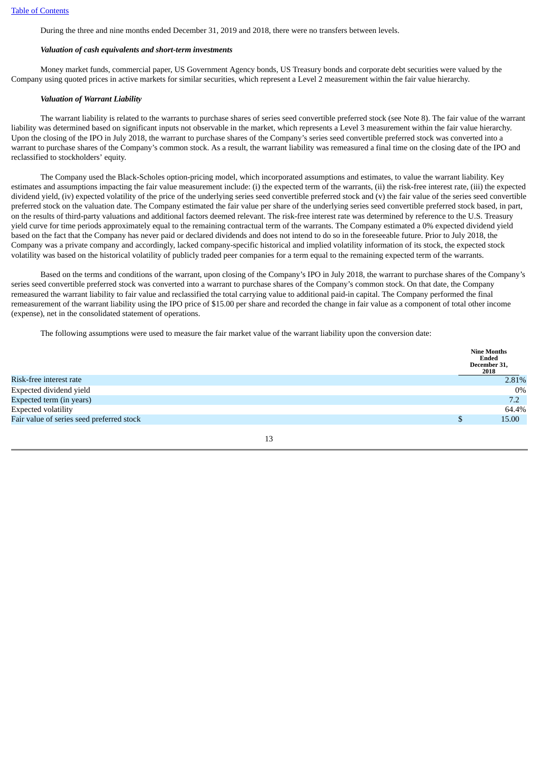During the three and nine months ended December 31, 2019 and 2018, there were no transfers between levels.

#### *Valuation of cash equivalents and short-term investments*

Money market funds, commercial paper, US Government Agency bonds, US Treasury bonds and corporate debt securities were valued by the Company using quoted prices in active markets for similar securities, which represent a Level 2 measurement within the fair value hierarchy.

#### *Valuation of Warrant Liability*

The warrant liability is related to the warrants to purchase shares of series seed convertible preferred stock (see Note 8). The fair value of the warrant liability was determined based on significant inputs not observable in the market, which represents a Level 3 measurement within the fair value hierarchy. Upon the closing of the IPO in July 2018, the warrant to purchase shares of the Company's series seed convertible preferred stock was converted into a warrant to purchase shares of the Company's common stock. As a result, the warrant liability was remeasured a final time on the closing date of the IPO and reclassified to stockholders' equity.

The Company used the Black-Scholes option-pricing model, which incorporated assumptions and estimates, to value the warrant liability. Key estimates and assumptions impacting the fair value measurement include: (i) the expected term of the warrants, (ii) the risk-free interest rate, (iii) the expected dividend yield, (iv) expected volatility of the price of the underlying series seed convertible preferred stock and (v) the fair value of the series seed convertible preferred stock on the valuation date. The Company estimated the fair value per share of the underlying series seed convertible preferred stock based, in part, on the results of third-party valuations and additional factors deemed relevant. The risk-free interest rate was determined by reference to the U.S. Treasury yield curve for time periods approximately equal to the remaining contractual term of the warrants. The Company estimated a 0% expected dividend yield based on the fact that the Company has never paid or declared dividends and does not intend to do so in the foreseeable future. Prior to July 2018, the Company was a private company and accordingly, lacked company-specific historical and implied volatility information of its stock, the expected stock volatility was based on the historical volatility of publicly traded peer companies for a term equal to the remaining expected term of the warrants.

Based on the terms and conditions of the warrant, upon closing of the Company's IPO in July 2018, the warrant to purchase shares of the Company's series seed convertible preferred stock was converted into a warrant to purchase shares of the Company's common stock. On that date, the Company remeasured the warrant liability to fair value and reclassified the total carrying value to additional paid-in capital. The Company performed the final remeasurement of the warrant liability using the IPO price of \$15.00 per share and recorded the change in fair value as a component of total other income (expense), net in the consolidated statement of operations.

The following assumptions were used to measure the fair market value of the warrant liability upon the conversion date:

|                                           | <b>Nine Months</b><br>Ended<br>December 31,<br>2018 |       |
|-------------------------------------------|-----------------------------------------------------|-------|
| Risk-free interest rate                   |                                                     | 2.81% |
| Expected dividend yield                   |                                                     | $0\%$ |
| Expected term (in years)                  |                                                     | 7.2   |
| <b>Expected volatility</b>                |                                                     | 64.4% |
| Fair value of series seed preferred stock |                                                     | 15.00 |
|                                           |                                                     |       |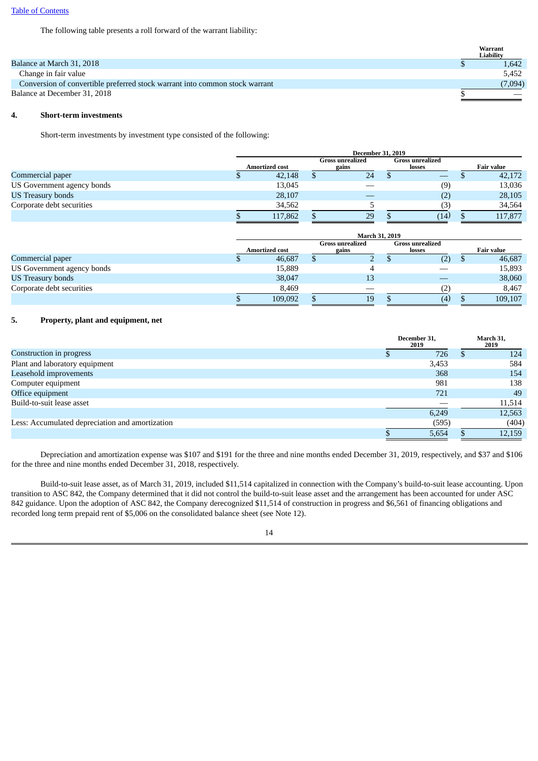The following table presents a roll forward of the warrant liability:

|                                                                             | Warrant<br>Liability |
|-----------------------------------------------------------------------------|----------------------|
| Balance at March 31, 2018                                                   | 1.642                |
| Change in fair value                                                        | 5.452                |
| Conversion of convertible preferred stock warrant into common stock warrant | (7,094)              |
| Balance at December 31, 2018                                                |                      |

## **4. Short-term investments**

Short-term investments by investment type consisted of the following:

|                            |  | <b>December 31, 2019</b> |  |                                  |  |                                   |  |                   |  |
|----------------------------|--|--------------------------|--|----------------------------------|--|-----------------------------------|--|-------------------|--|
|                            |  | <b>Amortized cost</b>    |  | <b>Gross unrealized</b><br>gains |  | <b>Gross unrealized</b><br>losses |  | <b>Fair value</b> |  |
| Commercial paper           |  | 42,148                   |  | 24                               |  |                                   |  | 42,172            |  |
| US Government agency bonds |  | 13,045                   |  |                                  |  | (9)                               |  | 13,036            |  |
| <b>US Treasury bonds</b>   |  | 28,107                   |  |                                  |  | (2)                               |  | 28,105            |  |
| Corporate debt securities  |  | 34,562                   |  |                                  |  | (3)                               |  | 34,564            |  |
|                            |  | 117,862                  |  | 29                               |  | (14)                              |  | 117,877           |  |

|                            |  | <b>March 31, 2019</b> |                           |    |                            |     |  |                   |
|----------------------------|--|-----------------------|---------------------------|----|----------------------------|-----|--|-------------------|
|                            |  | <b>Amortized cost</b> | Gross unrealized<br>gains |    | Gross unrealized<br>losses |     |  | <b>Fair value</b> |
| Commercial paper           |  | 46,687                |                           |    |                            | (2) |  | 46,687            |
| US Government agency bonds |  | 15,889                |                           |    |                            |     |  | 15,893            |
| <b>US Treasury bonds</b>   |  | 38,047                |                           | 13 |                            |     |  | 38,060            |
| Corporate debt securities  |  | 8.469                 |                           | _  |                            |     |  | 8,467             |
|                            |  | 109,092               |                           | 19 |                            | (4) |  | 109,107           |

## **5. Property, plant and equipment, net**

|                                                 | December 31,<br>2019 | March 31,<br>2019 |
|-------------------------------------------------|----------------------|-------------------|
| Construction in progress                        | 726                  | 124               |
| Plant and laboratory equipment                  | 3,453                | 584               |
| Leasehold improvements                          | 368                  | 154               |
| Computer equipment                              | 981                  | 138               |
| Office equipment                                | 721                  | 49                |
| Build-to-suit lease asset                       |                      | 11,514            |
|                                                 | 6.249                | 12,563            |
| Less: Accumulated depreciation and amortization | (595)                | (404)             |
|                                                 | 5,654                | 12.159            |

Depreciation and amortization expense was \$107 and \$191 for the three and nine months ended December 31, 2019, respectively, and \$37 and \$106 for the three and nine months ended December 31, 2018, respectively.

Build-to-suit lease asset, as of March 31, 2019, included \$11,514 capitalized in connection with the Company's build-to-suit lease accounting. Upon transition to ASC 842, the Company determined that it did not control the build-to-suit lease asset and the arrangement has been accounted for under ASC 842 guidance. Upon the adoption of ASC 842, the Company derecognized \$11,514 of construction in progress and \$6,561 of financing obligations and recorded long term prepaid rent of \$5,006 on the consolidated balance sheet (see Note 12).

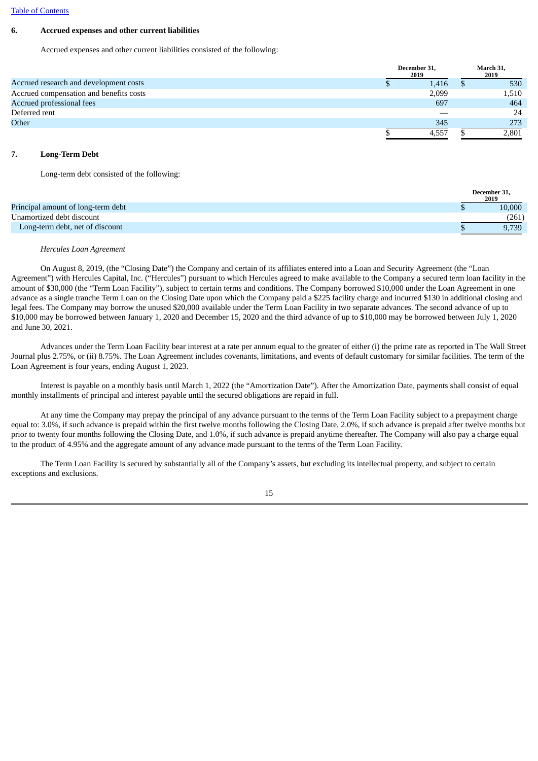## **6. Accrued expenses and other current liabilities**

Accrued expenses and other current liabilities consisted of the following:

|                                         | December 31,<br>2019 |       |  | March 31,<br>2019 |  |  |
|-----------------------------------------|----------------------|-------|--|-------------------|--|--|
| Accrued research and development costs  |                      | 1.416 |  | 530               |  |  |
| Accrued compensation and benefits costs |                      | 2,099 |  | 1,510             |  |  |
| Accrued professional fees               |                      | 697   |  | 464               |  |  |
| Deferred rent                           |                      |       |  | 24                |  |  |
| Other                                   |                      | 345   |  | 273               |  |  |
|                                         |                      | 4,557 |  | 2,801             |  |  |

## **7. Long-Term Debt**

Long-term debt consisted of the following:

|                                    | December 31.<br>2019 |
|------------------------------------|----------------------|
| Principal amount of long-term debt | 10,000               |
| Unamortized debt discount          | (261)                |
| Long-term debt, net of discount    | 9,739                |

## *Hercules Loan Agreement*

On August 8, 2019, (the "Closing Date") the Company and certain of its affiliates entered into a Loan and Security Agreement (the "Loan Agreement") with Hercules Capital, Inc. ("Hercules") pursuant to which Hercules agreed to make available to the Company a secured term loan facility in the amount of \$30,000 (the "Term Loan Facility"), subject to certain terms and conditions. The Company borrowed \$10,000 under the Loan Agreement in one advance as a single tranche Term Loan on the Closing Date upon which the Company paid a \$225 facility charge and incurred \$130 in additional closing and legal fees. The Company may borrow the unused \$20,000 available under the Term Loan Facility in two separate advances. The second advance of up to \$10,000 may be borrowed between January 1, 2020 and December 15, 2020 and the third advance of up to \$10,000 may be borrowed between July 1, 2020 and June 30, 2021.

Advances under the Term Loan Facility bear interest at a rate per annum equal to the greater of either (i) the prime rate as reported in The Wall Street Journal plus 2.75%, or (ii) 8.75%. The Loan Agreement includes covenants, limitations, and events of default customary for similar facilities. The term of the Loan Agreement is four years, ending August 1, 2023.

Interest is payable on a monthly basis until March 1, 2022 (the "Amortization Date"). After the Amortization Date, payments shall consist of equal monthly installments of principal and interest payable until the secured obligations are repaid in full.

At any time the Company may prepay the principal of any advance pursuant to the terms of the Term Loan Facility subject to a prepayment charge equal to: 3.0%, if such advance is prepaid within the first twelve months following the Closing Date, 2.0%, if such advance is prepaid after twelve months but prior to twenty four months following the Closing Date, and 1.0%, if such advance is prepaid anytime thereafter. The Company will also pay a charge equal to the product of 4.95% and the aggregate amount of any advance made pursuant to the terms of the Term Loan Facility.

The Term Loan Facility is secured by substantially all of the Company's assets, but excluding its intellectual property, and subject to certain exceptions and exclusions.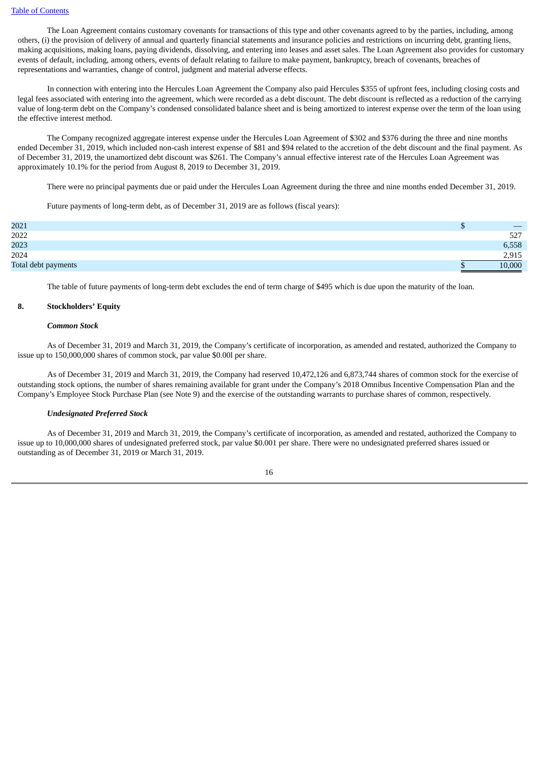The Loan Agreement contains customary covenants for transactions of this type and other covenants agreed to by the parties, including, among others, (i) the provision of delivery of annual and quarterly financial statements and insurance policies and restrictions on incurring debt, granting liens, making acquisitions, making loans, paying dividends, dissolving, and entering into leases and asset sales. The Loan Agreement also provides for customary events of default, including, among others, events of default relating to failure to make payment, bankruptcy, breach of covenants, breaches of representations and warranties, change of control, judgment and material adverse effects.

In connection with entering into the Hercules Loan Agreement the Company also paid Hercules \$355 of upfront fees, including closing costs and legal fees associated with entering into the agreement, which were recorded as a debt discount. The debt discount is reflected as a reduction of the carrying value of long-term debt on the Company's condensed consolidated balance sheet and is being amortized to interest expense over the term of the loan using the effective interest method.

The Company recognized aggregate interest expense under the Hercules Loan Agreement of \$302 and \$376 during the three and nine months ended December 31, 2019, which included non-cash interest expense of \$81 and \$94 related to the accretion of the debt discount and the final payment. As of December 31, 2019, the unamortized debt discount was \$261. The Company's annual effective interest rate of the Hercules Loan Agreement was approximately 10.1% for the period from August 8, 2019 to December 31, 2019.

There were no principal payments due or paid under the Hercules Loan Agreement during the three and nine months ended December 31, 2019.

Future payments of long-term debt, as of December 31, 2019 are as follows (fiscal years):

| 2021                |        |
|---------------------|--------|
| 2022                | 527    |
| 2023                | 6,558  |
| 2024                | 2,915  |
| Total debt payments | 10,000 |

The table of future payments of long-term debt excludes the end of term charge of \$495 which is due upon the maturity of the loan.

#### **8. Stockholders' Equity**

#### *Common Stock*

As of December 31, 2019 and March 31, 2019, the Company's certificate of incorporation, as amended and restated, authorized the Company to issue up to 150,000,000 shares of common stock, par value \$0.00l per share.

As of December 31, 2019 and March 31, 2019, the Company had reserved 10,472,126 and 6,873,744 shares of common stock for the exercise of outstanding stock options, the number of shares remaining available for grant under the Company's 2018 Omnibus Incentive Compensation Plan and the Company's Employee Stock Purchase Plan (see Note 9) and the exercise of the outstanding warrants to purchase shares of common, respectively.

#### *Undesignated Preferred Stock*

As of December 31, 2019 and March 31, 2019, the Company's certificate of incorporation, as amended and restated, authorized the Company to issue up to 10,000,000 shares of undesignated preferred stock, par value \$0.001 per share. There were no undesignated preferred shares issued or outstanding as of December 31, 2019 or March 31, 2019.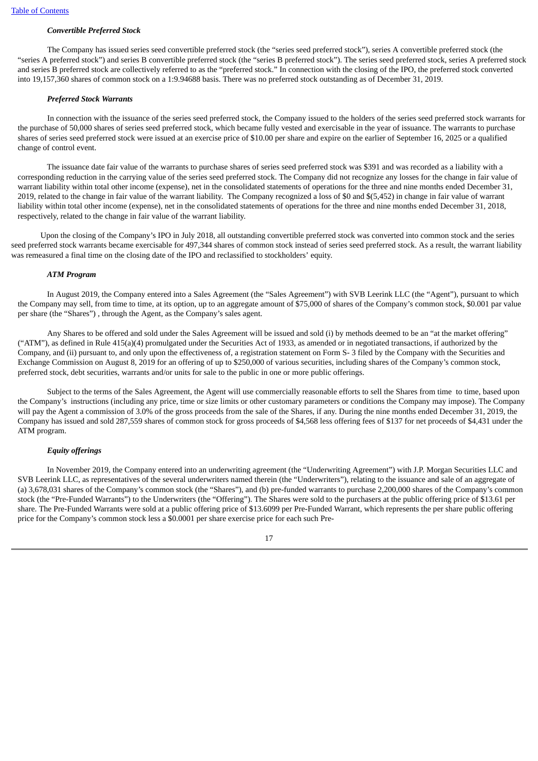## *Convertible Preferred Stock*

The Company has issued series seed convertible preferred stock (the "series seed preferred stock"), series A convertible preferred stock (the "series A preferred stock") and series B convertible preferred stock (the "series B preferred stock"). The series seed preferred stock, series A preferred stock and series B preferred stock are collectively referred to as the "preferred stock." In connection with the closing of the IPO, the preferred stock converted into 19,157,360 shares of common stock on a 1:9.94688 basis. There was no preferred stock outstanding as of December 31, 2019.

#### *Preferred Stock Warrants*

In connection with the issuance of the series seed preferred stock, the Company issued to the holders of the series seed preferred stock warrants for the purchase of 50,000 shares of series seed preferred stock, which became fully vested and exercisable in the year of issuance. The warrants to purchase shares of series seed preferred stock were issued at an exercise price of \$10.00 per share and expire on the earlier of September 16, 2025 or a qualified change of control event.

The issuance date fair value of the warrants to purchase shares of series seed preferred stock was \$391 and was recorded as a liability with a corresponding reduction in the carrying value of the series seed preferred stock. The Company did not recognize any losses for the change in fair value of warrant liability within total other income (expense), net in the consolidated statements of operations for the three and nine months ended December 31, 2019, related to the change in fair value of the warrant liability. The Company recognized a loss of \$0 and \$(5,452) in change in fair value of warrant liability within total other income (expense), net in the consolidated statements of operations for the three and nine months ended December 31, 2018, respectively, related to the change in fair value of the warrant liability.

Upon the closing of the Company's IPO in July 2018, all outstanding convertible preferred stock was converted into common stock and the series seed preferred stock warrants became exercisable for 497,344 shares of common stock instead of series seed preferred stock. As a result, the warrant liability was remeasured a final time on the closing date of the IPO and reclassified to stockholders' equity.

#### *ATM Program*

In August 2019, the Company entered into a Sales Agreement (the "Sales Agreement") with SVB Leerink LLC (the "Agent"), pursuant to which the Company may sell, from time to time, at its option, up to an aggregate amount of \$75,000 of shares of the Company's common stock, \$0.001 par value per share (the "Shares") , through the Agent, as the Company's sales agent.

Any Shares to be offered and sold under the Sales Agreement will be issued and sold (i) by methods deemed to be an "at the market offering" ("ATM"), as defined in Rule 415(a)(4) promulgated under the Securities Act of 1933, as amended or in negotiated transactions, if authorized by the Company, and (ii) pursuant to, and only upon the effectiveness of, a registration statement on Form S- 3 filed by the Company with the Securities and Exchange Commission on August 8, 2019 for an offering of up to \$250,000 of various securities, including shares of the Company's common stock, preferred stock, debt securities, warrants and/or units for sale to the public in one or more public offerings.

Subject to the terms of the Sales Agreement, the Agent will use commercially reasonable efforts to sell the Shares from time to time, based upon the Company's instructions (including any price, time or size limits or other customary parameters or conditions the Company may impose). The Company will pay the Agent a commission of 3.0% of the gross proceeds from the sale of the Shares, if any. During the nine months ended December 31, 2019, the Company has issued and sold 287,559 shares of common stock for gross proceeds of \$4,568 less offering fees of \$137 for net proceeds of \$4,431 under the ATM program.

#### *Equity offerings*

In November 2019, the Company entered into an underwriting agreement (the "Underwriting Agreement") with J.P. Morgan Securities LLC and SVB Leerink LLC, as representatives of the several underwriters named therein (the "Underwriters"), relating to the issuance and sale of an aggregate of (a) 3,678,031 shares of the Company's common stock (the "Shares"), and (b) pre-funded warrants to purchase 2,200,000 shares of the Company's common stock (the "Pre-Funded Warrants") to the Underwriters (the "Offering"). The Shares were sold to the purchasers at the public offering price of \$13.61 per share. The Pre-Funded Warrants were sold at a public offering price of \$13.6099 per Pre-Funded Warrant, which represents the per share public offering price for the Company's common stock less a \$0.0001 per share exercise price for each such Pre-

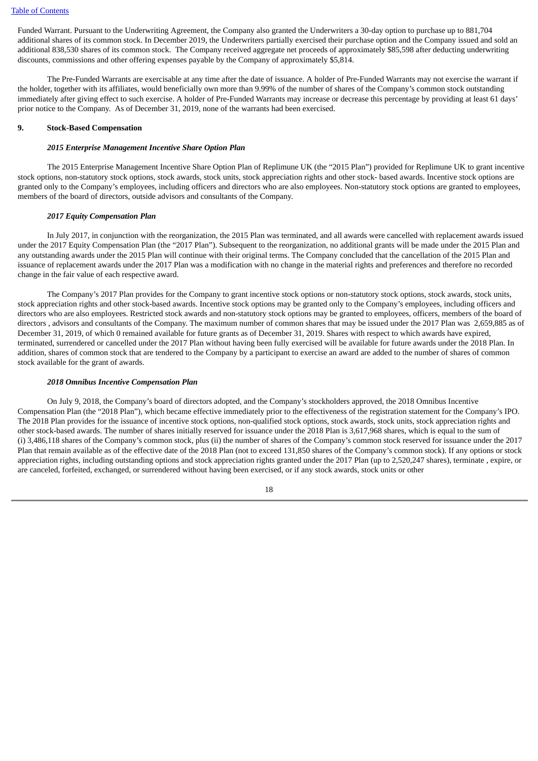Funded Warrant. Pursuant to the Underwriting Agreement, the Company also granted the Underwriters a 30-day option to purchase up to 881,704 additional shares of its common stock. In December 2019, the Underwriters partially exercised their purchase option and the Company issued and sold an additional 838,530 shares of its common stock. The Company received aggregate net proceeds of approximately \$85,598 after deducting underwriting discounts, commissions and other offering expenses payable by the Company of approximately \$5,814.

The Pre-Funded Warrants are exercisable at any time after the date of issuance. A holder of Pre-Funded Warrants may not exercise the warrant if the holder, together with its affiliates, would beneficially own more than 9.99% of the number of shares of the Company's common stock outstanding immediately after giving effect to such exercise. A holder of Pre-Funded Warrants may increase or decrease this percentage by providing at least 61 days' prior notice to the Company. As of December 31, 2019, none of the warrants had been exercised.

## **9. Stock-Based Compensation**

#### *2015 Enterprise Management Incentive Share Option Plan*

The 2015 Enterprise Management Incentive Share Option Plan of Replimune UK (the "2015 Plan") provided for Replimune UK to grant incentive stock options, non-statutory stock options, stock awards, stock units, stock appreciation rights and other stock- based awards. Incentive stock options are granted only to the Company's employees, including officers and directors who are also employees. Non-statutory stock options are granted to employees, members of the board of directors, outside advisors and consultants of the Company.

#### *2017 Equity Compensation Plan*

In July 2017, in conjunction with the reorganization, the 2015 Plan was terminated, and all awards were cancelled with replacement awards issued under the 2017 Equity Compensation Plan (the "2017 Plan"). Subsequent to the reorganization, no additional grants will be made under the 2015 Plan and any outstanding awards under the 2015 Plan will continue with their original terms. The Company concluded that the cancellation of the 2015 Plan and issuance of replacement awards under the 2017 Plan was a modification with no change in the material rights and preferences and therefore no recorded change in the fair value of each respective award.

The Company's 2017 Plan provides for the Company to grant incentive stock options or non-statutory stock options, stock awards, stock units, stock appreciation rights and other stock-based awards. Incentive stock options may be granted only to the Company's employees, including officers and directors who are also employees. Restricted stock awards and non-statutory stock options may be granted to employees, officers, members of the board of directors , advisors and consultants of the Company. The maximum number of common shares that may be issued under the 2017 Plan was 2,659,885 as of December 31, 2019, of which 0 remained available for future grants as of December 31, 2019. Shares with respect to which awards have expired, terminated, surrendered or cancelled under the 2017 Plan without having been fully exercised will be available for future awards under the 2018 Plan. In addition, shares of common stock that are tendered to the Company by a participant to exercise an award are added to the number of shares of common stock available for the grant of awards.

#### *2018 Omnibus Incentive Compensation Plan*

On July 9, 2018, the Company's board of directors adopted, and the Company's stockholders approved, the 2018 Omnibus Incentive Compensation Plan (the "2018 Plan"), which became effective immediately prior to the effectiveness of the registration statement for the Company's IPO. The 2018 Plan provides for the issuance of incentive stock options, non-qualified stock options, stock awards, stock units, stock appreciation rights and other stock-based awards. The number of shares initially reserved for issuance under the 2018 Plan is 3,617,968 shares, which is equal to the sum of (i) 3,486,118 shares of the Company's common stock, plus (ii) the number of shares of the Company's common stock reserved for issuance under the 2017 Plan that remain available as of the effective date of the 2018 Plan (not to exceed 131,850 shares of the Company's common stock). If any options or stock appreciation rights, including outstanding options and stock appreciation rights granted under the 2017 Plan (up to 2,520,247 shares), terminate , expire, or are canceled, forfeited, exchanged, or surrendered without having been exercised, or if any stock awards, stock units or other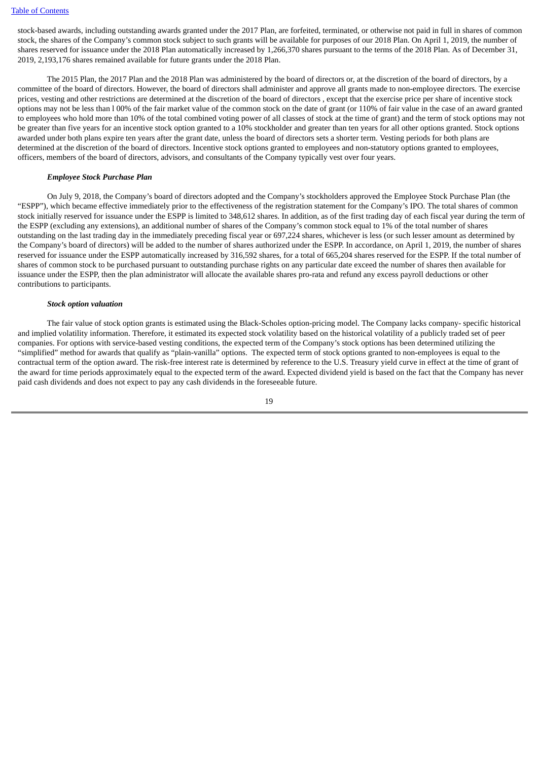stock-based awards, including outstanding awards granted under the 2017 Plan, are forfeited, terminated, or otherwise not paid in full in shares of common stock, the shares of the Company's common stock subject to such grants will be available for purposes of our 2018 Plan. On April 1, 2019, the number of shares reserved for issuance under the 2018 Plan automatically increased by 1,266,370 shares pursuant to the terms of the 2018 Plan. As of December 31, 2019, 2,193,176 shares remained available for future grants under the 2018 Plan.

The 2015 Plan, the 2017 Plan and the 2018 Plan was administered by the board of directors or, at the discretion of the board of directors, by a committee of the board of directors. However, the board of directors shall administer and approve all grants made to non-employee directors. The exercise prices, vesting and other restrictions are determined at the discretion of the board of directors , except that the exercise price per share of incentive stock options may not be less than l 00% of the fair market value of the common stock on the date of grant (or 110% of fair value in the case of an award granted to employees who hold more than 10% of the total combined voting power of all classes of stock at the time of grant) and the term of stock options may not be greater than five years for an incentive stock option granted to a 10% stockholder and greater than ten years for all other options granted. Stock options awarded under both plans expire ten years after the grant date, unless the board of directors sets a shorter term. Vesting periods for both plans are determined at the discretion of the board of directors. Incentive stock options granted to employees and non-statutory options granted to employees, officers, members of the board of directors, advisors, and consultants of the Company typically vest over four years.

#### *Employee Stock Purchase Plan*

On July 9, 2018, the Company's board of directors adopted and the Company's stockholders approved the Employee Stock Purchase Plan (the "ESPP"), which became effective immediately prior to the effectiveness of the registration statement for the Company's IPO. The total shares of common stock initially reserved for issuance under the ESPP is limited to 348,612 shares. In addition, as of the first trading day of each fiscal year during the term of the ESPP (excluding any extensions), an additional number of shares of the Company's common stock equal to 1% of the total number of shares outstanding on the last trading day in the immediately preceding fiscal year or 697,224 shares, whichever is less (or such lesser amount as determined by the Company's board of directors) will be added to the number of shares authorized under the ESPP. In accordance, on April 1, 2019, the number of shares reserved for issuance under the ESPP automatically increased by 316,592 shares, for a total of 665,204 shares reserved for the ESPP. If the total number of shares of common stock to be purchased pursuant to outstanding purchase rights on any particular date exceed the number of shares then available for issuance under the ESPP, then the plan administrator will allocate the available shares pro-rata and refund any excess payroll deductions or other contributions to participants.

#### *Stock option valuation*

The fair value of stock option grants is estimated using the Black-Scholes option-pricing model. The Company lacks company- specific historical and implied volatility information. Therefore, it estimated its expected stock volatility based on the historical volatility of a publicly traded set of peer companies. For options with service-based vesting conditions, the expected term of the Company's stock options has been determined utilizing the "simplified" method for awards that qualify as "plain-vanilla" options. The expected term of stock options granted to non-employees is equal to the contractual term of the option award. The risk-free interest rate is determined by reference to the U.S. Treasury yield curve in effect at the time of grant of the award for time periods approximately equal to the expected term of the award. Expected dividend yield is based on the fact that the Company has never paid cash dividends and does not expect to pay any cash dividends in the foreseeable future.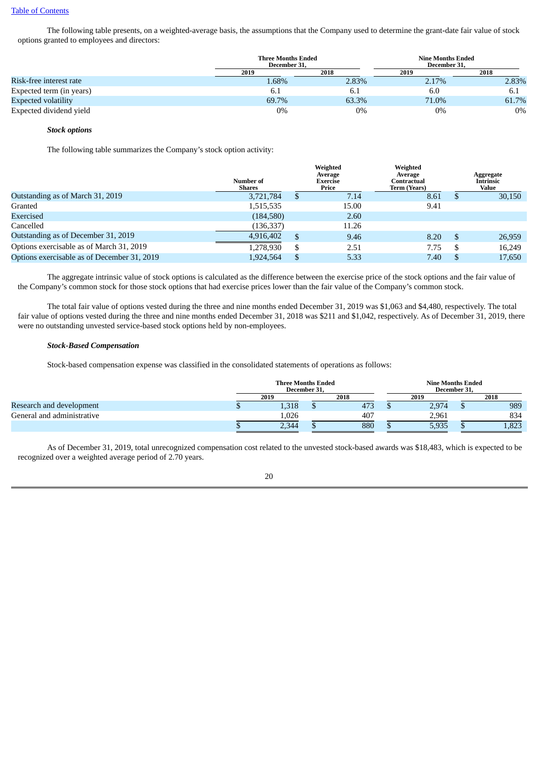The following table presents, on a weighted-average basis, the assumptions that the Company used to determine the grant-date fair value of stock options granted to employees and directors:

|                            | <b>Three Months Ended</b><br>December 31. |       | <b>Nine Months Ended</b><br>December 31. |       |  |  |
|----------------------------|-------------------------------------------|-------|------------------------------------------|-------|--|--|
|                            | 2019                                      | 2018  | 2019                                     | 2018  |  |  |
| Risk-free interest rate    | 1.68%                                     | 2.83% | 2.17%                                    | 2.83% |  |  |
| Expected term (in years)   | 6.1                                       | 6.1   | 6.0                                      | 6.1   |  |  |
| <b>Expected volatility</b> | 69.7%                                     | 63.3% | 71.0%                                    | 61.7% |  |  |
| Expected dividend yield    | $0\%$                                     | 0%    | $0\%$                                    | $0\%$ |  |  |

#### *Stock options*

The following table summarizes the Company's stock option activity:

|                                             | Number of<br>Shares | Weighted<br>Average<br>Exercise<br>Price | Weighted<br>Average<br>Contractual<br><b>Term (Years)</b> |    | Aggregate<br><b>Intrinsic</b><br>Value |
|---------------------------------------------|---------------------|------------------------------------------|-----------------------------------------------------------|----|----------------------------------------|
| Outstanding as of March 31, 2019            | 3,721,784           | 7.14                                     | 8.61                                                      |    | 30,150                                 |
| Granted                                     | 1,515,535           | 15.00                                    | 9.41                                                      |    |                                        |
| Exercised                                   | (184,580)           | 2.60                                     |                                                           |    |                                        |
| Cancelled                                   | (136, 337)          | 11.26                                    |                                                           |    |                                        |
| Outstanding as of December 31, 2019         | 4,916,402           | 9.46                                     | 8.20                                                      | .S | 26,959                                 |
| Options exercisable as of March 31, 2019    | 1.278.930           | 2.51                                     | 7.75                                                      |    | 16.249                                 |
| Options exercisable as of December 31, 2019 | 1.924.564           | 5.33                                     | 7.40                                                      |    | 17,650                                 |

The aggregate intrinsic value of stock options is calculated as the difference between the exercise price of the stock options and the fair value of the Company's common stock for those stock options that had exercise prices lower than the fair value of the Company's common stock.

The total fair value of options vested during the three and nine months ended December 31, 2019 was \$1,063 and \$4,480, respectively. The total fair value of options vested during the three and nine months ended December 31, 2018 was \$211 and \$1,042, respectively. As of December 31, 2019, there were no outstanding unvested service-based stock options held by non-employees.

#### *Stock-Based Compensation*

Stock-based compensation expense was classified in the consolidated statements of operations as follows:

|                            | <b>Three Months Ended</b><br>December 31. |       |  |      | <b>Nine Months Ended</b><br>December 31. |  |       |  |  |
|----------------------------|-------------------------------------------|-------|--|------|------------------------------------------|--|-------|--|--|
|                            |                                           | 2019  |  | 2018 | 2019                                     |  | 2018  |  |  |
| Research and development   |                                           | 1,318 |  | 473  | 2,974                                    |  | 989   |  |  |
| General and administrative |                                           | 1,026 |  | 407  | 2,961                                    |  | 834   |  |  |
|                            |                                           | 2,344 |  | 880  | 5,935                                    |  | 1,823 |  |  |

As of December 31, 2019, total unrecognized compensation cost related to the unvested stock-based awards was \$18,483, which is expected to be recognized over a weighted average period of 2.70 years.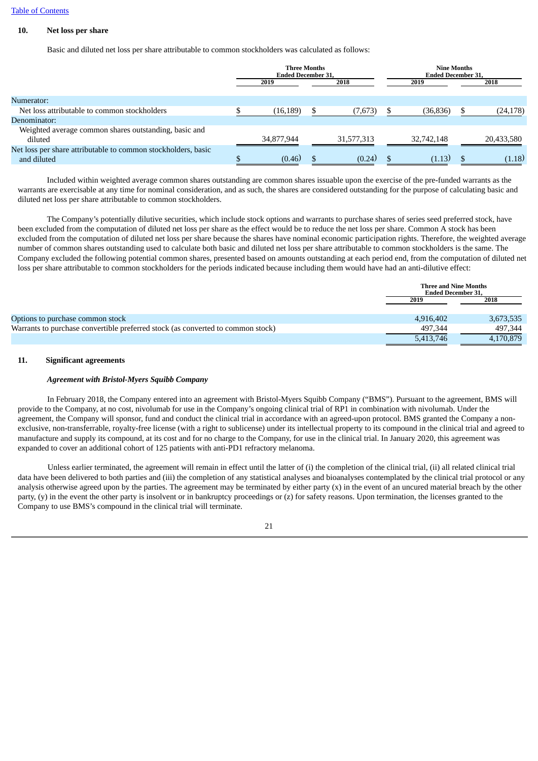## **10. Net loss per share**

Basic and diluted net loss per share attributable to common stockholders was calculated as follows:

|                                                                              |  | <b>Three Months</b><br><b>Ended December 31.</b><br>2019 | 2018 | <b>Nine Months</b><br><b>Ended December 31.</b><br>2019<br>2018 |  |            |  |            |
|------------------------------------------------------------------------------|--|----------------------------------------------------------|------|-----------------------------------------------------------------|--|------------|--|------------|
| Numerator:                                                                   |  |                                                          |      |                                                                 |  |            |  |            |
| Net loss attributable to common stockholders                                 |  | (16, 189)                                                |      | (7,673)                                                         |  | (36, 836)  |  | (24, 178)  |
| Denominator:                                                                 |  |                                                          |      |                                                                 |  |            |  |            |
| Weighted average common shares outstanding, basic and<br>diluted             |  | 34,877,944                                               |      | 31,577,313                                                      |  | 32,742,148 |  | 20,433,580 |
| Net loss per share attributable to common stockholders, basic<br>and diluted |  | (0.46)                                                   | \$   | (0.24)                                                          |  | (1.13)     |  | (1.18)     |

Included within weighted average common shares outstanding are common shares issuable upon the exercise of the pre-funded warrants as the warrants are exercisable at any time for nominal consideration, and as such, the shares are considered outstanding for the purpose of calculating basic and diluted net loss per share attributable to common stockholders.

The Company's potentially dilutive securities, which include stock options and warrants to purchase shares of series seed preferred stock, have been excluded from the computation of diluted net loss per share as the effect would be to reduce the net loss per share. Common A stock has been excluded from the computation of diluted net loss per share because the shares have nominal economic participation rights. Therefore, the weighted average number of common shares outstanding used to calculate both basic and diluted net loss per share attributable to common stockholders is the same. The Company excluded the following potential common shares, presented based on amounts outstanding at each period end, from the computation of diluted net loss per share attributable to common stockholders for the periods indicated because including them would have had an anti-dilutive effect:

|                                                                                 | <b>Three and Nine Months</b><br><b>Ended December 31,</b> |           |
|---------------------------------------------------------------------------------|-----------------------------------------------------------|-----------|
|                                                                                 | 2019                                                      | 2018      |
| Options to purchase common stock                                                | 4,916,402                                                 | 3,673,535 |
| Warrants to purchase convertible preferred stock (as converted to common stock) | 497.344                                                   | 497.344   |
|                                                                                 | 5,413,746                                                 | 4,170,879 |

## **11. Significant agreements**

#### *Agreement with Bristol-Myers Squibb Company*

In February 2018, the Company entered into an agreement with Bristol-Myers Squibb Company ("BMS"). Pursuant to the agreement, BMS will provide to the Company, at no cost, nivolumab for use in the Company's ongoing clinical trial of RP1 in combination with nivolumab. Under the agreement, the Company will sponsor, fund and conduct the clinical trial in accordance with an agreed-upon protocol. BMS granted the Company a nonexclusive, non-transferrable, royalty-free license (with a right to sublicense) under its intellectual property to its compound in the clinical trial and agreed to manufacture and supply its compound, at its cost and for no charge to the Company, for use in the clinical trial. In January 2020, this agreement was expanded to cover an additional cohort of 125 patients with anti-PD1 refractory melanoma.

Unless earlier terminated, the agreement will remain in effect until the latter of (i) the completion of the clinical trial, (ii) all related clinical trial data have been delivered to both parties and (iii) the completion of any statistical analyses and bioanalyses contemplated by the clinical trial protocol or any analysis otherwise agreed upon by the parties. The agreement may be terminated by either party  $(x)$  in the event of an uncured material breach by the other party, (y) in the event the other party is insolvent or in bankruptcy proceedings or (z) for safety reasons. Upon termination, the licenses granted to the Company to use BMS's compound in the clinical trial will terminate.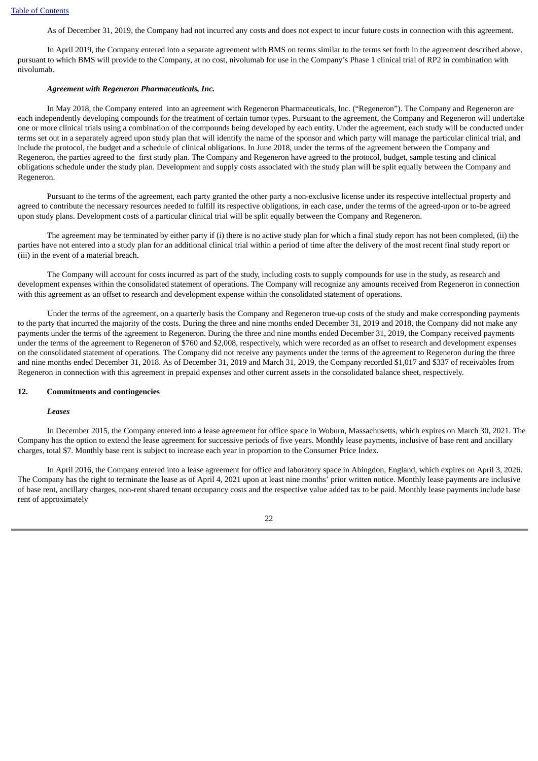As of December 31, 2019, the Company had not incurred any costs and does not expect to incur future costs in connection with this agreement.

In April 2019, the Company entered into a separate agreement with BMS on terms similar to the terms set forth in the agreement described above, pursuant to which BMS will provide to the Company, at no cost, nivolumab for use in the Company's Phase 1 clinical trial of RP2 in combination with nivolumab.

#### *Agreement with Regeneron Pharmaceuticals, Inc.*

In May 2018, the Company entered into an agreement with Regeneron Pharmaceuticals, Inc. ("Regeneron"). The Company and Regeneron are each independently developing compounds for the treatment of certain tumor types. Pursuant to the agreement, the Company and Regeneron will undertake one or more clinical trials using a combination of the compounds being developed by each entity. Under the agreement, each study will be conducted under terms set out in a separately agreed upon study plan that will identify the name of the sponsor and which party will manage the particular clinical trial, and include the protocol, the budget and a schedule of clinical obligations. In June 2018, under the terms of the agreement between the Company and Regeneron, the parties agreed to the first study plan. The Company and Regeneron have agreed to the protocol, budget, sample testing and clinical obligations schedule under the study plan. Development and supply costs associated with the study plan will be split equally between the Company and Regeneron.

Pursuant to the terms of the agreement, each party granted the other party a non-exclusive license under its respective intellectual property and agreed to contribute the necessary resources needed to fulfill its respective obligations, in each case, under the terms of the agreed-upon or to-be agreed upon study plans. Development costs of a particular clinical trial will be split equally between the Company and Regeneron.

The agreement may be terminated by either party if (i) there is no active study plan for which a final study report has not been completed, (ii) the parties have not entered into a study plan for an additional clinical trial within a period of time after the delivery of the most recent final study report or (iii) in the event of a material breach.

The Company will account for costs incurred as part of the study, including costs to supply compounds for use in the study, as research and development expenses within the consolidated statement of operations. The Company will recognize any amounts received from Regeneron in connection with this agreement as an offset to research and development expense within the consolidated statement of operations.

Under the terms of the agreement, on a quarterly basis the Company and Regeneron true-up costs of the study and make corresponding payments to the party that incurred the majority of the costs. During the three and nine months ended December 31, 2019 and 2018, the Company did not make any payments under the terms of the agreement to Regeneron. During the three and nine months ended December 31, 2019, the Company received payments under the terms of the agreement to Regeneron of \$760 and \$2,008, respectively, which were recorded as an offset to research and development expenses on the consolidated statement of operations. The Company did not receive any payments under the terms of the agreement to Regeneron during the three and nine months ended December 31, 2018. As of December 31, 2019 and March 31, 2019, the Company recorded \$1,017 and \$337 of receivables from Regeneron in connection with this agreement in prepaid expenses and other current assets in the consolidated balance sheet, respectively.

#### **12. Commitments and contingencies**

#### *Leases*

In December 2015, the Company entered into a lease agreement for office space in Woburn, Massachusetts, which expires on March 30, 2021. The Company has the option to extend the lease agreement for successive periods of five years. Monthly lease payments, inclusive of base rent and ancillary charges, total \$7. Monthly base rent is subject to increase each year in proportion to the Consumer Price Index.

In April 2016, the Company entered into a lease agreement for office and laboratory space in Abingdon, England, which expires on April 3, 2026. The Company has the right to terminate the lease as of April 4, 2021 upon at least nine months' prior written notice. Monthly lease payments are inclusive of base rent, ancillary charges, non-rent shared tenant occupancy costs and the respective value added tax to be paid. Monthly lease payments include base rent of approximately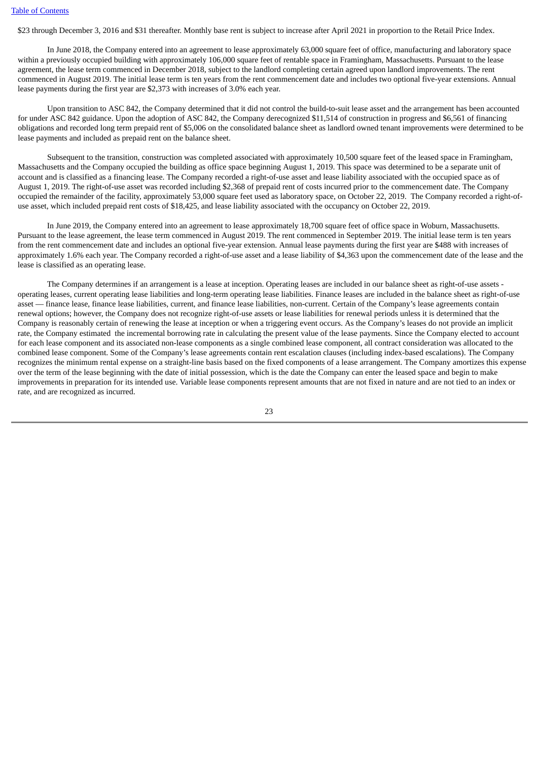\$23 through December 3, 2016 and \$31 thereafter. Monthly base rent is subject to increase after April 2021 in proportion to the Retail Price Index.

In June 2018, the Company entered into an agreement to lease approximately 63,000 square feet of office, manufacturing and laboratory space within a previously occupied building with approximately 106,000 square feet of rentable space in Framingham, Massachusetts. Pursuant to the lease agreement, the lease term commenced in December 2018, subject to the landlord completing certain agreed upon landlord improvements. The rent commenced in August 2019. The initial lease term is ten years from the rent commencement date and includes two optional five-year extensions. Annual lease payments during the first year are \$2,373 with increases of 3.0% each year.

Upon transition to ASC 842, the Company determined that it did not control the build-to-suit lease asset and the arrangement has been accounted for under ASC 842 guidance. Upon the adoption of ASC 842, the Company derecognized \$11,514 of construction in progress and \$6,561 of financing obligations and recorded long term prepaid rent of \$5,006 on the consolidated balance sheet as landlord owned tenant improvements were determined to be lease payments and included as prepaid rent on the balance sheet.

Subsequent to the transition, construction was completed associated with approximately 10,500 square feet of the leased space in Framingham, Massachusetts and the Company occupied the building as office space beginning August 1, 2019. This space was determined to be a separate unit of account and is classified as a financing lease. The Company recorded a right-of-use asset and lease liability associated with the occupied space as of August 1, 2019. The right-of-use asset was recorded including \$2,368 of prepaid rent of costs incurred prior to the commencement date. The Company occupied the remainder of the facility, approximately 53,000 square feet used as laboratory space, on October 22, 2019. The Company recorded a right-ofuse asset, which included prepaid rent costs of \$18,425, and lease liability associated with the occupancy on October 22, 2019.

In June 2019, the Company entered into an agreement to lease approximately 18,700 square feet of office space in Woburn, Massachusetts. Pursuant to the lease agreement, the lease term commenced in August 2019. The rent commenced in September 2019. The initial lease term is ten years from the rent commencement date and includes an optional five-year extension. Annual lease payments during the first year are \$488 with increases of approximately 1.6% each year. The Company recorded a right-of-use asset and a lease liability of \$4,363 upon the commencement date of the lease and the lease is classified as an operating lease.

The Company determines if an arrangement is a lease at inception. Operating leases are included in our balance sheet as right-of-use assets operating leases, current operating lease liabilities and long-term operating lease liabilities. Finance leases are included in the balance sheet as right-of-use asset — finance lease, finance lease liabilities, current, and finance lease liabilities, non-current. Certain of the Company's lease agreements contain renewal options; however, the Company does not recognize right-of-use assets or lease liabilities for renewal periods unless it is determined that the Company is reasonably certain of renewing the lease at inception or when a triggering event occurs. As the Company's leases do not provide an implicit rate, the Company estimated the incremental borrowing rate in calculating the present value of the lease payments. Since the Company elected to account for each lease component and its associated non-lease components as a single combined lease component, all contract consideration was allocated to the combined lease component. Some of the Company's lease agreements contain rent escalation clauses (including index-based escalations). The Company recognizes the minimum rental expense on a straight-line basis based on the fixed components of a lease arrangement. The Company amortizes this expense over the term of the lease beginning with the date of initial possession, which is the date the Company can enter the leased space and begin to make improvements in preparation for its intended use. Variable lease components represent amounts that are not fixed in nature and are not tied to an index or rate, and are recognized as incurred.

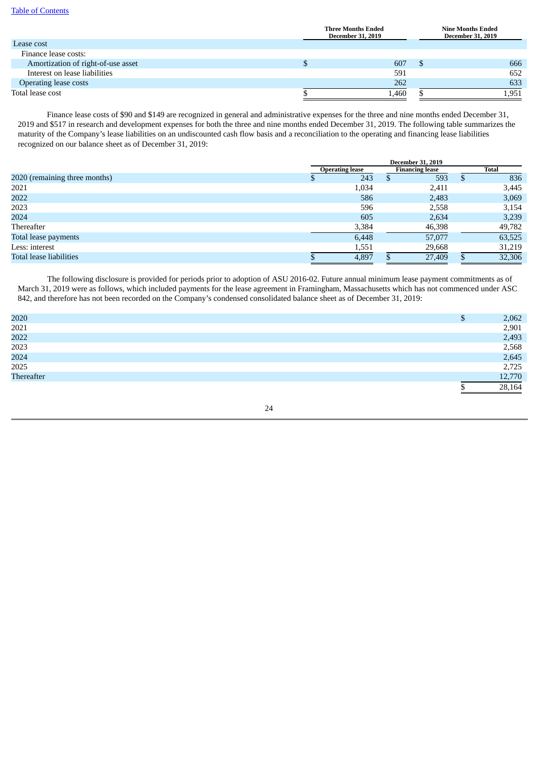#### Table of [Contents](#page-1-0)

|                                    | <b>Three Months Ended</b><br><b>December 31, 2019</b> | <b>Nine Months Ended</b><br><b>December 31, 2019</b> |  |       |
|------------------------------------|-------------------------------------------------------|------------------------------------------------------|--|-------|
| Lease cost                         |                                                       |                                                      |  |       |
| Finance lease costs:               |                                                       |                                                      |  |       |
| Amortization of right-of-use asset |                                                       | 607                                                  |  | 666   |
| Interest on lease liabilities      |                                                       | 591                                                  |  | 652   |
| Operating lease costs              |                                                       | 262                                                  |  | 633   |
| Total lease cost                   |                                                       | 1.460                                                |  | 1.951 |

Finance lease costs of \$90 and \$149 are recognized in general and administrative expenses for the three and nine months ended December 31, 2019 and \$517 in research and development expenses for both the three and nine months ended December 31, 2019. The following table summarizes the maturity of the Company's lease liabilities on an undiscounted cash flow basis and a reconciliation to the operating and financing lease liabilities recognized on our balance sheet as of December 31, 2019:

|                                | <b>December 31, 2019</b> |                        |              |  |  |
|--------------------------------|--------------------------|------------------------|--------------|--|--|
|                                | <b>Operating lease</b>   | <b>Financing lease</b> | <b>Total</b> |  |  |
| 2020 (remaining three months)  | 243                      | 593<br>۰D              | 836<br>D     |  |  |
| 2021                           | 1,034                    | 2,411                  | 3,445        |  |  |
| 2022                           | 586                      | 2,483                  | 3,069        |  |  |
| 2023                           | 596                      | 2,558                  | 3,154        |  |  |
| 2024                           | 605                      | 2,634                  | 3,239        |  |  |
| Thereafter                     | 3,384                    | 46,398                 | 49,782       |  |  |
| Total lease payments           | 6,448                    | 57,077                 | 63,525       |  |  |
| Less: interest                 | 1,551                    | 29,668                 | 31,219       |  |  |
| <b>Total lease liabilities</b> | 4,897                    | 27,409                 | 32,306       |  |  |

The following disclosure is provided for periods prior to adoption of ASU 2016-02. Future annual minimum lease payment commitments as of March 31, 2019 were as follows, which included payments for the lease agreement in Framingham, Massachusetts which has not commenced under ASC 842, and therefore has not been recorded on the Company's condensed consolidated balance sheet as of December 31, 2019:

| 2020       | D | 2,062  |
|------------|---|--------|
| 2021       |   | 2,901  |
| 2022       |   | 2,493  |
| 2023       |   | 2,568  |
| 2024       |   | 2,645  |
| 2025       |   | 2,725  |
| Thereafter |   | 12,770 |
|            | ື | 28,164 |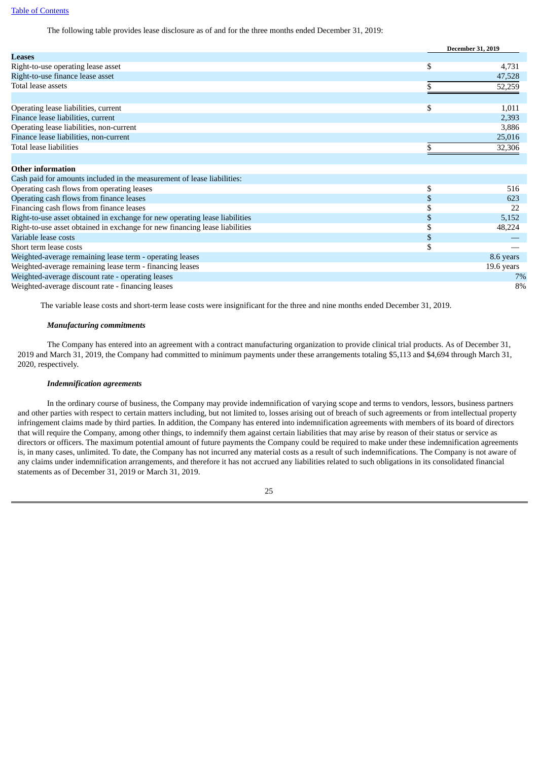The following table provides lease disclosure as of and for the three months ended December 31, 2019:

|                                                                             |    | <b>December 31, 2019</b> |
|-----------------------------------------------------------------------------|----|--------------------------|
| <b>Leases</b>                                                               |    |                          |
| Right-to-use operating lease asset                                          | \$ | 4,731                    |
| Right-to-use finance lease asset                                            |    | 47,528                   |
| Total lease assets                                                          |    | 52,259                   |
| Operating lease liabilities, current                                        | \$ | 1,011                    |
| Finance lease liabilities, current                                          |    | 2,393                    |
| Operating lease liabilities, non-current                                    |    | 3,886                    |
| Finance lease liabilities, non-current                                      |    | 25,016                   |
| Total lease liabilities                                                     |    | 32,306                   |
| <b>Other information</b>                                                    |    |                          |
| Cash paid for amounts included in the measurement of lease liabilities:     |    |                          |
| Operating cash flows from operating leases                                  | \$ | 516                      |
| Operating cash flows from finance leases                                    |    | 623                      |
| Financing cash flows from finance leases                                    |    | 22                       |
| Right-to-use asset obtained in exchange for new operating lease liabilities | \$ | 5,152                    |
| Right-to-use asset obtained in exchange for new financing lease liabilities | S  | 48,224                   |
| Variable lease costs                                                        | \$ |                          |
| Short term lease costs                                                      | \$ |                          |
| Weighted-average remaining lease term - operating leases                    |    | 8.6 years                |
| Weighted-average remaining lease term - financing leases                    |    | 19.6 years               |
| Weighted-average discount rate - operating leases                           |    | 7%                       |
| Weighted-average discount rate - financing leases                           |    | 8%                       |

The variable lease costs and short-term lease costs were insignificant for the three and nine months ended December 31, 2019.

#### *Manufacturing commitments*

The Company has entered into an agreement with a contract manufacturing organization to provide clinical trial products. As of December 31, 2019 and March 31, 2019, the Company had committed to minimum payments under these arrangements totaling \$5,113 and \$4,694 through March 31, 2020, respectively.

#### *Indemnification agreements*

In the ordinary course of business, the Company may provide indemnification of varying scope and terms to vendors, lessors, business partners and other parties with respect to certain matters including, but not limited to, losses arising out of breach of such agreements or from intellectual property infringement claims made by third parties. In addition, the Company has entered into indemnification agreements with members of its board of directors that will require the Company, among other things, to indemnify them against certain liabilities that may arise by reason of their status or service as directors or officers. The maximum potential amount of future payments the Company could be required to make under these indemnification agreements is, in many cases, unlimited. To date, the Company has not incurred any material costs as a result of such indemnifications. The Company is not aware of any claims under indemnification arrangements, and therefore it has not accrued any liabilities related to such obligations in its consolidated financial statements as of December 31, 2019 or March 31, 2019.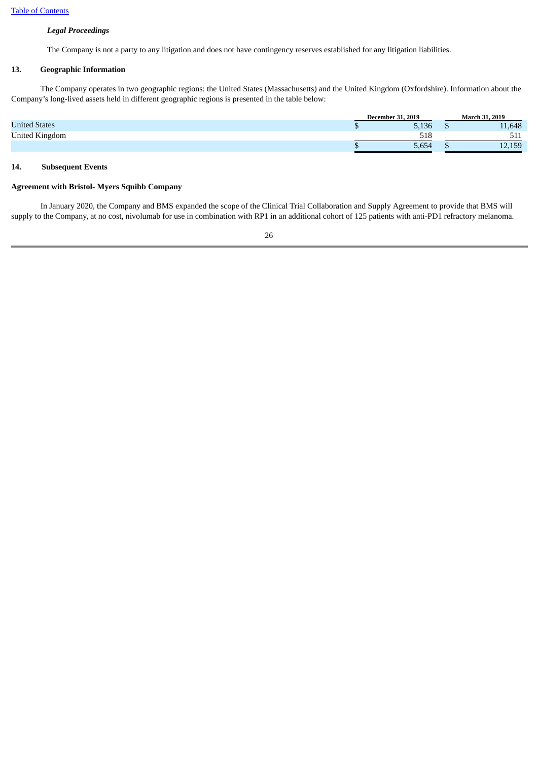## *Legal Proceedings*

The Company is not a party to any litigation and does not have contingency reserves established for any litigation liabilities.

## **13. Geographic Information**

The Company operates in two geographic regions: the United States (Massachusetts) and the United Kingdom (Oxfordshire). Information about the Company's long-lived assets held in different geographic regions is presented in the table below:

|                       | <b>December 31, 2019</b> | <b>March 31, 2019</b> |
|-----------------------|--------------------------|-----------------------|
| <b>United States</b>  | 5,136                    | 11,648                |
| <b>United Kingdom</b> | 518                      | 511                   |
|                       | 5,654                    | 12,159                |

## **14. Subsequent Events**

#### **Agreement with Bristol- Myers Squibb Company**

In January 2020, the Company and BMS expanded the scope of the Clinical Trial Collaboration and Supply Agreement to provide that BMS will supply to the Company, at no cost, nivolumab for use in combination with RP1 in an additional cohort of 125 patients with anti-PD1 refractory melanoma.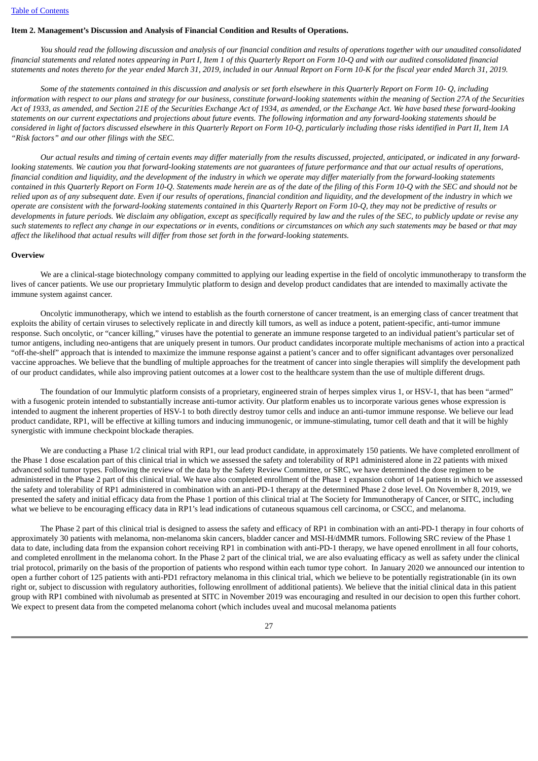#### <span id="page-26-0"></span>**Item 2. Management's Discussion and Analysis of Financial Condition and Results of Operations.**

You should read the following discussion and analysis of our financial condition and results of operations together with our unaudited consolidated financial statements and related notes appearing in Part I, Item 1 of this Quarterly Report on Form 10-Q and with our audited consolidated financial statements and notes thereto for the year ended March 31, 2019, included in our Annual Report on Form 10-K for the fiscal year ended March 31, 2019.

Some of the statements contained in this discussion and analysis or set forth elsewhere in this Quarterly Report on Form 10- O, including information with respect to our plans and strategy for our business, constitute forward-looking statements within the meaning of Section 27A of the Securities Act of 1933, as amended, and Section 21E of the Securities Exchange Act of 1934, as amended, or the Exchange Act. We have based these forward-looking statements on our current expectations and projections about future events. The following information and any forward-looking statements should be considered in light of factors discussed elsewhere in this Quarterly Report on Form 10-Q, particularly including those risks identified in Part II, Item 1A *"Risk factors" and our other filings with the SEC.*

Our actual results and timina of certain events may differ materially from the results discussed, projected, anticipated, or indicated in any forwardlooking statements. We caution you that forward-looking statements are not quarantees of future performance and that our actual results of operations, financial condition and liquidity, and the development of the industry in which we operate may differ materially from the forward-looking statements contained in this Quarterly Report on Form 10-Q. Statements made herein are as of the date of the filing of this Form 10-Q with the SEC and should not be relied upon as of any subsequent date. Even if our results of operations, financial condition and liquidity, and the development of the industry in which we operate are consistent with the forward-looking statements contained in this Quarterly Report on Form 10-Q, they may not be predictive of results or developments in future periods. We disclaim any obligation, except as specifically required by law and the rules of the SEC, to publicly update or revise any such statements to reflect any change in our expectations or in events, conditions or circumstances on which any such statements may be based or that may *affect the likelihood that actual results will differ from those set forth in the forward-looking statements.*

#### **Overview**

We are a clinical-stage biotechnology company committed to applying our leading expertise in the field of oncolytic immunotherapy to transform the lives of cancer patients. We use our proprietary Immulytic platform to design and develop product candidates that are intended to maximally activate the immune system against cancer.

Oncolytic immunotherapy, which we intend to establish as the fourth cornerstone of cancer treatment, is an emerging class of cancer treatment that exploits the ability of certain viruses to selectively replicate in and directly kill tumors, as well as induce a potent, patient-specific, anti-tumor immune response. Such oncolytic, or "cancer killing," viruses have the potential to generate an immune response targeted to an individual patient's particular set of tumor antigens, including neo-antigens that are uniquely present in tumors. Our product candidates incorporate multiple mechanisms of action into a practical "off-the-shelf" approach that is intended to maximize the immune response against a patient's cancer and to offer significant advantages over personalized vaccine approaches. We believe that the bundling of multiple approaches for the treatment of cancer into single therapies will simplify the development path of our product candidates, while also improving patient outcomes at a lower cost to the healthcare system than the use of multiple different drugs.

The foundation of our Immulytic platform consists of a proprietary, engineered strain of herpes simplex virus 1, or HSV-1, that has been "armed" with a fusogenic protein intended to substantially increase anti-tumor activity. Our platform enables us to incorporate various genes whose expression is intended to augment the inherent properties of HSV-1 to both directly destroy tumor cells and induce an anti-tumor immune response. We believe our lead product candidate, RP1, will be effective at killing tumors and inducing immunogenic, or immune-stimulating, tumor cell death and that it will be highly synergistic with immune checkpoint blockade therapies.

We are conducting a Phase 1/2 clinical trial with RP1, our lead product candidate, in approximately 150 patients. We have completed enrollment of the Phase 1 dose escalation part of this clinical trial in which we assessed the safety and tolerability of RP1 administered alone in 22 patients with mixed advanced solid tumor types. Following the review of the data by the Safety Review Committee, or SRC, we have determined the dose regimen to be administered in the Phase 2 part of this clinical trial. We have also completed enrollment of the Phase 1 expansion cohort of 14 patients in which we assessed the safety and tolerability of RP1 administered in combination with an anti-PD-1 therapy at the determined Phase 2 dose level. On November 8, 2019, we presented the safety and initial efficacy data from the Phase 1 portion of this clinical trial at The Society for Immunotherapy of Cancer, or SITC, including what we believe to be encouraging efficacy data in RP1's lead indications of cutaneous squamous cell carcinoma, or CSCC, and melanoma.

The Phase 2 part of this clinical trial is designed to assess the safety and efficacy of RP1 in combination with an anti-PD-1 therapy in four cohorts of approximately 30 patients with melanoma, non-melanoma skin cancers, bladder cancer and MSI-H/dMMR tumors. Following SRC review of the Phase 1 data to date, including data from the expansion cohort receiving RP1 in combination with anti-PD-1 therapy, we have opened enrollment in all four cohorts, and completed enrollment in the melanoma cohort. In the Phase 2 part of the clinical trial, we are also evaluating efficacy as well as safety under the clinical trial protocol, primarily on the basis of the proportion of patients who respond within each tumor type cohort. In January 2020 we announced our intention to open a further cohort of 125 patients with anti-PD1 refractory melanoma in this clinical trial, which we believe to be potentially registrationable (in its own right or, subject to discussion with regulatory authorities, following enrollment of additional patients). We believe that the initial clinical data in this patient group with RP1 combined with nivolumab as presented at SITC in November 2019 was encouraging and resulted in our decision to open this further cohort. We expect to present data from the competed melanoma cohort (which includes uveal and mucosal melanoma patients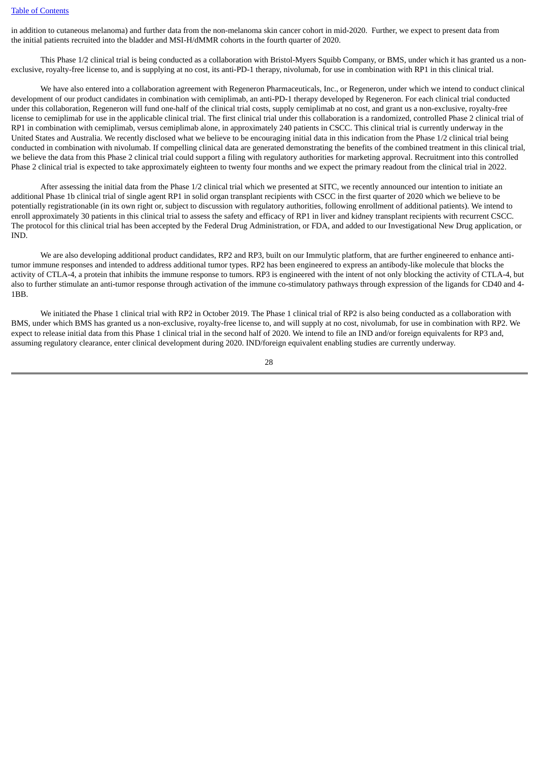in addition to cutaneous melanoma) and further data from the non-melanoma skin cancer cohort in mid-2020. Further, we expect to present data from the initial patients recruited into the bladder and MSI-H/dMMR cohorts in the fourth quarter of 2020.

This Phase 1/2 clinical trial is being conducted as a collaboration with Bristol-Myers Squibb Company, or BMS, under which it has granted us a nonexclusive, royalty-free license to, and is supplying at no cost, its anti-PD-1 therapy, nivolumab, for use in combination with RP1 in this clinical trial.

We have also entered into a collaboration agreement with Regeneron Pharmaceuticals, Inc., or Regeneron, under which we intend to conduct clinical development of our product candidates in combination with cemiplimab, an anti-PD-1 therapy developed by Regeneron. For each clinical trial conducted under this collaboration, Regeneron will fund one-half of the clinical trial costs, supply cemiplimab at no cost, and grant us a non-exclusive, royalty-free license to cemiplimab for use in the applicable clinical trial. The first clinical trial under this collaboration is a randomized, controlled Phase 2 clinical trial of RP1 in combination with cemiplimab, versus cemiplimab alone, in approximately 240 patients in CSCC. This clinical trial is currently underway in the United States and Australia. We recently disclosed what we believe to be encouraging initial data in this indication from the Phase 1/2 clinical trial being conducted in combination with nivolumab. If compelling clinical data are generated demonstrating the benefits of the combined treatment in this clinical trial, we believe the data from this Phase 2 clinical trial could support a filing with regulatory authorities for marketing approval. Recruitment into this controlled Phase 2 clinical trial is expected to take approximately eighteen to twenty four months and we expect the primary readout from the clinical trial in 2022.

After assessing the initial data from the Phase 1/2 clinical trial which we presented at SITC, we recently announced our intention to initiate an additional Phase 1b clinical trial of single agent RP1 in solid organ transplant recipients with CSCC in the first quarter of 2020 which we believe to be potentially registrationable (in its own right or, subject to discussion with regulatory authorities, following enrollment of additional patients). We intend to enroll approximately 30 patients in this clinical trial to assess the safety and efficacy of RP1 in liver and kidney transplant recipients with recurrent CSCC. The protocol for this clinical trial has been accepted by the Federal Drug Administration, or FDA, and added to our Investigational New Drug application, or IND.

We are also developing additional product candidates, RP2 and RP3, built on our Immulytic platform, that are further engineered to enhance antitumor immune responses and intended to address additional tumor types. RP2 has been engineered to express an antibody-like molecule that blocks the activity of CTLA-4, a protein that inhibits the immune response to tumors. RP3 is engineered with the intent of not only blocking the activity of CTLA-4, but also to further stimulate an anti-tumor response through activation of the immune co-stimulatory pathways through expression of the ligands for CD40 and 4- 1BB.

We initiated the Phase 1 clinical trial with RP2 in October 2019. The Phase 1 clinical trial of RP2 is also being conducted as a collaboration with BMS, under which BMS has granted us a non-exclusive, royalty-free license to, and will supply at no cost, nivolumab, for use in combination with RP2. We expect to release initial data from this Phase 1 clinical trial in the second half of 2020. We intend to file an IND and/or foreign equivalents for RP3 and, assuming regulatory clearance, enter clinical development during 2020. IND/foreign equivalent enabling studies are currently underway.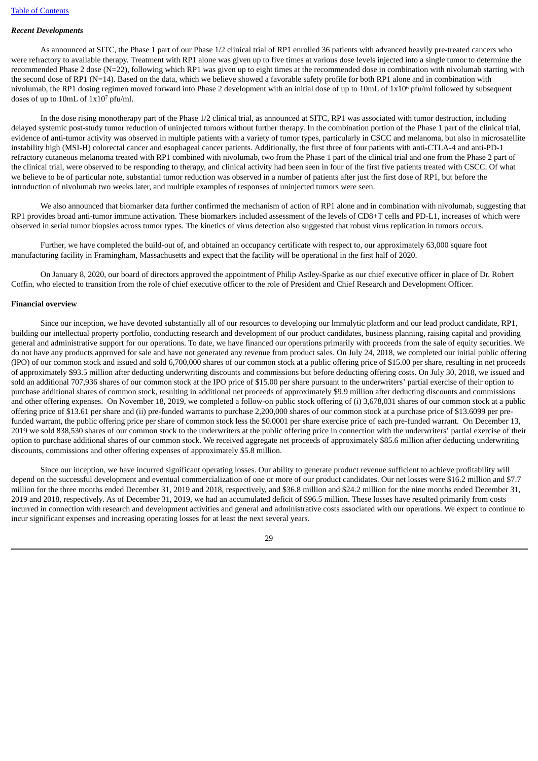## *Recent Developments*

As announced at SITC, the Phase 1 part of our Phase 1/2 clinical trial of RP1 enrolled 36 patients with advanced heavily pre-treated cancers who were refractory to available therapy. Treatment with RP1 alone was given up to five times at various dose levels injected into a single tumor to determine the recommended Phase 2 dose (N=22), following which RP1 was given up to eight times at the recommended dose in combination with nivolumab starting with the second dose of RP1 (N=14). Based on the data, which we believe showed a favorable safety profile for both RP1 alone and in combination with nivolumab, the RP1 dosing regimen moved forward into Phase 2 development with an initial dose of up to 10mL of  $1x10<sup>6</sup>$  pfu/ml followed by subsequent doses of up to  $10mL$  of  $1x10<sup>7</sup>$  pfu/ml.

In the dose rising monotherapy part of the Phase 1/2 clinical trial, as announced at SITC, RP1 was associated with tumor destruction, including delayed systemic post-study tumor reduction of uninjected tumors without further therapy. In the combination portion of the Phase 1 part of the clinical trial, evidence of anti-tumor activity was observed in multiple patients with a variety of tumor types, particularly in CSCC and melanoma, but also in microsatellite instability high (MSI-H) colorectal cancer and esophageal cancer patients. Additionally, the first three of four patients with anti-CTLA-4 and anti-PD-1 refractory cutaneous melanoma treated with RP1 combined with nivolumab, two from the Phase 1 part of the clinical trial and one from the Phase 2 part of the clinical trial, were observed to be responding to therapy, and clinical activity had been seen in four of the first five patients treated with CSCC. Of what we believe to be of particular note, substantial tumor reduction was observed in a number of patients after just the first dose of RP1, but before the introduction of nivolumab two weeks later, and multiple examples of responses of uninjected tumors were seen.

We also announced that biomarker data further confirmed the mechanism of action of RP1 alone and in combination with nivolumab, suggesting that RP1 provides broad anti-tumor immune activation. These biomarkers included assessment of the levels of CD8+T cells and PD-L1, increases of which were observed in serial tumor biopsies across tumor types. The kinetics of virus detection also suggested that robust virus replication in tumors occurs.

Further, we have completed the build-out of, and obtained an occupancy certificate with respect to, our approximately 63,000 square foot manufacturing facility in Framingham, Massachusetts and expect that the facility will be operational in the first half of 2020.

On January 8, 2020, our board of directors approved the appointment of Philip Astley-Sparke as our chief executive officer in place of Dr. Robert Coffin, who elected to transition from the role of chief executive officer to the role of President and Chief Research and Development Officer.

#### **Financial overview**

Since our inception, we have devoted substantially all of our resources to developing our lmmulytic platform and our lead product candidate, RP1, building our intellectual property portfolio, conducting research and development of our product candidates, business planning, raising capital and providing general and administrative support for our operations. To date, we have financed our operations primarily with proceeds from the sale of equity securities. We do not have any products approved for sale and have not generated any revenue from product sales. On July 24, 2018, we completed our initial public offering (IPO) of our common stock and issued and sold 6,700,000 shares of our common stock at a public offering price of \$15.00 per share, resulting in net proceeds of approximately \$93.5 million after deducting underwriting discounts and commissions but before deducting offering costs. On July 30, 2018, we issued and sold an additional 707,936 shares of our common stock at the IPO price of \$15.00 per share pursuant to the underwriters' partial exercise of their option to purchase additional shares of common stock, resulting in additional net proceeds of approximately \$9.9 million after deducting discounts and commissions and other offering expenses. On November 18, 2019, we completed a follow-on public stock offering of (i) 3,678,031 shares of our common stock at a public offering price of \$13.61 per share and (ii) pre-funded warrants to purchase 2,200,000 shares of our common stock at a purchase price of \$13.6099 per prefunded warrant, the public offering price per share of common stock less the \$0.0001 per share exercise price of each pre-funded warrant. On December 13, 2019 we sold 838,530 shares of our common stock to the underwriters at the public offering price in connection with the underwriters' partial exercise of their option to purchase additional shares of our common stock. We received aggregate net proceeds of approximately \$85.6 million after deducting underwriting discounts, commissions and other offering expenses of approximately \$5.8 million.

Since our inception, we have incurred significant operating losses. Our ability to generate product revenue sufficient to achieve profitability will depend on the successful development and eventual commercialization of one or more of our product candidates. Our net losses were \$16.2 million and \$7.7 million for the three months ended December 31, 2019 and 2018, respectively, and \$36.8 million and \$24.2 million for the nine months ended December 31, 2019 and 2018, respectively. As of December 31, 2019, we had an accumulated deficit of \$96.5 million. These losses have resulted primarily from costs incurred in connection with research and development activities and general and administrative costs associated with our operations. We expect to continue to incur significant expenses and increasing operating losses for at least the next several years.

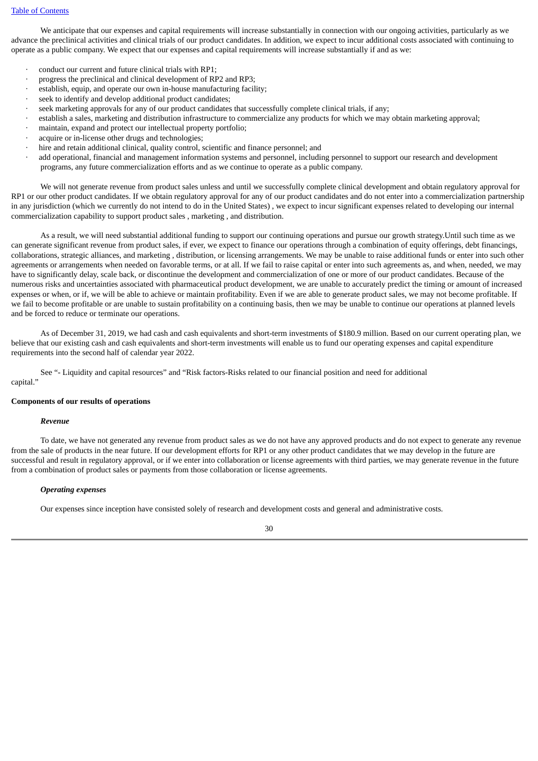We anticipate that our expenses and capital requirements will increase substantially in connection with our ongoing activities, particularly as we advance the preclinical activities and clinical trials of our product candidates. In addition, we expect to incur additional costs associated with continuing to operate as a public company. We expect that our expenses and capital requirements will increase substantially if and as we:

- conduct our current and future clinical trials with RP1;
- · progress the preclinical and clinical development of RP2 and RP3;
- establish, equip, and operate our own in-house manufacturing facility;
- seek to identify and develop additional product candidates;
- seek marketing approvals for any of our product candidates that successfully complete clinical trials, if any;
- · establish a sales, marketing and distribution infrastructure to commercialize any products for which we may obtain marketing approval;
- maintain, expand and protect our intellectual property portfolio;
- acquire or in-license other drugs and technologies;
- hire and retain additional clinical, quality control, scientific and finance personnel; and
- · add operational, financial and management information systems and personnel, including personnel to support our research and development programs, any future commercialization efforts and as we continue to operate as a public company.

We will not generate revenue from product sales unless and until we successfully complete clinical development and obtain regulatory approval for RP1 or our other product candidates. If we obtain regulatory approval for any of our product candidates and do not enter into a commercialization partnership in any jurisdiction (which we currently do not intend to do in the United States) , we expect to incur significant expenses related to developing our internal commercialization capability to support product sales , marketing , and distribution.

As a result, we will need substantial additional funding to support our continuing operations and pursue our growth strategy.Until such time as we can generate significant revenue from product sales, if ever, we expect to finance our operations through a combination of equity offerings, debt financings, collaborations, strategic alliances, and marketing , distribution, or licensing arrangements. We may be unable to raise additional funds or enter into such other agreements or arrangements when needed on favorable terms, or at all. If we fail to raise capital or enter into such agreements as, and when, needed, we may have to significantly delay, scale back, or discontinue the development and commercialization of one or more of our product candidates. Because of the numerous risks and uncertainties associated with pharmaceutical product development, we are unable to accurately predict the timing or amount of increased expenses or when, or if, we will be able to achieve or maintain profitability. Even if we are able to generate product sales, we may not become profitable. If we fail to become profitable or are unable to sustain profitability on a continuing basis, then we may be unable to continue our operations at planned levels and be forced to reduce or terminate our operations.

As of December 31, 2019, we had cash and cash equivalents and short-term investments of \$180.9 million. Based on our current operating plan, we believe that our existing cash and cash equivalents and short-term investments will enable us to fund our operating expenses and capital expenditure requirements into the second half of calendar year 2022.

See "- Liquidity and capital resources" and "Risk factors-Risks related to our financial position and need for additional capital.'

#### **Components of our results of operations**

#### *Revenue*

To date, we have not generated any revenue from product sales as we do not have any approved products and do not expect to generate any revenue from the sale of products in the near future. If our development efforts for RP1 or any other product candidates that we may develop in the future are successful and result in regulatory approval, or if we enter into collaboration or license agreements with third parties, we may generate revenue in the future from a combination of product sales or payments from those collaboration or license agreements.

## *Operating expenses*

Our expenses since inception have consisted solely of research and development costs and general and administrative costs.

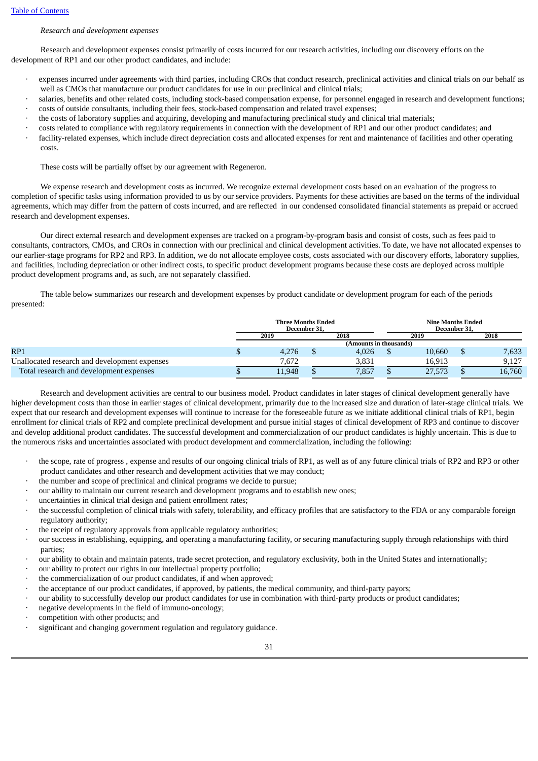## *Research and development expenses*

Research and development expenses consist primarily of costs incurred for our research activities, including our discovery efforts on the development of RP1 and our other product candidates, and include:

- expenses incurred under agreements with third parties, including CROs that conduct research, preclinical activities and clinical trials on our behalf as well as CMOs that manufacture our product candidates for use in our preclinical and clinical trials;
- · salaries, benefits and other related costs, including stock-based compensation expense, for personnel engaged in research and development functions; · costs of outside consultants, including their fees, stock-based compensation and related travel expenses;
- the costs of laboratory supplies and acquiring, developing and manufacturing preclinical study and clinical trial materials;
- · costs related to compliance with regulatory requirements in connection with the development of RP1 and our other product candidates; and
- facility-related expenses, which include direct depreciation costs and allocated expenses for rent and maintenance of facilities and other operating costs.

These costs will be partially offset by our agreement with Regeneron.

We expense research and development costs as incurred. We recognize external development costs based on an evaluation of the progress to completion of specific tasks using information provided to us by our service providers. Payments for these activities are based on the terms of the individual agreements, which may differ from the pattern of costs incurred, and are reflected in our condensed consolidated financial statements as prepaid or accrued research and development expenses.

Our direct external research and development expenses are tracked on a program-by-program basis and consist of costs, such as fees paid to consultants, contractors, CMOs, and CROs in connection with our preclinical and clinical development activities. To date, we have not allocated expenses to our earlier-stage programs for RP2 and RP3. In addition, we do not allocate employee costs, costs associated with our discovery efforts, laboratory supplies, and facilities, including depreciation or other indirect costs, to specific product development programs because these costs are deployed across multiple product development programs and, as such, are not separately classified.

The table below summarizes our research and development expenses by product candidate or development program for each of the periods presented:

|                                               | <b>Three Months Ended</b><br>December 31. |  |       |  | <b>Nine Months Ended</b><br>December 31. |  |        |
|-----------------------------------------------|-------------------------------------------|--|-------|--|------------------------------------------|--|--------|
|                                               | 2019                                      |  | 2018  |  | 2019                                     |  | 2018   |
|                                               | (Amounts in thousands)                    |  |       |  |                                          |  |        |
| RP1                                           | 4.276                                     |  | 4,026 |  | 10,660                                   |  | 7,633  |
| Unallocated research and development expenses | 7.672                                     |  | 3,831 |  | 16.913                                   |  | 9,127  |
| Total research and development expenses       | 11.948                                    |  | 7,857 |  | 27,573                                   |  | 16,760 |

Research and development activities are central to our business model. Product candidates in later stages of clinical development generally have higher development costs than those in earlier stages of clinical development, primarily due to the increased size and duration of later-stage clinical trials. We expect that our research and development expenses will continue to increase for the foreseeable future as we initiate additional clinical trials of RP1, begin enrollment for clinical trials of RP2 and complete preclinical development and pursue initial stages of clinical development of RP3 and continue to discover and develop additional product candidates. The successful development and commercialization of our product candidates is highly uncertain. This is due to the numerous risks and uncertainties associated with product development and commercialization, including the following:

- · the scope, rate of progress , expense and results of our ongoing clinical trials of RP1, as well as of any future clinical trials of RP2 and RP3 or other product candidates and other research and development activities that we may conduct;
- the number and scope of preclinical and clinical programs we decide to pursue;
- · our ability to maintain our current research and development programs and to establish new ones;
- uncertainties in clinical trial design and patient enrollment rates;
- the successful completion of clinical trials with safety, tolerability, and efficacy profiles that are satisfactory to the FDA or any comparable foreign regulatory authority;
- the receipt of regulatory approvals from applicable regulatory authorities;
- · our success in establishing, equipping, and operating a manufacturing facility, or securing manufacturing supply through relationships with third parties;
- · our ability to obtain and maintain patents, trade secret protection, and regulatory exclusivity, both in the United States and internationally;
- our ability to protect our rights in our intellectual property portfolio;
- the commercialization of our product candidates, if and when approved;
- the acceptance of our product candidates, if approved, by patients, the medical community, and third-party payors;
- our ability to successfully develop our product candidates for use in combination with third-party products or product candidates;
- negative developments in the field of immuno-oncology;
- competition with other products; and
- significant and changing government regulation and regulatory guidance.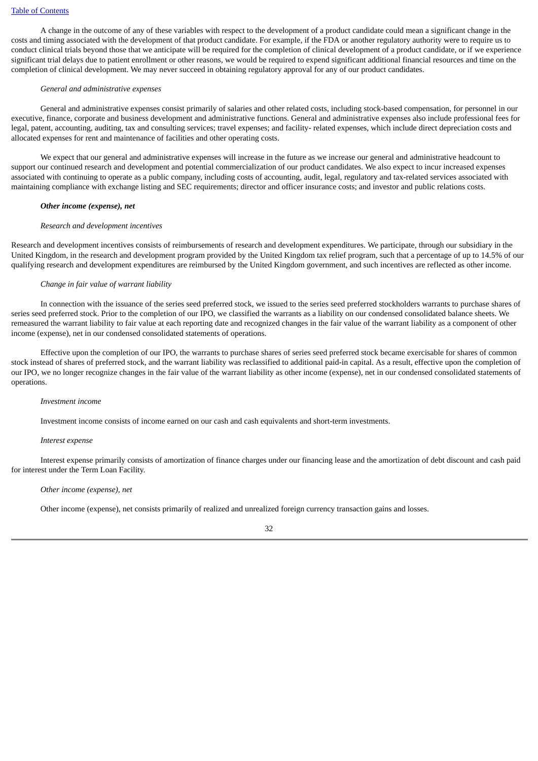A change in the outcome of any of these variables with respect to the development of a product candidate could mean a significant change in the costs and timing associated with the development of that product candidate. For example, if the FDA or another regulatory authority were to require us to conduct clinical trials beyond those that we anticipate will be required for the completion of clinical development of a product candidate, or if we experience significant trial delays due to patient enrollment or other reasons, we would be required to expend significant additional financial resources and time on the completion of clinical development. We may never succeed in obtaining regulatory approval for any of our product candidates.

## *General and administrative expenses*

General and administrative expenses consist primarily of salaries and other related costs, including stock-based compensation, for personnel in our executive, finance, corporate and business development and administrative functions. General and administrative expenses also include professional fees for legal, patent, accounting, auditing, tax and consulting services; travel expenses; and facility- related expenses, which include direct depreciation costs and allocated expenses for rent and maintenance of facilities and other operating costs.

We expect that our general and administrative expenses will increase in the future as we increase our general and administrative headcount to support our continued research and development and potential commercialization of our product candidates. We also expect to incur increased expenses associated with continuing to operate as a public company, including costs of accounting, audit, legal, regulatory and tax-related services associated with maintaining compliance with exchange listing and SEC requirements; director and officer insurance costs; and investor and public relations costs.

#### *Other income (expense), net*

#### *Research and development incentives*

Research and development incentives consists of reimbursements of research and development expenditures. We participate, through our subsidiary in the United Kingdom, in the research and development program provided by the United Kingdom tax relief program, such that a percentage of up to 14.5% of our qualifying research and development expenditures are reimbursed by the United Kingdom government, and such incentives are reflected as other income.

#### *Change in fair value of warrant liability*

In connection with the issuance of the series seed preferred stock, we issued to the series seed preferred stockholders warrants to purchase shares of series seed preferred stock. Prior to the completion of our IPO, we classified the warrants as a liability on our condensed consolidated balance sheets. We remeasured the warrant liability to fair value at each reporting date and recognized changes in the fair value of the warrant liability as a component of other income (expense), net in our condensed consolidated statements of operations.

Effective upon the completion of our IPO, the warrants to purchase shares of series seed preferred stock became exercisable for shares of common stock instead of shares of preferred stock, and the warrant liability was reclassified to additional paid-in capital. As a result, effective upon the completion of our IPO, we no longer recognize changes in the fair value of the warrant liability as other income (expense), net in our condensed consolidated statements of operations.

#### *Investment income*

Investment income consists of income earned on our cash and cash equivalents and short-term investments.

#### *Interest expense*

Interest expense primarily consists of amortization of finance charges under our financing lease and the amortization of debt discount and cash paid for interest under the Term Loan Facility.

## *Other income (expense), net*

Other income (expense), net consists primarily of realized and unrealized foreign currency transaction gains and losses.

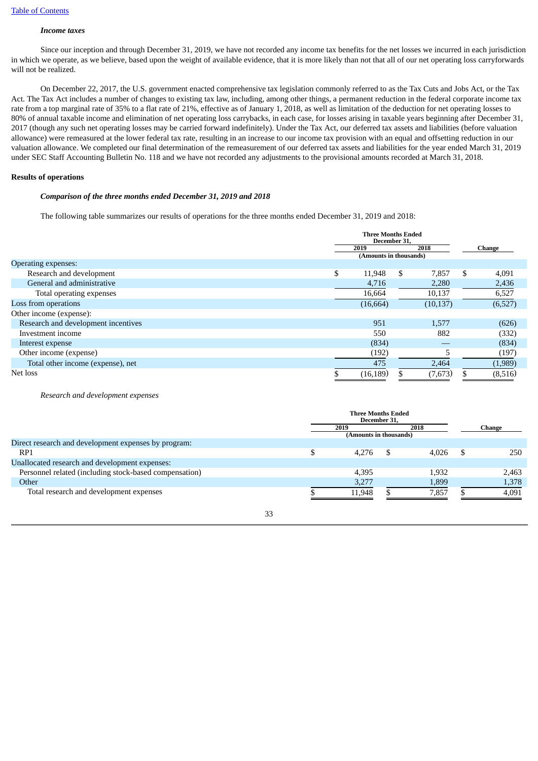## *Income taxes*

Since our inception and through December 31, 2019, we have not recorded any income tax benefits for the net losses we incurred in each jurisdiction in which we operate, as we believe, based upon the weight of available evidence, that it is more likely than not that all of our net operating loss carryforwards will not be realized.

On December 22, 2017, the U.S. government enacted comprehensive tax legislation commonly referred to as the Tax Cuts and Jobs Act, or the Tax Act. The Tax Act includes a number of changes to existing tax law, including, among other things, a permanent reduction in the federal corporate income tax rate from a top marginal rate of 35% to a flat rate of 21%, effective as of January 1, 2018, as well as limitation of the deduction for net operating losses to 80% of annual taxable income and elimination of net operating loss carrybacks, in each case, for losses arising in taxable years beginning after December 31, 2017 (though any such net operating losses may be carried forward indefinitely). Under the Tax Act, our deferred tax assets and liabilities (before valuation allowance) were remeasured at the lower federal tax rate, resulting in an increase to our income tax provision with an equal and offsetting reduction in our valuation allowance. We completed our final determination of the remeasurement of our deferred tax assets and liabilities for the year ended March 31, 2019 under SEC Staff Accounting Bulletin No. 118 and we have not recorded any adjustments to the provisional amounts recorded at March 31, 2018.

#### **Results of operations**

#### *Comparison of the three months ended December 31, 2019 and 2018*

The following table summarizes our results of operations for the three months ended December 31, 2019 and 2018:

|                                     | <b>Three Months Ended</b><br>December 31, |    |           |        |         |
|-------------------------------------|-------------------------------------------|----|-----------|--------|---------|
|                                     | 2018<br>2019                              |    |           | Change |         |
|                                     | (Amounts in thousands)                    |    |           |        |         |
| <b>Operating expenses:</b>          |                                           |    |           |        |         |
| Research and development            | \$<br>11,948                              | \$ | 7,857     | \$     | 4,091   |
| General and administrative          | 4,716                                     |    | 2,280     |        | 2,436   |
| Total operating expenses            | 16,664                                    |    | 10,137    |        | 6,527   |
| Loss from operations                | (16, 664)                                 |    | (10, 137) |        | (6,527) |
| Other income (expense):             |                                           |    |           |        |         |
| Research and development incentives | 951                                       |    | 1,577     |        | (626)   |
| Investment income                   | 550                                       |    | 882       |        | (332)   |
| Interest expense                    | (834)                                     |    |           |        | (834)   |
| Other income (expense)              | (192)                                     |    |           |        | (197)   |
| Total other income (expense), net   | 475                                       |    | 2,464     |        | (1,989) |
| Net loss                            | (16,189)                                  |    | (7,673)   |        | (8,516) |

*Research and development expenses*

|                                                        |                                        | <b>Three Months Ended</b><br>December 31. |  |        |   |       |
|--------------------------------------------------------|----------------------------------------|-------------------------------------------|--|--------|---|-------|
|                                                        | 2018<br>2019<br>(Amounts in thousands) |                                           |  | Change |   |       |
| Direct research and development expenses by program:   |                                        |                                           |  |        |   |       |
| RP <sub>1</sub>                                        |                                        | 4.276                                     |  | 4.026  | S | 250   |
| Unallocated research and development expenses:         |                                        |                                           |  |        |   |       |
| Personnel related (including stock-based compensation) |                                        | 4.395                                     |  | 1.932  |   | 2,463 |
| Other                                                  |                                        | 3,277                                     |  | 1,899  |   | 1,378 |
| Total research and development expenses                |                                        | 11.948                                    |  | 7.857  |   | 4.091 |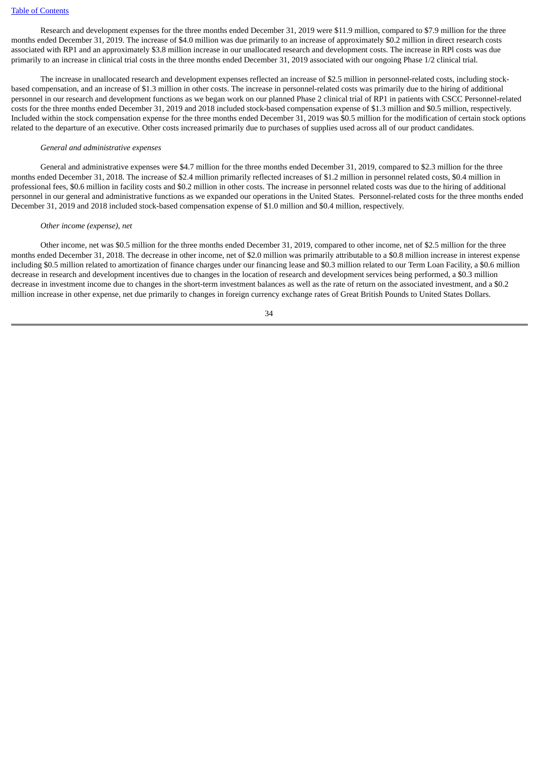Research and development expenses for the three months ended December 31, 2019 were \$11.9 million, compared to \$7.9 million for the three months ended December 31, 2019. The increase of \$4.0 million was due primarily to an increase of approximately \$0.2 million in direct research costs associated with RP1 and an approximately \$3.8 million increase in our unallocated research and development costs. The increase in RPl costs was due primarily to an increase in clinical trial costs in the three months ended December 31, 2019 associated with our ongoing Phase 1/2 clinical trial.

The increase in unallocated research and development expenses reflected an increase of \$2.5 million in personnel-related costs, including stockbased compensation, and an increase of \$1.3 million in other costs. The increase in personnel-related costs was primarily due to the hiring of additional personnel in our research and development functions as we began work on our planned Phase 2 clinical trial of RP1 in patients with CSCC Personnel-related costs for the three months ended December 31, 2019 and 2018 included stock-based compensation expense of \$1.3 million and \$0.5 million, respectively. Included within the stock compensation expense for the three months ended December 31, 2019 was \$0.5 million for the modification of certain stock options related to the departure of an executive. Other costs increased primarily due to purchases of supplies used across all of our product candidates.

#### *General and administrative expenses*

General and administrative expenses were \$4.7 million for the three months ended December 31, 2019, compared to \$2.3 million for the three months ended December 31, 2018. The increase of \$2.4 million primarily reflected increases of \$1.2 million in personnel related costs, \$0.4 million in professional fees, \$0.6 million in facility costs and \$0.2 million in other costs. The increase in personnel related costs was due to the hiring of additional personnel in our general and administrative functions as we expanded our operations in the United States. Personnel-related costs for the three months ended December 31, 2019 and 2018 included stock-based compensation expense of \$1.0 million and \$0.4 million, respectively.

#### *Other income (expense), net*

Other income, net was \$0.5 million for the three months ended December 31, 2019, compared to other income, net of \$2.5 million for the three months ended December 31, 2018. The decrease in other income, net of \$2.0 million was primarily attributable to a \$0.8 million increase in interest expense including \$0.5 million related to amortization of finance charges under our financing lease and \$0.3 million related to our Term Loan Facility, a \$0.6 million decrease in research and development incentives due to changes in the location of research and development services being performed, a \$0.3 million decrease in investment income due to changes in the short-term investment balances as well as the rate of return on the associated investment, and a \$0.2 million increase in other expense, net due primarily to changes in foreign currency exchange rates of Great British Pounds to United States Dollars.

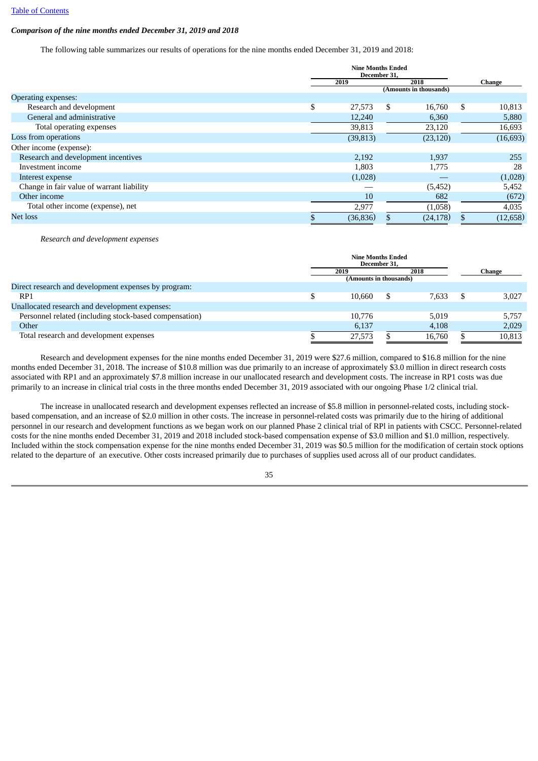### *Comparison of the nine months ended December 31, 2019 and 2018*

The following table summarizes our results of operations for the nine months ended December 31, 2019 and 2018:

|                                           | <b>Nine Months Ended</b><br>December 31, |    |                        |        |           |
|-------------------------------------------|------------------------------------------|----|------------------------|--------|-----------|
|                                           | 2018<br>2019                             |    |                        | Change |           |
|                                           |                                          |    | (Amounts in thousands) |        |           |
| <b>Operating expenses:</b>                |                                          |    |                        |        |           |
| Research and development                  | \$<br>27,573                             | \$ | 16,760                 | \$     | 10,813    |
| General and administrative                | 12,240                                   |    | 6,360                  |        | 5,880     |
| Total operating expenses                  | 39,813                                   |    | 23,120                 |        | 16,693    |
| Loss from operations                      | (39, 813)                                |    | (23, 120)              |        | (16, 693) |
| Other income (expense):                   |                                          |    |                        |        |           |
| Research and development incentives       | 2,192                                    |    | 1,937                  |        | 255       |
| Investment income                         | 1,803                                    |    | 1,775                  |        | 28        |
| Interest expense                          | (1,028)                                  |    |                        |        | (1,028)   |
| Change in fair value of warrant liability |                                          |    | (5,452)                |        | 5,452     |
| Other income                              | 10                                       |    | 682                    |        | (672)     |
| Total other income (expense), net         | 2,977                                    |    | (1,058)                |        | 4,035     |
| Net loss                                  | (36, 836)                                |    | (24, 178)              |        | (12, 658) |

*Research and development expenses*

|                                                        | <b>Nine Months Ended</b><br>December 31, |                        |  |        |        |        |
|--------------------------------------------------------|------------------------------------------|------------------------|--|--------|--------|--------|
|                                                        |                                          | 2018<br>2019           |  |        | Change |        |
|                                                        |                                          | (Amounts in thousands) |  |        |        |        |
| Direct research and development expenses by program:   |                                          |                        |  |        |        |        |
| RP1                                                    |                                          | 10.660                 |  | 7.633  | S      | 3,027  |
| Unallocated research and development expenses:         |                                          |                        |  |        |        |        |
| Personnel related (including stock-based compensation) |                                          | 10,776                 |  | 5.019  |        | 5,757  |
| Other                                                  |                                          | 6,137                  |  | 4,108  |        | 2,029  |
| Total research and development expenses                |                                          | 27.573                 |  | 16.760 |        | 10,813 |

Research and development expenses for the nine months ended December 31, 2019 were \$27.6 million, compared to \$16.8 million for the nine months ended December 31, 2018. The increase of \$10.8 million was due primarily to an increase of approximately \$3.0 million in direct research costs associated with RP1 and an approximately \$7.8 million increase in our unallocated research and development costs. The increase in RP1 costs was due primarily to an increase in clinical trial costs in the three months ended December 31, 2019 associated with our ongoing Phase 1/2 clinical trial.

The increase in unallocated research and development expenses reflected an increase of \$5.8 million in personnel-related costs, including stockbased compensation, and an increase of \$2.0 million in other costs. The increase in personnel-related costs was primarily due to the hiring of additional personnel in our research and development functions as we began work on our planned Phase 2 clinical trial of RPl in patients with CSCC. Personnel-related costs for the nine months ended December 31, 2019 and 2018 included stock-based compensation expense of \$3.0 million and \$1.0 million, respectively. Included within the stock compensation expense for the nine months ended December 31, 2019 was \$0.5 million for the modification of certain stock options related to the departure of an executive. Other costs increased primarily due to purchases of supplies used across all of our product candidates.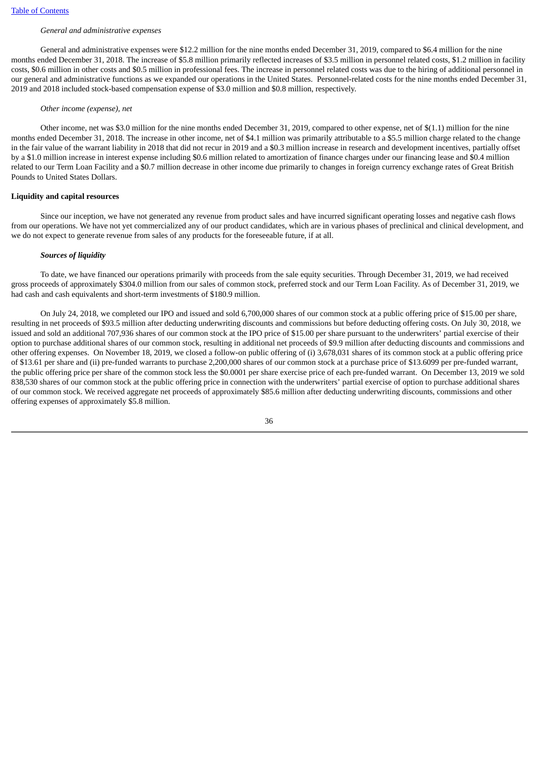#### *General and administrative expenses*

General and administrative expenses were \$12.2 million for the nine months ended December 31, 2019, compared to \$6.4 million for the nine months ended December 31, 2018. The increase of \$5.8 million primarily reflected increases of \$3.5 million in personnel related costs, \$1.2 million in facility costs, \$0.6 million in other costs and \$0.5 million in professional fees. The increase in personnel related costs was due to the hiring of additional personnel in our general and administrative functions as we expanded our operations in the United States. Personnel-related costs for the nine months ended December 31, 2019 and 2018 included stock-based compensation expense of \$3.0 million and \$0.8 million, respectively.

#### *Other income (expense), net*

Other income, net was \$3.0 million for the nine months ended December 31, 2019, compared to other expense, net of \$(1.1) million for the nine months ended December 31, 2018. The increase in other income, net of \$4.1 million was primarily attributable to a \$5.5 million charge related to the change in the fair value of the warrant liability in 2018 that did not recur in 2019 and a \$0.3 million increase in research and development incentives, partially offset by a \$1.0 million increase in interest expense including \$0.6 million related to amortization of finance charges under our financing lease and \$0.4 million related to our Term Loan Facility and a \$0.7 million decrease in other income due primarily to changes in foreign currency exchange rates of Great British Pounds to United States Dollars.

#### **Liquidity and capital resources**

Since our inception, we have not generated any revenue from product sales and have incurred significant operating losses and negative cash flows from our operations. We have not yet commercialized any of our product candidates, which are in various phases of preclinical and clinical development, and we do not expect to generate revenue from sales of any products for the foreseeable future, if at all.

#### *Sources of liquidity*

To date, we have financed our operations primarily with proceeds from the sale equity securities. Through December 31, 2019, we had received gross proceeds of approximately \$304.0 million from our sales of common stock, preferred stock and our Term Loan Facility. As of December 31, 2019, we had cash and cash equivalents and short-term investments of \$180.9 million.

On July 24, 2018, we completed our IPO and issued and sold 6,700,000 shares of our common stock at a public offering price of \$15.00 per share, resulting in net proceeds of \$93.5 million after deducting underwriting discounts and commissions but before deducting offering costs. On July 30, 2018, we issued and sold an additional 707,936 shares of our common stock at the IPO price of \$15.00 per share pursuant to the underwriters' partial exercise of their option to purchase additional shares of our common stock, resulting in additional net proceeds of \$9.9 million after deducting discounts and commissions and other offering expenses. On November 18, 2019, we closed a follow-on public offering of (i) 3,678,031 shares of its common stock at a public offering price of \$13.61 per share and (ii) pre-funded warrants to purchase 2,200,000 shares of our common stock at a purchase price of \$13.6099 per pre-funded warrant, the public offering price per share of the common stock less the \$0.0001 per share exercise price of each pre-funded warrant. On December 13, 2019 we sold 838,530 shares of our common stock at the public offering price in connection with the underwriters' partial exercise of option to purchase additional shares of our common stock. We received aggregate net proceeds of approximately \$85.6 million after deducting underwriting discounts, commissions and other offering expenses of approximately \$5.8 million.

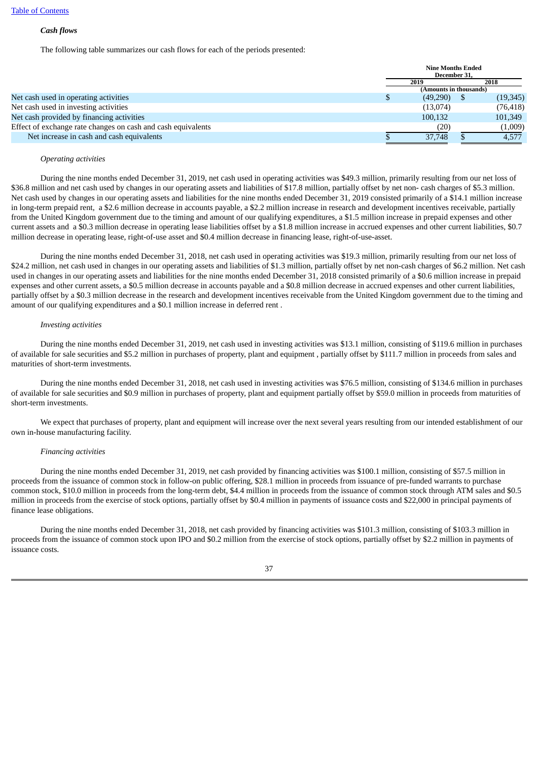# *Cash flows*

The following table summarizes our cash flows for each of the periods presented:

|                                                              |          | <b>Nine Months Ended</b><br>December 31.<br>2018<br>(Amounts in thousands) |           |
|--------------------------------------------------------------|----------|----------------------------------------------------------------------------|-----------|
|                                                              | 2019     |                                                                            |           |
|                                                              |          |                                                                            |           |
| Net cash used in operating activities                        | (49,290) |                                                                            | (19, 345) |
| Net cash used in investing activities                        | (13,074) |                                                                            | (76, 418) |
| Net cash provided by financing activities                    | 100.132  |                                                                            | 101,349   |
| Effect of exchange rate changes on cash and cash equivalents |          | (20)                                                                       | (1,009)   |
| Net increase in cash and cash equivalents                    | 37,748   |                                                                            | 4,577     |
|                                                              |          |                                                                            |           |

#### *Operating activities*

During the nine months ended December 31, 2019, net cash used in operating activities was \$49.3 million, primarily resulting from our net loss of \$36.8 million and net cash used by changes in our operating assets and liabilities of \$17.8 million, partially offset by net non- cash charges of \$5.3 million. Net cash used by changes in our operating assets and liabilities for the nine months ended December 31, 2019 consisted primarily of a \$14.1 million increase in long-term prepaid rent, a \$2.6 million decrease in accounts payable, a \$2.2 million increase in research and development incentives receivable, partially from the United Kingdom government due to the timing and amount of our qualifying expenditures, a \$1.5 million increase in prepaid expenses and other current assets and a \$0.3 million decrease in operating lease liabilities offset by a \$1.8 million increase in accrued expenses and other current liabilities, \$0.7 million decrease in operating lease, right-of-use asset and \$0.4 million decrease in financing lease, right-of-use-asset.

During the nine months ended December 31, 2018, net cash used in operating activities was \$19.3 million, primarily resulting from our net loss of \$24.2 million, net cash used in changes in our operating assets and liabilities of \$1.3 million, partially offset by net non-cash charges of \$6.2 million. Net cash used in changes in our operating assets and liabilities for the nine months ended December 31, 2018 consisted primarily of a \$0.6 million increase in prepaid expenses and other current assets, a \$0.5 million decrease in accounts payable and a \$0.8 million decrease in accrued expenses and other current liabilities, partially offset by a \$0.3 million decrease in the research and development incentives receivable from the United Kingdom government due to the timing and amount of our qualifying expenditures and a \$0.1 million increase in deferred rent .

#### *Investing activities*

During the nine months ended December 31, 2019, net cash used in investing activities was \$13.1 million, consisting of \$119.6 million in purchases of available for sale securities and \$5.2 million in purchases of property, plant and equipment , partially offset by \$111.7 million in proceeds from sales and maturities of short-term investments.

During the nine months ended December 31, 2018, net cash used in investing activities was \$76.5 million, consisting of \$134.6 million in purchases of available for sale securities and \$0.9 million in purchases of property, plant and equipment partially offset by \$59.0 million in proceeds from maturities of short-term investments.

We expect that purchases of property, plant and equipment will increase over the next several years resulting from our intended establishment of our own in-house manufacturing facility.

#### *Financing activities*

During the nine months ended December 31, 2019, net cash provided by financing activities was \$100.1 million, consisting of \$57.5 million in proceeds from the issuance of common stock in follow-on public offering, \$28.1 million in proceeds from issuance of pre-funded warrants to purchase common stock, \$10.0 million in proceeds from the long-term debt, \$4.4 million in proceeds from the issuance of common stock through ATM sales and \$0.5 million in proceeds from the exercise of stock options, partially offset by \$0.4 million in payments of issuance costs and \$22,000 in principal payments of finance lease obligations.

During the nine months ended December 31, 2018, net cash provided by financing activities was \$101.3 million, consisting of \$103.3 million in proceeds from the issuance of common stock upon IPO and \$0.2 million from the exercise of stock options, partially offset by \$2.2 million in payments of issuance costs.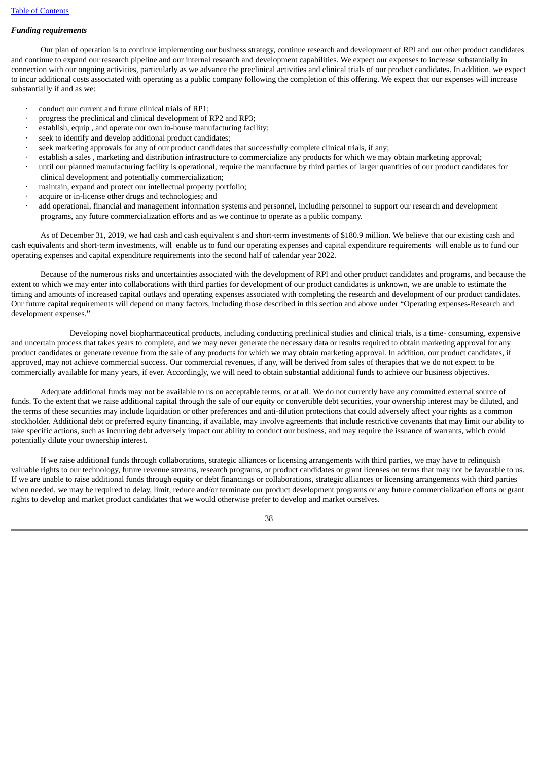## *Funding requirements*

Our plan of operation is to continue implementing our business strategy, continue research and development of RPl and our other product candidates and continue to expand our research pipeline and our internal research and development capabilities. We expect our expenses to increase substantially in connection with our ongoing activities, particularly as we advance the preclinical activities and clinical trials of our product candidates. In addition, we expect to incur additional costs associated with operating as a public company following the completion of this offering. We expect that our expenses will increase substantially if and as we:

- · conduct our current and future clinical trials of RP1;
- · progress the preclinical and clinical development of RP2 and RP3;
- establish, equip, and operate our own in-house manufacturing facility;
- seek to identify and develop additional product candidates:
- seek marketing approvals for any of our product candidates that successfully complete clinical trials, if any;
- · establish a sales , marketing and distribution infrastructure to commercialize any products for which we may obtain marketing approval;
- until our planned manufacturing facility is operational, require the manufacture by third parties of larger quantities of our product candidates for clinical development and potentially commercialization;
- · maintain, expand and protect our intellectual property portfolio;
- acquire or in-license other drugs and technologies; and
- add operational, financial and management information systems and personnel, including personnel to support our research and development programs, any future commercialization efforts and as we continue to operate as a public company.

As of December 31, 2019, we had cash and cash equivalent s and short-term investments of \$180.9 million. We believe that our existing cash and cash equivalents and short-term investments, will enable us to fund our operating expenses and capital expenditure requirements will enable us to fund our operating expenses and capital expenditure requirements into the second half of calendar year 2022.

Because of the numerous risks and uncertainties associated with the development of RPl and other product candidates and programs, and because the extent to which we may enter into collaborations with third parties for development of our product candidates is unknown, we are unable to estimate the timing and amounts of increased capital outlays and operating expenses associated with completing the research and development of our product candidates. Our future capital requirements will depend on many factors, including those described in this section and above under "Operating expenses-Research and development expenses."

Developing novel biopharmaceutical products, including conducting preclinical studies and clinical trials, is a time- consuming, expensive and uncertain process that takes years to complete, and we may never generate the necessary data or results required to obtain marketing approval for any product candidates or generate revenue from the sale of any products for which we may obtain marketing approval. In addition, our product candidates, if approved, may not achieve commercial success. Our commercial revenues, if any, will be derived from sales of therapies that we do not expect to be commercially available for many years, if ever. Accordingly, we will need to obtain substantial additional funds to achieve our business objectives.

Adequate additional funds may not be available to us on acceptable terms, or at all. We do not currently have any committed external source of funds. To the extent that we raise additional capital through the sale of our equity or convertible debt securities, your ownership interest may be diluted, and the terms of these securities may include liquidation or other preferences and anti-dilution protections that could adversely affect your rights as a common stockholder. Additional debt or preferred equity financing, if available, may involve agreements that include restrictive covenants that may limit our ability to take specific actions, such as incurring debt adversely impact our ability to conduct our business, and may require the issuance of warrants, which could potentially dilute your ownership interest.

If we raise additional funds through collaborations, strategic alliances or licensing arrangements with third parties, we may have to relinquish valuable rights to our technology, future revenue streams, research programs, or product candidates or grant licenses on terms that may not be favorable to us. If we are unable to raise additional funds through equity or debt financings or collaborations, strategic alliances or licensing arrangements with third parties when needed, we may be required to delay, limit, reduce and/or terminate our product development programs or any future commercialization efforts or grant rights to develop and market product candidates that we would otherwise prefer to develop and market ourselves.

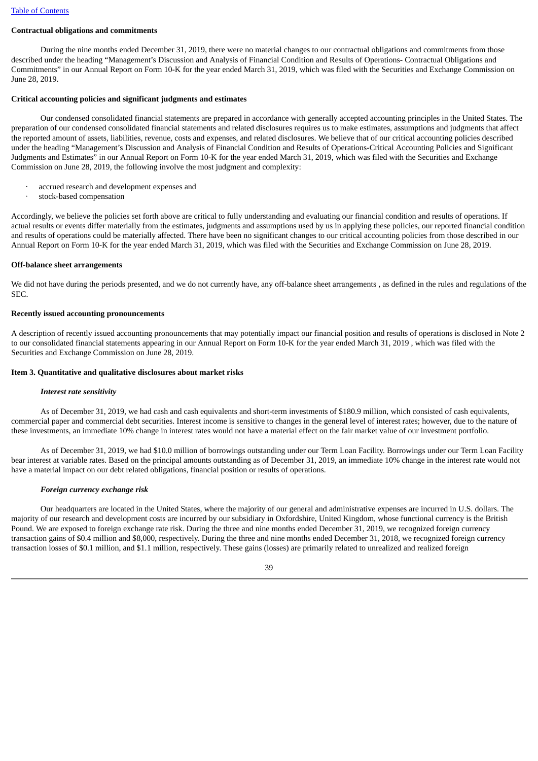# **Contractual obligations and commitments**

During the nine months ended December 31, 2019, there were no material changes to our contractual obligations and commitments from those described under the heading "Management's Discussion and Analysis of Financial Condition and Results of Operations- Contractual Obligations and Commitments" in our Annual Report on Form 10-K for the year ended March 31, 2019, which was filed with the Securities and Exchange Commission on June 28, 2019.

# **Critical accounting policies and significant judgments and estimates**

Our condensed consolidated financial statements are prepared in accordance with generally accepted accounting principles in the United States. The preparation of our condensed consolidated financial statements and related disclosures requires us to make estimates, assumptions and judgments that affect the reported amount of assets, liabilities, revenue, costs and expenses, and related disclosures. We believe that of our critical accounting policies described under the heading "Management's Discussion and Analysis of Financial Condition and Results of Operations-Critical Accounting Policies and Significant Judgments and Estimates" in our Annual Report on Form 10-K for the year ended March 31, 2019, which was filed with the Securities and Exchange Commission on June 28, 2019, the following involve the most judgment and complexity:

- accrued research and development expenses and
- stock-based compensation

Accordingly, we believe the policies set forth above are critical to fully understanding and evaluating our financial condition and results of operations. If actual results or events differ materially from the estimates, judgments and assumptions used by us in applying these policies, our reported financial condition and results of operations could be materially affected. There have been no significant changes to our critical accounting policies from those described in our Annual Report on Form 10-K for the year ended March 31, 2019, which was filed with the Securities and Exchange Commission on June 28, 2019.

# **Off-balance sheet arrangements**

We did not have during the periods presented, and we do not currently have, any off-balance sheet arrangements , as defined in the rules and regulations of the SEC.

# **Recently issued accounting pronouncements**

A description of recently issued accounting pronouncements that may potentially impact our financial position and results of operations is disclosed in Note 2 to our consolidated financial statements appearing in our Annual Report on Form 10-K for the year ended March 31, 2019 , which was filed with the Securities and Exchange Commission on June 28, 2019.

# **Item 3. Quantitative and qualitative disclosures about market risks**

# *Interest rate sensitivity*

As of December 31, 2019, we had cash and cash equivalents and short-term investments of \$180.9 million, which consisted of cash equivalents, commercial paper and commercial debt securities. Interest income is sensitive to changes in the general level of interest rates; however, due to the nature of these investments, an immediate 10% change in interest rates would not have a material effect on the fair market value of our investment portfolio.

As of December 31, 2019, we had \$10.0 million of borrowings outstanding under our Term Loan Facility. Borrowings under our Term Loan Facility bear interest at variable rates. Based on the principal amounts outstanding as of December 31, 2019, an immediate 10% change in the interest rate would not have a material impact on our debt related obligations, financial position or results of operations.

# *Foreign currency exchange risk*

Our headquarters are located in the United States, where the majority of our general and administrative expenses are incurred in U.S. dollars. The majority of our research and development costs are incurred by our subsidiary in Oxfordshire, United Kingdom, whose functional currency is the British Pound. We are exposed to foreign exchange rate risk. During the three and nine months ended December 31, 2019, we recognized foreign currency transaction gains of \$0.4 million and \$8,000, respectively. During the three and nine months ended December 31, 2018, we recognized foreign currency transaction losses of \$0.1 million, and \$1.1 million, respectively. These gains (losses) are primarily related to unrealized and realized foreign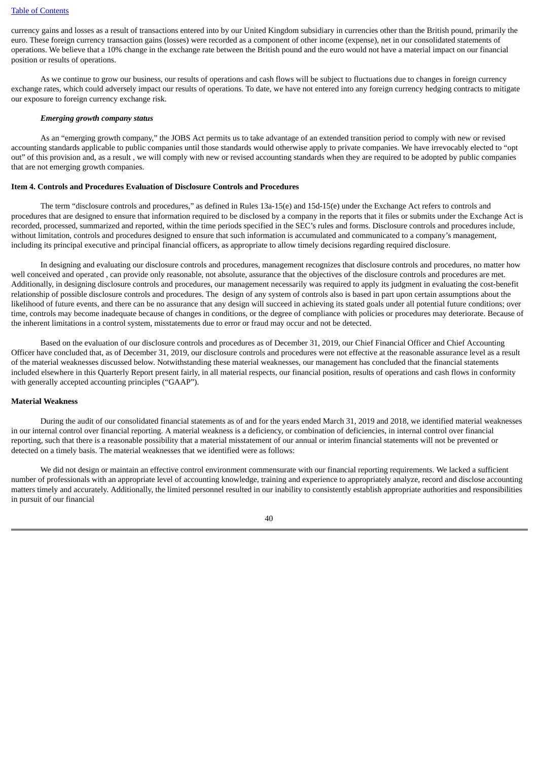currency gains and losses as a result of transactions entered into by our United Kingdom subsidiary in currencies other than the British pound, primarily the euro. These foreign currency transaction gains (losses) were recorded as a component of other income (expense), net in our consolidated statements of operations. We believe that a 10% change in the exchange rate between the British pound and the euro would not have a material impact on our financial position or results of operations.

As we continue to grow our business, our results of operations and cash flows will be subject to fluctuations due to changes in foreign currency exchange rates, which could adversely impact our results of operations. To date, we have not entered into any foreign currency hedging contracts to mitigate our exposure to foreign currency exchange risk.

#### *Emerging growth company status*

As an "emerging growth company," the JOBS Act permits us to take advantage of an extended transition period to comply with new or revised accounting standards applicable to public companies until those standards would otherwise apply to private companies. We have irrevocably elected to "opt out" of this provision and, as a result , we will comply with new or revised accounting standards when they are required to be adopted by public companies that are not emerging growth companies.

#### **Item 4. Controls and Procedures Evaluation of Disclosure Controls and Procedures**

The term "disclosure controls and procedures," as defined in Rules 13a-15(e) and 15d-15(e) under the Exchange Act refers to controls and procedures that are designed to ensure that information required to be disclosed by a company in the reports that it files or submits under the Exchange Act is recorded, processed, summarized and reported, within the time periods specified in the SEC's rules and forms. Disclosure controls and procedures include, without limitation, controls and procedures designed to ensure that such information is accumulated and communicated to a company's management, including its principal executive and principal financial officers, as appropriate to allow timely decisions regarding required disclosure.

In designing and evaluating our disclosure controls and procedures, management recognizes that disclosure controls and procedures, no matter how well conceived and operated , can provide only reasonable, not absolute, assurance that the objectives of the disclosure controls and procedures are met. Additionally, in designing disclosure controls and procedures, our management necessarily was required to apply its judgment in evaluating the cost-benefit relationship of possible disclosure controls and procedures. The design of any system of controls also is based in part upon certain assumptions about the likelihood of future events, and there can be no assurance that any design will succeed in achieving its stated goals under all potential future conditions; over time, controls may become inadequate because of changes in conditions, or the degree of compliance with policies or procedures may deteriorate. Because of the inherent limitations in a control system, misstatements due to error or fraud may occur and not be detected.

Based on the evaluation of our disclosure controls and procedures as of December 31, 2019, our Chief Financial Officer and Chief Accounting Officer have concluded that, as of December 31, 2019, our disclosure controls and procedures were not effective at the reasonable assurance level as a result of the material weaknesses discussed below. Notwithstanding these material weaknesses, our management has concluded that the financial statements included elsewhere in this Quarterly Report present fairly, in all material respects, our financial position, results of operations and cash flows in conformity with generally accepted accounting principles ("GAAP").

### **Material Weakness**

During the audit of our consolidated financial statements as of and for the years ended March 31, 2019 and 2018, we identified material weaknesses in our internal control over financial reporting. A material weakness is a deficiency, or combination of deficiencies, in internal control over financial reporting, such that there is a reasonable possibility that a material misstatement of our annual or interim financial statements will not be prevented or detected on a timely basis. The material weaknesses that we identified were as follows:

We did not design or maintain an effective control environment commensurate with our financial reporting requirements. We lacked a sufficient number of professionals with an appropriate level of accounting knowledge, training and experience to appropriately analyze, record and disclose accounting matters timely and accurately. Additionally, the limited personnel resulted in our inability to consistently establish appropriate authorities and responsibilities in pursuit of our financial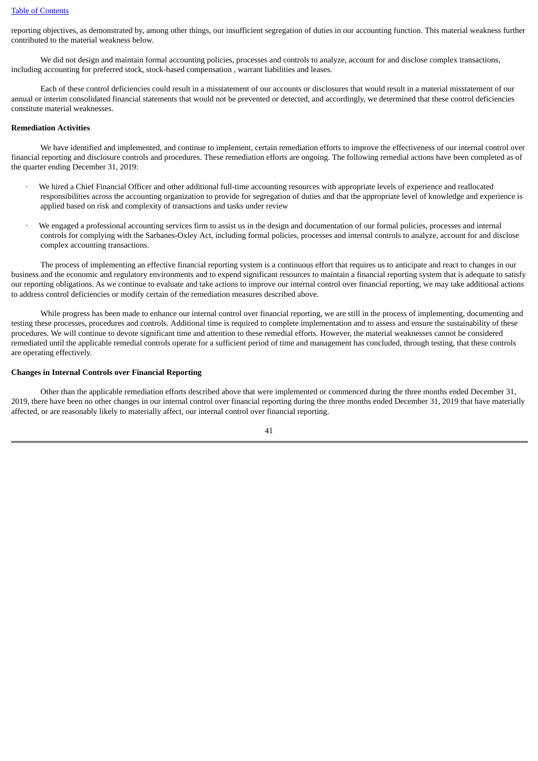reporting objectives, as demonstrated by, among other things, our insufficient segregation of duties in our accounting function. This material weakness further contributed to the material weakness below.

We did not design and maintain formal accounting policies, processes and controls to analyze, account for and disclose complex transactions, including accounting for preferred stock, stock-based compensation , warrant liabilities and leases.

Each of these control deficiencies could result in a misstatement of our accounts or disclosures that would result in a material misstatement of our annual or interim consolidated financial statements that would not be prevented or detected, and accordingly, we determined that these control deficiencies constitute material weaknesses.

## **Remediation Activities**

We have identified and implemented, and continue to implement, certain remediation efforts to improve the effectiveness of our internal control over financial reporting and disclosure controls and procedures. These remediation efforts are ongoing. The following remedial actions have been completed as of the quarter ending December 31, 2019:

- · We hired a Chief Financial Officer and other additional full-time accounting resources with appropriate levels of experience and reallocated responsibilities across the accounting organization to provide for segregation of duties and that the appropriate level of knowledge and experience is applied based on risk and complexity of transactions and tasks under review
- · We engaged a professional accounting services firm to assist us in the design and documentation of our formal policies, processes and internal controls for complying with the Sarbanes-Oxley Act, including formal policies, processes and internal controls to analyze, account for and disclose complex accounting transactions.

The process of implementing an effective financial reporting system is a continuous effort that requires us to anticipate and react to changes in our business and the economic and regulatory environments and to expend significant resources to maintain a financial reporting system that is adequate to satisfy our reporting obligations. As we continue to evaluate and take actions to improve our internal control over financial reporting, we may take additional actions to address control deficiencies or modify certain of the remediation measures described above.

While progress has been made to enhance our internal control over financial reporting, we are still in the process of implementing, documenting and testing these processes, procedures and controls. Additional time is required to complete implementation and to assess and ensure the sustainability of these procedures. We will continue to devote significant time and attention to these remedial efforts. However, the material weaknesses cannot be considered remediated until the applicable remedial controls operate for a sufficient period of time and management has concluded, through testing, that these controls are operating effectively.

## **Changes in Internal Controls over Financial Reporting**

Other than the applicable remediation efforts described above that were implemented or commenced during the three months ended December 31, 2019, there have been no other changes in our internal control over financial reporting during the three months ended December 31, 2019 that have materially affected, or are reasonably likely to materially affect, our internal control over financial reporting.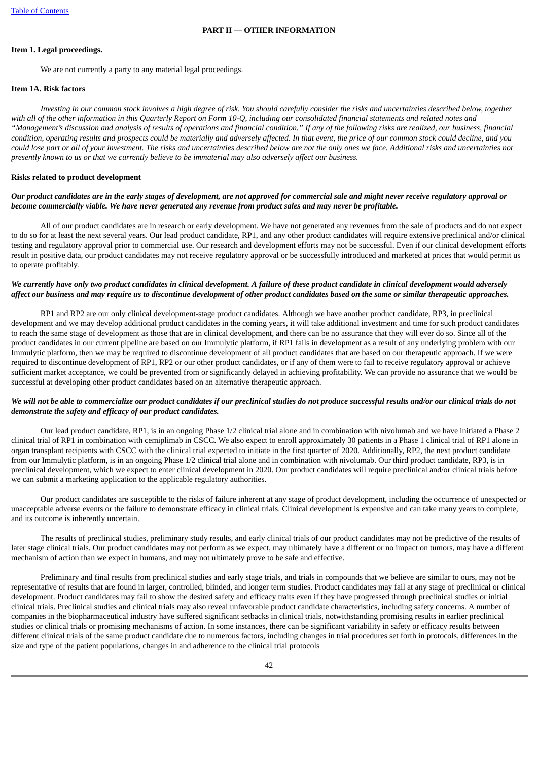### **PART II — OTHER INFORMATION**

#### **Item 1. Legal proceedings.**

We are not currently a party to any material legal proceedings.

## **Item 1A. Risk factors**

Investina in our common stock involves a high degree of risk. You should carefully consider the risks and uncertainties described below, together with all of the other information in this Quarterly Report on Form 10-Q, including our consolidated financial statements and related notes and "Management's discussion and analysis of results of operations and financial condition." If any of the following risks are realized, our business, financial condition, operating results and prospects could be materially and adversely affected. In that event, the price of our common stock could decline, and you could lose part or all of your investment. The risks and uncertainties described below are not the only ones we face. Additional risks and uncertainties not presently known to us or that we currently believe to be immaterial may also adversely affect our business.

#### **Risks related to product development**

### Our product candidates are in the early stages of development, are not approved for commercial sale and might never receive regulatory approval or become commercially viable. We have never generated any revenue from product sales and may never be profitable.

All of our product candidates are in research or early development. We have not generated any revenues from the sale of products and do not expect to do so for at least the next several years. Our lead product candidate, RP1, and any other product candidates will require extensive preclinical and/or clinical testing and regulatory approval prior to commercial use. Our research and development efforts may not be successful. Even if our clinical development efforts result in positive data, our product candidates may not receive regulatory approval or be successfully introduced and marketed at prices that would permit us to operate profitably.

## We currently have only two product candidates in clinical development. A failure of these product candidate in clinical development would adversely affect our business and may require us to discontinue development of other product candidates based on the same or similar therapeutic approaches.

RP1 and RP2 are our only clinical development-stage product candidates. Although we have another product candidate, RP3, in preclinical development and we may develop additional product candidates in the coming years, it will take additional investment and time for such product candidates to reach the same stage of development as those that are in clinical development, and there can be no assurance that they will ever do so. Since all of the product candidates in our current pipeline are based on our Immulytic platform, if RP1 fails in development as a result of any underlying problem with our Immulytic platform, then we may be required to discontinue development of all product candidates that are based on our therapeutic approach. If we were required to discontinue development of RP1, RP2 or our other product candidates, or if any of them were to fail to receive regulatory approval or achieve sufficient market acceptance, we could be prevented from or significantly delayed in achieving profitability. We can provide no assurance that we would be successful at developing other product candidates based on an alternative therapeutic approach.

## We will not be able to commercialize our product candidates if our preclinical studies do not produce successful results and/or our clinical trials do not *demonstrate the safety and efficacy of our product candidates.*

Our lead product candidate, RP1, is in an ongoing Phase 1/2 clinical trial alone and in combination with nivolumab and we have initiated a Phase 2 clinical trial of RP1 in combination with cemiplimab in CSCC. We also expect to enroll approximately 30 patients in a Phase 1 clinical trial of RP1 alone in organ transplant recipients with CSCC with the clinical trial expected to initiate in the first quarter of 2020. Additionally, RP2, the next product candidate from our Immulytic platform, is in an ongoing Phase 1/2 clinical trial alone and in combination with nivolumab. Our third product candidate, RP3, is in preclinical development, which we expect to enter clinical development in 2020. Our product candidates will require preclinical and/or clinical trials before we can submit a marketing application to the applicable regulatory authorities.

Our product candidates are susceptible to the risks of failure inherent at any stage of product development, including the occurrence of unexpected or unacceptable adverse events or the failure to demonstrate efficacy in clinical trials. Clinical development is expensive and can take many years to complete, and its outcome is inherently uncertain.

The results of preclinical studies, preliminary study results, and early clinical trials of our product candidates may not be predictive of the results of later stage clinical trials. Our product candidates may not perform as we expect, may ultimately have a different or no impact on tumors, may have a different mechanism of action than we expect in humans, and may not ultimately prove to be safe and effective.

Preliminary and final results from preclinical studies and early stage trials, and trials in compounds that we believe are similar to ours, may not be representative of results that are found in larger, controlled, blinded, and longer term studies. Product candidates may fail at any stage of preclinical or clinical development. Product candidates may fail to show the desired safety and efficacy traits even if they have progressed through preclinical studies or initial clinical trials. Preclinical studies and clinical trials may also reveal unfavorable product candidate characteristics, including safety concerns. A number of companies in the biopharmaceutical industry have suffered significant setbacks in clinical trials, notwithstanding promising results in earlier preclinical studies or clinical trials or promising mechanisms of action. In some instances, there can be significant variability in safety or efficacy results between different clinical trials of the same product candidate due to numerous factors, including changes in trial procedures set forth in protocols, differences in the size and type of the patient populations, changes in and adherence to the clinical trial protocols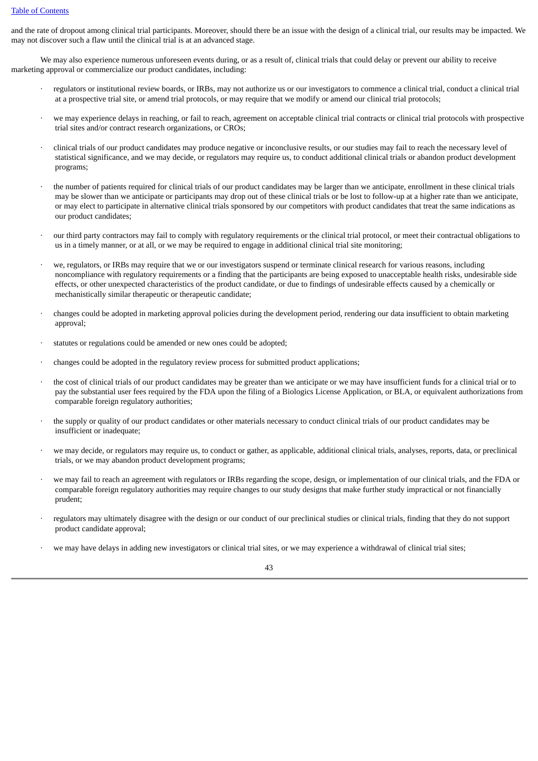and the rate of dropout among clinical trial participants. Moreover, should there be an issue with the design of a clinical trial, our results may be impacted. We may not discover such a flaw until the clinical trial is at an advanced stage.

We may also experience numerous unforeseen events during, or as a result of, clinical trials that could delay or prevent our ability to receive marketing approval or commercialize our product candidates, including:

- regulators or institutional review boards, or IRBs, may not authorize us or our investigators to commence a clinical trial, conduct a clinical trial at a prospective trial site, or amend trial protocols, or may require that we modify or amend our clinical trial protocols;
- we may experience delays in reaching, or fail to reach, agreement on acceptable clinical trial contracts or clinical trial protocols with prospective trial sites and/or contract research organizations, or CROs;
- · clinical trials of our product candidates may produce negative or inconclusive results, or our studies may fail to reach the necessary level of statistical significance, and we may decide, or regulators may require us, to conduct additional clinical trials or abandon product development programs;
- the number of patients required for clinical trials of our product candidates may be larger than we anticipate, enrollment in these clinical trials may be slower than we anticipate or participants may drop out of these clinical trials or be lost to follow-up at a higher rate than we anticipate, or may elect to participate in alternative clinical trials sponsored by our competitors with product candidates that treat the same indications as our product candidates;
- · our third party contractors may fail to comply with regulatory requirements or the clinical trial protocol, or meet their contractual obligations to us in a timely manner, or at all, or we may be required to engage in additional clinical trial site monitoring;
- · we, regulators, or IRBs may require that we or our investigators suspend or terminate clinical research for various reasons, including noncompliance with regulatory requirements or a finding that the participants are being exposed to unacceptable health risks, undesirable side effects, or other unexpected characteristics of the product candidate, or due to findings of undesirable effects caused by a chemically or mechanistically similar therapeutic or therapeutic candidate;
- · changes could be adopted in marketing approval policies during the development period, rendering our data insufficient to obtain marketing approval;
- statutes or regulations could be amended or new ones could be adopted;
- · changes could be adopted in the regulatory review process for submitted product applications;
- the cost of clinical trials of our product candidates may be greater than we anticipate or we may have insufficient funds for a clinical trial or to pay the substantial user fees required by the FDA upon the filing of a Biologics License Application, or BLA, or equivalent authorizations from comparable foreign regulatory authorities;
- the supply or quality of our product candidates or other materials necessary to conduct clinical trials of our product candidates may be insufficient or inadequate;
- · we may decide, or regulators may require us, to conduct or gather, as applicable, additional clinical trials, analyses, reports, data, or preclinical trials, or we may abandon product development programs;
- · we may fail to reach an agreement with regulators or IRBs regarding the scope, design, or implementation of our clinical trials, and the FDA or comparable foreign regulatory authorities may require changes to our study designs that make further study impractical or not financially prudent;
- · regulators may ultimately disagree with the design or our conduct of our preclinical studies or clinical trials, finding that they do not support product candidate approval;
- · we may have delays in adding new investigators or clinical trial sites, or we may experience a withdrawal of clinical trial sites;

43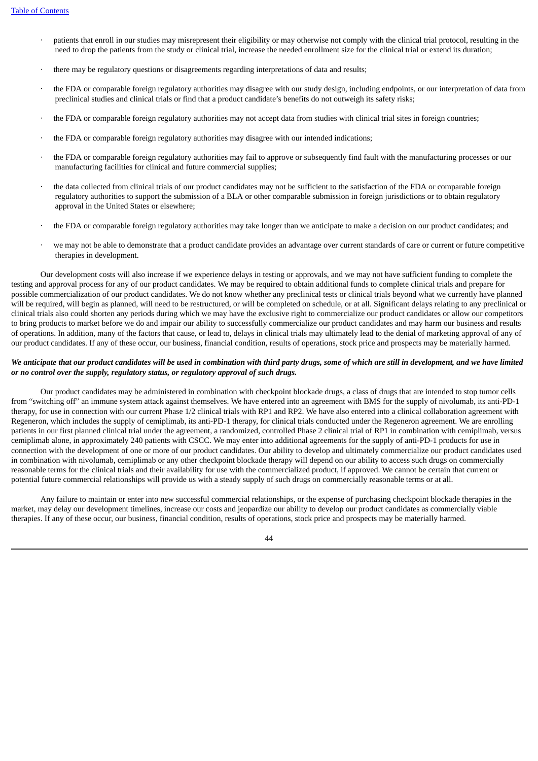- patients that enroll in our studies may misrepresent their eligibility or may otherwise not comply with the clinical trial protocol, resulting in the need to drop the patients from the study or clinical trial, increase the needed enrollment size for the clinical trial or extend its duration;
- · there may be regulatory questions or disagreements regarding interpretations of data and results;
- · the FDA or comparable foreign regulatory authorities may disagree with our study design, including endpoints, or our interpretation of data from preclinical studies and clinical trials or find that a product candidate's benefits do not outweigh its safety risks;
- · the FDA or comparable foreign regulatory authorities may not accept data from studies with clinical trial sites in foreign countries;
- the FDA or comparable foreign regulatory authorities may disagree with our intended indications;
- the FDA or comparable foreign regulatory authorities may fail to approve or subsequently find fault with the manufacturing processes or our manufacturing facilities for clinical and future commercial supplies;
- the data collected from clinical trials of our product candidates may not be sufficient to the satisfaction of the FDA or comparable foreign regulatory authorities to support the submission of a BLA or other comparable submission in foreign jurisdictions or to obtain regulatory approval in the United States or elsewhere;
- · the FDA or comparable foreign regulatory authorities may take longer than we anticipate to make a decision on our product candidates; and
- · we may not be able to demonstrate that a product candidate provides an advantage over current standards of care or current or future competitive therapies in development.

Our development costs will also increase if we experience delays in testing or approvals, and we may not have sufficient funding to complete the testing and approval process for any of our product candidates. We may be required to obtain additional funds to complete clinical trials and prepare for possible commercialization of our product candidates. We do not know whether any preclinical tests or clinical trials beyond what we currently have planned will be required, will begin as planned, will need to be restructured, or will be completed on schedule, or at all. Significant delays relating to any preclinical or clinical trials also could shorten any periods during which we may have the exclusive right to commercialize our product candidates or allow our competitors to bring products to market before we do and impair our ability to successfully commercialize our product candidates and may harm our business and results of operations. In addition, many of the factors that cause, or lead to, delays in clinical trials may ultimately lead to the denial of marketing approval of any of our product candidates. If any of these occur, our business, financial condition, results of operations, stock price and prospects may be materially harmed.

## We anticipate that our product candidates will be used in combination with third party drugs, some of which are still in development, and we have limited *or no control over the supply, regulatory status, or regulatory approval of such drugs.*

Our product candidates may be administered in combination with checkpoint blockade drugs, a class of drugs that are intended to stop tumor cells from "switching off" an immune system attack against themselves. We have entered into an agreement with BMS for the supply of nivolumab, its anti-PD-1 therapy, for use in connection with our current Phase 1/2 clinical trials with RP1 and RP2. We have also entered into a clinical collaboration agreement with Regeneron, which includes the supply of cemiplimab, its anti-PD-1 therapy, for clinical trials conducted under the Regeneron agreement. We are enrolling patients in our first planned clinical trial under the agreement, a randomized, controlled Phase 2 clinical trial of RP1 in combination with cemiplimab, versus cemiplimab alone, in approximately 240 patients with CSCC. We may enter into additional agreements for the supply of anti-PD-1 products for use in connection with the development of one or more of our product candidates. Our ability to develop and ultimately commercialize our product candidates used in combination with nivolumab, cemiplimab or any other checkpoint blockade therapy will depend on our ability to access such drugs on commercially reasonable terms for the clinical trials and their availability for use with the commercialized product, if approved. We cannot be certain that current or potential future commercial relationships will provide us with a steady supply of such drugs on commercially reasonable terms or at all.

Any failure to maintain or enter into new successful commercial relationships, or the expense of purchasing checkpoint blockade therapies in the market, may delay our development timelines, increase our costs and jeopardize our ability to develop our product candidates as commercially viable therapies. If any of these occur, our business, financial condition, results of operations, stock price and prospects may be materially harmed.

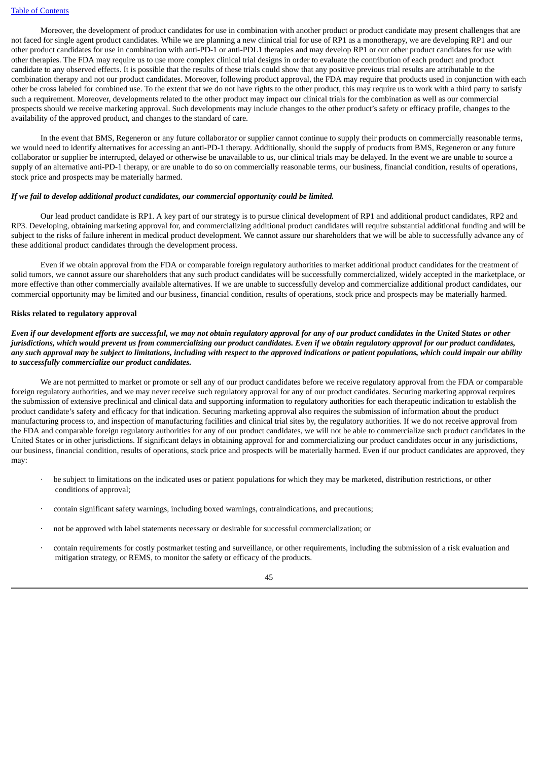Moreover, the development of product candidates for use in combination with another product or product candidate may present challenges that are not faced for single agent product candidates. While we are planning a new clinical trial for use of RP1 as a monotherapy, we are developing RP1 and our other product candidates for use in combination with anti-PD-1 or anti-PDL1 therapies and may develop RP1 or our other product candidates for use with other therapies. The FDA may require us to use more complex clinical trial designs in order to evaluate the contribution of each product and product candidate to any observed effects. It is possible that the results of these trials could show that any positive previous trial results are attributable to the combination therapy and not our product candidates. Moreover, following product approval, the FDA may require that products used in conjunction with each other be cross labeled for combined use. To the extent that we do not have rights to the other product, this may require us to work with a third party to satisfy such a requirement. Moreover, developments related to the other product may impact our clinical trials for the combination as well as our commercial prospects should we receive marketing approval. Such developments may include changes to the other product's safety or efficacy profile, changes to the availability of the approved product, and changes to the standard of care.

In the event that BMS, Regeneron or any future collaborator or supplier cannot continue to supply their products on commercially reasonable terms, we would need to identify alternatives for accessing an anti-PD-1 therapy. Additionally, should the supply of products from BMS, Regeneron or any future collaborator or supplier be interrupted, delayed or otherwise be unavailable to us, our clinical trials may be delayed. In the event we are unable to source a supply of an alternative anti-PD-1 therapy, or are unable to do so on commercially reasonable terms, our business, financial condition, results of operations, stock price and prospects may be materially harmed.

#### *If we fail to develop additional product candidates, our commercial opportunity could be limited.*

Our lead product candidate is RP1. A key part of our strategy is to pursue clinical development of RP1 and additional product candidates, RP2 and RP3. Developing, obtaining marketing approval for, and commercializing additional product candidates will require substantial additional funding and will be subject to the risks of failure inherent in medical product development. We cannot assure our shareholders that we will be able to successfully advance any of these additional product candidates through the development process.

Even if we obtain approval from the FDA or comparable foreign regulatory authorities to market additional product candidates for the treatment of solid tumors, we cannot assure our shareholders that any such product candidates will be successfully commercialized, widely accepted in the marketplace, or more effective than other commercially available alternatives. If we are unable to successfully develop and commercialize additional product candidates, our commercial opportunity may be limited and our business, financial condition, results of operations, stock price and prospects may be materially harmed.

#### **Risks related to regulatory approval**

Even if our development efforts are successful, we may not obtain regulatory approval for any of our product candidates in the United States or other jurisdictions, which would prevent us from commercializing our product candidates. Even if we obtain regulatory approval for our product candidates, any such approval may be subject to limitations, including with respect to the approved indications or patient populations, which could impair our ability *to successfully commercialize our product candidates.*

We are not permitted to market or promote or sell any of our product candidates before we receive regulatory approval from the FDA or comparable foreign regulatory authorities, and we may never receive such regulatory approval for any of our product candidates. Securing marketing approval requires the submission of extensive preclinical and clinical data and supporting information to regulatory authorities for each therapeutic indication to establish the product candidate's safety and efficacy for that indication. Securing marketing approval also requires the submission of information about the product manufacturing process to, and inspection of manufacturing facilities and clinical trial sites by, the regulatory authorities. If we do not receive approval from the FDA and comparable foreign regulatory authorities for any of our product candidates, we will not be able to commercialize such product candidates in the United States or in other jurisdictions. If significant delays in obtaining approval for and commercializing our product candidates occur in any jurisdictions, our business, financial condition, results of operations, stock price and prospects will be materially harmed. Even if our product candidates are approved, they may:

- be subject to limitations on the indicated uses or patient populations for which they may be marketed, distribution restrictions, or other conditions of approval;
- · contain significant safety warnings, including boxed warnings, contraindications, and precautions;
- · not be approved with label statements necessary or desirable for successful commercialization; or
- · contain requirements for costly postmarket testing and surveillance, or other requirements, including the submission of a risk evaluation and mitigation strategy, or REMS, to monitor the safety or efficacy of the products.

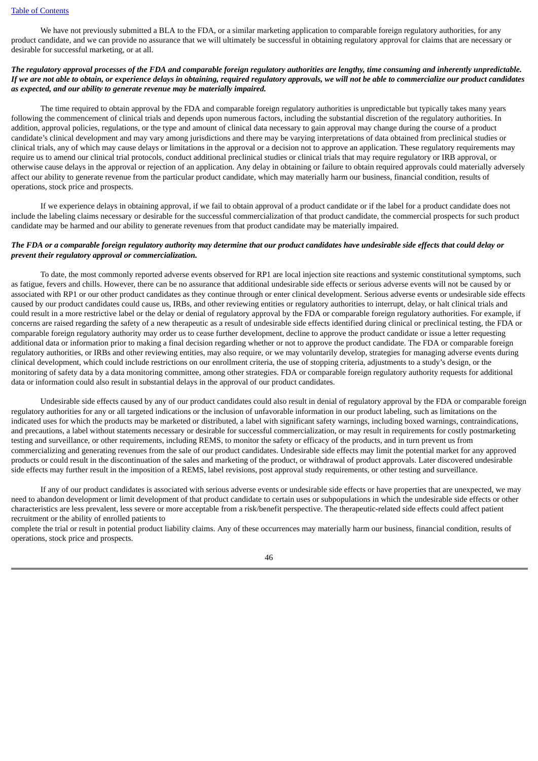#### Table of [Contents](#page-1-0)

We have not previously submitted a BLA to the FDA, or a similar marketing application to comparable foreign regulatory authorities, for any product candidate, and we can provide no assurance that we will ultimately be successful in obtaining regulatory approval for claims that are necessary or desirable for successful marketing, or at all.

## The regulatory approval processes of the FDA and comparable foreign regulatory authorities are lengthy, time consuming and inherently unpredictable. If we are not able to obtain, or experience delays in obtaining, required regulatory approvals, we will not be able to commercialize our product candidates *as expected, and our ability to generate revenue may be materially impaired.*

The time required to obtain approval by the FDA and comparable foreign regulatory authorities is unpredictable but typically takes many years following the commencement of clinical trials and depends upon numerous factors, including the substantial discretion of the regulatory authorities. In addition, approval policies, regulations, or the type and amount of clinical data necessary to gain approval may change during the course of a product candidate's clinical development and may vary among jurisdictions and there may be varying interpretations of data obtained from preclinical studies or clinical trials, any of which may cause delays or limitations in the approval or a decision not to approve an application. These regulatory requirements may require us to amend our clinical trial protocols, conduct additional preclinical studies or clinical trials that may require regulatory or IRB approval, or otherwise cause delays in the approval or rejection of an application. Any delay in obtaining or failure to obtain required approvals could materially adversely affect our ability to generate revenue from the particular product candidate, which may materially harm our business, financial condition, results of operations, stock price and prospects.

If we experience delays in obtaining approval, if we fail to obtain approval of a product candidate or if the label for a product candidate does not include the labeling claims necessary or desirable for the successful commercialization of that product candidate, the commercial prospects for such product candidate may be harmed and our ability to generate revenues from that product candidate may be materially impaired.

#### The FDA or a comparable foreign regulatory authority may determine that our product candidates have undesirable side effects that could delay or *prevent their regulatory approval or commercialization.*

To date, the most commonly reported adverse events observed for RP1 are local injection site reactions and systemic constitutional symptoms, such as fatigue, fevers and chills. However, there can be no assurance that additional undesirable side effects or serious adverse events will not be caused by or associated with RP1 or our other product candidates as they continue through or enter clinical development. Serious adverse events or undesirable side effects caused by our product candidates could cause us, IRBs, and other reviewing entities or regulatory authorities to interrupt, delay, or halt clinical trials and could result in a more restrictive label or the delay or denial of regulatory approval by the FDA or comparable foreign regulatory authorities. For example, if concerns are raised regarding the safety of a new therapeutic as a result of undesirable side effects identified during clinical or preclinical testing, the FDA or comparable foreign regulatory authority may order us to cease further development, decline to approve the product candidate or issue a letter requesting additional data or information prior to making a final decision regarding whether or not to approve the product candidate. The FDA or comparable foreign regulatory authorities, or IRBs and other reviewing entities, may also require, or we may voluntarily develop, strategies for managing adverse events during clinical development, which could include restrictions on our enrollment criteria, the use of stopping criteria, adjustments to a study's design, or the monitoring of safety data by a data monitoring committee, among other strategies. FDA or comparable foreign regulatory authority requests for additional data or information could also result in substantial delays in the approval of our product candidates.

Undesirable side effects caused by any of our product candidates could also result in denial of regulatory approval by the FDA or comparable foreign regulatory authorities for any or all targeted indications or the inclusion of unfavorable information in our product labeling, such as limitations on the indicated uses for which the products may be marketed or distributed, a label with significant safety warnings, including boxed warnings, contraindications, and precautions, a label without statements necessary or desirable for successful commercialization, or may result in requirements for costly postmarketing testing and surveillance, or other requirements, including REMS, to monitor the safety or efficacy of the products, and in turn prevent us from commercializing and generating revenues from the sale of our product candidates. Undesirable side effects may limit the potential market for any approved products or could result in the discontinuation of the sales and marketing of the product, or withdrawal of product approvals. Later discovered undesirable side effects may further result in the imposition of a REMS, label revisions, post approval study requirements, or other testing and surveillance.

If any of our product candidates is associated with serious adverse events or undesirable side effects or have properties that are unexpected, we may need to abandon development or limit development of that product candidate to certain uses or subpopulations in which the undesirable side effects or other characteristics are less prevalent, less severe or more acceptable from a risk/benefit perspective. The therapeutic-related side effects could affect patient recruitment or the ability of enrolled patients to

complete the trial or result in potential product liability claims. Any of these occurrences may materially harm our business, financial condition, results of operations, stock price and prospects.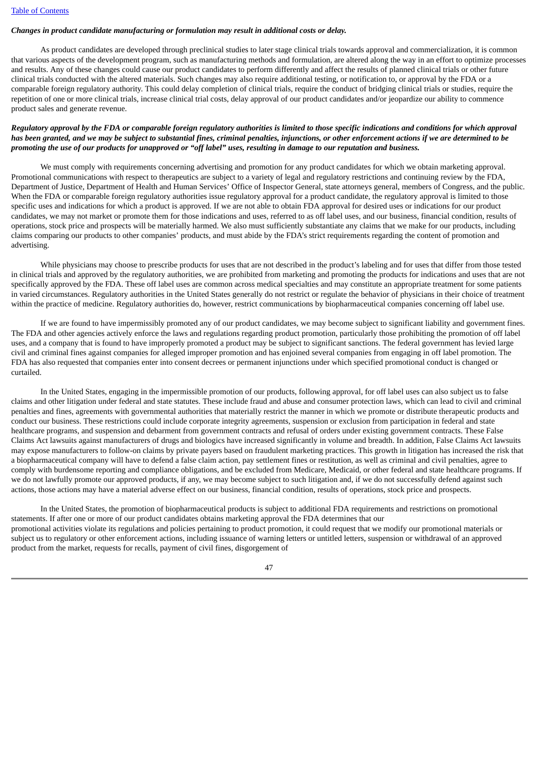#### *Changes in product candidate manufacturing or formulation may result in additional costs or delay.*

As product candidates are developed through preclinical studies to later stage clinical trials towards approval and commercialization, it is common that various aspects of the development program, such as manufacturing methods and formulation, are altered along the way in an effort to optimize processes and results. Any of these changes could cause our product candidates to perform differently and affect the results of planned clinical trials or other future clinical trials conducted with the altered materials. Such changes may also require additional testing, or notification to, or approval by the FDA or a comparable foreign regulatory authority. This could delay completion of clinical trials, require the conduct of bridging clinical trials or studies, require the repetition of one or more clinical trials, increase clinical trial costs, delay approval of our product candidates and/or jeopardize our ability to commence product sales and generate revenue.

## Regulatory approval by the FDA or comparable foreign regulatory authorities is limited to those specific indications and conditions for which approval has been granted, and we may be subject to substantial fines, criminal penalties, injunctions, or other enforcement actions if we are determined to be promoting the use of our products for unapproved or "off label" uses, resulting in damage to our reputation and business.

We must comply with requirements concerning advertising and promotion for any product candidates for which we obtain marketing approval. Promotional communications with respect to therapeutics are subject to a variety of legal and regulatory restrictions and continuing review by the FDA, Department of Justice, Department of Health and Human Services' Office of Inspector General, state attorneys general, members of Congress, and the public. When the FDA or comparable foreign regulatory authorities issue regulatory approval for a product candidate, the regulatory approval is limited to those specific uses and indications for which a product is approved. If we are not able to obtain FDA approval for desired uses or indications for our product candidates, we may not market or promote them for those indications and uses, referred to as off label uses, and our business, financial condition, results of operations, stock price and prospects will be materially harmed. We also must sufficiently substantiate any claims that we make for our products, including claims comparing our products to other companies' products, and must abide by the FDA's strict requirements regarding the content of promotion and advertising.

While physicians may choose to prescribe products for uses that are not described in the product's labeling and for uses that differ from those tested in clinical trials and approved by the regulatory authorities, we are prohibited from marketing and promoting the products for indications and uses that are not specifically approved by the FDA. These off label uses are common across medical specialties and may constitute an appropriate treatment for some patients in varied circumstances. Regulatory authorities in the United States generally do not restrict or regulate the behavior of physicians in their choice of treatment within the practice of medicine. Regulatory authorities do, however, restrict communications by biopharmaceutical companies concerning off label use.

If we are found to have impermissibly promoted any of our product candidates, we may become subject to significant liability and government fines. The FDA and other agencies actively enforce the laws and regulations regarding product promotion, particularly those prohibiting the promotion of off label uses, and a company that is found to have improperly promoted a product may be subject to significant sanctions. The federal government has levied large civil and criminal fines against companies for alleged improper promotion and has enjoined several companies from engaging in off label promotion. The FDA has also requested that companies enter into consent decrees or permanent injunctions under which specified promotional conduct is changed or curtailed.

In the United States, engaging in the impermissible promotion of our products, following approval, for off label uses can also subject us to false claims and other litigation under federal and state statutes. These include fraud and abuse and consumer protection laws, which can lead to civil and criminal penalties and fines, agreements with governmental authorities that materially restrict the manner in which we promote or distribute therapeutic products and conduct our business. These restrictions could include corporate integrity agreements, suspension or exclusion from participation in federal and state healthcare programs, and suspension and debarment from government contracts and refusal of orders under existing government contracts. These False Claims Act lawsuits against manufacturers of drugs and biologics have increased significantly in volume and breadth. In addition, False Claims Act lawsuits may expose manufacturers to follow-on claims by private payers based on fraudulent marketing practices. This growth in litigation has increased the risk that a biopharmaceutical company will have to defend a false claim action, pay settlement fines or restitution, as well as criminal and civil penalties, agree to comply with burdensome reporting and compliance obligations, and be excluded from Medicare, Medicaid, or other federal and state healthcare programs. If we do not lawfully promote our approved products, if any, we may become subject to such litigation and, if we do not successfully defend against such actions, those actions may have a material adverse effect on our business, financial condition, results of operations, stock price and prospects.

In the United States, the promotion of biopharmaceutical products is subject to additional FDA requirements and restrictions on promotional statements. If after one or more of our product candidates obtains marketing approval the FDA determines that our promotional activities violate its regulations and policies pertaining to product promotion, it could request that we modify our promotional materials or subject us to regulatory or other enforcement actions, including issuance of warning letters or untitled letters, suspension or withdrawal of an approved product from the market, requests for recalls, payment of civil fines, disgorgement of

47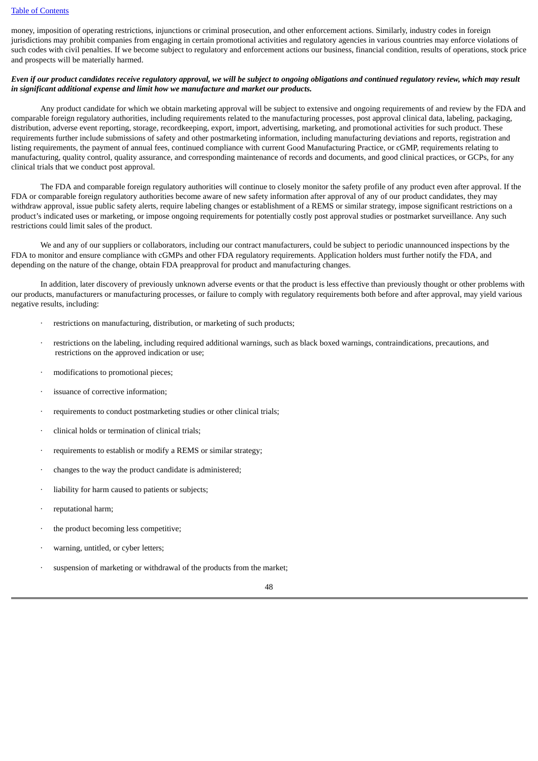# Table of [Contents](#page-1-0)

money, imposition of operating restrictions, injunctions or criminal prosecution, and other enforcement actions. Similarly, industry codes in foreign jurisdictions may prohibit companies from engaging in certain promotional activities and regulatory agencies in various countries may enforce violations of such codes with civil penalties. If we become subject to regulatory and enforcement actions our business, financial condition, results of operations, stock price and prospects will be materially harmed.

### Even if our product candidates receive regulatory approval, we will be subject to ongoing obligations and continued regulatory review, which may result *in significant additional expense and limit how we manufacture and market our products.*

Any product candidate for which we obtain marketing approval will be subject to extensive and ongoing requirements of and review by the FDA and comparable foreign regulatory authorities, including requirements related to the manufacturing processes, post approval clinical data, labeling, packaging, distribution, adverse event reporting, storage, recordkeeping, export, import, advertising, marketing, and promotional activities for such product. These requirements further include submissions of safety and other postmarketing information, including manufacturing deviations and reports, registration and listing requirements, the payment of annual fees, continued compliance with current Good Manufacturing Practice, or cGMP, requirements relating to manufacturing, quality control, quality assurance, and corresponding maintenance of records and documents, and good clinical practices, or GCPs, for any clinical trials that we conduct post approval.

The FDA and comparable foreign regulatory authorities will continue to closely monitor the safety profile of any product even after approval. If the FDA or comparable foreign regulatory authorities become aware of new safety information after approval of any of our product candidates, they may withdraw approval, issue public safety alerts, require labeling changes or establishment of a REMS or similar strategy, impose significant restrictions on a product's indicated uses or marketing, or impose ongoing requirements for potentially costly post approval studies or postmarket surveillance. Any such restrictions could limit sales of the product.

We and any of our suppliers or collaborators, including our contract manufacturers, could be subject to periodic unannounced inspections by the FDA to monitor and ensure compliance with cGMPs and other FDA regulatory requirements. Application holders must further notify the FDA, and depending on the nature of the change, obtain FDA preapproval for product and manufacturing changes.

In addition, later discovery of previously unknown adverse events or that the product is less effective than previously thought or other problems with our products, manufacturers or manufacturing processes, or failure to comply with regulatory requirements both before and after approval, may yield various negative results, including:

- restrictions on manufacturing, distribution, or marketing of such products;
- restrictions on the labeling, including required additional warnings, such as black boxed warnings, contraindications, precautions, and restrictions on the approved indication or use;
- · modifications to promotional pieces;
- issuance of corrective information;
- · requirements to conduct postmarketing studies or other clinical trials;
- · clinical holds or termination of clinical trials;
- requirements to establish or modify a REMS or similar strategy;
- · changes to the way the product candidate is administered;
- liability for harm caused to patients or subjects;
- reputational harm;
- the product becoming less competitive;
- warning, untitled, or cyber letters;
- suspension of marketing or withdrawal of the products from the market;

48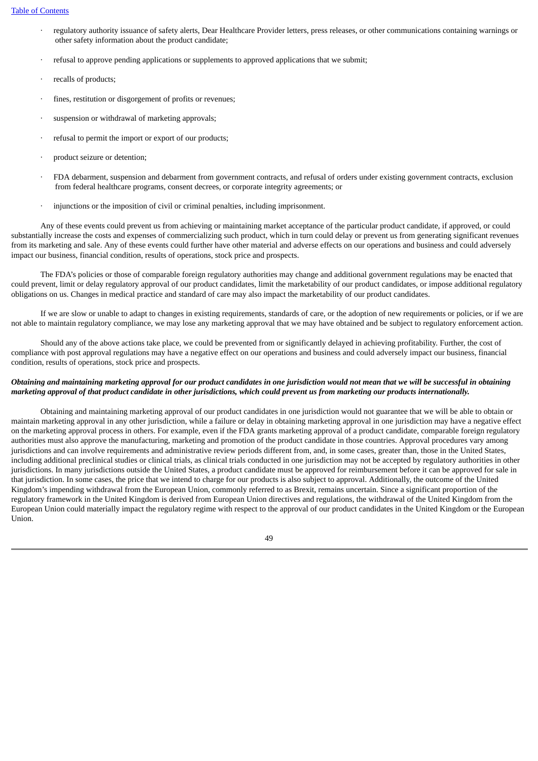- · regulatory authority issuance of safety alerts, Dear Healthcare Provider letters, press releases, or other communications containing warnings or other safety information about the product candidate;
- · refusal to approve pending applications or supplements to approved applications that we submit;
- recalls of products;
- fines, restitution or disgorgement of profits or revenues;
- suspension or withdrawal of marketing approvals;
- refusal to permit the import or export of our products;
- product seizure or detention:
- · FDA debarment, suspension and debarment from government contracts, and refusal of orders under existing government contracts, exclusion from federal healthcare programs, consent decrees, or corporate integrity agreements; or
- injunctions or the imposition of civil or criminal penalties, including imprisonment.

Any of these events could prevent us from achieving or maintaining market acceptance of the particular product candidate, if approved, or could substantially increase the costs and expenses of commercializing such product, which in turn could delay or prevent us from generating significant revenues from its marketing and sale. Any of these events could further have other material and adverse effects on our operations and business and could adversely impact our business, financial condition, results of operations, stock price and prospects.

The FDA's policies or those of comparable foreign regulatory authorities may change and additional government regulations may be enacted that could prevent, limit or delay regulatory approval of our product candidates, limit the marketability of our product candidates, or impose additional regulatory obligations on us. Changes in medical practice and standard of care may also impact the marketability of our product candidates.

If we are slow or unable to adapt to changes in existing requirements, standards of care, or the adoption of new requirements or policies, or if we are not able to maintain regulatory compliance, we may lose any marketing approval that we may have obtained and be subject to regulatory enforcement action.

Should any of the above actions take place, we could be prevented from or significantly delayed in achieving profitability. Further, the cost of compliance with post approval regulations may have a negative effect on our operations and business and could adversely impact our business, financial condition, results of operations, stock price and prospects.

### Obtaining and maintaining marketing approval for our product candidates in one jurisdiction would not mean that we will be successful in obtaining marketing approval of that product candidate in other jurisdictions, which could prevent us from marketing our products internationally.

Obtaining and maintaining marketing approval of our product candidates in one jurisdiction would not guarantee that we will be able to obtain or maintain marketing approval in any other jurisdiction, while a failure or delay in obtaining marketing approval in one jurisdiction may have a negative effect on the marketing approval process in others. For example, even if the FDA grants marketing approval of a product candidate, comparable foreign regulatory authorities must also approve the manufacturing, marketing and promotion of the product candidate in those countries. Approval procedures vary among jurisdictions and can involve requirements and administrative review periods different from, and, in some cases, greater than, those in the United States, including additional preclinical studies or clinical trials, as clinical trials conducted in one jurisdiction may not be accepted by regulatory authorities in other jurisdictions. In many jurisdictions outside the United States, a product candidate must be approved for reimbursement before it can be approved for sale in that jurisdiction. In some cases, the price that we intend to charge for our products is also subject to approval. Additionally, the outcome of the United Kingdom's impending withdrawal from the European Union, commonly referred to as Brexit, remains uncertain. Since a significant proportion of the regulatory framework in the United Kingdom is derived from European Union directives and regulations, the withdrawal of the United Kingdom from the European Union could materially impact the regulatory regime with respect to the approval of our product candidates in the United Kingdom or the European Union.

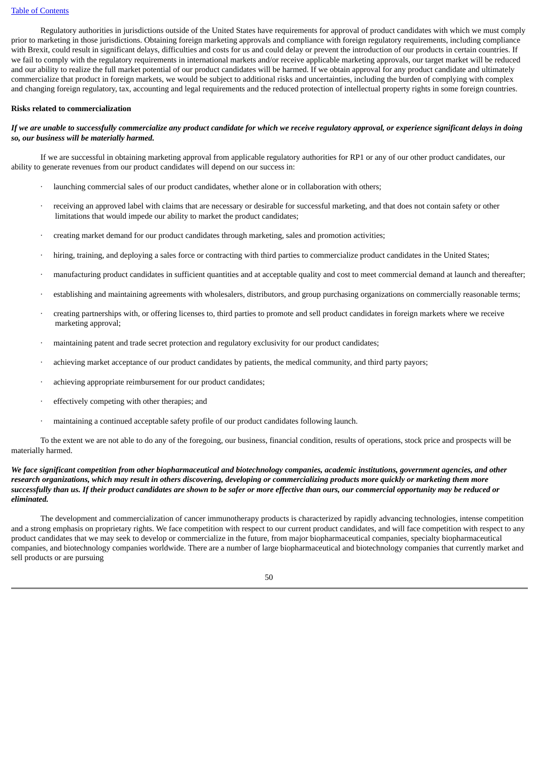Regulatory authorities in jurisdictions outside of the United States have requirements for approval of product candidates with which we must comply prior to marketing in those jurisdictions. Obtaining foreign marketing approvals and compliance with foreign regulatory requirements, including compliance with Brexit, could result in significant delays, difficulties and costs for us and could delay or prevent the introduction of our products in certain countries. If we fail to comply with the regulatory requirements in international markets and/or receive applicable marketing approvals, our target market will be reduced and our ability to realize the full market potential of our product candidates will be harmed. If we obtain approval for any product candidate and ultimately commercialize that product in foreign markets, we would be subject to additional risks and uncertainties, including the burden of complying with complex and changing foreign regulatory, tax, accounting and legal requirements and the reduced protection of intellectual property rights in some foreign countries.

#### **Risks related to commercialization**

## If we are unable to successfully commercialize any product candidate for which we receive regulatory approval, or experience significant delays in doing *so, our business will be materially harmed.*

If we are successful in obtaining marketing approval from applicable regulatory authorities for RP1 or any of our other product candidates, our ability to generate revenues from our product candidates will depend on our success in:

- launching commercial sales of our product candidates, whether alone or in collaboration with others;
- receiving an approved label with claims that are necessary or desirable for successful marketing, and that does not contain safety or other limitations that would impede our ability to market the product candidates;
- · creating market demand for our product candidates through marketing, sales and promotion activities;
- · hiring, training, and deploying a sales force or contracting with third parties to commercialize product candidates in the United States;
- · manufacturing product candidates in sufficient quantities and at acceptable quality and cost to meet commercial demand at launch and thereafter;
- · establishing and maintaining agreements with wholesalers, distributors, and group purchasing organizations on commercially reasonable terms;
- · creating partnerships with, or offering licenses to, third parties to promote and sell product candidates in foreign markets where we receive marketing approval;
- · maintaining patent and trade secret protection and regulatory exclusivity for our product candidates;
- achieving market acceptance of our product candidates by patients, the medical community, and third party payors;
- achieving appropriate reimbursement for our product candidates;
- effectively competing with other therapies; and
- maintaining a continued acceptable safety profile of our product candidates following launch.

To the extent we are not able to do any of the foregoing, our business, financial condition, results of operations, stock price and prospects will be materially harmed.

## We face significant competition from other biopharmaceutical and biotechnology companies, academic institutions, government agencies, and other research organizations, which may result in others discovering, developing or commercializing products more quickly or marketing them more successfully than us. If their product candidates are shown to be safer or more effective than ours, our commercial opportunity may be reduced or *eliminated.*

The development and commercialization of cancer immunotherapy products is characterized by rapidly advancing technologies, intense competition and a strong emphasis on proprietary rights. We face competition with respect to our current product candidates, and will face competition with respect to any product candidates that we may seek to develop or commercialize in the future, from major biopharmaceutical companies, specialty biopharmaceutical companies, and biotechnology companies worldwide. There are a number of large biopharmaceutical and biotechnology companies that currently market and sell products or are pursuing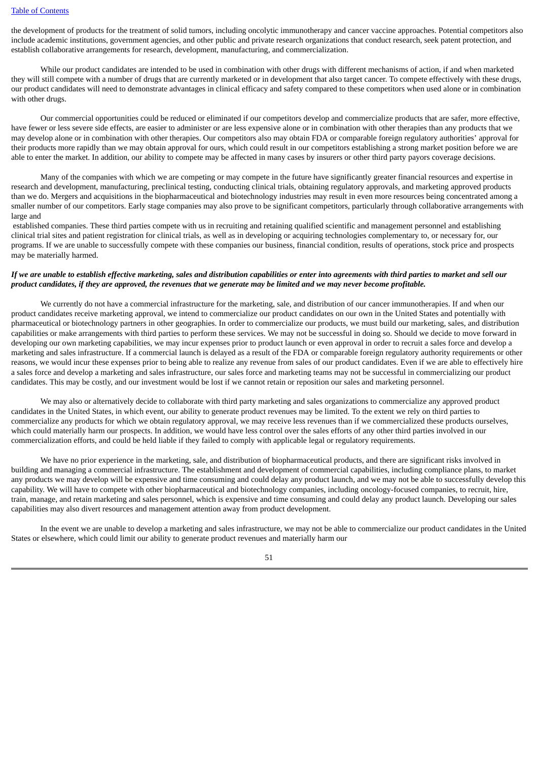the development of products for the treatment of solid tumors, including oncolytic immunotherapy and cancer vaccine approaches. Potential competitors also include academic institutions, government agencies, and other public and private research organizations that conduct research, seek patent protection, and establish collaborative arrangements for research, development, manufacturing, and commercialization.

While our product candidates are intended to be used in combination with other drugs with different mechanisms of action, if and when marketed they will still compete with a number of drugs that are currently marketed or in development that also target cancer. To compete effectively with these drugs, our product candidates will need to demonstrate advantages in clinical efficacy and safety compared to these competitors when used alone or in combination with other drugs.

Our commercial opportunities could be reduced or eliminated if our competitors develop and commercialize products that are safer, more effective, have fewer or less severe side effects, are easier to administer or are less expensive alone or in combination with other therapies than any products that we may develop alone or in combination with other therapies. Our competitors also may obtain FDA or comparable foreign regulatory authorities' approval for their products more rapidly than we may obtain approval for ours, which could result in our competitors establishing a strong market position before we are able to enter the market. In addition, our ability to compete may be affected in many cases by insurers or other third party payors coverage decisions.

Many of the companies with which we are competing or may compete in the future have significantly greater financial resources and expertise in research and development, manufacturing, preclinical testing, conducting clinical trials, obtaining regulatory approvals, and marketing approved products than we do. Mergers and acquisitions in the biopharmaceutical and biotechnology industries may result in even more resources being concentrated among a smaller number of our competitors. Early stage companies may also prove to be significant competitors, particularly through collaborative arrangements with large and

established companies. These third parties compete with us in recruiting and retaining qualified scientific and management personnel and establishing clinical trial sites and patient registration for clinical trials, as well as in developing or acquiring technologies complementary to, or necessary for, our programs. If we are unable to successfully compete with these companies our business, financial condition, results of operations, stock price and prospects may be materially harmed.

## If we are unable to establish effective marketina, sales and distribution capabilities or enter into aareements with third parties to market and sell our product candidates, if they are approved, the revenues that we generate may be limited and we may never become profitable.

We currently do not have a commercial infrastructure for the marketing, sale, and distribution of our cancer immunotherapies. If and when our product candidates receive marketing approval, we intend to commercialize our product candidates on our own in the United States and potentially with pharmaceutical or biotechnology partners in other geographies. In order to commercialize our products, we must build our marketing, sales, and distribution capabilities or make arrangements with third parties to perform these services. We may not be successful in doing so. Should we decide to move forward in developing our own marketing capabilities, we may incur expenses prior to product launch or even approval in order to recruit a sales force and develop a marketing and sales infrastructure. If a commercial launch is delayed as a result of the FDA or comparable foreign regulatory authority requirements or other reasons, we would incur these expenses prior to being able to realize any revenue from sales of our product candidates. Even if we are able to effectively hire a sales force and develop a marketing and sales infrastructure, our sales force and marketing teams may not be successful in commercializing our product candidates. This may be costly, and our investment would be lost if we cannot retain or reposition our sales and marketing personnel.

We may also or alternatively decide to collaborate with third party marketing and sales organizations to commercialize any approved product candidates in the United States, in which event, our ability to generate product revenues may be limited. To the extent we rely on third parties to commercialize any products for which we obtain regulatory approval, we may receive less revenues than if we commercialized these products ourselves, which could materially harm our prospects. In addition, we would have less control over the sales efforts of any other third parties involved in our commercialization efforts, and could be held liable if they failed to comply with applicable legal or regulatory requirements.

We have no prior experience in the marketing, sale, and distribution of biopharmaceutical products, and there are significant risks involved in building and managing a commercial infrastructure. The establishment and development of commercial capabilities, including compliance plans, to market any products we may develop will be expensive and time consuming and could delay any product launch, and we may not be able to successfully develop this capability. We will have to compete with other biopharmaceutical and biotechnology companies, including oncology-focused companies, to recruit, hire, train, manage, and retain marketing and sales personnel, which is expensive and time consuming and could delay any product launch. Developing our sales capabilities may also divert resources and management attention away from product development.

In the event we are unable to develop a marketing and sales infrastructure, we may not be able to commercialize our product candidates in the United States or elsewhere, which could limit our ability to generate product revenues and materially harm our

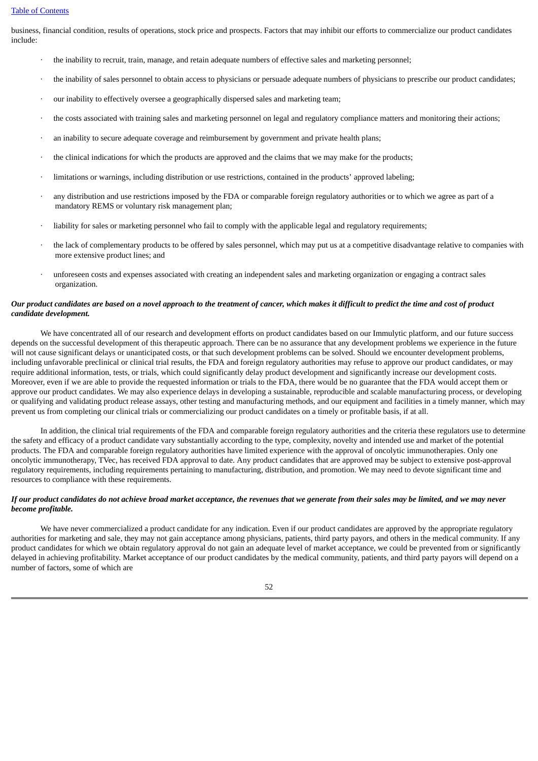business, financial condition, results of operations, stock price and prospects. Factors that may inhibit our efforts to commercialize our product candidates include:

- the inability to recruit, train, manage, and retain adequate numbers of effective sales and marketing personnel;
- · the inability of sales personnel to obtain access to physicians or persuade adequate numbers of physicians to prescribe our product candidates;
- · our inability to effectively oversee a geographically dispersed sales and marketing team;
- the costs associated with training sales and marketing personnel on legal and regulatory compliance matters and monitoring their actions;
- · an inability to secure adequate coverage and reimbursement by government and private health plans;
- · the clinical indications for which the products are approved and the claims that we may make for the products;
- limitations or warnings, including distribution or use restrictions, contained in the products' approved labeling;
- any distribution and use restrictions imposed by the FDA or comparable foreign regulatory authorities or to which we agree as part of a mandatory REMS or voluntary risk management plan;
- liability for sales or marketing personnel who fail to comply with the applicable legal and regulatory requirements;
- the lack of complementary products to be offered by sales personnel, which may put us at a competitive disadvantage relative to companies with more extensive product lines; and
- · unforeseen costs and expenses associated with creating an independent sales and marketing organization or engaging a contract sales organization.

# Our product candidates are based on a novel approach to the treatment of cancer, which makes it difficult to predict the time and cost of product *candidate development.*

We have concentrated all of our research and development efforts on product candidates based on our Immulytic platform, and our future success depends on the successful development of this therapeutic approach. There can be no assurance that any development problems we experience in the future will not cause significant delays or unanticipated costs, or that such development problems can be solved. Should we encounter development problems, including unfavorable preclinical or clinical trial results, the FDA and foreign regulatory authorities may refuse to approve our product candidates, or may require additional information, tests, or trials, which could significantly delay product development and significantly increase our development costs. Moreover, even if we are able to provide the requested information or trials to the FDA, there would be no guarantee that the FDA would accept them or approve our product candidates. We may also experience delays in developing a sustainable, reproducible and scalable manufacturing process, or developing or qualifying and validating product release assays, other testing and manufacturing methods, and our equipment and facilities in a timely manner, which may prevent us from completing our clinical trials or commercializing our product candidates on a timely or profitable basis, if at all.

In addition, the clinical trial requirements of the FDA and comparable foreign regulatory authorities and the criteria these regulators use to determine the safety and efficacy of a product candidate vary substantially according to the type, complexity, novelty and intended use and market of the potential products. The FDA and comparable foreign regulatory authorities have limited experience with the approval of oncolytic immunotherapies. Only one oncolytic immunotherapy, TVec, has received FDA approval to date. Any product candidates that are approved may be subject to extensive post-approval regulatory requirements, including requirements pertaining to manufacturing, distribution, and promotion. We may need to devote significant time and resources to compliance with these requirements.

# If our product candidates do not achieve broad market acceptance, the revenues that we generate from their sales may be limited, and we may never *become profitable.*

We have never commercialized a product candidate for any indication. Even if our product candidates are approved by the appropriate regulatory authorities for marketing and sale, they may not gain acceptance among physicians, patients, third party payors, and others in the medical community. If any product candidates for which we obtain regulatory approval do not gain an adequate level of market acceptance, we could be prevented from or significantly delayed in achieving profitability. Market acceptance of our product candidates by the medical community, patients, and third party payors will depend on a number of factors, some of which are

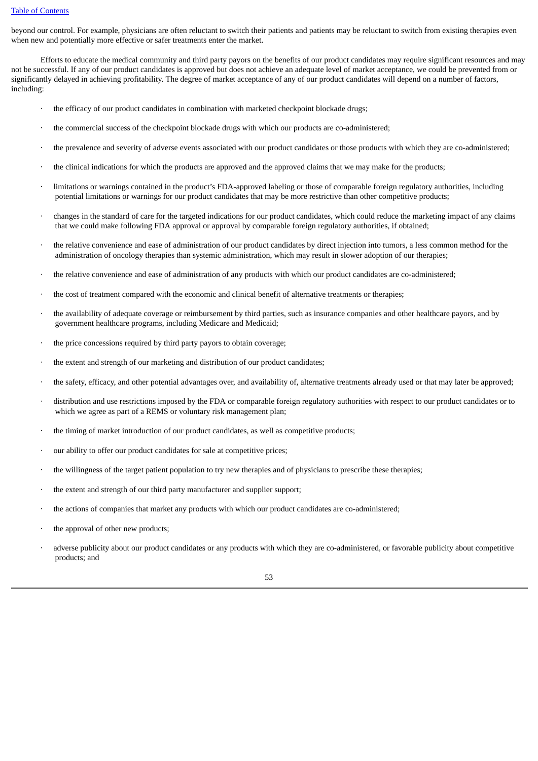beyond our control. For example, physicians are often reluctant to switch their patients and patients may be reluctant to switch from existing therapies even when new and potentially more effective or safer treatments enter the market.

Efforts to educate the medical community and third party payors on the benefits of our product candidates may require significant resources and may not be successful. If any of our product candidates is approved but does not achieve an adequate level of market acceptance, we could be prevented from or significantly delayed in achieving profitability. The degree of market acceptance of any of our product candidates will depend on a number of factors, including:

- · the efficacy of our product candidates in combination with marketed checkpoint blockade drugs;
- the commercial success of the checkpoint blockade drugs with which our products are co-administered;
- · the prevalence and severity of adverse events associated with our product candidates or those products with which they are co-administered;
- the clinical indications for which the products are approved and the approved claims that we may make for the products;
- limitations or warnings contained in the product's FDA-approved labeling or those of comparable foreign regulatory authorities, including potential limitations or warnings for our product candidates that may be more restrictive than other competitive products;
- · changes in the standard of care for the targeted indications for our product candidates, which could reduce the marketing impact of any claims that we could make following FDA approval or approval by comparable foreign regulatory authorities, if obtained;
- the relative convenience and ease of administration of our product candidates by direct injection into tumors, a less common method for the administration of oncology therapies than systemic administration, which may result in slower adoption of our therapies;
- · the relative convenience and ease of administration of any products with which our product candidates are co-administered;
- the cost of treatment compared with the economic and clinical benefit of alternative treatments or therapies;
- the availability of adequate coverage or reimbursement by third parties, such as insurance companies and other healthcare payors, and by government healthcare programs, including Medicare and Medicaid;
- the price concessions required by third party payors to obtain coverage;
- the extent and strength of our marketing and distribution of our product candidates;
- · the safety, efficacy, and other potential advantages over, and availability of, alternative treatments already used or that may later be approved;
- distribution and use restrictions imposed by the FDA or comparable foreign regulatory authorities with respect to our product candidates or to which we agree as part of a REMS or voluntary risk management plan;
- · the timing of market introduction of our product candidates, as well as competitive products;
- our ability to offer our product candidates for sale at competitive prices;
- the willingness of the target patient population to try new therapies and of physicians to prescribe these therapies;
- the extent and strength of our third party manufacturer and supplier support;
- the actions of companies that market any products with which our product candidates are co-administered;
- the approval of other new products;
- adverse publicity about our product candidates or any products with which they are co-administered, or favorable publicity about competitive products; and

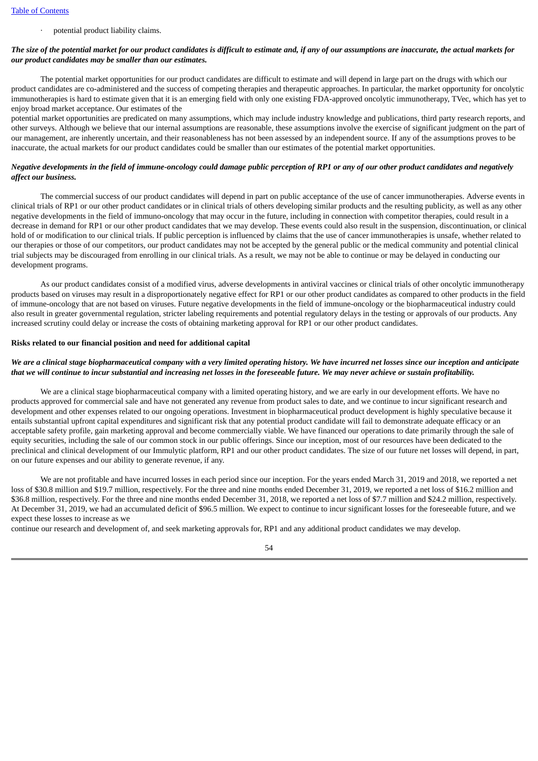potential product liability claims.

#### The size of the potential market for our product candidates is difficult to estimate and, if any of our assumptions are inaccurate, the actual markets for *our product candidates may be smaller than our estimates.*

The potential market opportunities for our product candidates are difficult to estimate and will depend in large part on the drugs with which our product candidates are co-administered and the success of competing therapies and therapeutic approaches. In particular, the market opportunity for oncolytic immunotherapies is hard to estimate given that it is an emerging field with only one existing FDA-approved oncolytic immunotherapy, TVec, which has yet to enjoy broad market acceptance. Our estimates of the

potential market opportunities are predicated on many assumptions, which may include industry knowledge and publications, third party research reports, and other surveys. Although we believe that our internal assumptions are reasonable, these assumptions involve the exercise of significant judgment on the part of our management, are inherently uncertain, and their reasonableness has not been assessed by an independent source. If any of the assumptions proves to be inaccurate, the actual markets for our product candidates could be smaller than our estimates of the potential market opportunities.

### Negative developments in the field of immune-oncology could damage public perception of RP1 or any of our other product candidates and negatively *affect our business.*

The commercial success of our product candidates will depend in part on public acceptance of the use of cancer immunotherapies. Adverse events in clinical trials of RP1 or our other product candidates or in clinical trials of others developing similar products and the resulting publicity, as well as any other negative developments in the field of immuno-oncology that may occur in the future, including in connection with competitor therapies, could result in a decrease in demand for RP1 or our other product candidates that we may develop. These events could also result in the suspension, discontinuation, or clinical hold of or modification to our clinical trials. If public perception is influenced by claims that the use of cancer immunotherapies is unsafe, whether related to our therapies or those of our competitors, our product candidates may not be accepted by the general public or the medical community and potential clinical trial subjects may be discouraged from enrolling in our clinical trials. As a result, we may not be able to continue or may be delayed in conducting our development programs.

As our product candidates consist of a modified virus, adverse developments in antiviral vaccines or clinical trials of other oncolytic immunotherapy products based on viruses may result in a disproportionately negative effect for RP1 or our other product candidates as compared to other products in the field of immune-oncology that are not based on viruses. Future negative developments in the field of immune-oncology or the biopharmaceutical industry could also result in greater governmental regulation, stricter labeling requirements and potential regulatory delays in the testing or approvals of our products. Any increased scrutiny could delay or increase the costs of obtaining marketing approval for RP1 or our other product candidates.

#### **Risks related to our financial position and need for additional capital**

#### We are a clinical stage biopharmaceutical company with a very limited operating history. We have incurred net losses since our inception and anticipate that we will continue to incur substantial and increasing net losses in the foreseeable future. We may never achieve or sustain profitability.

We are a clinical stage biopharmaceutical company with a limited operating history, and we are early in our development efforts. We have no products approved for commercial sale and have not generated any revenue from product sales to date, and we continue to incur significant research and development and other expenses related to our ongoing operations. Investment in biopharmaceutical product development is highly speculative because it entails substantial upfront capital expenditures and significant risk that any potential product candidate will fail to demonstrate adequate efficacy or an acceptable safety profile, gain marketing approval and become commercially viable. We have financed our operations to date primarily through the sale of equity securities, including the sale of our common stock in our public offerings. Since our inception, most of our resources have been dedicated to the preclinical and clinical development of our Immulytic platform, RP1 and our other product candidates. The size of our future net losses will depend, in part, on our future expenses and our ability to generate revenue, if any.

We are not profitable and have incurred losses in each period since our inception. For the years ended March 31, 2019 and 2018, we reported a net loss of \$30.8 million and \$19.7 million, respectively. For the three and nine months ended December 31, 2019, we reported a net loss of \$16.2 million and \$36.8 million, respectively. For the three and nine months ended December 31, 2018, we reported a net loss of \$7.7 million and \$24.2 million, respectively. At December 31, 2019, we had an accumulated deficit of \$96.5 million. We expect to continue to incur significant losses for the foreseeable future, and we expect these losses to increase as we

continue our research and development of, and seek marketing approvals for, RP1 and any additional product candidates we may develop.

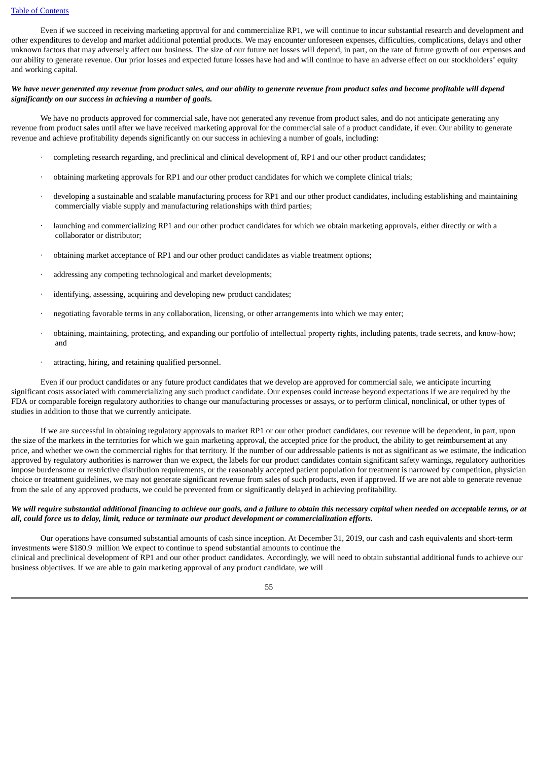#### Table of [Contents](#page-1-0)

Even if we succeed in receiving marketing approval for and commercialize RP1, we will continue to incur substantial research and development and other expenditures to develop and market additional potential products. We may encounter unforeseen expenses, difficulties, complications, delays and other unknown factors that may adversely affect our business. The size of our future net losses will depend, in part, on the rate of future growth of our expenses and our ability to generate revenue. Our prior losses and expected future losses have had and will continue to have an adverse effect on our stockholders' equity and working capital.

## We have never generated any revenue from product sales, and our ability to generate revenue from product sales and become profitable will depend *significantly on our success in achieving a number of goals.*

We have no products approved for commercial sale, have not generated any revenue from product sales, and do not anticipate generating any revenue from product sales until after we have received marketing approval for the commercial sale of a product candidate, if ever. Our ability to generate revenue and achieve profitability depends significantly on our success in achieving a number of goals, including:

- · completing research regarding, and preclinical and clinical development of, RP1 and our other product candidates;
- · obtaining marketing approvals for RP1 and our other product candidates for which we complete clinical trials;
- developing a sustainable and scalable manufacturing process for RP1 and our other product candidates, including establishing and maintaining commercially viable supply and manufacturing relationships with third parties;
- launching and commercializing RP1 and our other product candidates for which we obtain marketing approvals, either directly or with a collaborator or distributor;
- · obtaining market acceptance of RP1 and our other product candidates as viable treatment options;
- addressing any competing technological and market developments;
- identifying, assessing, acquiring and developing new product candidates;
- · negotiating favorable terms in any collaboration, licensing, or other arrangements into which we may enter;
- · obtaining, maintaining, protecting, and expanding our portfolio of intellectual property rights, including patents, trade secrets, and know-how; and
- attracting, hiring, and retaining qualified personnel.

Even if our product candidates or any future product candidates that we develop are approved for commercial sale, we anticipate incurring significant costs associated with commercializing any such product candidate. Our expenses could increase beyond expectations if we are required by the FDA or comparable foreign regulatory authorities to change our manufacturing processes or assays, or to perform clinical, nonclinical, or other types of studies in addition to those that we currently anticipate.

If we are successful in obtaining regulatory approvals to market RP1 or our other product candidates, our revenue will be dependent, in part, upon the size of the markets in the territories for which we gain marketing approval, the accepted price for the product, the ability to get reimbursement at any price, and whether we own the commercial rights for that territory. If the number of our addressable patients is not as significant as we estimate, the indication approved by regulatory authorities is narrower than we expect, the labels for our product candidates contain significant safety warnings, regulatory authorities impose burdensome or restrictive distribution requirements, or the reasonably accepted patient population for treatment is narrowed by competition, physician choice or treatment guidelines, we may not generate significant revenue from sales of such products, even if approved. If we are not able to generate revenue from the sale of any approved products, we could be prevented from or significantly delayed in achieving profitability.

## We will require substantial additional financing to achieve our goals, and a failure to obtain this necessary capital when needed on acceptable terms, or at *all, could force us to delay, limit, reduce or terminate our product development or commercialization efforts.*

Our operations have consumed substantial amounts of cash since inception. At December 31, 2019, our cash and cash equivalents and short-term investments were \$180.9 million We expect to continue to spend substantial amounts to continue the clinical and preclinical development of RP1 and our other product candidates. Accordingly, we will need to obtain substantial additional funds to achieve our business objectives. If we are able to gain marketing approval of any product candidate, we will

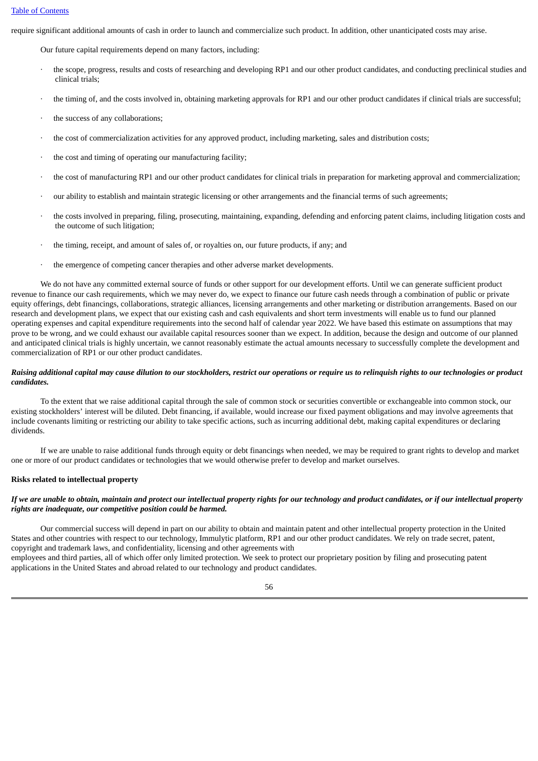## Table of [Contents](#page-1-0)

require significant additional amounts of cash in order to launch and commercialize such product. In addition, other unanticipated costs may arise.

Our future capital requirements depend on many factors, including:

- · the scope, progress, results and costs of researching and developing RP1 and our other product candidates, and conducting preclinical studies and clinical trials;
- · the timing of, and the costs involved in, obtaining marketing approvals for RP1 and our other product candidates if clinical trials are successful;
- the success of any collaborations;
- · the cost of commercialization activities for any approved product, including marketing, sales and distribution costs;
- the cost and timing of operating our manufacturing facility:
- · the cost of manufacturing RP1 and our other product candidates for clinical trials in preparation for marketing approval and commercialization;
- · our ability to establish and maintain strategic licensing or other arrangements and the financial terms of such agreements;
- the costs involved in preparing, filing, prosecuting, maintaining, expanding, defending and enforcing patent claims, including litigation costs and the outcome of such litigation;
- · the timing, receipt, and amount of sales of, or royalties on, our future products, if any; and
- the emergence of competing cancer therapies and other adverse market developments.

We do not have any committed external source of funds or other support for our development efforts. Until we can generate sufficient product revenue to finance our cash requirements, which we may never do, we expect to finance our future cash needs through a combination of public or private equity offerings, debt financings, collaborations, strategic alliances, licensing arrangements and other marketing or distribution arrangements. Based on our research and development plans, we expect that our existing cash and cash equivalents and short term investments will enable us to fund our planned operating expenses and capital expenditure requirements into the second half of calendar year 2022. We have based this estimate on assumptions that may prove to be wrong, and we could exhaust our available capital resources sooner than we expect. In addition, because the design and outcome of our planned and anticipated clinical trials is highly uncertain, we cannot reasonably estimate the actual amounts necessary to successfully complete the development and commercialization of RP1 or our other product candidates.

#### Raisina additional capital may cause dilution to our stockholders, restrict our operations or reauire us to relinauish rights to our technologies or product *candidates.*

To the extent that we raise additional capital through the sale of common stock or securities convertible or exchangeable into common stock, our existing stockholders' interest will be diluted. Debt financing, if available, would increase our fixed payment obligations and may involve agreements that include covenants limiting or restricting our ability to take specific actions, such as incurring additional debt, making capital expenditures or declaring dividends.

If we are unable to raise additional funds through equity or debt financings when needed, we may be required to grant rights to develop and market one or more of our product candidates or technologies that we would otherwise prefer to develop and market ourselves.

## **Risks related to intellectual property**

### If we are unable to obtain, maintain and protect our intellectual property rights for our technology and product candidates, or if our intellectual property *rights are inadequate, our competitive position could be harmed.*

Our commercial success will depend in part on our ability to obtain and maintain patent and other intellectual property protection in the United States and other countries with respect to our technology, Immulytic platform, RP1 and our other product candidates. We rely on trade secret, patent, copyright and trademark laws, and confidentiality, licensing and other agreements with employees and third parties, all of which offer only limited protection. We seek to protect our proprietary position by filing and prosecuting patent applications in the United States and abroad related to our technology and product candidates.

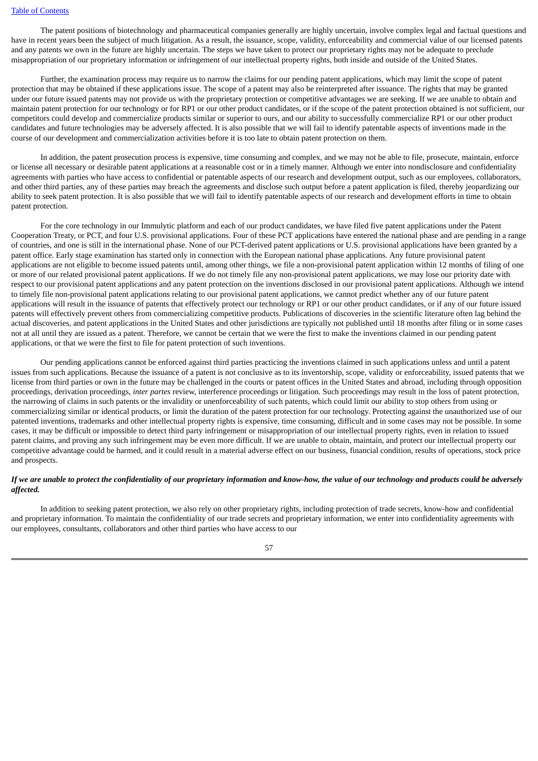The patent positions of biotechnology and pharmaceutical companies generally are highly uncertain, involve complex legal and factual questions and have in recent years been the subject of much litigation. As a result, the issuance, scope, validity, enforceability and commercial value of our licensed patents and any patents we own in the future are highly uncertain. The steps we have taken to protect our proprietary rights may not be adequate to preclude misappropriation of our proprietary information or infringement of our intellectual property rights, both inside and outside of the United States.

Further, the examination process may require us to narrow the claims for our pending patent applications, which may limit the scope of patent protection that may be obtained if these applications issue. The scope of a patent may also be reinterpreted after issuance. The rights that may be granted under our future issued patents may not provide us with the proprietary protection or competitive advantages we are seeking. If we are unable to obtain and maintain patent protection for our technology or for RP1 or our other product candidates, or if the scope of the patent protection obtained is not sufficient, our competitors could develop and commercialize products similar or superior to ours, and our ability to successfully commercialize RP1 or our other product candidates and future technologies may be adversely affected. It is also possible that we will fail to identify patentable aspects of inventions made in the course of our development and commercialization activities before it is too late to obtain patent protection on them.

In addition, the patent prosecution process is expensive, time consuming and complex, and we may not be able to file, prosecute, maintain, enforce or license all necessary or desirable patent applications at a reasonable cost or in a timely manner. Although we enter into nondisclosure and confidentiality agreements with parties who have access to confidential or patentable aspects of our research and development output, such as our employees, collaborators, and other third parties, any of these parties may breach the agreements and disclose such output before a patent application is filed, thereby jeopardizing our ability to seek patent protection. It is also possible that we will fail to identify patentable aspects of our research and development efforts in time to obtain patent protection.

For the core technology in our Immulytic platform and each of our product candidates, we have filed five patent applications under the Patent Cooperation Treaty, or PCT, and four U.S. provisional applications. Four of these PCT applications have entered the national phase and are pending in a range of countries, and one is still in the international phase. None of our PCT-derived patent applications or U.S. provisional applications have been granted by a patent office. Early stage examination has started only in connection with the European national phase applications. Any future provisional patent applications are not eligible to become issued patents until, among other things, we file a non-provisional patent application within 12 months of filing of one or more of our related provisional patent applications. If we do not timely file any non-provisional patent applications, we may lose our priority date with respect to our provisional patent applications and any patent protection on the inventions disclosed in our provisional patent applications. Although we intend to timely file non-provisional patent applications relating to our provisional patent applications, we cannot predict whether any of our future patent applications will result in the issuance of patents that effectively protect our technology or RP1 or our other product candidates, or if any of our future issued patents will effectively prevent others from commercializing competitive products. Publications of discoveries in the scientific literature often lag behind the actual discoveries, and patent applications in the United States and other jurisdictions are typically not published until 18 months after filing or in some cases not at all until they are issued as a patent. Therefore, we cannot be certain that we were the first to make the inventions claimed in our pending patent applications, or that we were the first to file for patent protection of such inventions.

Our pending applications cannot be enforced against third parties practicing the inventions claimed in such applications unless and until a patent issues from such applications. Because the issuance of a patent is not conclusive as to its inventorship, scope, validity or enforceability, issued patents that we license from third parties or own in the future may be challenged in the courts or patent offices in the United States and abroad, including through opposition proceedings, derivation proceedings, *inter partes* review, interference proceedings or litigation. Such proceedings may result in the loss of patent protection, the narrowing of claims in such patents or the invalidity or unenforceability of such patents, which could limit our ability to stop others from using or commercializing similar or identical products, or limit the duration of the patent protection for our technology. Protecting against the unauthorized use of our patented inventions, trademarks and other intellectual property rights is expensive, time consuming, difficult and in some cases may not be possible. In some cases, it may be difficult or impossible to detect third party infringement or misappropriation of our intellectual property rights, even in relation to issued patent claims, and proving any such infringement may be even more difficult. If we are unable to obtain, maintain, and protect our intellectual property our competitive advantage could be harmed, and it could result in a material adverse effect on our business, financial condition, results of operations, stock price and prospects.

## If we are unable to protect the confidentiality of our proprietary information and know-how, the value of our technology and products could be adversely *affected.*

In addition to seeking patent protection, we also rely on other proprietary rights, including protection of trade secrets, know-how and confidential and proprietary information. To maintain the confidentiality of our trade secrets and proprietary information, we enter into confidentiality agreements with our employees, consultants, collaborators and other third parties who have access to our

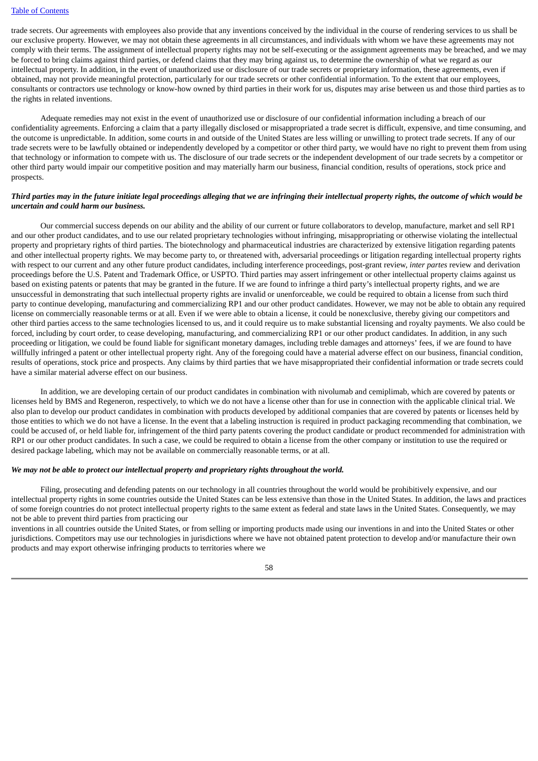trade secrets. Our agreements with employees also provide that any inventions conceived by the individual in the course of rendering services to us shall be our exclusive property. However, we may not obtain these agreements in all circumstances, and individuals with whom we have these agreements may not comply with their terms. The assignment of intellectual property rights may not be self-executing or the assignment agreements may be breached, and we may be forced to bring claims against third parties, or defend claims that they may bring against us, to determine the ownership of what we regard as our intellectual property. In addition, in the event of unauthorized use or disclosure of our trade secrets or proprietary information, these agreements, even if obtained, may not provide meaningful protection, particularly for our trade secrets or other confidential information. To the extent that our employees, consultants or contractors use technology or know-how owned by third parties in their work for us, disputes may arise between us and those third parties as to the rights in related inventions.

Adequate remedies may not exist in the event of unauthorized use or disclosure of our confidential information including a breach of our confidentiality agreements. Enforcing a claim that a party illegally disclosed or misappropriated a trade secret is difficult, expensive, and time consuming, and the outcome is unpredictable. In addition, some courts in and outside of the United States are less willing or unwilling to protect trade secrets. If any of our trade secrets were to be lawfully obtained or independently developed by a competitor or other third party, we would have no right to prevent them from using that technology or information to compete with us. The disclosure of our trade secrets or the independent development of our trade secrets by a competitor or other third party would impair our competitive position and may materially harm our business, financial condition, results of operations, stock price and prospects.

## Third parties may in the future initiate legal proceedings alleging that we are infringing their intellectual property rights, the outcome of which would be *uncertain and could harm our business.*

Our commercial success depends on our ability and the ability of our current or future collaborators to develop, manufacture, market and sell RP1 and our other product candidates, and to use our related proprietary technologies without infringing, misappropriating or otherwise violating the intellectual property and proprietary rights of third parties. The biotechnology and pharmaceutical industries are characterized by extensive litigation regarding patents and other intellectual property rights. We may become party to, or threatened with, adversarial proceedings or litigation regarding intellectual property rights with respect to our current and any other future product candidates, including interference proceedings, post-grant review, *inter partes* review and derivation proceedings before the U.S. Patent and Trademark Office, or USPTO. Third parties may assert infringement or other intellectual property claims against us based on existing patents or patents that may be granted in the future. If we are found to infringe a third party's intellectual property rights, and we are unsuccessful in demonstrating that such intellectual property rights are invalid or unenforceable, we could be required to obtain a license from such third party to continue developing, manufacturing and commercializing RP1 and our other product candidates. However, we may not be able to obtain any required license on commercially reasonable terms or at all. Even if we were able to obtain a license, it could be nonexclusive, thereby giving our competitors and other third parties access to the same technologies licensed to us, and it could require us to make substantial licensing and royalty payments. We also could be forced, including by court order, to cease developing, manufacturing, and commercializing RP1 or our other product candidates. In addition, in any such proceeding or litigation, we could be found liable for significant monetary damages, including treble damages and attorneys' fees, if we are found to have willfully infringed a patent or other intellectual property right. Any of the foregoing could have a material adverse effect on our business, financial condition, results of operations, stock price and prospects. Any claims by third parties that we have misappropriated their confidential information or trade secrets could have a similar material adverse effect on our business.

In addition, we are developing certain of our product candidates in combination with nivolumab and cemiplimab, which are covered by patents or licenses held by BMS and Regeneron, respectively, to which we do not have a license other than for use in connection with the applicable clinical trial. We also plan to develop our product candidates in combination with products developed by additional companies that are covered by patents or licenses held by those entities to which we do not have a license. In the event that a labeling instruction is required in product packaging recommending that combination, we could be accused of, or held liable for, infringement of the third party patents covering the product candidate or product recommended for administration with RP1 or our other product candidates. In such a case, we could be required to obtain a license from the other company or institution to use the required or desired package labeling, which may not be available on commercially reasonable terms, or at all.

#### *We may not be able to protect our intellectual property and proprietary rights throughout the world.*

Filing, prosecuting and defending patents on our technology in all countries throughout the world would be prohibitively expensive, and our intellectual property rights in some countries outside the United States can be less extensive than those in the United States. In addition, the laws and practices of some foreign countries do not protect intellectual property rights to the same extent as federal and state laws in the United States. Consequently, we may not be able to prevent third parties from practicing our

inventions in all countries outside the United States, or from selling or importing products made using our inventions in and into the United States or other jurisdictions. Competitors may use our technologies in jurisdictions where we have not obtained patent protection to develop and/or manufacture their own products and may export otherwise infringing products to territories where we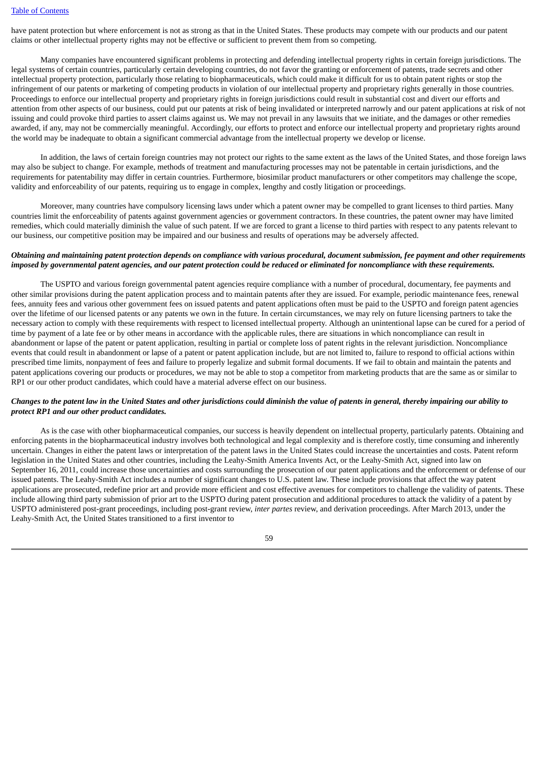have patent protection but where enforcement is not as strong as that in the United States. These products may compete with our products and our patent claims or other intellectual property rights may not be effective or sufficient to prevent them from so competing.

Many companies have encountered significant problems in protecting and defending intellectual property rights in certain foreign jurisdictions. The legal systems of certain countries, particularly certain developing countries, do not favor the granting or enforcement of patents, trade secrets and other intellectual property protection, particularly those relating to biopharmaceuticals, which could make it difficult for us to obtain patent rights or stop the infringement of our patents or marketing of competing products in violation of our intellectual property and proprietary rights generally in those countries. Proceedings to enforce our intellectual property and proprietary rights in foreign jurisdictions could result in substantial cost and divert our efforts and attention from other aspects of our business, could put our patents at risk of being invalidated or interpreted narrowly and our patent applications at risk of not issuing and could provoke third parties to assert claims against us. We may not prevail in any lawsuits that we initiate, and the damages or other remedies awarded, if any, may not be commercially meaningful. Accordingly, our efforts to protect and enforce our intellectual property and proprietary rights around the world may be inadequate to obtain a significant commercial advantage from the intellectual property we develop or license.

In addition, the laws of certain foreign countries may not protect our rights to the same extent as the laws of the United States, and those foreign laws may also be subject to change. For example, methods of treatment and manufacturing processes may not be patentable in certain jurisdictions, and the requirements for patentability may differ in certain countries. Furthermore, biosimilar product manufacturers or other competitors may challenge the scope, validity and enforceability of our patents, requiring us to engage in complex, lengthy and costly litigation or proceedings.

Moreover, many countries have compulsory licensing laws under which a patent owner may be compelled to grant licenses to third parties. Many countries limit the enforceability of patents against government agencies or government contractors. In these countries, the patent owner may have limited remedies, which could materially diminish the value of such patent. If we are forced to grant a license to third parties with respect to any patents relevant to our business, our competitive position may be impaired and our business and results of operations may be adversely affected.

## Obtaining and maintaining patent protection depends on compliance with various procedural, document submission, fee payment and other requirements imposed by governmental patent agencies, and our patent protection could be reduced or eliminated for noncompliance with these requirements.

The USPTO and various foreign governmental patent agencies require compliance with a number of procedural, documentary, fee payments and other similar provisions during the patent application process and to maintain patents after they are issued. For example, periodic maintenance fees, renewal fees, annuity fees and various other government fees on issued patents and patent applications often must be paid to the USPTO and foreign patent agencies over the lifetime of our licensed patents or any patents we own in the future. In certain circumstances, we may rely on future licensing partners to take the necessary action to comply with these requirements with respect to licensed intellectual property. Although an unintentional lapse can be cured for a period of time by payment of a late fee or by other means in accordance with the applicable rules, there are situations in which noncompliance can result in abandonment or lapse of the patent or patent application, resulting in partial or complete loss of patent rights in the relevant jurisdiction. Noncompliance events that could result in abandonment or lapse of a patent or patent application include, but are not limited to, failure to respond to official actions within prescribed time limits, nonpayment of fees and failure to properly legalize and submit formal documents. If we fail to obtain and maintain the patents and patent applications covering our products or procedures, we may not be able to stop a competitor from marketing products that are the same as or similar to RP1 or our other product candidates, which could have a material adverse effect on our business.

## Changes to the patent law in the United States and other jurisdictions could diminish the value of patents in general, thereby impairing our ability to *protect RP1 and our other product candidates.*

As is the case with other biopharmaceutical companies, our success is heavily dependent on intellectual property, particularly patents. Obtaining and enforcing patents in the biopharmaceutical industry involves both technological and legal complexity and is therefore costly, time consuming and inherently uncertain. Changes in either the patent laws or interpretation of the patent laws in the United States could increase the uncertainties and costs. Patent reform legislation in the United States and other countries, including the Leahy-Smith America Invents Act, or the Leahy-Smith Act, signed into law on September 16, 2011, could increase those uncertainties and costs surrounding the prosecution of our patent applications and the enforcement or defense of our issued patents. The Leahy-Smith Act includes a number of significant changes to U.S. patent law. These include provisions that affect the way patent applications are prosecuted, redefine prior art and provide more efficient and cost effective avenues for competitors to challenge the validity of patents. These include allowing third party submission of prior art to the USPTO during patent prosecution and additional procedures to attack the validity of a patent by USPTO administered post-grant proceedings, including post-grant review, *inter partes* review, and derivation proceedings. After March 2013, under the Leahy-Smith Act, the United States transitioned to a first inventor to

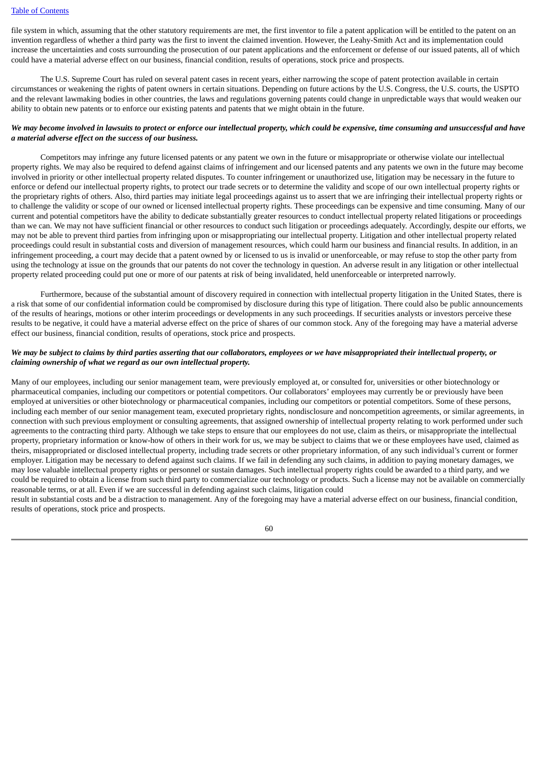file system in which, assuming that the other statutory requirements are met, the first inventor to file a patent application will be entitled to the patent on an invention regardless of whether a third party was the first to invent the claimed invention. However, the Leahy-Smith Act and its implementation could increase the uncertainties and costs surrounding the prosecution of our patent applications and the enforcement or defense of our issued patents, all of which could have a material adverse effect on our business, financial condition, results of operations, stock price and prospects.

The U.S. Supreme Court has ruled on several patent cases in recent years, either narrowing the scope of patent protection available in certain circumstances or weakening the rights of patent owners in certain situations. Depending on future actions by the U.S. Congress, the U.S. courts, the USPTO and the relevant lawmaking bodies in other countries, the laws and regulations governing patents could change in unpredictable ways that would weaken our ability to obtain new patents or to enforce our existing patents and patents that we might obtain in the future.

## We may become involved in lawsuits to protect or enforce our intellectual property, which could be expensive, time consuming and unsuccessful and have *a material adverse effect on the success of our business.*

Competitors may infringe any future licensed patents or any patent we own in the future or misappropriate or otherwise violate our intellectual property rights. We may also be required to defend against claims of infringement and our licensed patents and any patents we own in the future may become involved in priority or other intellectual property related disputes. To counter infringement or unauthorized use, litigation may be necessary in the future to enforce or defend our intellectual property rights, to protect our trade secrets or to determine the validity and scope of our own intellectual property rights or the proprietary rights of others. Also, third parties may initiate legal proceedings against us to assert that we are infringing their intellectual property rights or to challenge the validity or scope of our owned or licensed intellectual property rights. These proceedings can be expensive and time consuming. Many of our current and potential competitors have the ability to dedicate substantially greater resources to conduct intellectual property related litigations or proceedings than we can. We may not have sufficient financial or other resources to conduct such litigation or proceedings adequately. Accordingly, despite our efforts, we may not be able to prevent third parties from infringing upon or misappropriating our intellectual property. Litigation and other intellectual property related proceedings could result in substantial costs and diversion of management resources, which could harm our business and financial results. In addition, in an infringement proceeding, a court may decide that a patent owned by or licensed to us is invalid or unenforceable, or may refuse to stop the other party from using the technology at issue on the grounds that our patents do not cover the technology in question. An adverse result in any litigation or other intellectual property related proceeding could put one or more of our patents at risk of being invalidated, held unenforceable or interpreted narrowly.

Furthermore, because of the substantial amount of discovery required in connection with intellectual property litigation in the United States, there is a risk that some of our confidential information could be compromised by disclosure during this type of litigation. There could also be public announcements of the results of hearings, motions or other interim proceedings or developments in any such proceedings. If securities analysts or investors perceive these results to be negative, it could have a material adverse effect on the price of shares of our common stock. Any of the foregoing may have a material adverse effect our business, financial condition, results of operations, stock price and prospects.

## We may be subject to claims by third parties asserting that our collaborators, employees or we have misappropriated their intellectual property, or *claiming ownership of what we regard as our own intellectual property.*

Many of our employees, including our senior management team, were previously employed at, or consulted for, universities or other biotechnology or pharmaceutical companies, including our competitors or potential competitors. Our collaborators' employees may currently be or previously have been employed at universities or other biotechnology or pharmaceutical companies, including our competitors or potential competitors. Some of these persons, including each member of our senior management team, executed proprietary rights, nondisclosure and noncompetition agreements, or similar agreements, in connection with such previous employment or consulting agreements, that assigned ownership of intellectual property relating to work performed under such agreements to the contracting third party. Although we take steps to ensure that our employees do not use, claim as theirs, or misappropriate the intellectual property, proprietary information or know-how of others in their work for us, we may be subject to claims that we or these employees have used, claimed as theirs, misappropriated or disclosed intellectual property, including trade secrets or other proprietary information, of any such individual's current or former employer. Litigation may be necessary to defend against such claims. If we fail in defending any such claims, in addition to paying monetary damages, we may lose valuable intellectual property rights or personnel or sustain damages. Such intellectual property rights could be awarded to a third party, and we could be required to obtain a license from such third party to commercialize our technology or products. Such a license may not be available on commercially reasonable terms, or at all. Even if we are successful in defending against such claims, litigation could

result in substantial costs and be a distraction to management. Any of the foregoing may have a material adverse effect on our business, financial condition, results of operations, stock price and prospects.

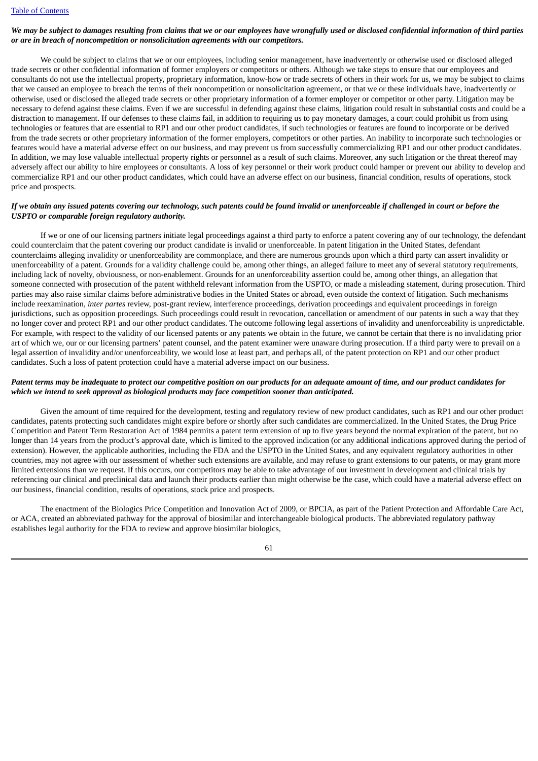## We may be subject to damages resulting from claims that we or our employees have wrongfully used or disclosed confidential information of third parties *or are in breach of noncompetition or nonsolicitation agreements with our competitors.*

We could be subject to claims that we or our employees, including senior management, have inadvertently or otherwise used or disclosed alleged trade secrets or other confidential information of former employers or competitors or others. Although we take steps to ensure that our employees and consultants do not use the intellectual property, proprietary information, know-how or trade secrets of others in their work for us, we may be subject to claims that we caused an employee to breach the terms of their noncompetition or nonsolicitation agreement, or that we or these individuals have, inadvertently or otherwise, used or disclosed the alleged trade secrets or other proprietary information of a former employer or competitor or other party. Litigation may be necessary to defend against these claims. Even if we are successful in defending against these claims, litigation could result in substantial costs and could be a distraction to management. If our defenses to these claims fail, in addition to requiring us to pay monetary damages, a court could prohibit us from using technologies or features that are essential to RP1 and our other product candidates, if such technologies or features are found to incorporate or be derived from the trade secrets or other proprietary information of the former employers, competitors or other parties. An inability to incorporate such technologies or features would have a material adverse effect on our business, and may prevent us from successfully commercializing RP1 and our other product candidates. In addition, we may lose valuable intellectual property rights or personnel as a result of such claims. Moreover, any such litigation or the threat thereof may adversely affect our ability to hire employees or consultants. A loss of key personnel or their work product could hamper or prevent our ability to develop and commercialize RP1 and our other product candidates, which could have an adverse effect on our business, financial condition, results of operations, stock price and prospects.

## If we obtain any issued patents covering our technology, such patents could be found invalid or unenforceable if challenged in court or before the *USPTO or comparable foreign regulatory authority.*

If we or one of our licensing partners initiate legal proceedings against a third party to enforce a patent covering any of our technology, the defendant could counterclaim that the patent covering our product candidate is invalid or unenforceable. In patent litigation in the United States, defendant counterclaims alleging invalidity or unenforceability are commonplace, and there are numerous grounds upon which a third party can assert invalidity or unenforceability of a patent. Grounds for a validity challenge could be, among other things, an alleged failure to meet any of several statutory requirements, including lack of novelty, obviousness, or non-enablement. Grounds for an unenforceability assertion could be, among other things, an allegation that someone connected with prosecution of the patent withheld relevant information from the USPTO, or made a misleading statement, during prosecution. Third parties may also raise similar claims before administrative bodies in the United States or abroad, even outside the context of litigation. Such mechanisms include reexamination, *inter partes* review, post-grant review, interference proceedings, derivation proceedings and equivalent proceedings in foreign jurisdictions, such as opposition proceedings. Such proceedings could result in revocation, cancellation or amendment of our patents in such a way that they no longer cover and protect RP1 and our other product candidates. The outcome following legal assertions of invalidity and unenforceability is unpredictable. For example, with respect to the validity of our licensed patents or any patents we obtain in the future, we cannot be certain that there is no invalidating prior art of which we, our or our licensing partners' patent counsel, and the patent examiner were unaware during prosecution. If a third party were to prevail on a legal assertion of invalidity and/or unenforceability, we would lose at least part, and perhaps all, of the patent protection on RP1 and our other product candidates. Such a loss of patent protection could have a material adverse impact on our business.

#### Patent terms may be inadequate to protect our competitive position on our products for an adequate amount of time, and our product candidates for *which we intend to seek approval as biological products may face competition sooner than anticipated.*

Given the amount of time required for the development, testing and regulatory review of new product candidates, such as RP1 and our other product candidates, patents protecting such candidates might expire before or shortly after such candidates are commercialized. In the United States, the Drug Price Competition and Patent Term Restoration Act of 1984 permits a patent term extension of up to five years beyond the normal expiration of the patent, but no longer than 14 years from the product's approval date, which is limited to the approved indication (or any additional indications approved during the period of extension). However, the applicable authorities, including the FDA and the USPTO in the United States, and any equivalent regulatory authorities in other countries, may not agree with our assessment of whether such extensions are available, and may refuse to grant extensions to our patents, or may grant more limited extensions than we request. If this occurs, our competitors may be able to take advantage of our investment in development and clinical trials by referencing our clinical and preclinical data and launch their products earlier than might otherwise be the case, which could have a material adverse effect on our business, financial condition, results of operations, stock price and prospects.

The enactment of the Biologics Price Competition and Innovation Act of 2009, or BPCIA, as part of the Patient Protection and Affordable Care Act, or ACA, created an abbreviated pathway for the approval of biosimilar and interchangeable biological products. The abbreviated regulatory pathway establishes legal authority for the FDA to review and approve biosimilar biologics,

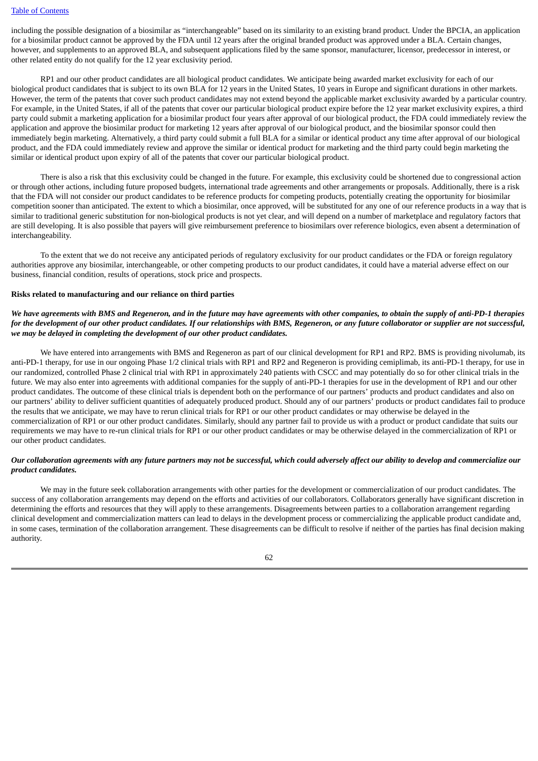including the possible designation of a biosimilar as "interchangeable" based on its similarity to an existing brand product. Under the BPCIA, an application for a biosimilar product cannot be approved by the FDA until 12 years after the original branded product was approved under a BLA. Certain changes, however, and supplements to an approved BLA, and subsequent applications filed by the same sponsor, manufacturer, licensor, predecessor in interest, or other related entity do not qualify for the 12 year exclusivity period.

RP1 and our other product candidates are all biological product candidates. We anticipate being awarded market exclusivity for each of our biological product candidates that is subject to its own BLA for 12 years in the United States, 10 years in Europe and significant durations in other markets. However, the term of the patents that cover such product candidates may not extend beyond the applicable market exclusivity awarded by a particular country. For example, in the United States, if all of the patents that cover our particular biological product expire before the 12 year market exclusivity expires, a third party could submit a marketing application for a biosimilar product four years after approval of our biological product, the FDA could immediately review the application and approve the biosimilar product for marketing 12 years after approval of our biological product, and the biosimilar sponsor could then immediately begin marketing. Alternatively, a third party could submit a full BLA for a similar or identical product any time after approval of our biological product, and the FDA could immediately review and approve the similar or identical product for marketing and the third party could begin marketing the similar or identical product upon expiry of all of the patents that cover our particular biological product.

There is also a risk that this exclusivity could be changed in the future. For example, this exclusivity could be shortened due to congressional action or through other actions, including future proposed budgets, international trade agreements and other arrangements or proposals. Additionally, there is a risk that the FDA will not consider our product candidates to be reference products for competing products, potentially creating the opportunity for biosimilar competition sooner than anticipated. The extent to which a biosimilar, once approved, will be substituted for any one of our reference products in a way that is similar to traditional generic substitution for non-biological products is not yet clear, and will depend on a number of marketplace and regulatory factors that are still developing. It is also possible that payers will give reimbursement preference to biosimilars over reference biologics, even absent a determination of interchangeability.

To the extent that we do not receive any anticipated periods of regulatory exclusivity for our product candidates or the FDA or foreign regulatory authorities approve any biosimilar, interchangeable, or other competing products to our product candidates, it could have a material adverse effect on our business, financial condition, results of operations, stock price and prospects.

#### **Risks related to manufacturing and our reliance on third parties**

We have agreements with BMS and Regeneron, and in the future may have agreements with other companies, to obtain the supply of anti-PD-1 therapies for the development of our other product candidates. If our relationships with BMS, Regeneron, or any future collaborator or supplier are not successful, *we may be delayed in completing the development of our other product candidates.*

We have entered into arrangements with BMS and Regeneron as part of our clinical development for RP1 and RP2. BMS is providing nivolumab, its anti-PD-1 therapy, for use in our ongoing Phase 1/2 clinical trials with RP1 and RP2 and Regeneron is providing cemiplimab, its anti-PD-1 therapy, for use in our randomized, controlled Phase 2 clinical trial with RP1 in approximately 240 patients with CSCC and may potentially do so for other clinical trials in the future. We may also enter into agreements with additional companies for the supply of anti-PD-1 therapies for use in the development of RP1 and our other product candidates. The outcome of these clinical trials is dependent both on the performance of our partners' products and product candidates and also on our partners' ability to deliver sufficient quantities of adequately produced product. Should any of our partners' products or product candidates fail to produce the results that we anticipate, we may have to rerun clinical trials for RP1 or our other product candidates or may otherwise be delayed in the commercialization of RP1 or our other product candidates. Similarly, should any partner fail to provide us with a product or product candidate that suits our requirements we may have to re-run clinical trials for RP1 or our other product candidates or may be otherwise delayed in the commercialization of RP1 or our other product candidates.

## Our collaboration agreements with any future partners may not be successful, which could adversely affect our ability to develop and commercialize our *product candidates.*

We may in the future seek collaboration arrangements with other parties for the development or commercialization of our product candidates. The success of any collaboration arrangements may depend on the efforts and activities of our collaborators. Collaborators generally have significant discretion in determining the efforts and resources that they will apply to these arrangements. Disagreements between parties to a collaboration arrangement regarding clinical development and commercialization matters can lead to delays in the development process or commercializing the applicable product candidate and, in some cases, termination of the collaboration arrangement. These disagreements can be difficult to resolve if neither of the parties has final decision making authority.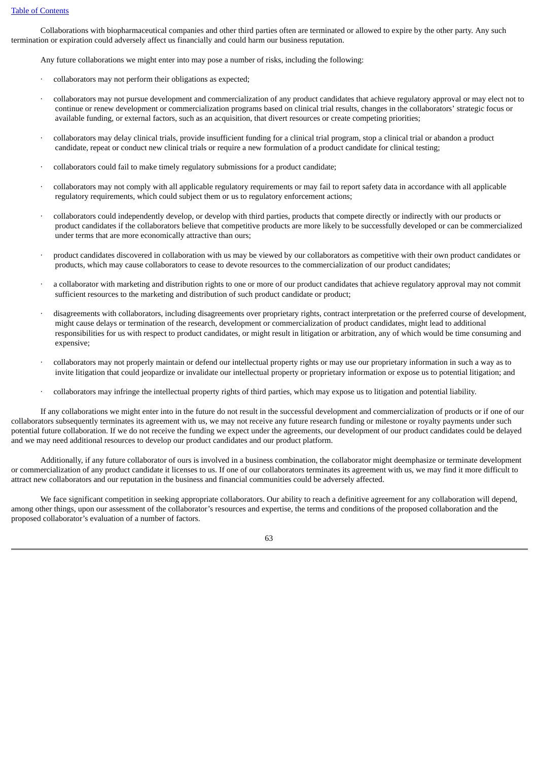Collaborations with biopharmaceutical companies and other third parties often are terminated or allowed to expire by the other party. Any such termination or expiration could adversely affect us financially and could harm our business reputation.

Any future collaborations we might enter into may pose a number of risks, including the following:

- collaborators may not perform their obligations as expected;
- · collaborators may not pursue development and commercialization of any product candidates that achieve regulatory approval or may elect not to continue or renew development or commercialization programs based on clinical trial results, changes in the collaborators' strategic focus or available funding, or external factors, such as an acquisition, that divert resources or create competing priorities;
- · collaborators may delay clinical trials, provide insufficient funding for a clinical trial program, stop a clinical trial or abandon a product candidate, repeat or conduct new clinical trials or require a new formulation of a product candidate for clinical testing;
- · collaborators could fail to make timely regulatory submissions for a product candidate;
- · collaborators may not comply with all applicable regulatory requirements or may fail to report safety data in accordance with all applicable regulatory requirements, which could subject them or us to regulatory enforcement actions;
- · collaborators could independently develop, or develop with third parties, products that compete directly or indirectly with our products or product candidates if the collaborators believe that competitive products are more likely to be successfully developed or can be commercialized under terms that are more economically attractive than ours;
- · product candidates discovered in collaboration with us may be viewed by our collaborators as competitive with their own product candidates or products, which may cause collaborators to cease to devote resources to the commercialization of our product candidates;
- a collaborator with marketing and distribution rights to one or more of our product candidates that achieve regulatory approval may not commit sufficient resources to the marketing and distribution of such product candidate or product;
- · disagreements with collaborators, including disagreements over proprietary rights, contract interpretation or the preferred course of development, might cause delays or termination of the research, development or commercialization of product candidates, might lead to additional responsibilities for us with respect to product candidates, or might result in litigation or arbitration, any of which would be time consuming and expensive;
- · collaborators may not properly maintain or defend our intellectual property rights or may use our proprietary information in such a way as to invite litigation that could jeopardize or invalidate our intellectual property or proprietary information or expose us to potential litigation; and
- · collaborators may infringe the intellectual property rights of third parties, which may expose us to litigation and potential liability.

If any collaborations we might enter into in the future do not result in the successful development and commercialization of products or if one of our collaborators subsequently terminates its agreement with us, we may not receive any future research funding or milestone or royalty payments under such potential future collaboration. If we do not receive the funding we expect under the agreements, our development of our product candidates could be delayed and we may need additional resources to develop our product candidates and our product platform.

Additionally, if any future collaborator of ours is involved in a business combination, the collaborator might deemphasize or terminate development or commercialization of any product candidate it licenses to us. If one of our collaborators terminates its agreement with us, we may find it more difficult to attract new collaborators and our reputation in the business and financial communities could be adversely affected.

We face significant competition in seeking appropriate collaborators. Our ability to reach a definitive agreement for any collaboration will depend, among other things, upon our assessment of the collaborator's resources and expertise, the terms and conditions of the proposed collaboration and the proposed collaborator's evaluation of a number of factors.

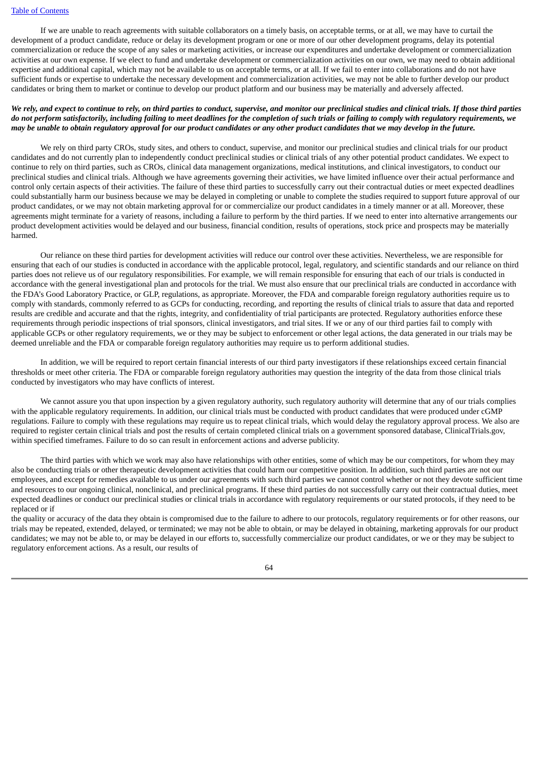If we are unable to reach agreements with suitable collaborators on a timely basis, on acceptable terms, or at all, we may have to curtail the development of a product candidate, reduce or delay its development program or one or more of our other development programs, delay its potential commercialization or reduce the scope of any sales or marketing activities, or increase our expenditures and undertake development or commercialization activities at our own expense. If we elect to fund and undertake development or commercialization activities on our own, we may need to obtain additional expertise and additional capital, which may not be available to us on acceptable terms, or at all. If we fail to enter into collaborations and do not have sufficient funds or expertise to undertake the necessary development and commercialization activities, we may not be able to further develop our product candidates or bring them to market or continue to develop our product platform and our business may be materially and adversely affected.

## We rely, and expect to continue to rely, on third parties to conduct, supervise, and monitor our preclinical studies and clinical trials. If those third parties do not perform satisfactorily, including failing to meet deadlines for the completion of such trials or failing to comply with regulatory requirements, we may be unable to obtain regulatory approval for our product candidates or any other product candidates that we may develop in the future.

We rely on third party CROs, study sites, and others to conduct, supervise, and monitor our preclinical studies and clinical trials for our product candidates and do not currently plan to independently conduct preclinical studies or clinical trials of any other potential product candidates. We expect to continue to rely on third parties, such as CROs, clinical data management organizations, medical institutions, and clinical investigators, to conduct our preclinical studies and clinical trials. Although we have agreements governing their activities, we have limited influence over their actual performance and control only certain aspects of their activities. The failure of these third parties to successfully carry out their contractual duties or meet expected deadlines could substantially harm our business because we may be delayed in completing or unable to complete the studies required to support future approval of our product candidates, or we may not obtain marketing approval for or commercialize our product candidates in a timely manner or at all. Moreover, these agreements might terminate for a variety of reasons, including a failure to perform by the third parties. If we need to enter into alternative arrangements our product development activities would be delayed and our business, financial condition, results of operations, stock price and prospects may be materially harmed.

Our reliance on these third parties for development activities will reduce our control over these activities. Nevertheless, we are responsible for ensuring that each of our studies is conducted in accordance with the applicable protocol, legal, regulatory, and scientific standards and our reliance on third parties does not relieve us of our regulatory responsibilities. For example, we will remain responsible for ensuring that each of our trials is conducted in accordance with the general investigational plan and protocols for the trial. We must also ensure that our preclinical trials are conducted in accordance with the FDA's Good Laboratory Practice, or GLP, regulations, as appropriate. Moreover, the FDA and comparable foreign regulatory authorities require us to comply with standards, commonly referred to as GCPs for conducting, recording, and reporting the results of clinical trials to assure that data and reported results are credible and accurate and that the rights, integrity, and confidentiality of trial participants are protected. Regulatory authorities enforce these requirements through periodic inspections of trial sponsors, clinical investigators, and trial sites. If we or any of our third parties fail to comply with applicable GCPs or other regulatory requirements, we or they may be subject to enforcement or other legal actions, the data generated in our trials may be deemed unreliable and the FDA or comparable foreign regulatory authorities may require us to perform additional studies.

In addition, we will be required to report certain financial interests of our third party investigators if these relationships exceed certain financial thresholds or meet other criteria. The FDA or comparable foreign regulatory authorities may question the integrity of the data from those clinical trials conducted by investigators who may have conflicts of interest.

We cannot assure you that upon inspection by a given regulatory authority, such regulatory authority will determine that any of our trials complies with the applicable regulatory requirements. In addition, our clinical trials must be conducted with product candidates that were produced under cGMP regulations. Failure to comply with these regulations may require us to repeat clinical trials, which would delay the regulatory approval process. We also are required to register certain clinical trials and post the results of certain completed clinical trials on a government sponsored database, ClinicalTrials.gov, within specified timeframes. Failure to do so can result in enforcement actions and adverse publicity.

The third parties with which we work may also have relationships with other entities, some of which may be our competitors, for whom they may also be conducting trials or other therapeutic development activities that could harm our competitive position. In addition, such third parties are not our employees, and except for remedies available to us under our agreements with such third parties we cannot control whether or not they devote sufficient time and resources to our ongoing clinical, nonclinical, and preclinical programs. If these third parties do not successfully carry out their contractual duties, meet expected deadlines or conduct our preclinical studies or clinical trials in accordance with regulatory requirements or our stated protocols, if they need to be replaced or if

the quality or accuracy of the data they obtain is compromised due to the failure to adhere to our protocols, regulatory requirements or for other reasons, our trials may be repeated, extended, delayed, or terminated; we may not be able to obtain, or may be delayed in obtaining, marketing approvals for our product candidates; we may not be able to, or may be delayed in our efforts to, successfully commercialize our product candidates, or we or they may be subject to regulatory enforcement actions. As a result, our results of

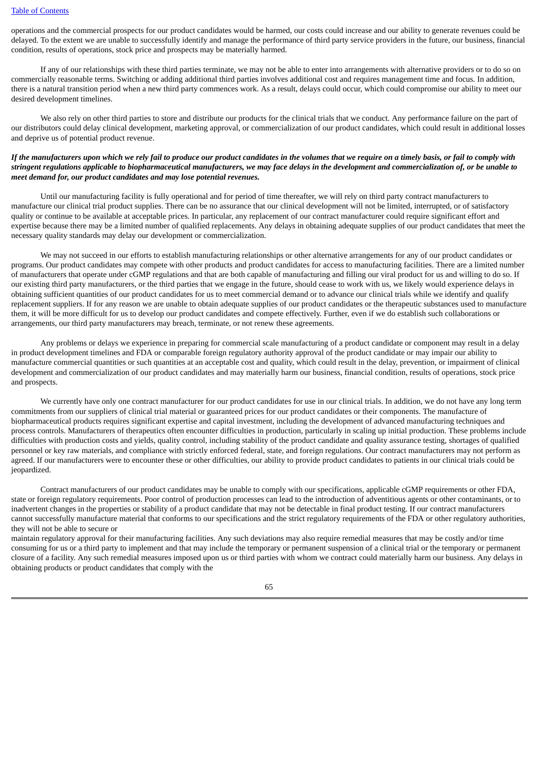operations and the commercial prospects for our product candidates would be harmed, our costs could increase and our ability to generate revenues could be delayed. To the extent we are unable to successfully identify and manage the performance of third party service providers in the future, our business, financial condition, results of operations, stock price and prospects may be materially harmed.

If any of our relationships with these third parties terminate, we may not be able to enter into arrangements with alternative providers or to do so on commercially reasonable terms. Switching or adding additional third parties involves additional cost and requires management time and focus. In addition, there is a natural transition period when a new third party commences work. As a result, delays could occur, which could compromise our ability to meet our desired development timelines.

We also rely on other third parties to store and distribute our products for the clinical trials that we conduct. Any performance failure on the part of our distributors could delay clinical development, marketing approval, or commercialization of our product candidates, which could result in additional losses and deprive us of potential product revenue.

## If the manufacturers upon which we rely fail to produce our product candidates in the volumes that we require on a timely basis, or fail to comply with stringent regulations applicable to biopharmaceutical manufacturers, we may face delays in the development and commercialization of, or be unable to *meet demand for, our product candidates and may lose potential revenues.*

Until our manufacturing facility is fully operational and for period of time thereafter, we will rely on third party contract manufacturers to manufacture our clinical trial product supplies. There can be no assurance that our clinical development will not be limited, interrupted, or of satisfactory quality or continue to be available at acceptable prices. In particular, any replacement of our contract manufacturer could require significant effort and expertise because there may be a limited number of qualified replacements. Any delays in obtaining adequate supplies of our product candidates that meet the necessary quality standards may delay our development or commercialization.

We may not succeed in our efforts to establish manufacturing relationships or other alternative arrangements for any of our product candidates or programs. Our product candidates may compete with other products and product candidates for access to manufacturing facilities. There are a limited number of manufacturers that operate under cGMP regulations and that are both capable of manufacturing and filling our viral product for us and willing to do so. If our existing third party manufacturers, or the third parties that we engage in the future, should cease to work with us, we likely would experience delays in obtaining sufficient quantities of our product candidates for us to meet commercial demand or to advance our clinical trials while we identify and qualify replacement suppliers. If for any reason we are unable to obtain adequate supplies of our product candidates or the therapeutic substances used to manufacture them, it will be more difficult for us to develop our product candidates and compete effectively. Further, even if we do establish such collaborations or arrangements, our third party manufacturers may breach, terminate, or not renew these agreements.

Any problems or delays we experience in preparing for commercial scale manufacturing of a product candidate or component may result in a delay in product development timelines and FDA or comparable foreign regulatory authority approval of the product candidate or may impair our ability to manufacture commercial quantities or such quantities at an acceptable cost and quality, which could result in the delay, prevention, or impairment of clinical development and commercialization of our product candidates and may materially harm our business, financial condition, results of operations, stock price and prospects.

We currently have only one contract manufacturer for our product candidates for use in our clinical trials. In addition, we do not have any long term commitments from our suppliers of clinical trial material or guaranteed prices for our product candidates or their components. The manufacture of biopharmaceutical products requires significant expertise and capital investment, including the development of advanced manufacturing techniques and process controls. Manufacturers of therapeutics often encounter difficulties in production, particularly in scaling up initial production. These problems include difficulties with production costs and yields, quality control, including stability of the product candidate and quality assurance testing, shortages of qualified personnel or key raw materials, and compliance with strictly enforced federal, state, and foreign regulations. Our contract manufacturers may not perform as agreed. If our manufacturers were to encounter these or other difficulties, our ability to provide product candidates to patients in our clinical trials could be jeopardized.

Contract manufacturers of our product candidates may be unable to comply with our specifications, applicable cGMP requirements or other FDA, state or foreign regulatory requirements. Poor control of production processes can lead to the introduction of adventitious agents or other contaminants, or to inadvertent changes in the properties or stability of a product candidate that may not be detectable in final product testing. If our contract manufacturers cannot successfully manufacture material that conforms to our specifications and the strict regulatory requirements of the FDA or other regulatory authorities, they will not be able to secure or

maintain regulatory approval for their manufacturing facilities. Any such deviations may also require remedial measures that may be costly and/or time consuming for us or a third party to implement and that may include the temporary or permanent suspension of a clinical trial or the temporary or permanent closure of a facility. Any such remedial measures imposed upon us or third parties with whom we contract could materially harm our business. Any delays in obtaining products or product candidates that comply with the

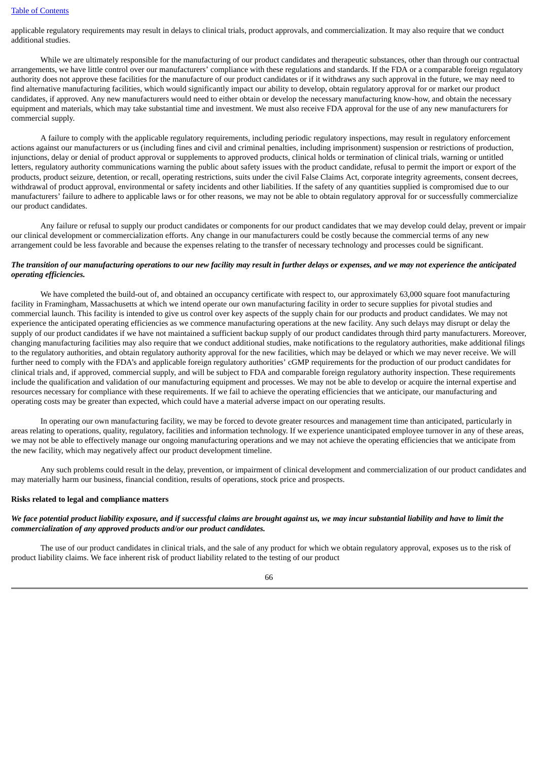applicable regulatory requirements may result in delays to clinical trials, product approvals, and commercialization. It may also require that we conduct additional studies.

While we are ultimately responsible for the manufacturing of our product candidates and therapeutic substances, other than through our contractual arrangements, we have little control over our manufacturers' compliance with these regulations and standards. If the FDA or a comparable foreign regulatory authority does not approve these facilities for the manufacture of our product candidates or if it withdraws any such approval in the future, we may need to find alternative manufacturing facilities, which would significantly impact our ability to develop, obtain regulatory approval for or market our product candidates, if approved. Any new manufacturers would need to either obtain or develop the necessary manufacturing know-how, and obtain the necessary equipment and materials, which may take substantial time and investment. We must also receive FDA approval for the use of any new manufacturers for commercial supply.

A failure to comply with the applicable regulatory requirements, including periodic regulatory inspections, may result in regulatory enforcement actions against our manufacturers or us (including fines and civil and criminal penalties, including imprisonment) suspension or restrictions of production, injunctions, delay or denial of product approval or supplements to approved products, clinical holds or termination of clinical trials, warning or untitled letters, regulatory authority communications warning the public about safety issues with the product candidate, refusal to permit the import or export of the products, product seizure, detention, or recall, operating restrictions, suits under the civil False Claims Act, corporate integrity agreements, consent decrees, withdrawal of product approval, environmental or safety incidents and other liabilities. If the safety of any quantities supplied is compromised due to our manufacturers' failure to adhere to applicable laws or for other reasons, we may not be able to obtain regulatory approval for or successfully commercialize our product candidates.

Any failure or refusal to supply our product candidates or components for our product candidates that we may develop could delay, prevent or impair our clinical development or commercialization efforts. Any change in our manufacturers could be costly because the commercial terms of any new arrangement could be less favorable and because the expenses relating to the transfer of necessary technology and processes could be significant.

## The transition of our manufacturing operations to our new facility may result in further delays or expenses, and we may not experience the anticipated *operating efficiencies.*

We have completed the build-out of, and obtained an occupancy certificate with respect to, our approximately 63,000 square foot manufacturing facility in Framingham, Massachusetts at which we intend operate our own manufacturing facility in order to secure supplies for pivotal studies and commercial launch. This facility is intended to give us control over key aspects of the supply chain for our products and product candidates. We may not experience the anticipated operating efficiencies as we commence manufacturing operations at the new facility. Any such delays may disrupt or delay the supply of our product candidates if we have not maintained a sufficient backup supply of our product candidates through third party manufacturers. Moreover, changing manufacturing facilities may also require that we conduct additional studies, make notifications to the regulatory authorities, make additional filings to the regulatory authorities, and obtain regulatory authority approval for the new facilities, which may be delayed or which we may never receive. We will further need to comply with the FDA's and applicable foreign regulatory authorities' cGMP requirements for the production of our product candidates for clinical trials and, if approved, commercial supply, and will be subject to FDA and comparable foreign regulatory authority inspection. These requirements include the qualification and validation of our manufacturing equipment and processes. We may not be able to develop or acquire the internal expertise and resources necessary for compliance with these requirements. If we fail to achieve the operating efficiencies that we anticipate, our manufacturing and operating costs may be greater than expected, which could have a material adverse impact on our operating results.

In operating our own manufacturing facility, we may be forced to devote greater resources and management time than anticipated, particularly in areas relating to operations, quality, regulatory, facilities and information technology. If we experience unanticipated employee turnover in any of these areas, we may not be able to effectively manage our ongoing manufacturing operations and we may not achieve the operating efficiencies that we anticipate from the new facility, which may negatively affect our product development timeline.

Any such problems could result in the delay, prevention, or impairment of clinical development and commercialization of our product candidates and may materially harm our business, financial condition, results of operations, stock price and prospects.

## **Risks related to legal and compliance matters**

## We face potential product liability exposure, and if successful claims are brought against us, we may incur substantial liability and have to limit the *commercialization of any approved products and/or our product candidates.*

The use of our product candidates in clinical trials, and the sale of any product for which we obtain regulatory approval, exposes us to the risk of product liability claims. We face inherent risk of product liability related to the testing of our product

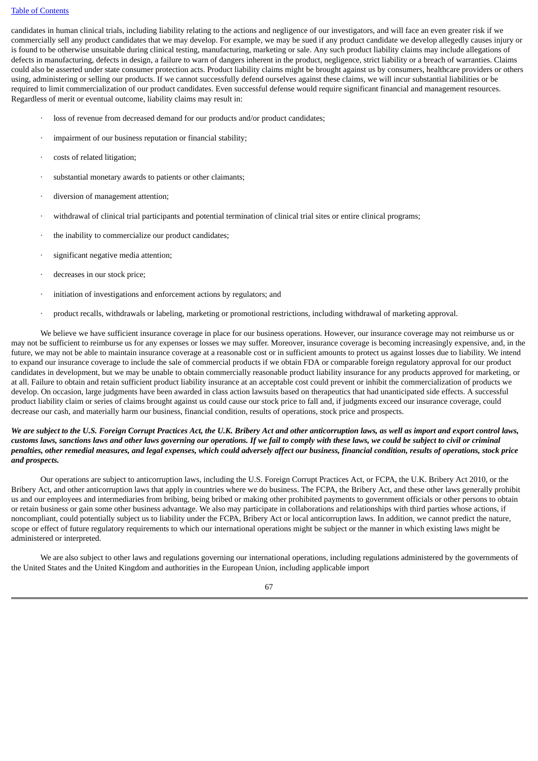# Table of [Contents](#page-1-0)

candidates in human clinical trials, including liability relating to the actions and negligence of our investigators, and will face an even greater risk if we commercially sell any product candidates that we may develop. For example, we may be sued if any product candidate we develop allegedly causes injury or is found to be otherwise unsuitable during clinical testing, manufacturing, marketing or sale. Any such product liability claims may include allegations of defects in manufacturing, defects in design, a failure to warn of dangers inherent in the product, negligence, strict liability or a breach of warranties. Claims could also be asserted under state consumer protection acts. Product liability claims might be brought against us by consumers, healthcare providers or others using, administering or selling our products. If we cannot successfully defend ourselves against these claims, we will incur substantial liabilities or be required to limit commercialization of our product candidates. Even successful defense would require significant financial and management resources. Regardless of merit or eventual outcome, liability claims may result in:

- loss of revenue from decreased demand for our products and/or product candidates;
- impairment of our business reputation or financial stability;
- · costs of related litigation;
- substantial monetary awards to patients or other claimants;
- diversion of management attention;
- withdrawal of clinical trial participants and potential termination of clinical trial sites or entire clinical programs;
- the inability to commercialize our product candidates;
- significant negative media attention;
- decreases in our stock price:
- initiation of investigations and enforcement actions by regulators; and
- · product recalls, withdrawals or labeling, marketing or promotional restrictions, including withdrawal of marketing approval.

We believe we have sufficient insurance coverage in place for our business operations. However, our insurance coverage may not reimburse us or may not be sufficient to reimburse us for any expenses or losses we may suffer. Moreover, insurance coverage is becoming increasingly expensive, and, in the future, we may not be able to maintain insurance coverage at a reasonable cost or in sufficient amounts to protect us against losses due to liability. We intend to expand our insurance coverage to include the sale of commercial products if we obtain FDA or comparable foreign regulatory approval for our product candidates in development, but we may be unable to obtain commercially reasonable product liability insurance for any products approved for marketing, or at all. Failure to obtain and retain sufficient product liability insurance at an acceptable cost could prevent or inhibit the commercialization of products we develop. On occasion, large judgments have been awarded in class action lawsuits based on therapeutics that had unanticipated side effects. A successful product liability claim or series of claims brought against us could cause our stock price to fall and, if judgments exceed our insurance coverage, could decrease our cash, and materially harm our business, financial condition, results of operations, stock price and prospects.

## We are subject to the U.S. Foreign Corrupt Practices Act, the U.K. Bribery Act and other anticorruption laws, as well as import and export control laws, customs laws, sanctions laws and other laws governing our operations. If we fail to comply with these laws, we could be subject to civil or criminal penalties, other remedial measures, and legal expenses, which could adversely affect our business, financial condition, results of operations, stock price *and prospects.*

Our operations are subject to anticorruption laws, including the U.S. Foreign Corrupt Practices Act, or FCPA, the U.K. Bribery Act 2010, or the Bribery Act, and other anticorruption laws that apply in countries where we do business. The FCPA, the Bribery Act, and these other laws generally prohibit us and our employees and intermediaries from bribing, being bribed or making other prohibited payments to government officials or other persons to obtain or retain business or gain some other business advantage. We also may participate in collaborations and relationships with third parties whose actions, if noncompliant, could potentially subject us to liability under the FCPA, Bribery Act or local anticorruption laws. In addition, we cannot predict the nature, scope or effect of future regulatory requirements to which our international operations might be subject or the manner in which existing laws might be administered or interpreted.

We are also subject to other laws and regulations governing our international operations, including regulations administered by the governments of the United States and the United Kingdom and authorities in the European Union, including applicable import

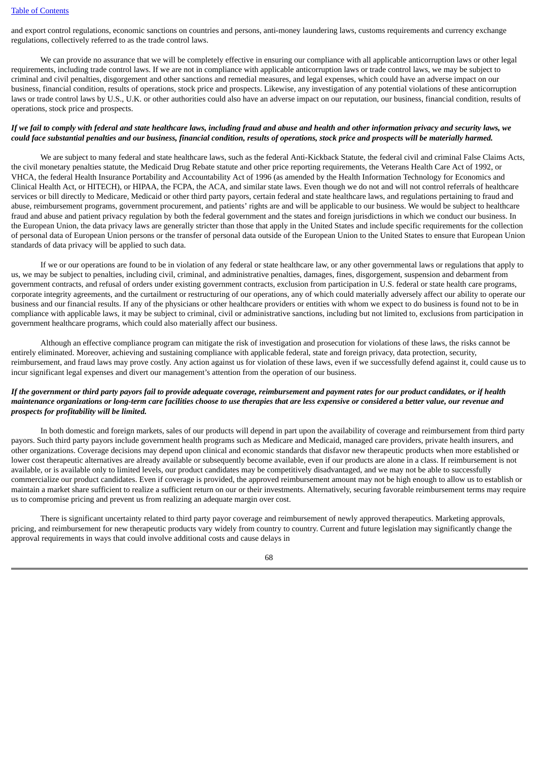and export control regulations, economic sanctions on countries and persons, anti-money laundering laws, customs requirements and currency exchange regulations, collectively referred to as the trade control laws.

We can provide no assurance that we will be completely effective in ensuring our compliance with all applicable anticorruption laws or other legal requirements, including trade control laws. If we are not in compliance with applicable anticorruption laws or trade control laws, we may be subject to criminal and civil penalties, disgorgement and other sanctions and remedial measures, and legal expenses, which could have an adverse impact on our business, financial condition, results of operations, stock price and prospects. Likewise, any investigation of any potential violations of these anticorruption laws or trade control laws by U.S., U.K. or other authorities could also have an adverse impact on our reputation, our business, financial condition, results of operations, stock price and prospects.

## If we fail to comply with federal and state healthcare laws, including fraud and abuse and health and other information privacy and security laws, we could face substantial penalties and our business, financial condition, results of operations, stock price and prospects will be materially harmed.

We are subject to many federal and state healthcare laws, such as the federal Anti-Kickback Statute, the federal civil and criminal False Claims Acts, the civil monetary penalties statute, the Medicaid Drug Rebate statute and other price reporting requirements, the Veterans Health Care Act of 1992, or VHCA, the federal Health Insurance Portability and Accountability Act of 1996 (as amended by the Health Information Technology for Economics and Clinical Health Act, or HITECH), or HIPAA, the FCPA, the ACA, and similar state laws. Even though we do not and will not control referrals of healthcare services or bill directly to Medicare, Medicaid or other third party payors, certain federal and state healthcare laws, and regulations pertaining to fraud and abuse, reimbursement programs, government procurement, and patients' rights are and will be applicable to our business. We would be subject to healthcare fraud and abuse and patient privacy regulation by both the federal government and the states and foreign jurisdictions in which we conduct our business. In the European Union, the data privacy laws are generally stricter than those that apply in the United States and include specific requirements for the collection of personal data of European Union persons or the transfer of personal data outside of the European Union to the United States to ensure that European Union standards of data privacy will be applied to such data.

If we or our operations are found to be in violation of any federal or state healthcare law, or any other governmental laws or regulations that apply to us, we may be subject to penalties, including civil, criminal, and administrative penalties, damages, fines, disgorgement, suspension and debarment from government contracts, and refusal of orders under existing government contracts, exclusion from participation in U.S. federal or state health care programs, corporate integrity agreements, and the curtailment or restructuring of our operations, any of which could materially adversely affect our ability to operate our business and our financial results. If any of the physicians or other healthcare providers or entities with whom we expect to do business is found not to be in compliance with applicable laws, it may be subject to criminal, civil or administrative sanctions, including but not limited to, exclusions from participation in government healthcare programs, which could also materially affect our business.

Although an effective compliance program can mitigate the risk of investigation and prosecution for violations of these laws, the risks cannot be entirely eliminated. Moreover, achieving and sustaining compliance with applicable federal, state and foreign privacy, data protection, security, reimbursement, and fraud laws may prove costly. Any action against us for violation of these laws, even if we successfully defend against it, could cause us to incur significant legal expenses and divert our management's attention from the operation of our business.

## If the government or third party payors fail to provide adequate coverage, reimbursement and payment rates for our product candidates, or if health maintenance organizations or long-term care facilities choose to use therapies that are less expensive or considered a better value, our revenue and *prospects for profitability will be limited.*

In both domestic and foreign markets, sales of our products will depend in part upon the availability of coverage and reimbursement from third party payors. Such third party payors include government health programs such as Medicare and Medicaid, managed care providers, private health insurers, and other organizations. Coverage decisions may depend upon clinical and economic standards that disfavor new therapeutic products when more established or lower cost therapeutic alternatives are already available or subsequently become available, even if our products are alone in a class. If reimbursement is not available, or is available only to limited levels, our product candidates may be competitively disadvantaged, and we may not be able to successfully commercialize our product candidates. Even if coverage is provided, the approved reimbursement amount may not be high enough to allow us to establish or maintain a market share sufficient to realize a sufficient return on our or their investments. Alternatively, securing favorable reimbursement terms may require us to compromise pricing and prevent us from realizing an adequate margin over cost.

There is significant uncertainty related to third party payor coverage and reimbursement of newly approved therapeutics. Marketing approvals, pricing, and reimbursement for new therapeutic products vary widely from country to country. Current and future legislation may significantly change the approval requirements in ways that could involve additional costs and cause delays in

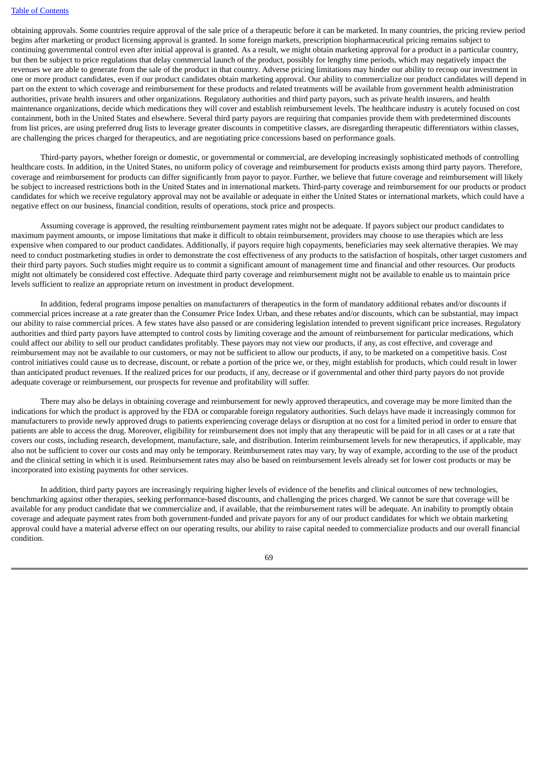obtaining approvals. Some countries require approval of the sale price of a therapeutic before it can be marketed. In many countries, the pricing review period begins after marketing or product licensing approval is granted. In some foreign markets, prescription biopharmaceutical pricing remains subject to continuing governmental control even after initial approval is granted. As a result, we might obtain marketing approval for a product in a particular country, but then be subject to price regulations that delay commercial launch of the product, possibly for lengthy time periods, which may negatively impact the revenues we are able to generate from the sale of the product in that country. Adverse pricing limitations may hinder our ability to recoup our investment in one or more product candidates, even if our product candidates obtain marketing approval. Our ability to commercialize our product candidates will depend in part on the extent to which coverage and reimbursement for these products and related treatments will be available from government health administration authorities, private health insurers and other organizations. Regulatory authorities and third party payors, such as private health insurers, and health maintenance organizations, decide which medications they will cover and establish reimbursement levels. The healthcare industry is acutely focused on cost containment, both in the United States and elsewhere. Several third party payors are requiring that companies provide them with predetermined discounts from list prices, are using preferred drug lists to leverage greater discounts in competitive classes, are disregarding therapeutic differentiators within classes, are challenging the prices charged for therapeutics, and are negotiating price concessions based on performance goals.

Third-party payors, whether foreign or domestic, or governmental or commercial, are developing increasingly sophisticated methods of controlling healthcare costs. In addition, in the United States, no uniform policy of coverage and reimbursement for products exists among third party payors. Therefore, coverage and reimbursement for products can differ significantly from payor to payor. Further, we believe that future coverage and reimbursement will likely be subject to increased restrictions both in the United States and in international markets. Third-party coverage and reimbursement for our products or product candidates for which we receive regulatory approval may not be available or adequate in either the United States or international markets, which could have a negative effect on our business, financial condition, results of operations, stock price and prospects.

Assuming coverage is approved, the resulting reimbursement payment rates might not be adequate. If payors subject our product candidates to maximum payment amounts, or impose limitations that make it difficult to obtain reimbursement, providers may choose to use therapies which are less expensive when compared to our product candidates. Additionally, if payors require high copayments, beneficiaries may seek alternative therapies. We may need to conduct postmarketing studies in order to demonstrate the cost effectiveness of any products to the satisfaction of hospitals, other target customers and their third party payors. Such studies might require us to commit a significant amount of management time and financial and other resources. Our products might not ultimately be considered cost effective. Adequate third party coverage and reimbursement might not be available to enable us to maintain price levels sufficient to realize an appropriate return on investment in product development.

In addition, federal programs impose penalties on manufacturers of therapeutics in the form of mandatory additional rebates and/or discounts if commercial prices increase at a rate greater than the Consumer Price Index Urban, and these rebates and/or discounts, which can be substantial, may impact our ability to raise commercial prices. A few states have also passed or are considering legislation intended to prevent significant price increases. Regulatory authorities and third party payors have attempted to control costs by limiting coverage and the amount of reimbursement for particular medications, which could affect our ability to sell our product candidates profitably. These payors may not view our products, if any, as cost effective, and coverage and reimbursement may not be available to our customers, or may not be sufficient to allow our products, if any, to be marketed on a competitive basis. Cost control initiatives could cause us to decrease, discount, or rebate a portion of the price we, or they, might establish for products, which could result in lower than anticipated product revenues. If the realized prices for our products, if any, decrease or if governmental and other third party payors do not provide adequate coverage or reimbursement, our prospects for revenue and profitability will suffer.

There may also be delays in obtaining coverage and reimbursement for newly approved therapeutics, and coverage may be more limited than the indications for which the product is approved by the FDA or comparable foreign regulatory authorities. Such delays have made it increasingly common for manufacturers to provide newly approved drugs to patients experiencing coverage delays or disruption at no cost for a limited period in order to ensure that patients are able to access the drug. Moreover, eligibility for reimbursement does not imply that any therapeutic will be paid for in all cases or at a rate that covers our costs, including research, development, manufacture, sale, and distribution. Interim reimbursement levels for new therapeutics, if applicable, may also not be sufficient to cover our costs and may only be temporary. Reimbursement rates may vary, by way of example, according to the use of the product and the clinical setting in which it is used. Reimbursement rates may also be based on reimbursement levels already set for lower cost products or may be incorporated into existing payments for other services.

In addition, third party payors are increasingly requiring higher levels of evidence of the benefits and clinical outcomes of new technologies, benchmarking against other therapies, seeking performance-based discounts, and challenging the prices charged. We cannot be sure that coverage will be available for any product candidate that we commercialize and, if available, that the reimbursement rates will be adequate. An inability to promptly obtain coverage and adequate payment rates from both government-funded and private payors for any of our product candidates for which we obtain marketing approval could have a material adverse effect on our operating results, our ability to raise capital needed to commercialize products and our overall financial condition.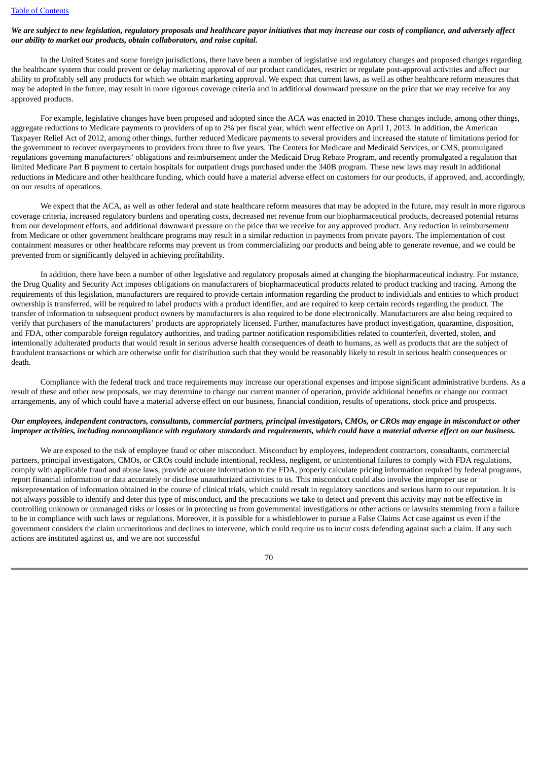## We are subject to new leaislation, regulatory proposals and healthcare payor initiatives that may increase our costs of compliance, and adversely affect *our ability to market our products, obtain collaborators, and raise capital.*

In the United States and some foreign jurisdictions, there have been a number of legislative and regulatory changes and proposed changes regarding the healthcare system that could prevent or delay marketing approval of our product candidates, restrict or regulate post-approval activities and affect our ability to profitably sell any products for which we obtain marketing approval. We expect that current laws, as well as other healthcare reform measures that may be adopted in the future, may result in more rigorous coverage criteria and in additional downward pressure on the price that we may receive for any approved products.

For example, legislative changes have been proposed and adopted since the ACA was enacted in 2010. These changes include, among other things, aggregate reductions to Medicare payments to providers of up to 2% per fiscal year, which went effective on April 1, 2013. In addition, the American Taxpayer Relief Act of 2012, among other things, further reduced Medicare payments to several providers and increased the statute of limitations period for the government to recover overpayments to providers from three to five years. The Centers for Medicare and Medicaid Services, or CMS, promulgated regulations governing manufacturers' obligations and reimbursement under the Medicaid Drug Rebate Program, and recently promulgated a regulation that limited Medicare Part B payment to certain hospitals for outpatient drugs purchased under the 340B program. These new laws may result in additional reductions in Medicare and other healthcare funding, which could have a material adverse effect on customers for our products, if approved, and, accordingly, on our results of operations.

We expect that the ACA, as well as other federal and state healthcare reform measures that may be adopted in the future, may result in more rigorous coverage criteria, increased regulatory burdens and operating costs, decreased net revenue from our biopharmaceutical products, decreased potential returns from our development efforts, and additional downward pressure on the price that we receive for any approved product. Any reduction in reimbursement from Medicare or other government healthcare programs may result in a similar reduction in payments from private payors. The implementation of cost containment measures or other healthcare reforms may prevent us from commercializing our products and being able to generate revenue, and we could be prevented from or significantly delayed in achieving profitability.

In addition, there have been a number of other legislative and regulatory proposals aimed at changing the biopharmaceutical industry. For instance, the Drug Quality and Security Act imposes obligations on manufacturers of biopharmaceutical products related to product tracking and tracing. Among the requirements of this legislation, manufacturers are required to provide certain information regarding the product to individuals and entities to which product ownership is transferred, will be required to label products with a product identifier, and are required to keep certain records regarding the product. The transfer of information to subsequent product owners by manufacturers is also required to be done electronically. Manufacturers are also being required to verify that purchasers of the manufacturers' products are appropriately licensed. Further, manufactures have product investigation, quarantine, disposition, and FDA, other comparable foreign regulatory authorities, and trading partner notification responsibilities related to counterfeit, diverted, stolen, and intentionally adulterated products that would result in serious adverse health consequences of death to humans, as well as products that are the subject of fraudulent transactions or which are otherwise unfit for distribution such that they would be reasonably likely to result in serious health consequences or death.

Compliance with the federal track and trace requirements may increase our operational expenses and impose significant administrative burdens. As a result of these and other new proposals, we may determine to change our current manner of operation, provide additional benefits or change our contract arrangements, any of which could have a material adverse effect on our business, financial condition, results of operations, stock price and prospects.

# Our employees, independent contractors, consultants, commercial partners, principal investigators, CMOs, or CROs may engage in misconduct or other improper activities, including noncompliance with regulatory standards and requirements, which could have a material adverse effect on our business.

We are exposed to the risk of employee fraud or other misconduct. Misconduct by employees, independent contractors, consultants, commercial partners, principal investigators, CMOs, or CROs could include intentional, reckless, negligent, or unintentional failures to comply with FDA regulations, comply with applicable fraud and abuse laws, provide accurate information to the FDA, properly calculate pricing information required by federal programs, report financial information or data accurately or disclose unauthorized activities to us. This misconduct could also involve the improper use or misrepresentation of information obtained in the course of clinical trials, which could result in regulatory sanctions and serious harm to our reputation. It is not always possible to identify and deter this type of misconduct, and the precautions we take to detect and prevent this activity may not be effective in controlling unknown or unmanaged risks or losses or in protecting us from governmental investigations or other actions or lawsuits stemming from a failure to be in compliance with such laws or regulations. Moreover, it is possible for a whistleblower to pursue a False Claims Act case against us even if the government considers the claim unmeritorious and declines to intervene, which could require us to incur costs defending against such a claim. If any such actions are instituted against us, and we are not successful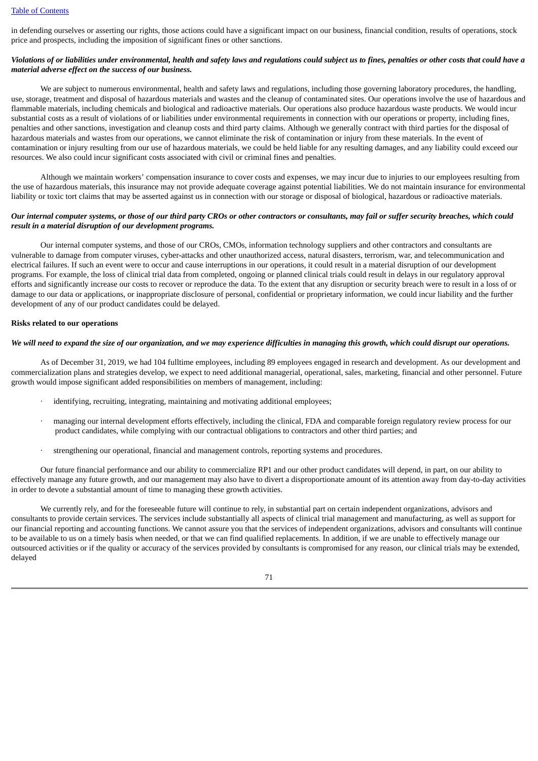in defending ourselves or asserting our rights, those actions could have a significant impact on our business, financial condition, results of operations, stock price and prospects, including the imposition of significant fines or other sanctions.

## Violations of or liabilities under environmental, health and safety laws and regulations could subject us to fines, penalties or other costs that could have a *material adverse effect on the success of our business.*

We are subject to numerous environmental, health and safety laws and regulations, including those governing laboratory procedures, the handling, use, storage, treatment and disposal of hazardous materials and wastes and the cleanup of contaminated sites. Our operations involve the use of hazardous and flammable materials, including chemicals and biological and radioactive materials. Our operations also produce hazardous waste products. We would incur substantial costs as a result of violations of or liabilities under environmental requirements in connection with our operations or property, including fines, penalties and other sanctions, investigation and cleanup costs and third party claims. Although we generally contract with third parties for the disposal of hazardous materials and wastes from our operations, we cannot eliminate the risk of contamination or injury from these materials. In the event of contamination or injury resulting from our use of hazardous materials, we could be held liable for any resulting damages, and any liability could exceed our resources. We also could incur significant costs associated with civil or criminal fines and penalties.

Although we maintain workers' compensation insurance to cover costs and expenses, we may incur due to injuries to our employees resulting from the use of hazardous materials, this insurance may not provide adequate coverage against potential liabilities. We do not maintain insurance for environmental liability or toxic tort claims that may be asserted against us in connection with our storage or disposal of biological, hazardous or radioactive materials.

## Our internal computer systems, or those of our third party CROs or other contractors or consultants, may fail or suffer security breaches, which could *result in a material disruption of our development programs.*

Our internal computer systems, and those of our CROs, CMOs, information technology suppliers and other contractors and consultants are vulnerable to damage from computer viruses, cyber-attacks and other unauthorized access, natural disasters, terrorism, war, and telecommunication and electrical failures. If such an event were to occur and cause interruptions in our operations, it could result in a material disruption of our development programs. For example, the loss of clinical trial data from completed, ongoing or planned clinical trials could result in delays in our regulatory approval efforts and significantly increase our costs to recover or reproduce the data. To the extent that any disruption or security breach were to result in a loss of or damage to our data or applications, or inappropriate disclosure of personal, confidential or proprietary information, we could incur liability and the further development of any of our product candidates could be delayed.

#### **Risks related to our operations**

#### We will need to expand the size of our organization, and we may experience difficulties in managing this growth, which could disrupt our operations.

As of December 31, 2019, we had 104 fulltime employees, including 89 employees engaged in research and development. As our development and commercialization plans and strategies develop, we expect to need additional managerial, operational, sales, marketing, financial and other personnel. Future growth would impose significant added responsibilities on members of management, including:

- identifying, recruiting, integrating, maintaining and motivating additional employees;
- · managing our internal development efforts effectively, including the clinical, FDA and comparable foreign regulatory review process for our product candidates, while complying with our contractual obligations to contractors and other third parties; and
- · strengthening our operational, financial and management controls, reporting systems and procedures.

Our future financial performance and our ability to commercialize RP1 and our other product candidates will depend, in part, on our ability to effectively manage any future growth, and our management may also have to divert a disproportionate amount of its attention away from day-to-day activities in order to devote a substantial amount of time to managing these growth activities.

We currently rely, and for the foreseeable future will continue to rely, in substantial part on certain independent organizations, advisors and consultants to provide certain services. The services include substantially all aspects of clinical trial management and manufacturing, as well as support for our financial reporting and accounting functions. We cannot assure you that the services of independent organizations, advisors and consultants will continue to be available to us on a timely basis when needed, or that we can find qualified replacements. In addition, if we are unable to effectively manage our outsourced activities or if the quality or accuracy of the services provided by consultants is compromised for any reason, our clinical trials may be extended, delayed

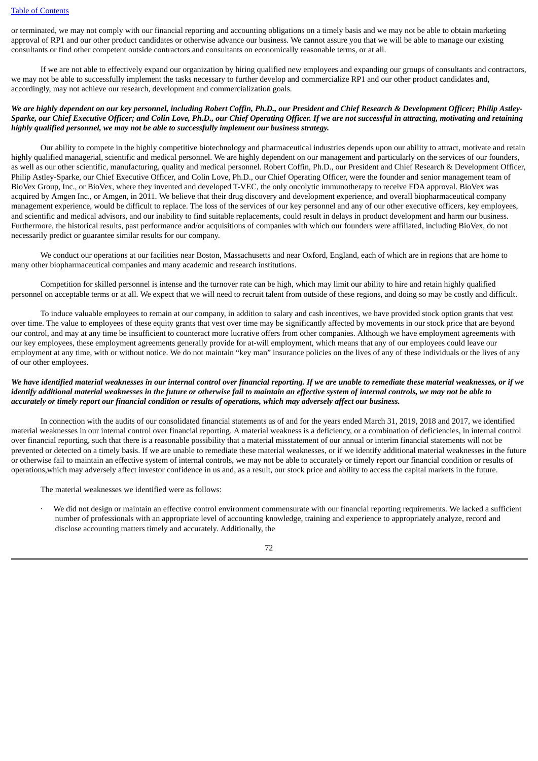or terminated, we may not comply with our financial reporting and accounting obligations on a timely basis and we may not be able to obtain marketing approval of RP1 and our other product candidates or otherwise advance our business. We cannot assure you that we will be able to manage our existing consultants or find other competent outside contractors and consultants on economically reasonable terms, or at all.

If we are not able to effectively expand our organization by hiring qualified new employees and expanding our groups of consultants and contractors, we may not be able to successfully implement the tasks necessary to further develop and commercialize RP1 and our other product candidates and, accordingly, may not achieve our research, development and commercialization goals.

## We are highly dependent on our key personnel, including Robert Coffin, Ph.D., our President and Chief Research & Development Officer; Philip Astley-Sparke, our Chief Executive Officer; and Colin Love, Ph.D., our Chief Operating Officer. If we are not successful in attracting, motivating and retaining *highly qualified personnel, we may not be able to successfully implement our business strategy.*

Our ability to compete in the highly competitive biotechnology and pharmaceutical industries depends upon our ability to attract, motivate and retain highly qualified managerial, scientific and medical personnel. We are highly dependent on our management and particularly on the services of our founders, as well as our other scientific, manufacturing, quality and medical personnel. Robert Coffin, Ph.D., our President and Chief Research & Development Officer, Philip Astley-Sparke, our Chief Executive Officer, and Colin Love, Ph.D., our Chief Operating Officer, were the founder and senior management team of BioVex Group, Inc., or BioVex, where they invented and developed T-VEC, the only oncolytic immunotherapy to receive FDA approval. BioVex was acquired by Amgen Inc., or Amgen, in 2011. We believe that their drug discovery and development experience, and overall biopharmaceutical company management experience, would be difficult to replace. The loss of the services of our key personnel and any of our other executive officers, key employees, and scientific and medical advisors, and our inability to find suitable replacements, could result in delays in product development and harm our business. Furthermore, the historical results, past performance and/or acquisitions of companies with which our founders were affiliated, including BioVex, do not necessarily predict or guarantee similar results for our company.

We conduct our operations at our facilities near Boston, Massachusetts and near Oxford, England, each of which are in regions that are home to many other biopharmaceutical companies and many academic and research institutions.

Competition for skilled personnel is intense and the turnover rate can be high, which may limit our ability to hire and retain highly qualified personnel on acceptable terms or at all. We expect that we will need to recruit talent from outside of these regions, and doing so may be costly and difficult.

To induce valuable employees to remain at our company, in addition to salary and cash incentives, we have provided stock option grants that vest over time. The value to employees of these equity grants that vest over time may be significantly affected by movements in our stock price that are beyond our control, and may at any time be insufficient to counteract more lucrative offers from other companies. Although we have employment agreements with our key employees, these employment agreements generally provide for at-will employment, which means that any of our employees could leave our employment at any time, with or without notice. We do not maintain "key man" insurance policies on the lives of any of these individuals or the lives of any of our other employees.

## We have identified material weaknesses in our internal control over financial reporting. If we are unable to remediate these material weaknesses, or if we identify additional material weaknesses in the future or otherwise fail to maintain an effective system of internal controls, we may not be able to accurately or timely report our financial condition or results of operations, which may adversely affect our business.

In connection with the audits of our consolidated financial statements as of and for the years ended March 31, 2019, 2018 and 2017, we identified material weaknesses in our internal control over financial reporting. A material weakness is a deficiency, or a combination of deficiencies, in internal control over financial reporting, such that there is a reasonable possibility that a material misstatement of our annual or interim financial statements will not be prevented or detected on a timely basis. If we are unable to remediate these material weaknesses, or if we identify additional material weaknesses in the future or otherwise fail to maintain an effective system of internal controls, we may not be able to accurately or timely report our financial condition or results of operations,which may adversely affect investor confidence in us and, as a result, our stock price and ability to access the capital markets in the future.

The material weaknesses we identified were as follows:

We did not design or maintain an effective control environment commensurate with our financial reporting requirements. We lacked a sufficient number of professionals with an appropriate level of accounting knowledge, training and experience to appropriately analyze, record and disclose accounting matters timely and accurately. Additionally, the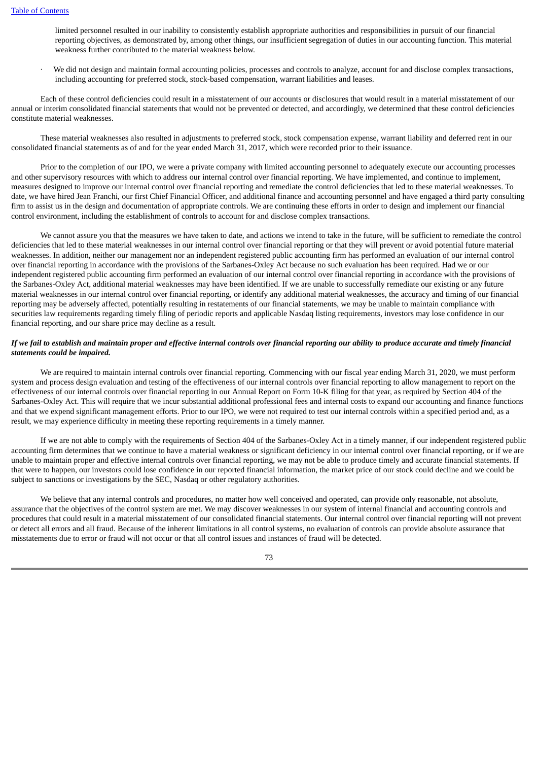limited personnel resulted in our inability to consistently establish appropriate authorities and responsibilities in pursuit of our financial reporting objectives, as demonstrated by, among other things, our insufficient segregation of duties in our accounting function. This material weakness further contributed to the material weakness below.

We did not design and maintain formal accounting policies, processes and controls to analyze, account for and disclose complex transactions, including accounting for preferred stock, stock-based compensation, warrant liabilities and leases.

Each of these control deficiencies could result in a misstatement of our accounts or disclosures that would result in a material misstatement of our annual or interim consolidated financial statements that would not be prevented or detected, and accordingly, we determined that these control deficiencies constitute material weaknesses.

These material weaknesses also resulted in adjustments to preferred stock, stock compensation expense, warrant liability and deferred rent in our consolidated financial statements as of and for the year ended March 31, 2017, which were recorded prior to their issuance.

Prior to the completion of our IPO, we were a private company with limited accounting personnel to adequately execute our accounting processes and other supervisory resources with which to address our internal control over financial reporting. We have implemented, and continue to implement, measures designed to improve our internal control over financial reporting and remediate the control deficiencies that led to these material weaknesses. To date, we have hired Jean Franchi, our first Chief Financial Officer, and additional finance and accounting personnel and have engaged a third party consulting firm to assist us in the design and documentation of appropriate controls. We are continuing these efforts in order to design and implement our financial control environment, including the establishment of controls to account for and disclose complex transactions.

We cannot assure you that the measures we have taken to date, and actions we intend to take in the future, will be sufficient to remediate the control deficiencies that led to these material weaknesses in our internal control over financial reporting or that they will prevent or avoid potential future material weaknesses. In addition, neither our management nor an independent registered public accounting firm has performed an evaluation of our internal control over financial reporting in accordance with the provisions of the Sarbanes-Oxley Act because no such evaluation has been required. Had we or our independent registered public accounting firm performed an evaluation of our internal control over financial reporting in accordance with the provisions of the Sarbanes-Oxley Act, additional material weaknesses may have been identified. If we are unable to successfully remediate our existing or any future material weaknesses in our internal control over financial reporting, or identify any additional material weaknesses, the accuracy and timing of our financial reporting may be adversely affected, potentially resulting in restatements of our financial statements, we may be unable to maintain compliance with securities law requirements regarding timely filing of periodic reports and applicable Nasdaq listing requirements, investors may lose confidence in our financial reporting, and our share price may decline as a result.

# If we fail to establish and maintain proper and effective internal controls over financial reporting our ability to produce accurate and timely financial *statements could be impaired.*

We are required to maintain internal controls over financial reporting. Commencing with our fiscal year ending March 31, 2020, we must perform system and process design evaluation and testing of the effectiveness of our internal controls over financial reporting to allow management to report on the effectiveness of our internal controls over financial reporting in our Annual Report on Form 10-K filing for that year, as required by Section 404 of the Sarbanes-Oxley Act. This will require that we incur substantial additional professional fees and internal costs to expand our accounting and finance functions and that we expend significant management efforts. Prior to our IPO, we were not required to test our internal controls within a specified period and, as a result, we may experience difficulty in meeting these reporting requirements in a timely manner.

If we are not able to comply with the requirements of Section 404 of the Sarbanes-Oxley Act in a timely manner, if our independent registered public accounting firm determines that we continue to have a material weakness or significant deficiency in our internal control over financial reporting, or if we are unable to maintain proper and effective internal controls over financial reporting, we may not be able to produce timely and accurate financial statements. If that were to happen, our investors could lose confidence in our reported financial information, the market price of our stock could decline and we could be subject to sanctions or investigations by the SEC, Nasdaq or other regulatory authorities.

We believe that any internal controls and procedures, no matter how well conceived and operated, can provide only reasonable, not absolute, assurance that the objectives of the control system are met. We may discover weaknesses in our system of internal financial and accounting controls and procedures that could result in a material misstatement of our consolidated financial statements. Our internal control over financial reporting will not prevent or detect all errors and all fraud. Because of the inherent limitations in all control systems, no evaluation of controls can provide absolute assurance that misstatements due to error or fraud will not occur or that all control issues and instances of fraud will be detected.

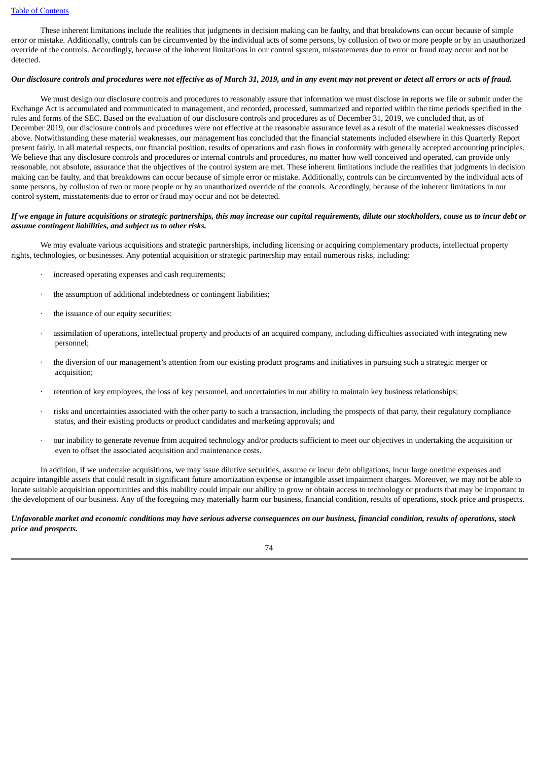#### Table of [Contents](#page-1-0)

These inherent limitations include the realities that judgments in decision making can be faulty, and that breakdowns can occur because of simple error or mistake. Additionally, controls can be circumvented by the individual acts of some persons, by collusion of two or more people or by an unauthorized override of the controls. Accordingly, because of the inherent limitations in our control system, misstatements due to error or fraud may occur and not be detected.

# Our disclosure controls and procedures were not effective as of March 31, 2019, and in any event may not prevent or detect all errors or acts of fraud.

We must design our disclosure controls and procedures to reasonably assure that information we must disclose in reports we file or submit under the Exchange Act is accumulated and communicated to management, and recorded, processed, summarized and reported within the time periods specified in the rules and forms of the SEC. Based on the evaluation of our disclosure controls and procedures as of December 31, 2019, we concluded that, as of December 2019, our disclosure controls and procedures were not effective at the reasonable assurance level as a result of the material weaknesses discussed above. Notwithstanding these material weaknesses, our management has concluded that the financial statements included elsewhere in this Quarterly Report present fairly, in all material respects, our financial position, results of operations and cash flows in conformity with generally accepted accounting principles. We believe that any disclosure controls and procedures or internal controls and procedures, no matter how well conceived and operated, can provide only reasonable, not absolute, assurance that the objectives of the control system are met. These inherent limitations include the realities that judgments in decision making can be faulty, and that breakdowns can occur because of simple error or mistake. Additionally, controls can be circumvented by the individual acts of some persons, by collusion of two or more people or by an unauthorized override of the controls. Accordingly, because of the inherent limitations in our control system, misstatements due to error or fraud may occur and not be detected.

# If we engage in future acquisitions or strategic partnerships, this may increase our capital requirements, dilute our stockholders, cause us to incur debt or *assume contingent liabilities, and subject us to other risks.*

We may evaluate various acquisitions and strategic partnerships, including licensing or acquiring complementary products, intellectual property rights, technologies, or businesses. Any potential acquisition or strategic partnership may entail numerous risks, including:

- increased operating expenses and cash requirements;
- · the assumption of additional indebtedness or contingent liabilities;
- the issuance of our equity securities;
- assimilation of operations, intellectual property and products of an acquired company, including difficulties associated with integrating new personnel;
- · the diversion of our management's attention from our existing product programs and initiatives in pursuing such a strategic merger or acquisition;
- retention of key employees, the loss of key personnel, and uncertainties in our ability to maintain key business relationships;
- · risks and uncertainties associated with the other party to such a transaction, including the prospects of that party, their regulatory compliance status, and their existing products or product candidates and marketing approvals; and
- · our inability to generate revenue from acquired technology and/or products sufficient to meet our objectives in undertaking the acquisition or even to offset the associated acquisition and maintenance costs.

In addition, if we undertake acquisitions, we may issue dilutive securities, assume or incur debt obligations, incur large onetime expenses and acquire intangible assets that could result in significant future amortization expense or intangible asset impairment charges. Moreover, we may not be able to locate suitable acquisition opportunities and this inability could impair our ability to grow or obtain access to technology or products that may be important to the development of our business. Any of the foregoing may materially harm our business, financial condition, results of operations, stock price and prospects.

### Unfavorable market and economic conditions may have serious adverse consequences on our business, financial condition, results of operations, stock *price and prospects.*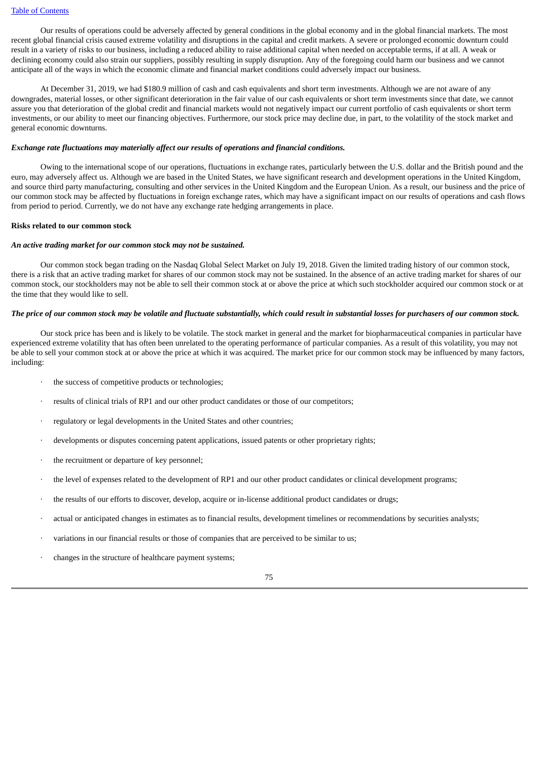Our results of operations could be adversely affected by general conditions in the global economy and in the global financial markets. The most recent global financial crisis caused extreme volatility and disruptions in the capital and credit markets. A severe or prolonged economic downturn could result in a variety of risks to our business, including a reduced ability to raise additional capital when needed on acceptable terms, if at all. A weak or declining economy could also strain our suppliers, possibly resulting in supply disruption. Any of the foregoing could harm our business and we cannot anticipate all of the ways in which the economic climate and financial market conditions could adversely impact our business.

At December 31, 2019, we had \$180.9 million of cash and cash equivalents and short term investments. Although we are not aware of any downgrades, material losses, or other significant deterioration in the fair value of our cash equivalents or short term investments since that date, we cannot assure you that deterioration of the global credit and financial markets would not negatively impact our current portfolio of cash equivalents or short term investments, or our ability to meet our financing objectives. Furthermore, our stock price may decline due, in part, to the volatility of the stock market and general economic downturns.

#### *Exchange rate fluctuations may materially affect our results of operations and financial conditions.*

Owing to the international scope of our operations, fluctuations in exchange rates, particularly between the U.S. dollar and the British pound and the euro, may adversely affect us. Although we are based in the United States, we have significant research and development operations in the United Kingdom, and source third party manufacturing, consulting and other services in the United Kingdom and the European Union. As a result, our business and the price of our common stock may be affected by fluctuations in foreign exchange rates, which may have a significant impact on our results of operations and cash flows from period to period. Currently, we do not have any exchange rate hedging arrangements in place.

#### **Risks related to our common stock**

#### *An active trading market for our common stock may not be sustained.*

Our common stock began trading on the Nasdaq Global Select Market on July 19, 2018. Given the limited trading history of our common stock, there is a risk that an active trading market for shares of our common stock may not be sustained. In the absence of an active trading market for shares of our common stock, our stockholders may not be able to sell their common stock at or above the price at which such stockholder acquired our common stock or at the time that they would like to sell.

#### The price of our common stock may be volatile and fluctuate substantially, which could result in substantial losses for purchasers of our common stock.

Our stock price has been and is likely to be volatile. The stock market in general and the market for biopharmaceutical companies in particular have experienced extreme volatility that has often been unrelated to the operating performance of particular companies. As a result of this volatility, you may not be able to sell your common stock at or above the price at which it was acquired. The market price for our common stock may be influenced by many factors, including:

- the success of competitive products or technologies;
- · results of clinical trials of RP1 and our other product candidates or those of our competitors;
- regulatory or legal developments in the United States and other countries;
- developments or disputes concerning patent applications, issued patents or other proprietary rights;
- the recruitment or departure of key personnel;
- the level of expenses related to the development of RP1 and our other product candidates or clinical development programs;
- the results of our efforts to discover, develop, acquire or in-license additional product candidates or drugs;
- · actual or anticipated changes in estimates as to financial results, development timelines or recommendations by securities analysts;
- variations in our financial results or those of companies that are perceived to be similar to us;
- changes in the structure of healthcare payment systems;

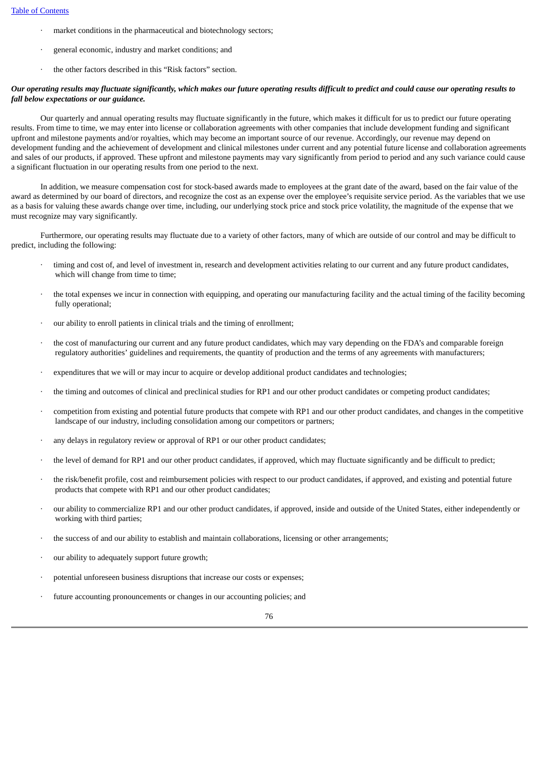- market conditions in the pharmaceutical and biotechnology sectors;
- general economic, industry and market conditions; and
- the other factors described in this "Risk factors" section.

# Our operating results may fluctuate significantly, which makes our future operating results difficult to predict and could cause our operating results to *fall below expectations or our guidance.*

Our quarterly and annual operating results may fluctuate significantly in the future, which makes it difficult for us to predict our future operating results. From time to time, we may enter into license or collaboration agreements with other companies that include development funding and significant upfront and milestone payments and/or royalties, which may become an important source of our revenue. Accordingly, our revenue may depend on development funding and the achievement of development and clinical milestones under current and any potential future license and collaboration agreements and sales of our products, if approved. These upfront and milestone payments may vary significantly from period to period and any such variance could cause a significant fluctuation in our operating results from one period to the next.

In addition, we measure compensation cost for stock-based awards made to employees at the grant date of the award, based on the fair value of the award as determined by our board of directors, and recognize the cost as an expense over the employee's requisite service period. As the variables that we use as a basis for valuing these awards change over time, including, our underlying stock price and stock price volatility, the magnitude of the expense that we must recognize may vary significantly.

Furthermore, our operating results may fluctuate due to a variety of other factors, many of which are outside of our control and may be difficult to predict, including the following:

- timing and cost of, and level of investment in, research and development activities relating to our current and any future product candidates, which will change from time to time;
- · the total expenses we incur in connection with equipping, and operating our manufacturing facility and the actual timing of the facility becoming fully operational;
- · our ability to enroll patients in clinical trials and the timing of enrollment;
- the cost of manufacturing our current and any future product candidates, which may vary depending on the FDA's and comparable foreign regulatory authorities' guidelines and requirements, the quantity of production and the terms of any agreements with manufacturers;
- expenditures that we will or may incur to acquire or develop additional product candidates and technologies;
- the timing and outcomes of clinical and preclinical studies for RP1 and our other product candidates or competing product candidates;
- · competition from existing and potential future products that compete with RP1 and our other product candidates, and changes in the competitive landscape of our industry, including consolidation among our competitors or partners;
- any delays in regulatory review or approval of RP1 or our other product candidates;
- · the level of demand for RP1 and our other product candidates, if approved, which may fluctuate significantly and be difficult to predict;
- · the risk/benefit profile, cost and reimbursement policies with respect to our product candidates, if approved, and existing and potential future products that compete with RP1 and our other product candidates;
- · our ability to commercialize RP1 and our other product candidates, if approved, inside and outside of the United States, either independently or working with third parties;
- · the success of and our ability to establish and maintain collaborations, licensing or other arrangements;
- our ability to adequately support future growth;
- potential unforeseen business disruptions that increase our costs or expenses;
- future accounting pronouncements or changes in our accounting policies; and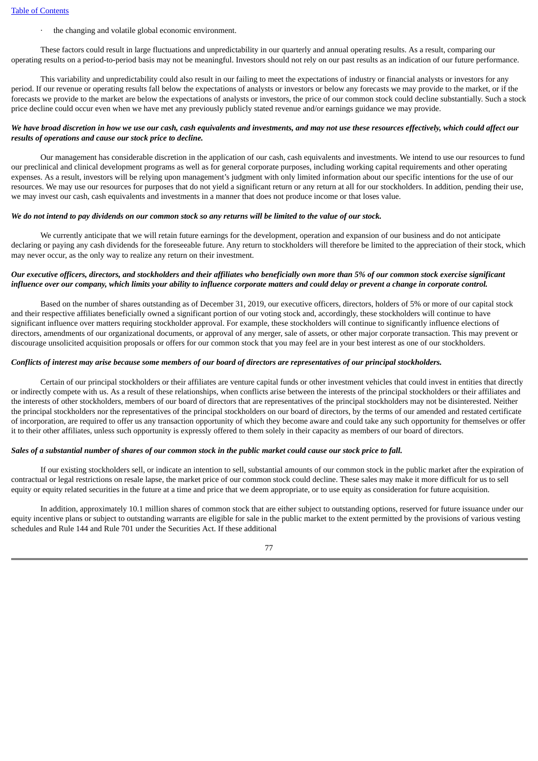the changing and volatile global economic environment.

These factors could result in large fluctuations and unpredictability in our quarterly and annual operating results. As a result, comparing our operating results on a period-to-period basis may not be meaningful. Investors should not rely on our past results as an indication of our future performance.

This variability and unpredictability could also result in our failing to meet the expectations of industry or financial analysts or investors for any period. If our revenue or operating results fall below the expectations of analysts or investors or below any forecasts we may provide to the market, or if the forecasts we provide to the market are below the expectations of analysts or investors, the price of our common stock could decline substantially. Such a stock price decline could occur even when we have met any previously publicly stated revenue and/or earnings guidance we may provide.

### We have broad discretion in how we use our cash, cash equivalents and investments, and may not use these resources effectively, which could affect our *results of operations and cause our stock price to decline.*

Our management has considerable discretion in the application of our cash, cash equivalents and investments. We intend to use our resources to fund our preclinical and clinical development programs as well as for general corporate purposes, including working capital requirements and other operating expenses. As a result, investors will be relying upon management's judgment with only limited information about our specific intentions for the use of our resources. We may use our resources for purposes that do not yield a significant return or any return at all for our stockholders. In addition, pending their use, we may invest our cash, cash equivalents and investments in a manner that does not produce income or that loses value.

#### We do not intend to pay dividends on our common stock so any returns will be limited to the value of our stock.

We currently anticipate that we will retain future earnings for the development, operation and expansion of our business and do not anticipate declaring or paying any cash dividends for the foreseeable future. Any return to stockholders will therefore be limited to the appreciation of their stock, which may never occur, as the only way to realize any return on their investment.

# Our executive officers, directors, and stockholders and their affiliates who beneficially own more than 5% of our common stock exercise significant influence over our company, which limits your ability to influence corporate matters and could delay or prevent a change in corporate control.

Based on the number of shares outstanding as of December 31, 2019, our executive officers, directors, holders of 5% or more of our capital stock and their respective affiliates beneficially owned a significant portion of our voting stock and, accordingly, these stockholders will continue to have significant influence over matters requiring stockholder approval. For example, these stockholders will continue to significantly influence elections of directors, amendments of our organizational documents, or approval of any merger, sale of assets, or other major corporate transaction. This may prevent or discourage unsolicited acquisition proposals or offers for our common stock that you may feel are in your best interest as one of our stockholders.

### Conflicts of interest may arise because some members of our board of directors are representatives of our principal stockholders.

Certain of our principal stockholders or their affiliates are venture capital funds or other investment vehicles that could invest in entities that directly or indirectly compete with us. As a result of these relationships, when conflicts arise between the interests of the principal stockholders or their affiliates and the interests of other stockholders, members of our board of directors that are representatives of the principal stockholders may not be disinterested. Neither the principal stockholders nor the representatives of the principal stockholders on our board of directors, by the terms of our amended and restated certificate of incorporation, are required to offer us any transaction opportunity of which they become aware and could take any such opportunity for themselves or offer it to their other affiliates, unless such opportunity is expressly offered to them solely in their capacity as members of our board of directors.

# Sales of a substantial number of shares of our common stock in the public market could cause our stock price to fall.

If our existing stockholders sell, or indicate an intention to sell, substantial amounts of our common stock in the public market after the expiration of contractual or legal restrictions on resale lapse, the market price of our common stock could decline. These sales may make it more difficult for us to sell equity or equity related securities in the future at a time and price that we deem appropriate, or to use equity as consideration for future acquisition.

In addition, approximately 10.1 million shares of common stock that are either subject to outstanding options, reserved for future issuance under our equity incentive plans or subject to outstanding warrants are eligible for sale in the public market to the extent permitted by the provisions of various vesting schedules and Rule 144 and Rule 701 under the Securities Act. If these additional

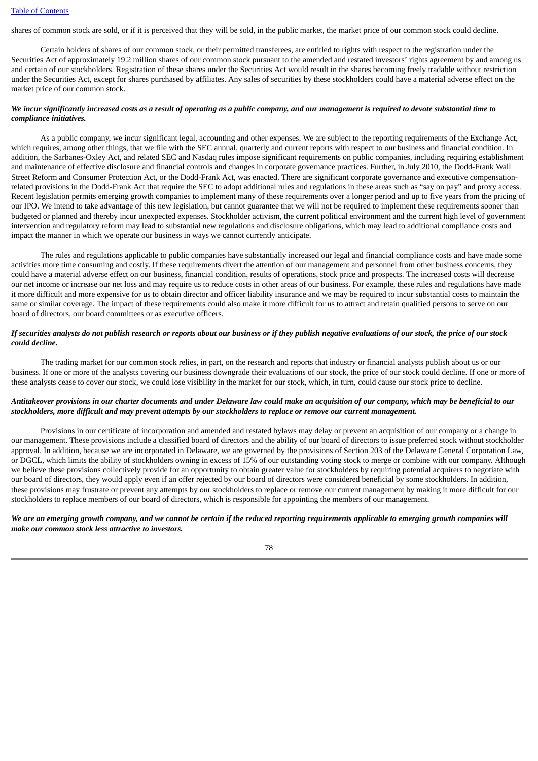shares of common stock are sold, or if it is perceived that they will be sold, in the public market, the market price of our common stock could decline.

Certain holders of shares of our common stock, or their permitted transferees, are entitled to rights with respect to the registration under the Securities Act of approximately 19.2 million shares of our common stock pursuant to the amended and restated investors' rights agreement by and among us and certain of our stockholders. Registration of these shares under the Securities Act would result in the shares becoming freely tradable without restriction under the Securities Act, except for shares purchased by affiliates. Any sales of securities by these stockholders could have a material adverse effect on the market price of our common stock.

### We incur significantly increased costs as a result of operating as a public company, and our management is required to devote substantial time to *compliance initiatives.*

As a public company, we incur significant legal, accounting and other expenses. We are subject to the reporting requirements of the Exchange Act, which requires, among other things, that we file with the SEC annual, quarterly and current reports with respect to our business and financial condition. In addition, the Sarbanes-Oxley Act, and related SEC and Nasdaq rules impose significant requirements on public companies, including requiring establishment and maintenance of effective disclosure and financial controls and changes in corporate governance practices. Further, in July 2010, the Dodd-Frank Wall Street Reform and Consumer Protection Act, or the Dodd-Frank Act, was enacted. There are significant corporate governance and executive compensationrelated provisions in the Dodd-Frank Act that require the SEC to adopt additional rules and regulations in these areas such as "say on pay" and proxy access. Recent legislation permits emerging growth companies to implement many of these requirements over a longer period and up to five years from the pricing of our IPO. We intend to take advantage of this new legislation, but cannot guarantee that we will not be required to implement these requirements sooner than budgeted or planned and thereby incur unexpected expenses. Stockholder activism, the current political environment and the current high level of government intervention and regulatory reform may lead to substantial new regulations and disclosure obligations, which may lead to additional compliance costs and impact the manner in which we operate our business in ways we cannot currently anticipate.

The rules and regulations applicable to public companies have substantially increased our legal and financial compliance costs and have made some activities more time consuming and costly. If these requirements divert the attention of our management and personnel from other business concerns, they could have a material adverse effect on our business, financial condition, results of operations, stock price and prospects. The increased costs will decrease our net income or increase our net loss and may require us to reduce costs in other areas of our business. For example, these rules and regulations have made it more difficult and more expensive for us to obtain director and officer liability insurance and we may be required to incur substantial costs to maintain the same or similar coverage. The impact of these requirements could also make it more difficult for us to attract and retain qualified persons to serve on our board of directors, our board committees or as executive officers.

### If securities analysts do not publish research or reports about our business or if they publish negative evaluations of our stock, the price of our stock *could decline.*

The trading market for our common stock relies, in part, on the research and reports that industry or financial analysts publish about us or our business. If one or more of the analysts covering our business downgrade their evaluations of our stock, the price of our stock could decline. If one or more of these analysts cease to cover our stock, we could lose visibility in the market for our stock, which, in turn, could cause our stock price to decline.

# Antitakeover provisions in our charter documents and under Delaware law could make an acquisition of our company, which may be beneficial to our stockholders, more difficult and may prevent attempts by our stockholders to replace or remove our current management.

Provisions in our certificate of incorporation and amended and restated bylaws may delay or prevent an acquisition of our company or a change in our management. These provisions include a classified board of directors and the ability of our board of directors to issue preferred stock without stockholder approval. In addition, because we are incorporated in Delaware, we are governed by the provisions of Section 203 of the Delaware General Corporation Law, or DGCL, which limits the ability of stockholders owning in excess of 15% of our outstanding voting stock to merge or combine with our company. Although we believe these provisions collectively provide for an opportunity to obtain greater value for stockholders by requiring potential acquirers to negotiate with our board of directors, they would apply even if an offer rejected by our board of directors were considered beneficial by some stockholders. In addition, these provisions may frustrate or prevent any attempts by our stockholders to replace or remove our current management by making it more difficult for our stockholders to replace members of our board of directors, which is responsible for appointing the members of our management.

### We are an emerging growth company, and we cannot be certain if the reduced reporting requirements applicable to emerging growth companies will *make our common stock less attractive to investors.*

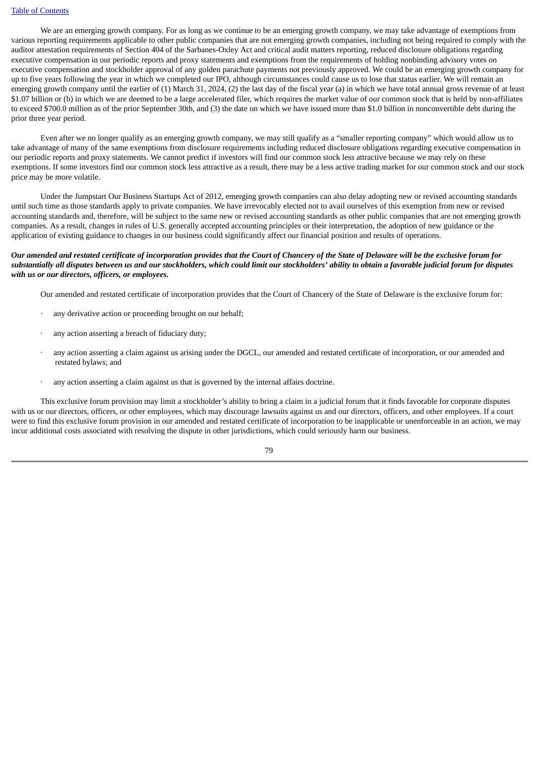#### Table of [Contents](#page-1-0)

We are an emerging growth company. For as long as we continue to be an emerging growth company, we may take advantage of exemptions from various reporting requirements applicable to other public companies that are not emerging growth companies, including not being required to comply with the auditor attestation requirements of Section 404 of the Sarbanes-Oxley Act and critical audit matters reporting, reduced disclosure obligations regarding executive compensation in our periodic reports and proxy statements and exemptions from the requirements of holding nonbinding advisory votes on executive compensation and stockholder approval of any golden parachute payments not previously approved. We could be an emerging growth company for up to five years following the year in which we completed our IPO, although circumstances could cause us to lose that status earlier. We will remain an emerging growth company until the earlier of (1) March 31, 2024, (2) the last day of the fiscal year (a) in which we have total annual gross revenue of at least \$1.07 billion or (b) in which we are deemed to be a large accelerated filer, which requires the market value of our common stock that is held by non-affiliates to exceed \$700.0 million as of the prior September 30th, and (3) the date on which we have issued more than \$1.0 billion in nonconvertible debt during the prior three year period.

Even after we no longer qualify as an emerging growth company, we may still qualify as a "smaller reporting company" which would allow us to take advantage of many of the same exemptions from disclosure requirements including reduced disclosure obligations regarding executive compensation in our periodic reports and proxy statements. We cannot predict if investors will find our common stock less attractive because we may rely on these exemptions. If some investors find our common stock less attractive as a result, there may be a less active trading market for our common stock and our stock price may be more volatile.

Under the Jumpstart Our Business Startups Act of 2012, emerging growth companies can also delay adopting new or revised accounting standards until such time as those standards apply to private companies. We have irrevocably elected not to avail ourselves of this exemption from new or revised accounting standards and, therefore, will be subject to the same new or revised accounting standards as other public companies that are not emerging growth companies. As a result, changes in rules of U.S. generally accepted accounting principles or their interpretation, the adoption of new guidance or the application of existing guidance to changes in our business could significantly affect our financial position and results of operations.

# Our amended and restated certificate of incorporation provides that the Court of Chancery of the State of Delaware will be the exclusive forum for substantially all disputes between us and our stockholders, which could limit our stockholders' ability to obtain a favorable judicial forum for disputes *with us or our directors, officers, or employees.*

Our amended and restated certificate of incorporation provides that the Court of Chancery of the State of Delaware is the exclusive forum for:

- any derivative action or proceeding brought on our behalf;
- any action asserting a breach of fiduciary duty;
- any action asserting a claim against us arising under the DGCL, our amended and restated certificate of incorporation, or our amended and restated bylaws; and
- any action asserting a claim against us that is governed by the internal affairs doctrine.

This exclusive forum provision may limit a stockholder's ability to bring a claim in a judicial forum that it finds favorable for corporate disputes with us or our directors, officers, or other employees, which may discourage lawsuits against us and our directors, officers, and other employees. If a court were to find this exclusive forum provision in our amended and restated certificate of incorporation to be inapplicable or unenforceable in an action, we may incur additional costs associated with resolving the dispute in other jurisdictions, which could seriously harm our business.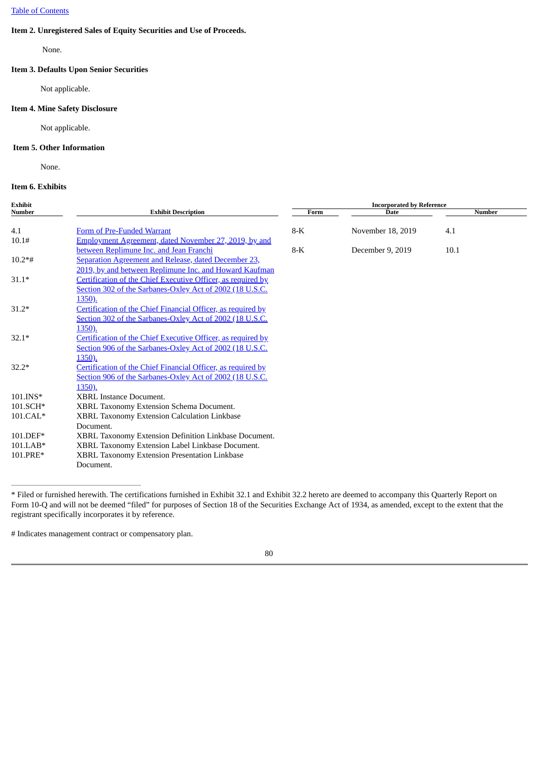# **Item 2. Unregistered Sales of Equity Securities and Use of Proceeds.**

None.

# **Item 3. Defaults Upon Senior Securities**

Not applicable.

# **Item 4. Mine Safety Disclosure**

Not applicable.

# **Item 5. Other Information**

None.

# **Item 6. Exhibits**

|                                                              |                                                                                                                                                                                                                                                                                                                                                                                                                                                                                                                                                                                                                                 | <b>Incorporated by Reference</b> |               |  |
|--------------------------------------------------------------|---------------------------------------------------------------------------------------------------------------------------------------------------------------------------------------------------------------------------------------------------------------------------------------------------------------------------------------------------------------------------------------------------------------------------------------------------------------------------------------------------------------------------------------------------------------------------------------------------------------------------------|----------------------------------|---------------|--|
| <b>Exhibit Description</b>                                   | Form                                                                                                                                                                                                                                                                                                                                                                                                                                                                                                                                                                                                                            | <b>Date</b>                      | <b>Number</b> |  |
| Form of Pre-Funded Warrant                                   | $8-K$                                                                                                                                                                                                                                                                                                                                                                                                                                                                                                                                                                                                                           | November 18, 2019                | 4.1           |  |
| <b>Employment Agreement, dated November 27, 2019, by and</b> |                                                                                                                                                                                                                                                                                                                                                                                                                                                                                                                                                                                                                                 |                                  |               |  |
| between Replimune Inc. and Jean Franchi                      | $8-K$                                                                                                                                                                                                                                                                                                                                                                                                                                                                                                                                                                                                                           | December 9, 2019                 | 10.1          |  |
| Separation Agreement and Release, dated December 23,         |                                                                                                                                                                                                                                                                                                                                                                                                                                                                                                                                                                                                                                 |                                  |               |  |
| 2019, by and between Replimune Inc. and Howard Kaufman       |                                                                                                                                                                                                                                                                                                                                                                                                                                                                                                                                                                                                                                 |                                  |               |  |
| Certification of the Chief Executive Officer, as required by |                                                                                                                                                                                                                                                                                                                                                                                                                                                                                                                                                                                                                                 |                                  |               |  |
|                                                              |                                                                                                                                                                                                                                                                                                                                                                                                                                                                                                                                                                                                                                 |                                  |               |  |
| $1350$ ).                                                    |                                                                                                                                                                                                                                                                                                                                                                                                                                                                                                                                                                                                                                 |                                  |               |  |
| Certification of the Chief Financial Officer, as required by |                                                                                                                                                                                                                                                                                                                                                                                                                                                                                                                                                                                                                                 |                                  |               |  |
|                                                              |                                                                                                                                                                                                                                                                                                                                                                                                                                                                                                                                                                                                                                 |                                  |               |  |
| 1350).                                                       |                                                                                                                                                                                                                                                                                                                                                                                                                                                                                                                                                                                                                                 |                                  |               |  |
| Certification of the Chief Executive Officer, as required by |                                                                                                                                                                                                                                                                                                                                                                                                                                                                                                                                                                                                                                 |                                  |               |  |
|                                                              |                                                                                                                                                                                                                                                                                                                                                                                                                                                                                                                                                                                                                                 |                                  |               |  |
| 1350).                                                       |                                                                                                                                                                                                                                                                                                                                                                                                                                                                                                                                                                                                                                 |                                  |               |  |
|                                                              |                                                                                                                                                                                                                                                                                                                                                                                                                                                                                                                                                                                                                                 |                                  |               |  |
|                                                              |                                                                                                                                                                                                                                                                                                                                                                                                                                                                                                                                                                                                                                 |                                  |               |  |
|                                                              |                                                                                                                                                                                                                                                                                                                                                                                                                                                                                                                                                                                                                                 |                                  |               |  |
|                                                              |                                                                                                                                                                                                                                                                                                                                                                                                                                                                                                                                                                                                                                 |                                  |               |  |
|                                                              |                                                                                                                                                                                                                                                                                                                                                                                                                                                                                                                                                                                                                                 |                                  |               |  |
|                                                              |                                                                                                                                                                                                                                                                                                                                                                                                                                                                                                                                                                                                                                 |                                  |               |  |
|                                                              |                                                                                                                                                                                                                                                                                                                                                                                                                                                                                                                                                                                                                                 |                                  |               |  |
|                                                              |                                                                                                                                                                                                                                                                                                                                                                                                                                                                                                                                                                                                                                 |                                  |               |  |
|                                                              |                                                                                                                                                                                                                                                                                                                                                                                                                                                                                                                                                                                                                                 |                                  |               |  |
|                                                              |                                                                                                                                                                                                                                                                                                                                                                                                                                                                                                                                                                                                                                 |                                  |               |  |
| Document.                                                    |                                                                                                                                                                                                                                                                                                                                                                                                                                                                                                                                                                                                                                 |                                  |               |  |
|                                                              | Section 302 of the Sarbanes-Oxley Act of 2002 (18 U.S.C.<br>Section 302 of the Sarbanes-Oxley Act of 2002 (18 U.S.C.<br>Section 906 of the Sarbanes-Oxley Act of 2002 (18 U.S.C.<br>Certification of the Chief Financial Officer, as required by<br>Section 906 of the Sarbanes-Oxley Act of 2002 (18 U.S.C.<br>1350).<br><b>XBRL Instance Document.</b><br>XBRL Taxonomy Extension Schema Document.<br>XBRL Taxonomy Extension Calculation Linkbase<br>Document.<br>XBRL Taxonomy Extension Definition Linkbase Document.<br>XBRL Taxonomy Extension Label Linkbase Document.<br>XBRL Taxonomy Extension Presentation Linkbase |                                  |               |  |

<sup>\*</sup> Filed or furnished herewith. The certifications furnished in Exhibit 32.1 and Exhibit 32.2 hereto are deemed to accompany this Quarterly Report on Form 10-Q and will not be deemed "filed" for purposes of Section 18 of the Securities Exchange Act of 1934, as amended, except to the extent that the registrant specifically incorporates it by reference.

# Indicates management contract or compensatory plan.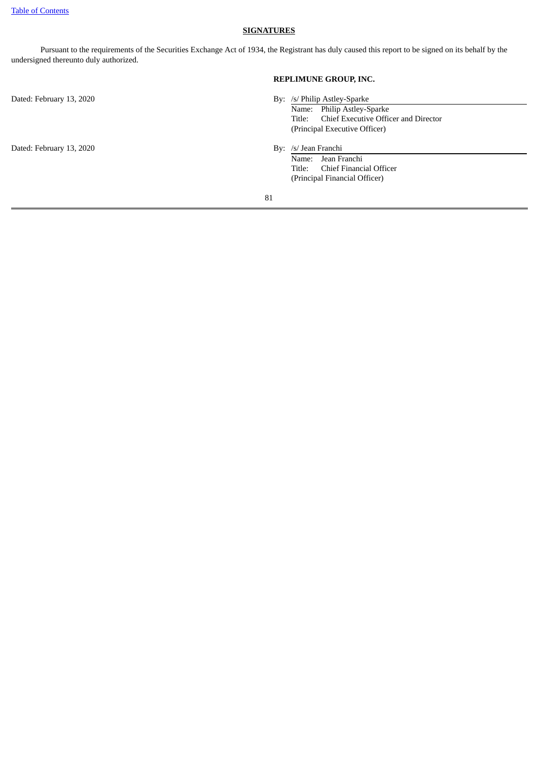# **SIGNATURES**

Pursuant to the requirements of the Securities Exchange Act of 1934, the Registrant has duly caused this report to be signed on its behalf by the undersigned thereunto duly authorized.

|                          | <b>REPLIMUNE GROUP, INC.</b>                                                                                                                  |
|--------------------------|-----------------------------------------------------------------------------------------------------------------------------------------------|
| Dated: February 13, 2020 | By: /s/ Philip Astley-Sparke<br>Name: Philip Astley-Sparke<br>Chief Executive Officer and Director<br>Title:<br>(Principal Executive Officer) |
| Dated: February 13, 2020 | By: /s/ Jean Franchi<br>Jean Franchi<br>Name:<br>Title:<br>Chief Financial Officer<br>(Principal Financial Officer)                           |
|                          | 81                                                                                                                                            |

L,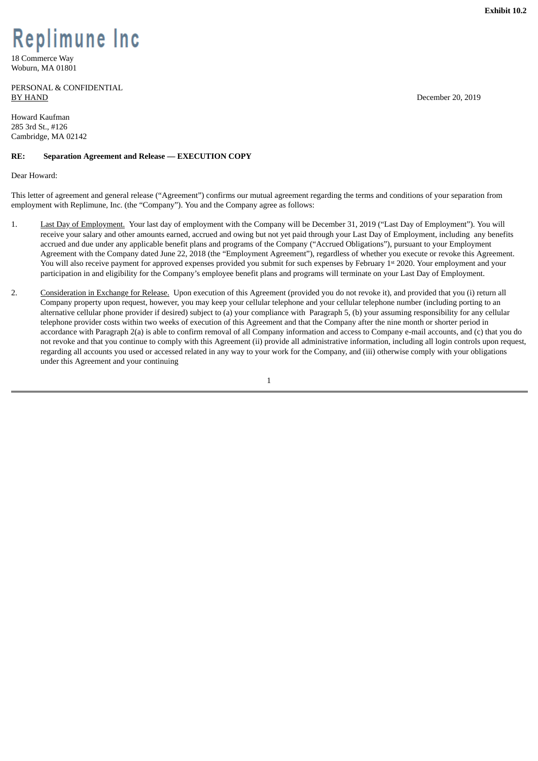Replimune Inc 18 Commerce Way

Woburn, MA 01801

# PERSONAL & CONFIDENTIAL BY HAND December 20, 2019

Howard Kaufman 285 3rd St., #126 Cambridge, MA 02142

# **RE: Separation Agreement and Release — EXECUTION COPY**

# Dear Howard:

This letter of agreement and general release ("Agreement") confirms our mutual agreement regarding the terms and conditions of your separation from employment with Replimune, Inc. (the "Company"). You and the Company agree as follows:

- 1. Last Day of Employment. Your last day of employment with the Company will be December 31, 2019 ("Last Day of Employment"). You will receive your salary and other amounts earned, accrued and owing but not yet paid through your Last Day of Employment, including any benefits accrued and due under any applicable benefit plans and programs of the Company ("Accrued Obligations"), pursuant to your Employment Agreement with the Company dated June 22, 2018 (the "Employment Agreement"), regardless of whether you execute or revoke this Agreement. You will also receive payment for approved expenses provided you submit for such expenses by February 1<sup>st</sup> 2020. Your employment and your participation in and eligibility for the Company's employee benefit plans and programs will terminate on your Last Day of Employment.
- 2. Consideration in Exchange for Release. Upon execution of this Agreement (provided you do not revoke it), and provided that you (i) return all Company property upon request, however, you may keep your cellular telephone and your cellular telephone number (including porting to an alternative cellular phone provider if desired) subject to (a) your compliance with Paragraph 5, (b) your assuming responsibility for any cellular telephone provider costs within two weeks of execution of this Agreement and that the Company after the nine month or shorter period in accordance with Paragraph 2(a) is able to confirm removal of all Company information and access to Company e-mail accounts, and (c) that you do not revoke and that you continue to comply with this Agreement (ii) provide all administrative information, including all login controls upon request, regarding all accounts you used or accessed related in any way to your work for the Company, and (iii) otherwise comply with your obligations under this Agreement and your continuing

<span id="page-81-0"></span>**Exhibit 10.2**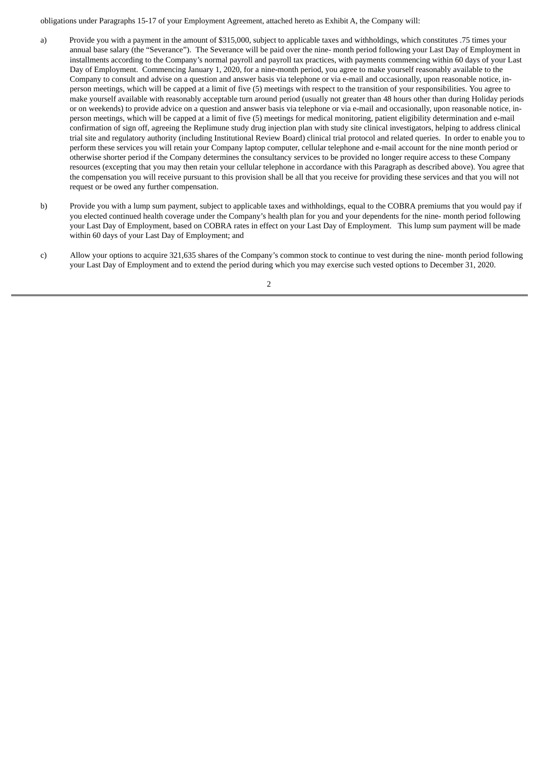obligations under Paragraphs 15-17 of your Employment Agreement, attached hereto as Exhibit A, the Company will:

- a) Provide you with a payment in the amount of \$315,000, subject to applicable taxes and withholdings, which constitutes .75 times your annual base salary (the "Severance"). The Severance will be paid over the nine- month period following your Last Day of Employment in installments according to the Company's normal payroll and payroll tax practices, with payments commencing within 60 days of your Last Day of Employment. Commencing January 1, 2020, for a nine-month period, you agree to make yourself reasonably available to the Company to consult and advise on a question and answer basis via telephone or via e-mail and occasionally, upon reasonable notice, inperson meetings, which will be capped at a limit of five (5) meetings with respect to the transition of your responsibilities. You agree to make yourself available with reasonably acceptable turn around period (usually not greater than 48 hours other than during Holiday periods or on weekends) to provide advice on a question and answer basis via telephone or via e-mail and occasionally, upon reasonable notice, inperson meetings, which will be capped at a limit of five (5) meetings for medical monitoring, patient eligibility determination and e-mail confirmation of sign off, agreeing the Replimune study drug injection plan with study site clinical investigators, helping to address clinical trial site and regulatory authority (including Institutional Review Board) clinical trial protocol and related queries. In order to enable you to perform these services you will retain your Company laptop computer, cellular telephone and e-mail account for the nine month period or otherwise shorter period if the Company determines the consultancy services to be provided no longer require access to these Company resources (excepting that you may then retain your cellular telephone in accordance with this Paragraph as described above). You agree that the compensation you will receive pursuant to this provision shall be all that you receive for providing these services and that you will not request or be owed any further compensation.
- b) Provide you with a lump sum payment, subject to applicable taxes and withholdings, equal to the COBRA premiums that you would pay if you elected continued health coverage under the Company's health plan for you and your dependents for the nine- month period following your Last Day of Employment, based on COBRA rates in effect on your Last Day of Employment. This lump sum payment will be made within 60 days of your Last Day of Employment; and
- c) Allow your options to acquire 321,635 shares of the Company's common stock to continue to vest during the nine- month period following your Last Day of Employment and to extend the period during which you may exercise such vested options to December 31, 2020.

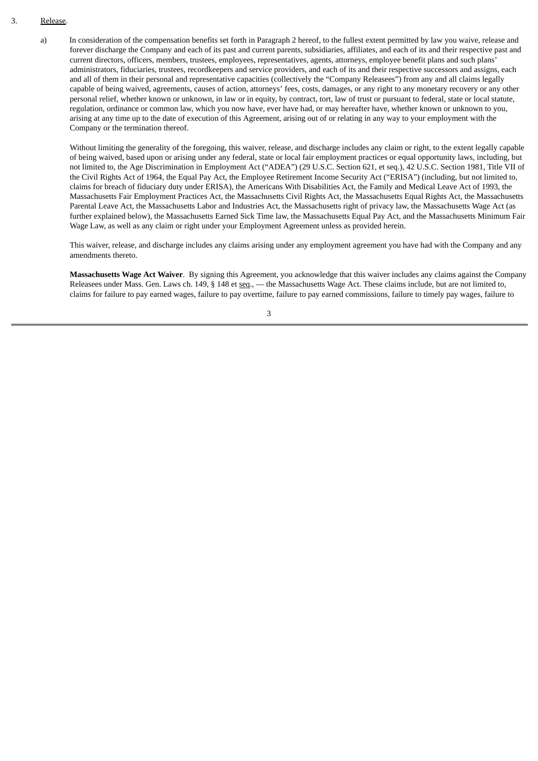- 3. Release.
	- a) In consideration of the compensation benefits set forth in Paragraph 2 hereof, to the fullest extent permitted by law you waive, release and forever discharge the Company and each of its past and current parents, subsidiaries, affiliates, and each of its and their respective past and current directors, officers, members, trustees, employees, representatives, agents, attorneys, employee benefit plans and such plans' administrators, fiduciaries, trustees, recordkeepers and service providers, and each of its and their respective successors and assigns, each and all of them in their personal and representative capacities (collectively the "Company Releasees") from any and all claims legally capable of being waived, agreements, causes of action, attorneys' fees, costs, damages, or any right to any monetary recovery or any other personal relief, whether known or unknown, in law or in equity, by contract, tort, law of trust or pursuant to federal, state or local statute, regulation, ordinance or common law, which you now have, ever have had, or may hereafter have, whether known or unknown to you, arising at any time up to the date of execution of this Agreement, arising out of or relating in any way to your employment with the Company or the termination thereof.

Without limiting the generality of the foregoing, this waiver, release, and discharge includes any claim or right, to the extent legally capable of being waived, based upon or arising under any federal, state or local fair employment practices or equal opportunity laws, including, but not limited to, the Age Discrimination in Employment Act ("ADEA") (29 U.S.C. Section 621, et seq.), 42 U.S.C. Section 1981, Title VII of the Civil Rights Act of 1964, the Equal Pay Act, the Employee Retirement Income Security Act ("ERISA") (including, but not limited to, claims for breach of fiduciary duty under ERISA), the Americans With Disabilities Act, the Family and Medical Leave Act of 1993, the Massachusetts Fair Employment Practices Act, the Massachusetts Civil Rights Act, the Massachusetts Equal Rights Act, the Massachusetts Parental Leave Act, the Massachusetts Labor and Industries Act, the Massachusetts right of privacy law, the Massachusetts Wage Act (as further explained below), the Massachusetts Earned Sick Time law, the Massachusetts Equal Pay Act, and the Massachusetts Minimum Fair Wage Law, as well as any claim or right under your Employment Agreement unless as provided herein.

This waiver, release, and discharge includes any claims arising under any employment agreement you have had with the Company and any amendments thereto.

**Massachusetts Wage Act Waiver**. By signing this Agreement, you acknowledge that this waiver includes any claims against the Company Releasees under Mass. Gen. Laws ch. 149, § 148 et seq., — the Massachusetts Wage Act. These claims include, but are not limited to, claims for failure to pay earned wages, failure to pay overtime, failure to pay earned commissions, failure to timely pay wages, failure to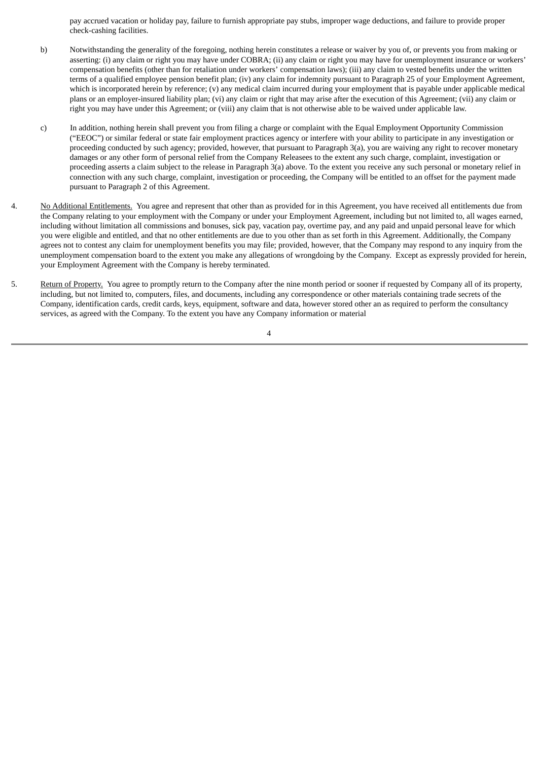pay accrued vacation or holiday pay, failure to furnish appropriate pay stubs, improper wage deductions, and failure to provide proper check-cashing facilities.

- b) Notwithstanding the generality of the foregoing, nothing herein constitutes a release or waiver by you of, or prevents you from making or asserting: (i) any claim or right you may have under COBRA; (ii) any claim or right you may have for unemployment insurance or workers' compensation benefits (other than for retaliation under workers' compensation laws); (iii) any claim to vested benefits under the written terms of a qualified employee pension benefit plan; (iv) any claim for indemnity pursuant to Paragraph 25 of your Employment Agreement, which is incorporated herein by reference; (v) any medical claim incurred during your employment that is payable under applicable medical plans or an employer-insured liability plan; (vi) any claim or right that may arise after the execution of this Agreement; (vii) any claim or right you may have under this Agreement; or (viii) any claim that is not otherwise able to be waived under applicable law.
- c) In addition, nothing herein shall prevent you from filing a charge or complaint with the Equal Employment Opportunity Commission ("EEOC") or similar federal or state fair employment practices agency or interfere with your ability to participate in any investigation or proceeding conducted by such agency; provided, however, that pursuant to Paragraph 3(a), you are waiving any right to recover monetary damages or any other form of personal relief from the Company Releasees to the extent any such charge, complaint, investigation or proceeding asserts a claim subject to the release in Paragraph 3(a) above. To the extent you receive any such personal or monetary relief in connection with any such charge, complaint, investigation or proceeding, the Company will be entitled to an offset for the payment made pursuant to Paragraph 2 of this Agreement.
- 4. No Additional Entitlements. You agree and represent that other than as provided for in this Agreement, you have received all entitlements due from the Company relating to your employment with the Company or under your Employment Agreement, including but not limited to, all wages earned, including without limitation all commissions and bonuses, sick pay, vacation pay, overtime pay, and any paid and unpaid personal leave for which you were eligible and entitled, and that no other entitlements are due to you other than as set forth in this Agreement. Additionally, the Company agrees not to contest any claim for unemployment benefits you may file; provided, however, that the Company may respond to any inquiry from the unemployment compensation board to the extent you make any allegations of wrongdoing by the Company. Except as expressly provided for herein, your Employment Agreement with the Company is hereby terminated.
- 5. Return of Property. You agree to promptly return to the Company after the nine month period or sooner if requested by Company all of its property, including, but not limited to, computers, files, and documents, including any correspondence or other materials containing trade secrets of the Company, identification cards, credit cards, keys, equipment, software and data, however stored other an as required to perform the consultancy services, as agreed with the Company. To the extent you have any Company information or material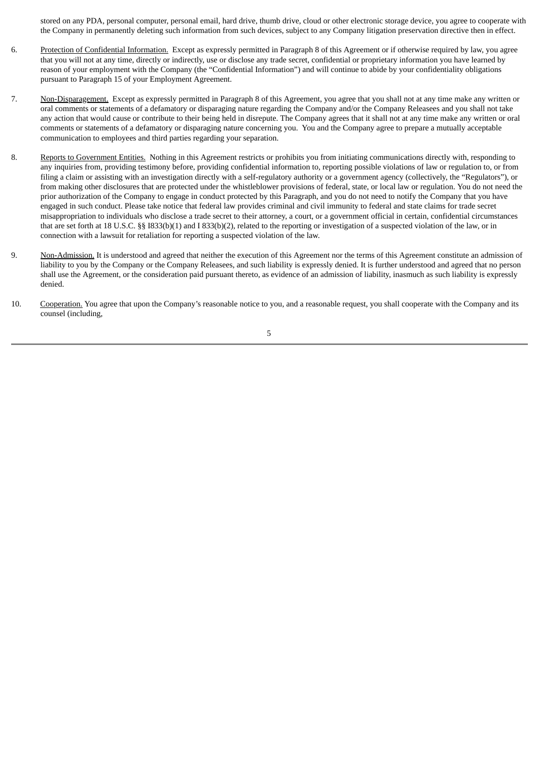stored on any PDA, personal computer, personal email, hard drive, thumb drive, cloud or other electronic storage device, you agree to cooperate with the Company in permanently deleting such information from such devices, subject to any Company litigation preservation directive then in effect.

- 6. Protection of Confidential Information. Except as expressly permitted in Paragraph 8 of this Agreement or if otherwise required by law, you agree that you will not at any time, directly or indirectly, use or disclose any trade secret, confidential or proprietary information you have learned by reason of your employment with the Company (the "Confidential Information") and will continue to abide by your confidentiality obligations pursuant to Paragraph 15 of your Employment Agreement.
- 7. Non-Disparagement. Except as expressly permitted in Paragraph 8 of this Agreement, you agree that you shall not at any time make any written or oral comments or statements of a defamatory or disparaging nature regarding the Company and/or the Company Releasees and you shall not take any action that would cause or contribute to their being held in disrepute. The Company agrees that it shall not at any time make any written or oral comments or statements of a defamatory or disparaging nature concerning you. You and the Company agree to prepare a mutually acceptable communication to employees and third parties regarding your separation.
- 8. Reports to Government Entities. Nothing in this Agreement restricts or prohibits you from initiating communications directly with, responding to any inquiries from, providing testimony before, providing confidential information to, reporting possible violations of law or regulation to, or from filing a claim or assisting with an investigation directly with a self-regulatory authority or a government agency (collectively, the "Regulators"), or from making other disclosures that are protected under the whistleblower provisions of federal, state, or local law or regulation. You do not need the prior authorization of the Company to engage in conduct protected by this Paragraph, and you do not need to notify the Company that you have engaged in such conduct. Please take notice that federal law provides criminal and civil immunity to federal and state claims for trade secret misappropriation to individuals who disclose a trade secret to their attorney, a court, or a government official in certain, confidential circumstances that are set forth at 18 U.S.C. §§ I833(b)(1) and I 833(b)(2), related to the reporting or investigation of a suspected violation of the law, or in connection with a lawsuit for retaliation for reporting a suspected violation of the law.
- 9. Non-Admission. It is understood and agreed that neither the execution of this Agreement nor the terms of this Agreement constitute an admission of liability to you by the Company or the Company Releasees, and such liability is expressly denied. It is further understood and agreed that no person shall use the Agreement, or the consideration paid pursuant thereto, as evidence of an admission of liability, inasmuch as such liability is expressly denied.
- 10. Cooperation. You agree that upon the Company's reasonable notice to you, and a reasonable request, you shall cooperate with the Company and its counsel (including,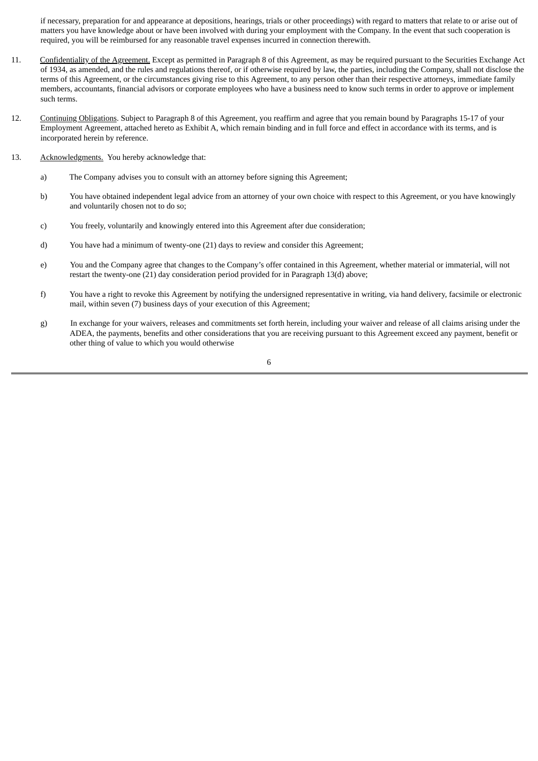if necessary, preparation for and appearance at depositions, hearings, trials or other proceedings) with regard to matters that relate to or arise out of matters you have knowledge about or have been involved with during your employment with the Company. In the event that such cooperation is required, you will be reimbursed for any reasonable travel expenses incurred in connection therewith.

- 11. Confidentiality of the Agreement. Except as permitted in Paragraph 8 of this Agreement, as may be required pursuant to the Securities Exchange Act of 1934, as amended, and the rules and regulations thereof, or if otherwise required by law, the parties, including the Company, shall not disclose the terms of this Agreement, or the circumstances giving rise to this Agreement, to any person other than their respective attorneys, immediate family members, accountants, financial advisors or corporate employees who have a business need to know such terms in order to approve or implement such terms.
- 12. Continuing Obligations. Subject to Paragraph 8 of this Agreement, you reaffirm and agree that you remain bound by Paragraphs 15-17 of your Employment Agreement, attached hereto as Exhibit A, which remain binding and in full force and effect in accordance with its terms, and is incorporated herein by reference.
- 13. Acknowledgments. You hereby acknowledge that:
	- a) The Company advises you to consult with an attorney before signing this Agreement;
	- b) You have obtained independent legal advice from an attorney of your own choice with respect to this Agreement, or you have knowingly and voluntarily chosen not to do so;
	- c) You freely, voluntarily and knowingly entered into this Agreement after due consideration;
	- d) You have had a minimum of twenty-one (21) days to review and consider this Agreement;
	- e) You and the Company agree that changes to the Company's offer contained in this Agreement, whether material or immaterial, will not restart the twenty-one (21) day consideration period provided for in Paragraph 13(d) above;
	- f) You have a right to revoke this Agreement by notifying the undersigned representative in writing, via hand delivery, facsimile or electronic mail, within seven (7) business days of your execution of this Agreement;
	- g) In exchange for your waivers, releases and commitments set forth herein, including your waiver and release of all claims arising under the ADEA, the payments, benefits and other considerations that you are receiving pursuant to this Agreement exceed any payment, benefit or other thing of value to which you would otherwise
		- 6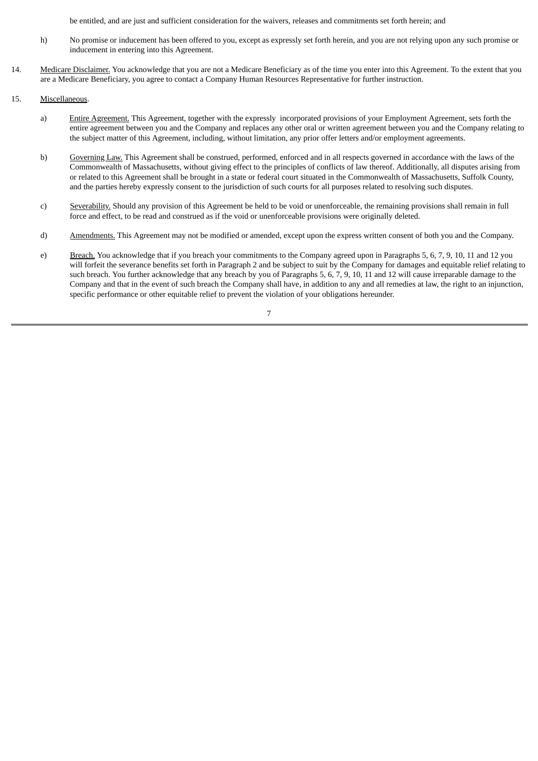be entitled, and are just and sufficient consideration for the waivers, releases and commitments set forth herein; and

- h) No promise or inducement has been offered to you, except as expressly set forth herein, and you are not relying upon any such promise or inducement in entering into this Agreement.
- 14. Medicare Disclaimer. You acknowledge that you are not a Medicare Beneficiary as of the time you enter into this Agreement. To the extent that you are a Medicare Beneficiary, you agree to contact a Company Human Resources Representative for further instruction.
- 15. Miscellaneous.
	- a) Entire Agreement. This Agreement, together with the expressly incorporated provisions of your Employment Agreement, sets forth the entire agreement between you and the Company and replaces any other oral or written agreement between you and the Company relating to the subject matter of this Agreement, including, without limitation, any prior offer letters and/or employment agreements.
	- b) Governing Law. This Agreement shall be construed, performed, enforced and in all respects governed in accordance with the laws of the Commonwealth of Massachusetts, without giving effect to the principles of conflicts of law thereof. Additionally, all disputes arising from or related to this Agreement shall be brought in a state or federal court situated in the Commonwealth of Massachusetts, Suffolk County, and the parties hereby expressly consent to the jurisdiction of such courts for all purposes related to resolving such disputes.
	- c) Severability. Should any provision of this Agreement be held to be void or unenforceable, the remaining provisions shall remain in full force and effect, to be read and construed as if the void or unenforceable provisions were originally deleted.
	- d) Amendments. This Agreement may not be modified or amended, except upon the express written consent of both you and the Company.
	- e) Breach. You acknowledge that if you breach your commitments to the Company agreed upon in Paragraphs 5, 6, 7, 9, 10, 11 and 12 you will forfeit the severance benefits set forth in Paragraph 2 and be subject to suit by the Company for damages and equitable relief relating to such breach. You further acknowledge that any breach by you of Paragraphs 5, 6, 7, 9, 10, 11 and 12 will cause irreparable damage to the Company and that in the event of such breach the Company shall have, in addition to any and all remedies at law, the right to an injunction, specific performance or other equitable relief to prevent the violation of your obligations hereunder.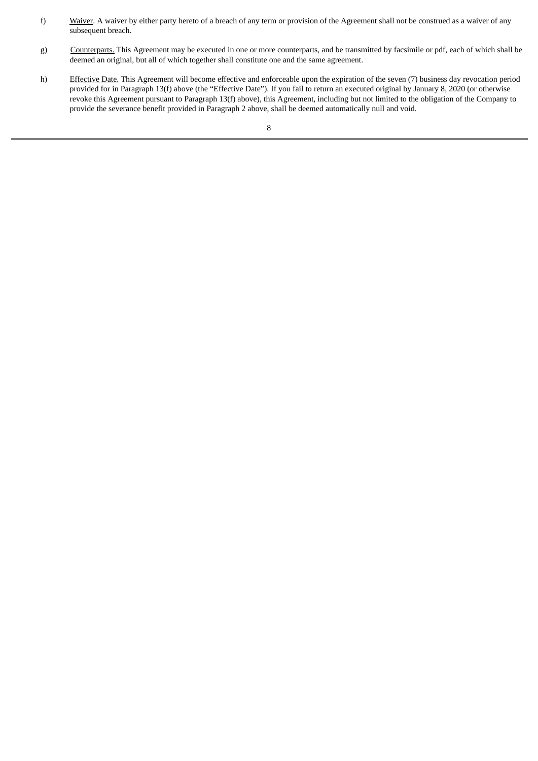- f) Waiver. A waiver by either party hereto of a breach of any term or provision of the Agreement shall not be construed as a waiver of any subsequent breach.
- g) Counterparts. This Agreement may be executed in one or more counterparts, and be transmitted by facsimile or pdf, each of which shall be deemed an original, but all of which together shall constitute one and the same agreement.
- h) Effective Date. This Agreement will become effective and enforceable upon the expiration of the seven (7) business day revocation period provided for in Paragraph 13(f) above (the "Effective Date"). If you fail to return an executed original by January 8, 2020 (or otherwise revoke this Agreement pursuant to Paragraph 13(f) above), this Agreement, including but not limited to the obligation of the Company to provide the severance benefit provided in Paragraph 2 above, shall be deemed automatically null and void.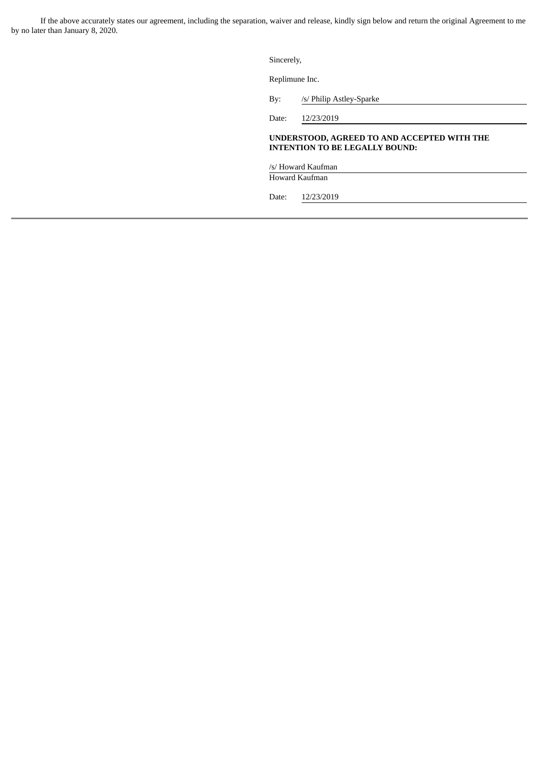If the above accurately states our agreement, including the separation, waiver and release, kindly sign below and return the original Agreement to me by no later than January 8, 2020.

| SINCATAIV |
|-----------|
|-----------|

Replimune Inc.

By: /s/ Philip Astley-Sparke

Date: 12/23/2019

# **UNDERSTOOD, AGREED TO AND ACCEPTED WITH THE INTENTION TO BE LEGALLY BOUND:**

/s/ Howard Kaufman

Howard Kaufman

<span id="page-89-0"></span>Date: 12/23/2019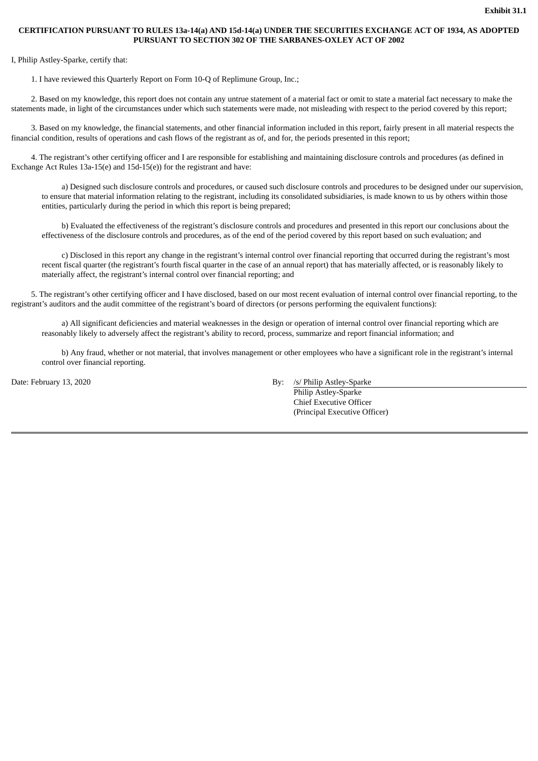### **CERTIFICATION PURSUANT TO RULES 13a-14(a) AND 15d-14(a) UNDER THE SECURITIES EXCHANGE ACT OF 1934, AS ADOPTED PURSUANT TO SECTION 302 OF THE SARBANES-OXLEY ACT OF 2002**

I, Philip Astley-Sparke, certify that:

1. I have reviewed this Quarterly Report on Form 10-Q of Replimune Group, Inc.;

2. Based on my knowledge, this report does not contain any untrue statement of a material fact or omit to state a material fact necessary to make the statements made, in light of the circumstances under which such statements were made, not misleading with respect to the period covered by this report;

3. Based on my knowledge, the financial statements, and other financial information included in this report, fairly present in all material respects the financial condition, results of operations and cash flows of the registrant as of, and for, the periods presented in this report;

4. The registrant's other certifying officer and I are responsible for establishing and maintaining disclosure controls and procedures (as defined in Exchange Act Rules 13a-15(e) and 15d-15(e)) for the registrant and have:

a) Designed such disclosure controls and procedures, or caused such disclosure controls and procedures to be designed under our supervision, to ensure that material information relating to the registrant, including its consolidated subsidiaries, is made known to us by others within those entities, particularly during the period in which this report is being prepared;

b) Evaluated the effectiveness of the registrant's disclosure controls and procedures and presented in this report our conclusions about the effectiveness of the disclosure controls and procedures, as of the end of the period covered by this report based on such evaluation; and

c) Disclosed in this report any change in the registrant's internal control over financial reporting that occurred during the registrant's most recent fiscal quarter (the registrant's fourth fiscal quarter in the case of an annual report) that has materially affected, or is reasonably likely to materially affect, the registrant's internal control over financial reporting; and

5. The registrant's other certifying officer and I have disclosed, based on our most recent evaluation of internal control over financial reporting, to the registrant's auditors and the audit committee of the registrant's board of directors (or persons performing the equivalent functions):

a) All significant deficiencies and material weaknesses in the design or operation of internal control over financial reporting which are reasonably likely to adversely affect the registrant's ability to record, process, summarize and report financial information; and

b) Any fraud, whether or not material, that involves management or other employees who have a significant role in the registrant's internal control over financial reporting.

Date: February 13, 2020 By: /s/ Philip Astley-Sparke

<span id="page-90-0"></span>Philip Astley-Sparke Chief Executive Officer (Principal Executive Officer)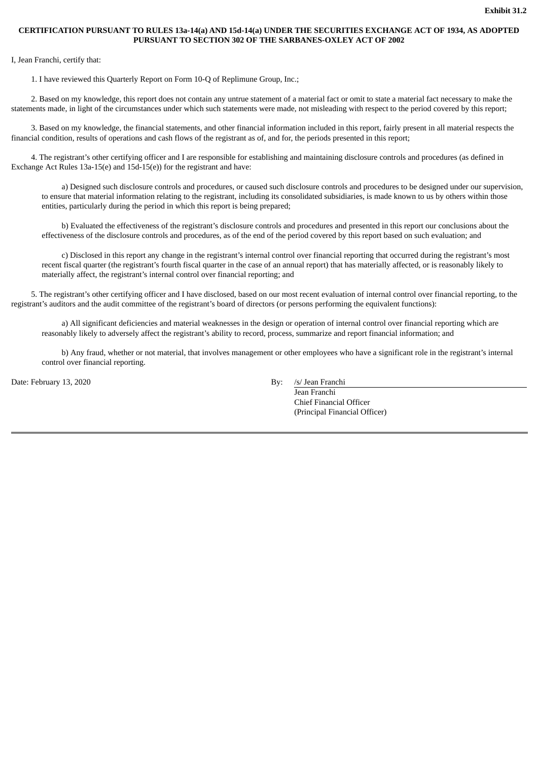### **CERTIFICATION PURSUANT TO RULES 13a-14(a) AND 15d-14(a) UNDER THE SECURITIES EXCHANGE ACT OF 1934, AS ADOPTED PURSUANT TO SECTION 302 OF THE SARBANES-OXLEY ACT OF 2002**

I, Jean Franchi, certify that:

1. I have reviewed this Quarterly Report on Form 10-Q of Replimune Group, Inc.;

2. Based on my knowledge, this report does not contain any untrue statement of a material fact or omit to state a material fact necessary to make the statements made, in light of the circumstances under which such statements were made, not misleading with respect to the period covered by this report;

3. Based on my knowledge, the financial statements, and other financial information included in this report, fairly present in all material respects the financial condition, results of operations and cash flows of the registrant as of, and for, the periods presented in this report;

4. The registrant's other certifying officer and I are responsible for establishing and maintaining disclosure controls and procedures (as defined in Exchange Act Rules 13a-15(e) and 15d-15(e)) for the registrant and have:

a) Designed such disclosure controls and procedures, or caused such disclosure controls and procedures to be designed under our supervision, to ensure that material information relating to the registrant, including its consolidated subsidiaries, is made known to us by others within those entities, particularly during the period in which this report is being prepared;

b) Evaluated the effectiveness of the registrant's disclosure controls and procedures and presented in this report our conclusions about the effectiveness of the disclosure controls and procedures, as of the end of the period covered by this report based on such evaluation; and

c) Disclosed in this report any change in the registrant's internal control over financial reporting that occurred during the registrant's most recent fiscal quarter (the registrant's fourth fiscal quarter in the case of an annual report) that has materially affected, or is reasonably likely to materially affect, the registrant's internal control over financial reporting; and

5. The registrant's other certifying officer and I have disclosed, based on our most recent evaluation of internal control over financial reporting, to the registrant's auditors and the audit committee of the registrant's board of directors (or persons performing the equivalent functions):

a) All significant deficiencies and material weaknesses in the design or operation of internal control over financial reporting which are reasonably likely to adversely affect the registrant's ability to record, process, summarize and report financial information; and

b) Any fraud, whether or not material, that involves management or other employees who have a significant role in the registrant's internal control over financial reporting.

Date: February 13, 2020 **By:** /s/ Jean Franchi

Jean Franchi Chief Financial Officer (Principal Financial Officer)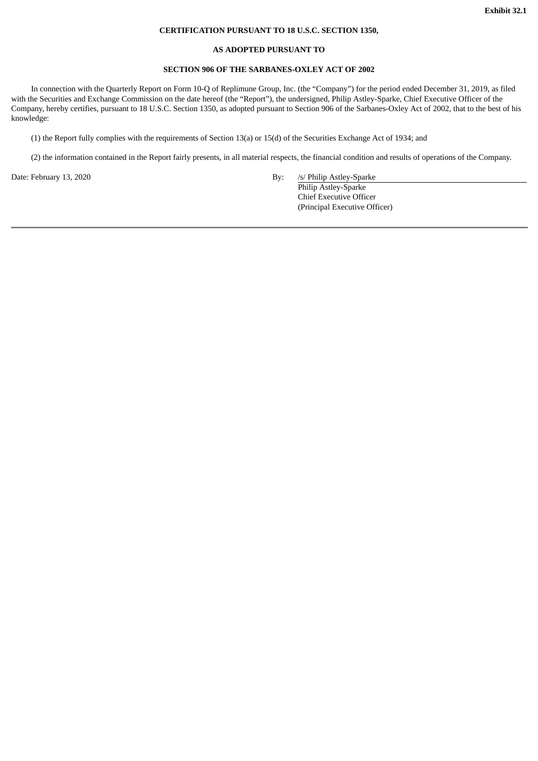#### **CERTIFICATION PURSUANT TO 18 U.S.C. SECTION 1350,**

#### **AS ADOPTED PURSUANT TO**

# **SECTION 906 OF THE SARBANES-OXLEY ACT OF 2002**

In connection with the Quarterly Report on Form 10-Q of Replimune Group, Inc. (the "Company") for the period ended December 31, 2019, as filed with the Securities and Exchange Commission on the date hereof (the "Report"), the undersigned, Philip Astley-Sparke, Chief Executive Officer of the Company, hereby certifies, pursuant to 18 U.S.C. Section 1350, as adopted pursuant to Section 906 of the Sarbanes-Oxley Act of 2002, that to the best of his knowledge:

(1) the Report fully complies with the requirements of Section 13(a) or 15(d) of the Securities Exchange Act of 1934; and

(2) the information contained in the Report fairly presents, in all material respects, the financial condition and results of operations of the Company.

Date: February 13, 2020 By: /s/ Philip Astley-Sparke

<span id="page-92-0"></span>Philip Astley-Sparke Chief Executive Officer (Principal Executive Officer)